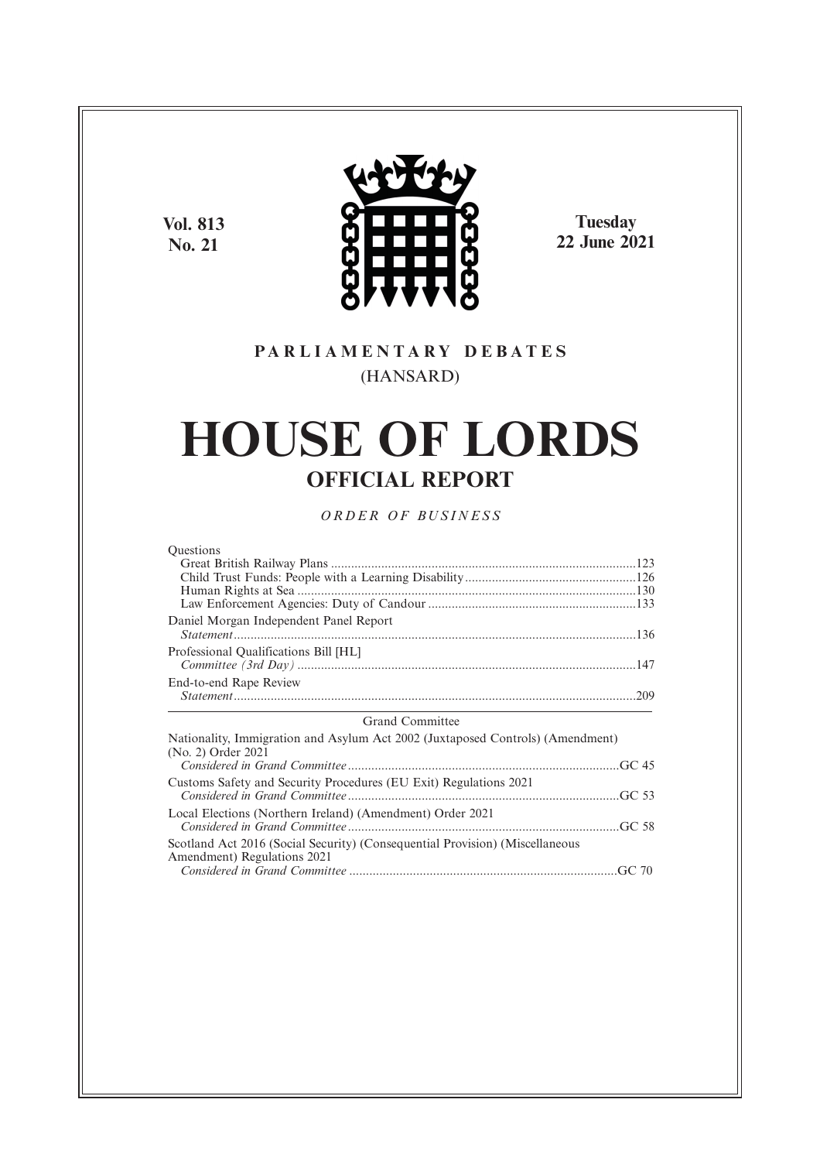**Vol. 813 No. 21**



**Tuesday 22 June 2021**

# **P A R L I A M E N T A R Y D E B A T E S** (HANSARD)

# **HOUSE OF LORDS OFFICIAL REPORT**

*O R D E R O F BU S I N E S S*

| Questions                              |  |
|----------------------------------------|--|
|                                        |  |
|                                        |  |
|                                        |  |
|                                        |  |
| Daniel Morgan Independent Panel Report |  |
| Professional Qualifications Bill [HL]  |  |
| End-to-end Rape Review                 |  |

# Grand Committee

| Nationality, Immigration and Asylum Act 2002 (Juxtaposed Controls) (Amendment)                              |  |
|-------------------------------------------------------------------------------------------------------------|--|
| (No. 2) Order 2021                                                                                          |  |
| Customs Safety and Security Procedures (EU Exit) Regulations 2021                                           |  |
| Local Elections (Northern Ireland) (Amendment) Order 2021                                                   |  |
| Scotland Act 2016 (Social Security) (Consequential Provision) (Miscellaneous<br>Amendment) Regulations 2021 |  |
|                                                                                                             |  |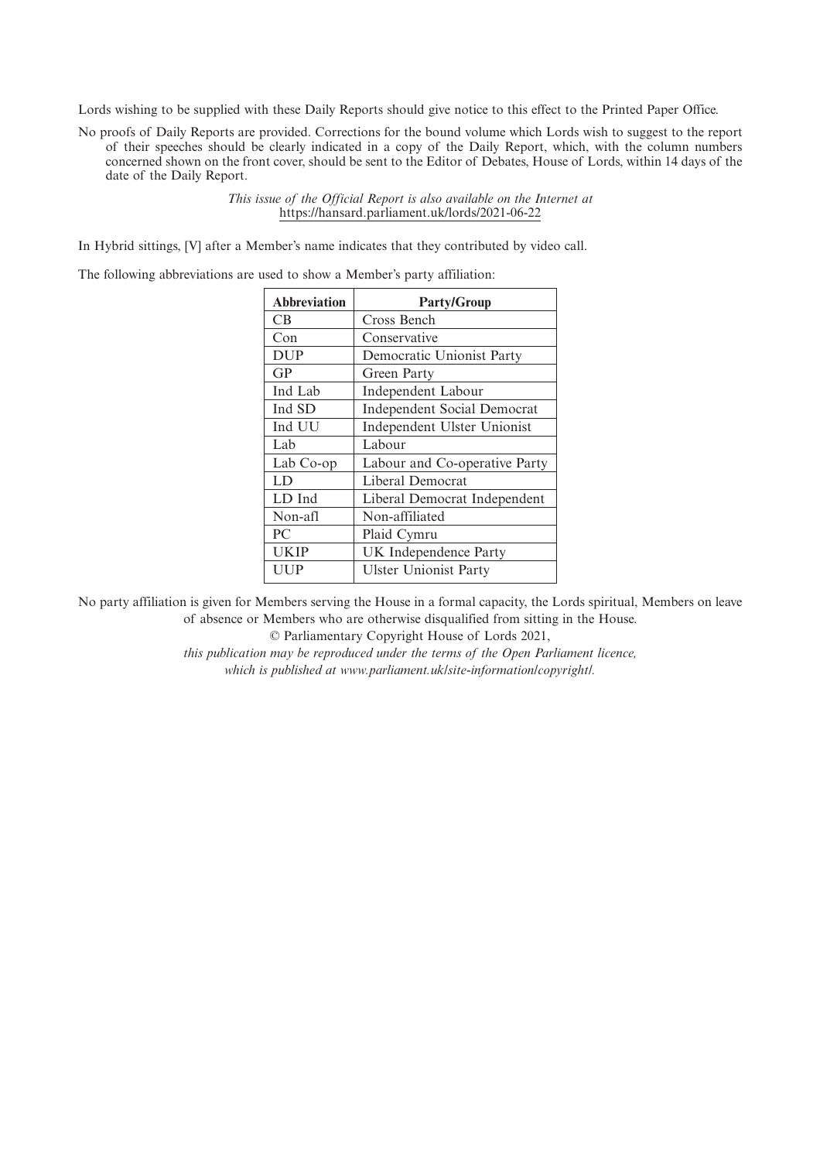Lords wishing to be supplied with these Daily Reports should give notice to this effect to the Printed Paper Office.

No proofs of Daily Reports are provided. Corrections for the bound volume which Lords wish to suggest to the report of their speeches should be clearly indicated in a copy of the Daily Report, which, with the column numbers concerned shown on the front cover, should be sent to the Editor of Debates, House of Lords, within 14 days of the date of the Daily Report.

> *This issue of the Official Report is also available on the Internet at* https://hansard.parliament.uk/lords/2021-06-22

In Hybrid sittings, [V] after a Member's name indicates that they contributed by video call.

The following abbreviations are used to show a Member's party affiliation:

| <b>Abbreviation</b> | <b>Party/Group</b>                 |
|---------------------|------------------------------------|
| CB                  | Cross Bench                        |
| Con                 | Conservative                       |
| <b>DUP</b>          | Democratic Unionist Party          |
| GP                  | Green Party                        |
| Ind Lab             | Independent Labour                 |
| Ind SD              | <b>Independent Social Democrat</b> |
| Ind UU              | Independent Ulster Unionist        |
| Lab                 | Labour                             |
| Lab Co-op           | Labour and Co-operative Party      |
| LD                  | Liberal Democrat                   |
| LD Ind              | Liberal Democrat Independent       |
| Non-afl             | Non-affiliated                     |
| P <sub>C</sub>      | Plaid Cymru                        |
| <b>UKIP</b>         | <b>UK</b> Independence Party       |
| UUP                 | <b>Ulster Unionist Party</b>       |

No party affiliation is given for Members serving the House in a formal capacity, the Lords spiritual, Members on leave of absence or Members who are otherwise disqualified from sitting in the House.

© Parliamentary Copyright House of Lords 2021,

*this publication may be reproduced under the terms of the Open Parliament licence, which is published at www.parliament.uk/site-information/copyright/.*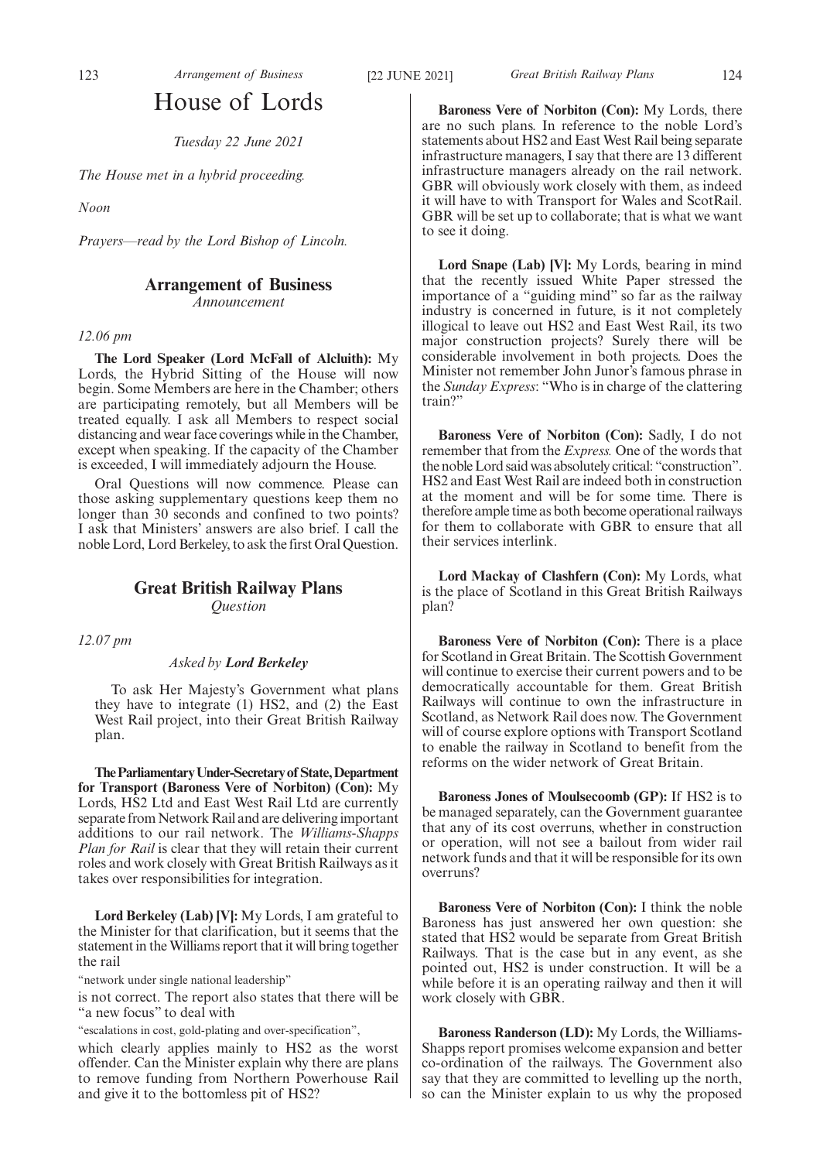# House of Lords

*Tuesday 22 June 2021*

*The House met in a hybrid proceeding.*

*Noon*

*Prayers—read by the Lord Bishop of Lincoln.*

# **Arrangement of Business**

*Announcement*

*12.06 pm*

**The Lord Speaker (Lord McFall of Alcluith):** My Lords, the Hybrid Sitting of the House will now begin. Some Members are here in the Chamber; others are participating remotely, but all Members will be treated equally. I ask all Members to respect social distancing and wear face coverings while in the Chamber, except when speaking. If the capacity of the Chamber is exceeded, I will immediately adjourn the House.

Oral Questions will now commence. Please can those asking supplementary questions keep them no longer than 30 seconds and confined to two points? I ask that Ministers' answers are also brief. I call the noble Lord, Lord Berkeley, to ask the first Oral Question.

# **Great British Railway Plans** *Question*

*12.07 pm*

# *Asked by Lord Berkeley*

To ask Her Majesty's Government what plans they have to integrate (1) HS2, and (2) the East West Rail project, into their Great British Railway plan.

**TheParliamentaryUnder-Secretaryof State,Department for Transport (Baroness Vere of Norbiton) (Con):** My Lords, HS2 Ltd and East West Rail Ltd are currently separate from Network Rail and are delivering important additions to our rail network. The *Williams-Shapps Plan for Rail* is clear that they will retain their current roles and work closely with Great British Railways as it takes over responsibilities for integration.

**Lord Berkeley (Lab) [V]:** My Lords, I am grateful to the Minister for that clarification, but it seems that the statement in the Williams report that it will bring together the rail

"network under single national leadership"

is not correct. The report also states that there will be "a new focus" to deal with

"escalations in cost, gold-plating and over-specification",

which clearly applies mainly to HS2 as the worst offender. Can the Minister explain why there are plans to remove funding from Northern Powerhouse Rail and give it to the bottomless pit of HS2?

**Baroness Vere of Norbiton (Con):** My Lords, there are no such plans. In reference to the noble Lord's statements about HS2 and East West Rail being separate infrastructure managers, I say that there are 13 different infrastructure managers already on the rail network. GBR will obviously work closely with them, as indeed it will have to with Transport for Wales and ScotRail. GBR will be set up to collaborate; that is what we want to see it doing.

**Lord Snape (Lab) [V]:** My Lords, bearing in mind that the recently issued White Paper stressed the importance of a "guiding mind" so far as the railway industry is concerned in future, is it not completely illogical to leave out HS2 and East West Rail, its two major construction projects? Surely there will be considerable involvement in both projects. Does the Minister not remember John Junor's famous phrase in the *Sunday Express*: "Who is in charge of the clattering train?"

**Baroness Vere of Norbiton (Con):** Sadly, I do not remember that from the *Express.* One of the words that the noble Lord said was absolutely critical: "construction". HS2 and East West Rail are indeed both in construction at the moment and will be for some time. There is therefore ample time as both become operational railways for them to collaborate with GBR to ensure that all their services interlink.

**Lord Mackay of Clashfern (Con):** My Lords, what is the place of Scotland in this Great British Railways plan?

**Baroness Vere of Norbiton (Con):** There is a place for Scotland in Great Britain. The Scottish Government will continue to exercise their current powers and to be democratically accountable for them. Great British Railways will continue to own the infrastructure in Scotland, as Network Rail does now. The Government will of course explore options with Transport Scotland to enable the railway in Scotland to benefit from the reforms on the wider network of Great Britain.

**Baroness Jones of Moulsecoomb (GP):** If HS2 is to be managed separately, can the Government guarantee that any of its cost overruns, whether in construction or operation, will not see a bailout from wider rail network funds and that it will be responsible for its own overruns?

**Baroness Vere of Norbiton (Con):** I think the noble Baroness has just answered her own question: she stated that HS2 would be separate from Great British Railways. That is the case but in any event, as she pointed out, HS2 is under construction. It will be a while before it is an operating railway and then it will work closely with GBR.

**Baroness Randerson (LD):** My Lords, the Williams-Shapps report promises welcome expansion and better co-ordination of the railways. The Government also say that they are committed to levelling up the north, so can the Minister explain to us why the proposed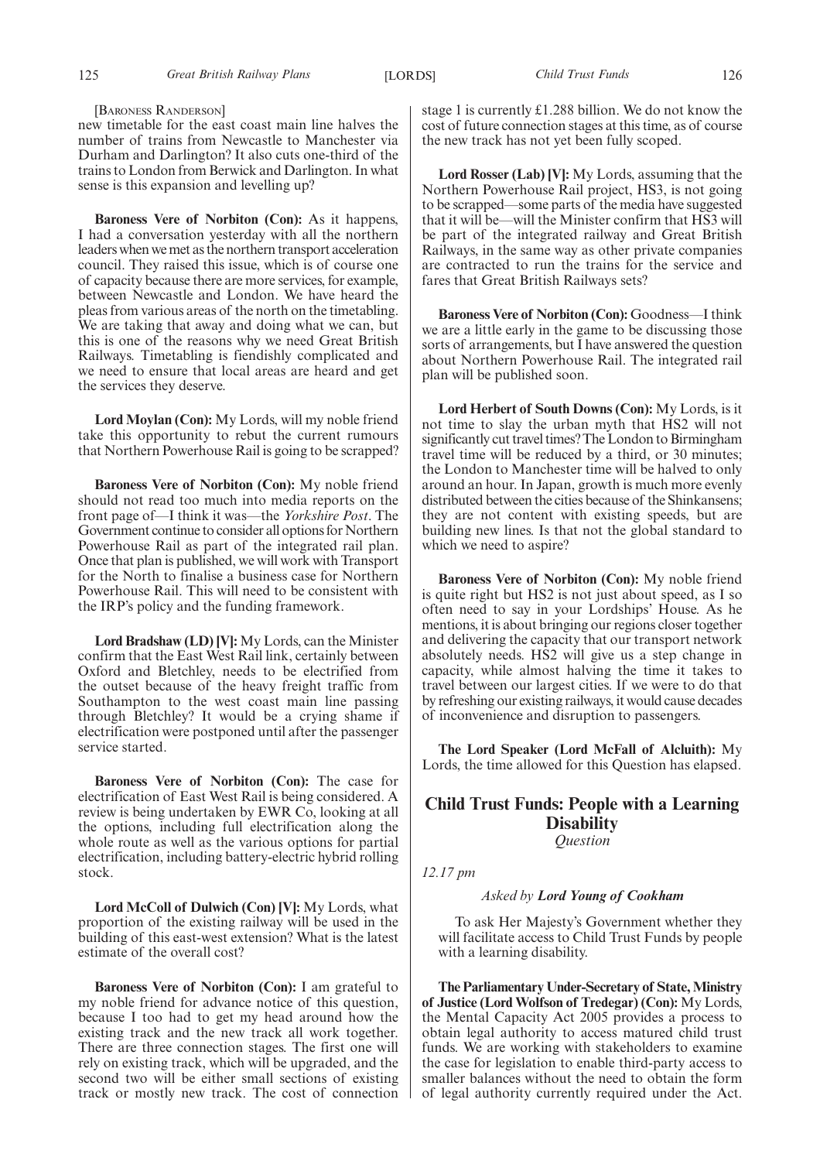[BARONESS RANDERSON]

new timetable for the east coast main line halves the number of trains from Newcastle to Manchester via Durham and Darlington? It also cuts one-third of the trains to London from Berwick and Darlington. In what sense is this expansion and levelling up?

**Baroness Vere of Norbiton (Con):** As it happens, I had a conversation yesterday with all the northern leaders when we met as the northern transport acceleration council. They raised this issue, which is of course one of capacity because there are more services, for example, between Newcastle and London. We have heard the pleas from various areas of the north on the timetabling. We are taking that away and doing what we can, but this is one of the reasons why we need Great British Railways. Timetabling is fiendishly complicated and we need to ensure that local areas are heard and get the services they deserve.

**Lord Moylan (Con):** My Lords, will my noble friend take this opportunity to rebut the current rumours that Northern Powerhouse Rail is going to be scrapped?

**Baroness Vere of Norbiton (Con):** My noble friend should not read too much into media reports on the front page of—I think it was—the *Yorkshire Post*. The Government continue to consider all options for Northern Powerhouse Rail as part of the integrated rail plan. Once that plan is published, we will work with Transport for the North to finalise a business case for Northern Powerhouse Rail. This will need to be consistent with the IRP's policy and the funding framework.

**Lord Bradshaw (LD) [V]:** My Lords, can the Minister confirm that the East West Rail link, certainly between Oxford and Bletchley, needs to be electrified from the outset because of the heavy freight traffic from Southampton to the west coast main line passing through Bletchley? It would be a crying shame if electrification were postponed until after the passenger service started.

**Baroness Vere of Norbiton (Con):** The case for electrification of East West Rail is being considered. A review is being undertaken by EWR Co, looking at all the options, including full electrification along the whole route as well as the various options for partial electrification, including battery-electric hybrid rolling stock.

**Lord McColl of Dulwich (Con) [V]:** My Lords, what proportion of the existing railway will be used in the building of this east-west extension? What is the latest estimate of the overall cost?

**Baroness Vere of Norbiton (Con):** I am grateful to my noble friend for advance notice of this question, because I too had to get my head around how the existing track and the new track all work together. There are three connection stages. The first one will rely on existing track, which will be upgraded, and the second two will be either small sections of existing track or mostly new track. The cost of connection stage 1 is currently £1.288 billion. We do not know the cost of future connection stages at this time, as of course the new track has not yet been fully scoped.

**Lord Rosser (Lab) [V]:** My Lords, assuming that the Northern Powerhouse Rail project, HS3, is not going to be scrapped—some parts of the media have suggested that it will be—will the Minister confirm that HS3 will be part of the integrated railway and Great British Railways, in the same way as other private companies are contracted to run the trains for the service and fares that Great British Railways sets?

**Baroness Vere of Norbiton (Con):** Goodness—I think we are a little early in the game to be discussing those sorts of arrangements, but I have answered the question about Northern Powerhouse Rail. The integrated rail plan will be published soon.

**Lord Herbert of South Downs (Con):** My Lords, is it not time to slay the urban myth that HS2 will not significantly cut travel times? The London to Birmingham travel time will be reduced by a third, or 30 minutes; the London to Manchester time will be halved to only around an hour. In Japan, growth is much more evenly distributed between the cities because of the Shinkansens; they are not content with existing speeds, but are building new lines. Is that not the global standard to which we need to aspire?

**Baroness Vere of Norbiton (Con):** My noble friend is quite right but HS2 is not just about speed, as I so often need to say in your Lordships' House. As he mentions, it is about bringing our regions closer together and delivering the capacity that our transport network absolutely needs. HS2 will give us a step change in capacity, while almost halving the time it takes to travel between our largest cities. If we were to do that by refreshing our existing railways, it would cause decades of inconvenience and disruption to passengers.

**The Lord Speaker (Lord McFall of Alcluith):** My Lords, the time allowed for this Question has elapsed.

# **Child Trust Funds: People with a Learning Disability**

*Question*

*12.17 pm*

*Asked by Lord Young of Cookham*

To ask Her Majesty's Government whether they will facilitate access to Child Trust Funds by people with a learning disability.

**The Parliamentary Under-Secretary of State, Ministry of Justice (Lord Wolfson of Tredegar) (Con):** My Lords, the Mental Capacity Act 2005 provides a process to obtain legal authority to access matured child trust funds. We are working with stakeholders to examine the case for legislation to enable third-party access to smaller balances without the need to obtain the form of legal authority currently required under the Act.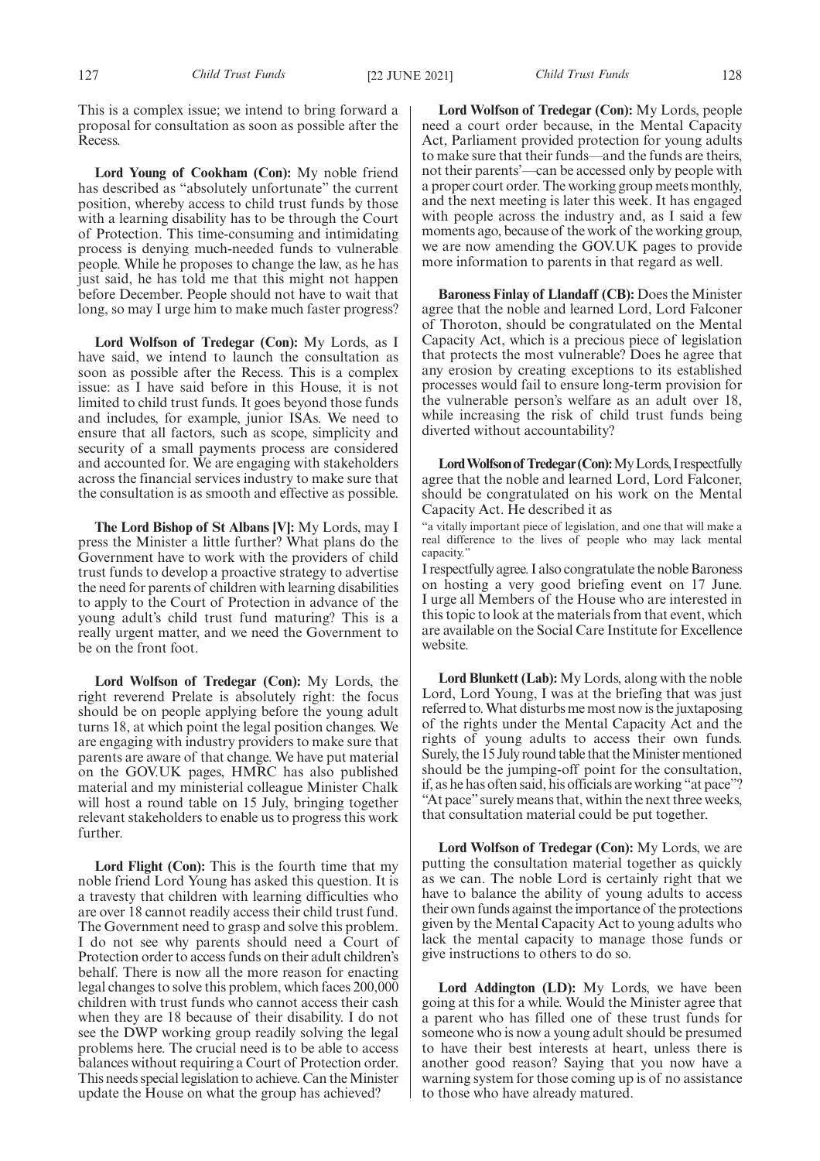This is a complex issue; we intend to bring forward a proposal for consultation as soon as possible after the Recess.

**Lord Young of Cookham (Con):** My noble friend has described as "absolutely unfortunate" the current position, whereby access to child trust funds by those with a learning disability has to be through the Court of Protection. This time-consuming and intimidating process is denying much-needed funds to vulnerable people. While he proposes to change the law, as he has just said, he has told me that this might not happen before December. People should not have to wait that long, so may I urge him to make much faster progress?

**Lord Wolfson of Tredegar (Con):** My Lords, as I have said, we intend to launch the consultation as soon as possible after the Recess. This is a complex issue: as I have said before in this House, it is not limited to child trust funds. It goes beyond those funds and includes, for example, junior ISAs. We need to ensure that all factors, such as scope, simplicity and security of a small payments process are considered and accounted for. We are engaging with stakeholders across the financial services industry to make sure that the consultation is as smooth and effective as possible.

**The Lord Bishop of St Albans [V]:** My Lords, may I press the Minister a little further? What plans do the Government have to work with the providers of child trust funds to develop a proactive strategy to advertise the need for parents of children with learning disabilities to apply to the Court of Protection in advance of the young adult's child trust fund maturing? This is a really urgent matter, and we need the Government to be on the front foot.

**Lord Wolfson of Tredegar (Con):** My Lords, the right reverend Prelate is absolutely right: the focus should be on people applying before the young adult turns 18, at which point the legal position changes. We are engaging with industry providers to make sure that parents are aware of that change. We have put material on the GOV.UK pages, HMRC has also published material and my ministerial colleague Minister Chalk will host a round table on 15 July, bringing together relevant stakeholders to enable us to progress this work further.

Lord Flight (Con): This is the fourth time that my noble friend Lord Young has asked this question. It is a travesty that children with learning difficulties who are over 18 cannot readily access their child trust fund. The Government need to grasp and solve this problem. I do not see why parents should need a Court of Protection order to access funds on their adult children's behalf. There is now all the more reason for enacting legal changes to solve this problem, which faces 200,000 children with trust funds who cannot access their cash when they are 18 because of their disability. I do not see the DWP working group readily solving the legal problems here. The crucial need is to be able to access balances without requiring a Court of Protection order. This needs special legislation to achieve. Can the Minister update the House on what the group has achieved?

**Lord Wolfson of Tredegar (Con):** My Lords, people need a court order because, in the Mental Capacity Act, Parliament provided protection for young adults to make sure that their funds—and the funds are theirs, not their parents'—can be accessed only by people with a proper court order. The working group meets monthly, and the next meeting is later this week. It has engaged with people across the industry and, as I said a few moments ago, because of the work of the working group, we are now amending the GOV.UK pages to provide more information to parents in that regard as well.

**Baroness Finlay of Llandaff (CB):** Does the Minister agree that the noble and learned Lord, Lord Falconer of Thoroton, should be congratulated on the Mental Capacity Act, which is a precious piece of legislation that protects the most vulnerable? Does he agree that any erosion by creating exceptions to its established processes would fail to ensure long-term provision for the vulnerable person's welfare as an adult over 18, while increasing the risk of child trust funds being diverted without accountability?

Lord Wolfson of Tredegar (Con): My Lords, I respectfully agree that the noble and learned Lord, Lord Falconer, should be congratulated on his work on the Mental Capacity Act. He described it as

"a vitally important piece of legislation, and one that will make a real difference to the lives of people who may lack mental capacity.

I respectfully agree. I also congratulate the noble Baroness on hosting a very good briefing event on 17 June. I urge all Members of the House who are interested in this topic to look at the materials from that event, which are available on the Social Care Institute for Excellence website.

**Lord Blunkett (Lab):** My Lords, along with the noble Lord, Lord Young, I was at the briefing that was just referred to. What disturbs me most now is the juxtaposing of the rights under the Mental Capacity Act and the rights of young adults to access their own funds. Surely, the 15 July round table that the Minister mentioned should be the jumping-off point for the consultation, if, as he has often said, his officials are working "at pace"? "At pace" surely means that, within the next three weeks, that consultation material could be put together.

**Lord Wolfson of Tredegar (Con):** My Lords, we are putting the consultation material together as quickly as we can. The noble Lord is certainly right that we have to balance the ability of young adults to access their own funds against the importance of the protections given by the Mental Capacity Act to young adults who lack the mental capacity to manage those funds or give instructions to others to do so.

**Lord Addington (LD):** My Lords, we have been going at this for a while. Would the Minister agree that a parent who has filled one of these trust funds for someone who is now a young adult should be presumed to have their best interests at heart, unless there is another good reason? Saying that you now have a warning system for those coming up is of no assistance to those who have already matured.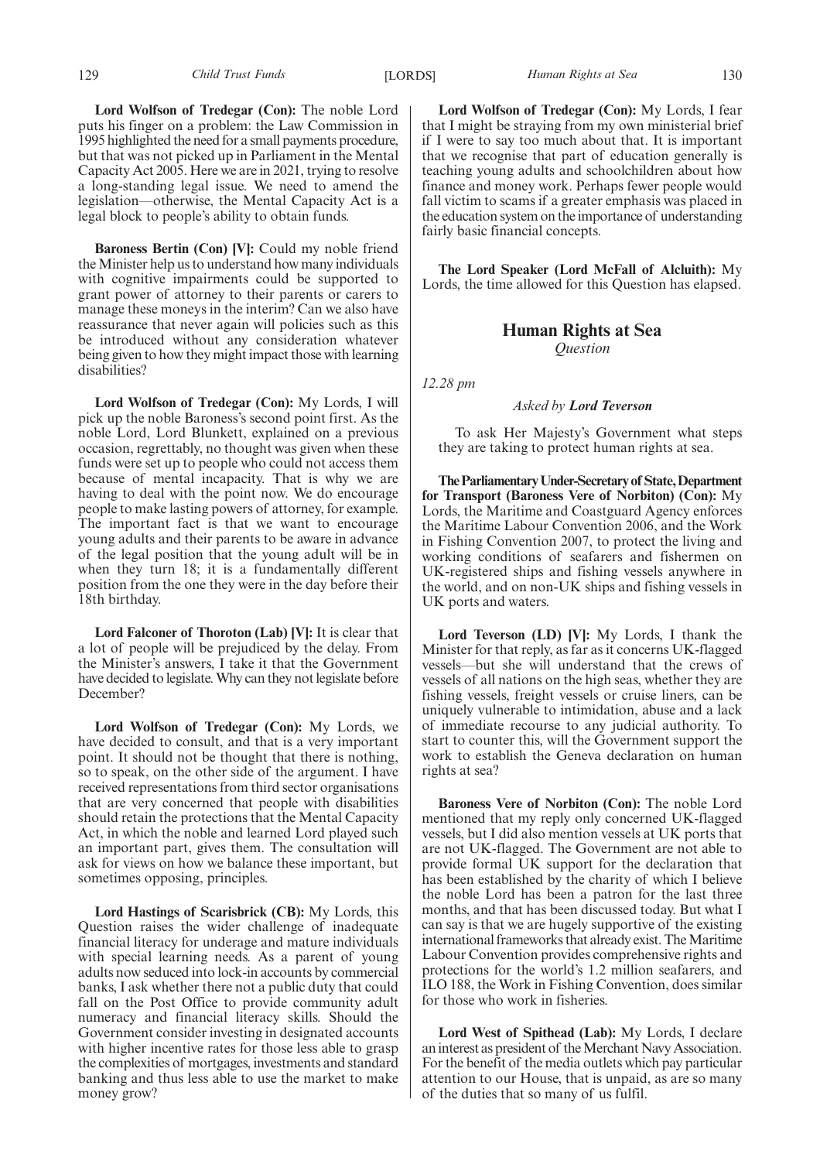**Lord Wolfson of Tredegar (Con):** The noble Lord puts his finger on a problem: the Law Commission in 1995 highlighted the need for a small payments procedure, but that was not picked up in Parliament in the Mental Capacity Act 2005. Here we are in 2021, trying to resolve a long-standing legal issue. We need to amend the legislation—otherwise, the Mental Capacity Act is a legal block to people's ability to obtain funds.

**Baroness Bertin (Con) [V]:** Could my noble friend the Minister help us to understand how many individuals with cognitive impairments could be supported to grant power of attorney to their parents or carers to manage these moneys in the interim? Can we also have reassurance that never again will policies such as this be introduced without any consideration whatever being given to how they might impact those with learning disabilities?

**Lord Wolfson of Tredegar (Con):** My Lords, I will pick up the noble Baroness's second point first. As the noble Lord, Lord Blunkett, explained on a previous occasion, regrettably, no thought was given when these funds were set up to people who could not access them because of mental incapacity. That is why we are having to deal with the point now. We do encourage people to make lasting powers of attorney, for example. The important fact is that we want to encourage young adults and their parents to be aware in advance of the legal position that the young adult will be in when they turn 18; it is a fundamentally different position from the one they were in the day before their 18th birthday.

**Lord Falconer of Thoroton (Lab) [V]:** It is clear that a lot of people will be prejudiced by the delay. From the Minister's answers, I take it that the Government have decided to legislate. Why can they not legislate before December?

**Lord Wolfson of Tredegar (Con):** My Lords, we have decided to consult, and that is a very important point. It should not be thought that there is nothing, so to speak, on the other side of the argument. I have received representations from third sector organisations that are very concerned that people with disabilities should retain the protections that the Mental Capacity Act, in which the noble and learned Lord played such an important part, gives them. The consultation will ask for views on how we balance these important, but sometimes opposing, principles.

**Lord Hastings of Scarisbrick (CB):** My Lords, this Question raises the wider challenge of inadequate financial literacy for underage and mature individuals with special learning needs. As a parent of young adults now seduced into lock-in accounts by commercial banks, I ask whether there not a public duty that could fall on the Post Office to provide community adult numeracy and financial literacy skills. Should the Government consider investing in designated accounts with higher incentive rates for those less able to grasp the complexities of mortgages, investments and standard banking and thus less able to use the market to make money grow?

129 *Child Trust Funds* [LORDS] *Human Rights at Sea* 130

**Lord Wolfson of Tredegar (Con):** My Lords, I fear that I might be straying from my own ministerial brief if I were to say too much about that. It is important that we recognise that part of education generally is teaching young adults and schoolchildren about how finance and money work. Perhaps fewer people would fall victim to scams if a greater emphasis was placed in the education system on the importance of understanding fairly basic financial concepts.

**The Lord Speaker (Lord McFall of Alcluith):** My Lords, the time allowed for this Question has elapsed.

# **Human Rights at Sea** *Question*

*12.28 pm*

### *Asked by Lord Teverson*

To ask Her Majesty's Government what steps they are taking to protect human rights at sea.

**TheParliamentaryUnder-Secretaryof State,Department for Transport (Baroness Vere of Norbiton) (Con):** My Lords, the Maritime and Coastguard Agency enforces the Maritime Labour Convention 2006, and the Work in Fishing Convention 2007, to protect the living and working conditions of seafarers and fishermen on UK-registered ships and fishing vessels anywhere in the world, and on non-UK ships and fishing vessels in UK ports and waters.

**Lord Teverson (LD) [V]:** My Lords, I thank the Minister for that reply, as far as it concerns UK-flagged vessels—but she will understand that the crews of vessels of all nations on the high seas, whether they are fishing vessels, freight vessels or cruise liners, can be uniquely vulnerable to intimidation, abuse and a lack of immediate recourse to any judicial authority. To start to counter this, will the Government support the work to establish the Geneva declaration on human rights at sea?

**Baroness Vere of Norbiton (Con):** The noble Lord mentioned that my reply only concerned UK-flagged vessels, but I did also mention vessels at UK ports that are not UK-flagged. The Government are not able to provide formal UK support for the declaration that has been established by the charity of which I believe the noble Lord has been a patron for the last three months, and that has been discussed today. But what I can say is that we are hugely supportive of the existing international frameworks that already exist. The Maritime Labour Convention provides comprehensive rights and protections for the world's 1.2 million seafarers, and ILO 188, the Work in Fishing Convention, does similar for those who work in fisheries.

**Lord West of Spithead (Lab):** My Lords, I declare an interest as president of the Merchant Navy Association. For the benefit of the media outlets which pay particular attention to our House, that is unpaid, as are so many of the duties that so many of us fulfil.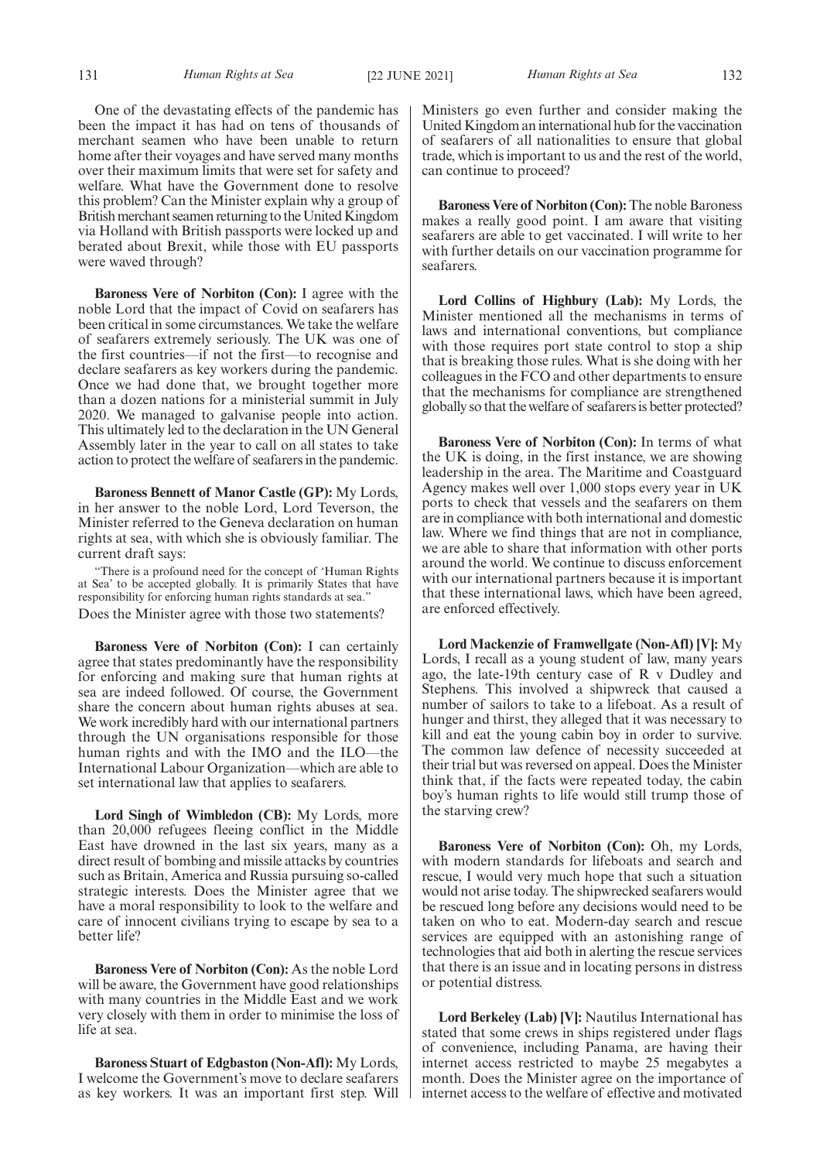One of the devastating effects of the pandemic has been the impact it has had on tens of thousands of merchant seamen who have been unable to return home after their voyages and have served many months over their maximum limits that were set for safety and welfare. What have the Government done to resolve this problem? Can the Minister explain why a group of British merchant seamen returning to the United Kingdom via Holland with British passports were locked up and berated about Brexit, while those with EU passports were waved through?

**Baroness Vere of Norbiton (Con):** I agree with the noble Lord that the impact of Covid on seafarers has been critical in some circumstances. We take the welfare of seafarers extremely seriously. The UK was one of the first countries—if not the first—to recognise and declare seafarers as key workers during the pandemic. Once we had done that, we brought together more than a dozen nations for a ministerial summit in July 2020. We managed to galvanise people into action. This ultimately led to the declaration in the UN General Assembly later in the year to call on all states to take action to protect the welfare of seafarers in the pandemic.

**Baroness Bennett of Manor Castle (GP):** My Lords, in her answer to the noble Lord, Lord Teverson, the Minister referred to the Geneva declaration on human rights at sea, with which she is obviously familiar. The current draft says:

"There is a profound need for the concept of 'Human Rights at Sea' to be accepted globally. It is primarily States that have responsibility for enforcing human rights standards at sea." Does the Minister agree with those two statements?

**Baroness Vere of Norbiton (Con):** I can certainly agree that states predominantly have the responsibility for enforcing and making sure that human rights at sea are indeed followed. Of course, the Government share the concern about human rights abuses at sea. We work incredibly hard with our international partners through the UN organisations responsible for those human rights and with the IMO and the ILO—the International Labour Organization—which are able to set international law that applies to seafarers.

**Lord Singh of Wimbledon (CB):** My Lords, more than 20,000 refugees fleeing conflict in the Middle East have drowned in the last six years, many as a direct result of bombing and missile attacks by countries such as Britain, America and Russia pursuing so-called strategic interests. Does the Minister agree that we have a moral responsibility to look to the welfare and care of innocent civilians trying to escape by sea to a better life?

**Baroness Vere of Norbiton (Con):** As the noble Lord will be aware, the Government have good relationships with many countries in the Middle East and we work very closely with them in order to minimise the loss of life at sea.

**Baroness Stuart of Edgbaston (Non-Afl):** My Lords, I welcome the Government's move to declare seafarers as key workers. It was an important first step. Will

Ministers go even further and consider making the United Kingdom an international hub for the vaccination of seafarers of all nationalities to ensure that global trade, which is important to us and the rest of the world, can continue to proceed?

**Baroness Vere of Norbiton (Con):** The noble Baroness makes a really good point. I am aware that visiting seafarers are able to get vaccinated. I will write to her with further details on our vaccination programme for seafarers.

**Lord Collins of Highbury (Lab):** My Lords, the Minister mentioned all the mechanisms in terms of laws and international conventions, but compliance with those requires port state control to stop a ship that is breaking those rules. What is she doing with her colleagues in the FCO and other departments to ensure that the mechanisms for compliance are strengthened globally so that the welfare of seafarers is better protected?

**Baroness Vere of Norbiton (Con):** In terms of what the UK is doing, in the first instance, we are showing leadership in the area. The Maritime and Coastguard Agency makes well over 1,000 stops every year in UK ports to check that vessels and the seafarers on them are in compliance with both international and domestic law. Where we find things that are not in compliance, we are able to share that information with other ports around the world. We continue to discuss enforcement with our international partners because it is important that these international laws, which have been agreed, are enforced effectively.

**Lord Mackenzie of Framwellgate (Non-Afl) [V]:** My Lords, I recall as a young student of law, many years ago, the late-19th century case of R v Dudley and Stephens. This involved a shipwreck that caused a number of sailors to take to a lifeboat. As a result of hunger and thirst, they alleged that it was necessary to kill and eat the young cabin boy in order to survive. The common law defence of necessity succeeded at their trial but was reversed on appeal. Does the Minister think that, if the facts were repeated today, the cabin boy's human rights to life would still trump those of the starving crew?

**Baroness Vere of Norbiton (Con):** Oh, my Lords, with modern standards for lifeboats and search and rescue, I would very much hope that such a situation would not arise today. The shipwrecked seafarers would be rescued long before any decisions would need to be taken on who to eat. Modern-day search and rescue services are equipped with an astonishing range of technologies that aid both in alerting the rescue services that there is an issue and in locating persons in distress or potential distress.

**Lord Berkeley (Lab) [V]:** Nautilus International has stated that some crews in ships registered under flags of convenience, including Panama, are having their internet access restricted to maybe 25 megabytes a month. Does the Minister agree on the importance of internet access to the welfare of effective and motivated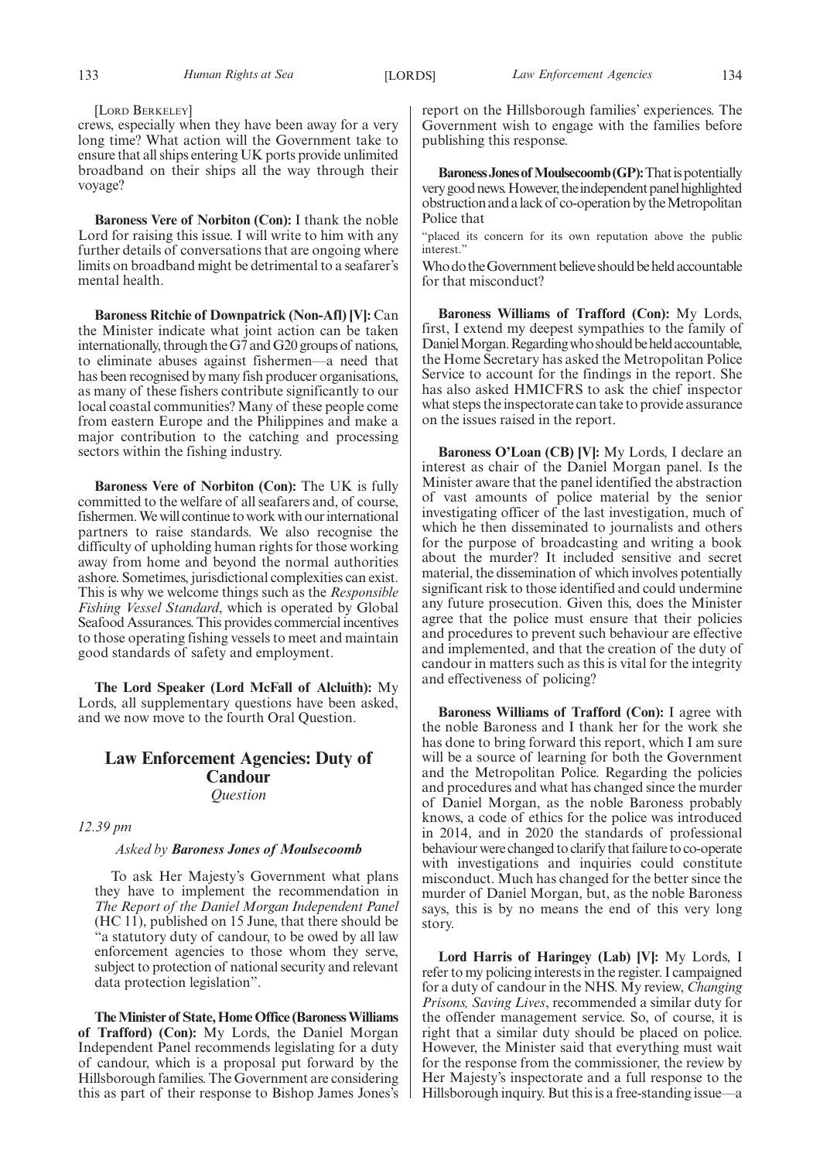[LORD BERKELEY]

crews, especially when they have been away for a very long time? What action will the Government take to ensure that all ships entering UK ports provide unlimited broadband on their ships all the way through their voyage?

**Baroness Vere of Norbiton (Con):** I thank the noble Lord for raising this issue. I will write to him with any further details of conversations that are ongoing where limits on broadband might be detrimental to a seafarer's mental health.

**Baroness Ritchie of Downpatrick (Non-Afl) [V]:** Can the Minister indicate what joint action can be taken internationally, through the G7 and G20 groups of nations, to eliminate abuses against fishermen—a need that has been recognised by many fish producer organisations, as many of these fishers contribute significantly to our local coastal communities? Many of these people come from eastern Europe and the Philippines and make a major contribution to the catching and processing sectors within the fishing industry.

**Baroness Vere of Norbiton (Con):** The UK is fully committed to the welfare of all seafarers and, of course, fishermen. We will continue to work with our international partners to raise standards. We also recognise the difficulty of upholding human rights for those working away from home and beyond the normal authorities ashore. Sometimes, jurisdictional complexities can exist. This is why we welcome things such as the *Responsible Fishing Vessel Standard*, which is operated by Global Seafood Assurances. This provides commercial incentives to those operating fishing vessels to meet and maintain good standards of safety and employment.

**The Lord Speaker (Lord McFall of Alcluith):** My Lords, all supplementary questions have been asked, and we now move to the fourth Oral Question.

# **Law Enforcement Agencies: Duty of Candour** *Question*

*12.39 pm*

# *Asked by Baroness Jones of Moulsecoomb*

To ask Her Majesty's Government what plans they have to implement the recommendation in *The Report of the Daniel Morgan Independent Panel* (HC 11), published on 15 June, that there should be "a statutory duty of candour, to be owed by all law enforcement agencies to those whom they serve, subject to protection of national security and relevant data protection legislation".

**The Minister of State, Home Office (Baroness Williams of Trafford) (Con):** My Lords, the Daniel Morgan Independent Panel recommends legislating for a duty of candour, which is a proposal put forward by the Hillsborough families. The Government are considering this as part of their response to Bishop James Jones's report on the Hillsborough families' experiences. The Government wish to engage with the families before publishing this response.

**Baroness Jones of Moulsecoomb (GP):** That is potentially very good news. However, the independent panel highlighted obstruction and a lack of co-operation by the Metropolitan Police that

"placed its concern for its own reputation above the public interest."

Who do the Government believe should be held accountable for that misconduct?

**Baroness Williams of Trafford (Con):** My Lords, first, I extend my deepest sympathies to the family of Daniel Morgan. Regarding who should be held accountable, the Home Secretary has asked the Metropolitan Police Service to account for the findings in the report. She has also asked HMICFRS to ask the chief inspector what steps the inspectorate can take to provide assurance on the issues raised in the report.

**Baroness O'Loan (CB) [V]:** My Lords, I declare an interest as chair of the Daniel Morgan panel. Is the Minister aware that the panel identified the abstraction of vast amounts of police material by the senior investigating officer of the last investigation, much of which he then disseminated to journalists and others for the purpose of broadcasting and writing a book about the murder? It included sensitive and secret material, the dissemination of which involves potentially significant risk to those identified and could undermine any future prosecution. Given this, does the Minister agree that the police must ensure that their policies and procedures to prevent such behaviour are effective and implemented, and that the creation of the duty of candour in matters such as this is vital for the integrity and effectiveness of policing?

**Baroness Williams of Trafford (Con):** I agree with the noble Baroness and I thank her for the work she has done to bring forward this report, which I am sure will be a source of learning for both the Government and the Metropolitan Police. Regarding the policies and procedures and what has changed since the murder of Daniel Morgan, as the noble Baroness probably knows, a code of ethics for the police was introduced in 2014, and in 2020 the standards of professional behaviour were changed to clarify that failure to co-operate with investigations and inquiries could constitute misconduct. Much has changed for the better since the murder of Daniel Morgan, but, as the noble Baroness says, this is by no means the end of this very long story.

**Lord Harris of Haringey (Lab) [V]:** My Lords, I refer to my policing interests in the register. I campaigned for a duty of candour in the NHS. My review, *Changing Prisons, Saving Lives*, recommended a similar duty for the offender management service. So, of course, it is right that a similar duty should be placed on police. However, the Minister said that everything must wait for the response from the commissioner, the review by Her Majesty's inspectorate and a full response to the Hillsborough inquiry. But this is a free-standing issue—a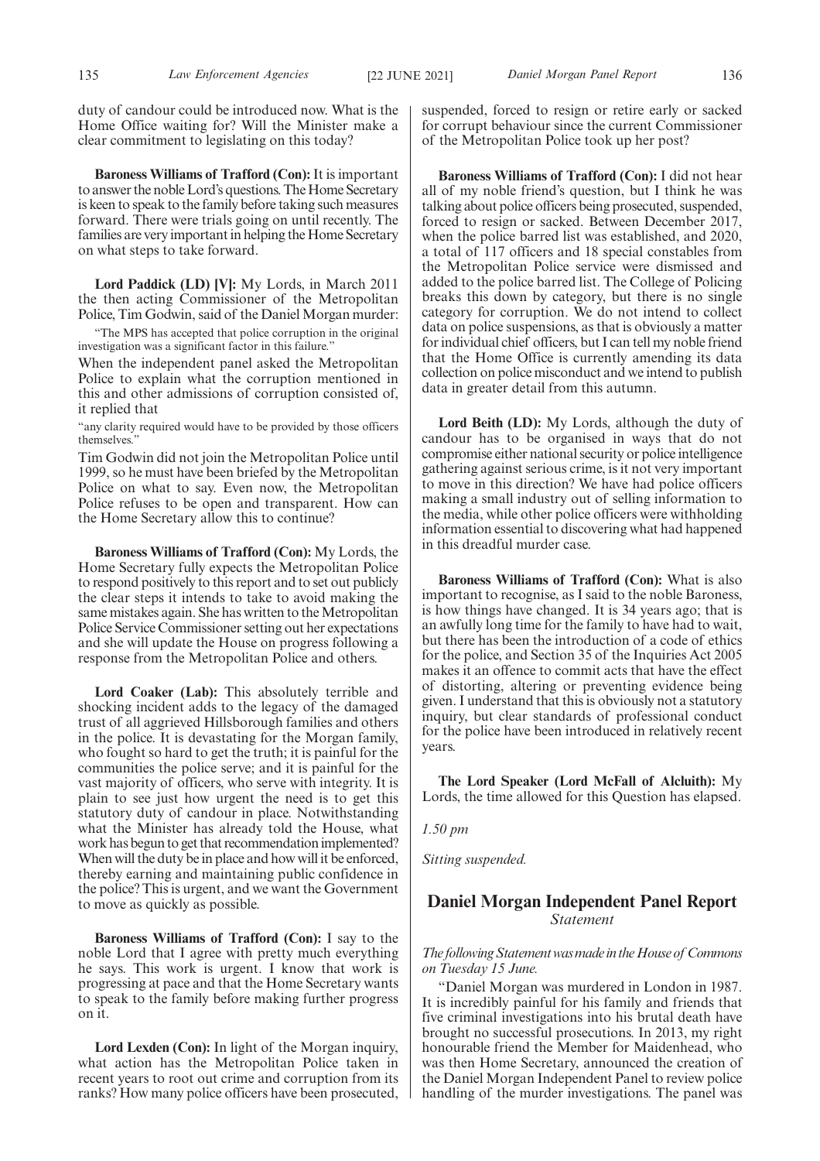duty of candour could be introduced now. What is the Home Office waiting for? Will the Minister make a clear commitment to legislating on this today?

**Baroness Williams of Trafford (Con):** It is important to answer the noble Lord's questions. The Home Secretary is keen to speak to the family before taking such measures forward. There were trials going on until recently. The families are very important in helping the Home Secretary on what steps to take forward.

**Lord Paddick (LD) [V]:** My Lords, in March 2011 the then acting Commissioner of the Metropolitan Police, Tim Godwin, said of the Daniel Morgan murder:

"The MPS has accepted that police corruption in the original investigation was a significant factor in this failure.'

When the independent panel asked the Metropolitan Police to explain what the corruption mentioned in this and other admissions of corruption consisted of, it replied that

"any clarity required would have to be provided by those officers themselves."

Tim Godwin did not join the Metropolitan Police until 1999, so he must have been briefed by the Metropolitan Police on what to say. Even now, the Metropolitan Police refuses to be open and transparent. How can the Home Secretary allow this to continue?

**Baroness Williams of Trafford (Con):** My Lords, the Home Secretary fully expects the Metropolitan Police to respond positively to this report and to set out publicly the clear steps it intends to take to avoid making the same mistakes again. She has written to the Metropolitan Police Service Commissioner setting out her expectations and she will update the House on progress following a response from the Metropolitan Police and others.

**Lord Coaker (Lab):** This absolutely terrible and shocking incident adds to the legacy of the damaged trust of all aggrieved Hillsborough families and others in the police. It is devastating for the Morgan family, who fought so hard to get the truth; it is painful for the communities the police serve; and it is painful for the vast majority of officers, who serve with integrity. It is plain to see just how urgent the need is to get this statutory duty of candour in place. Notwithstanding what the Minister has already told the House, what work has begun to get that recommendation implemented? When will the duty be in place and how will it be enforced, thereby earning and maintaining public confidence in the police? This is urgent, and we want the Government to move as quickly as possible.

**Baroness Williams of Trafford (Con):** I say to the noble Lord that I agree with pretty much everything he says. This work is urgent. I know that work is progressing at pace and that the Home Secretary wants to speak to the family before making further progress on it.

**Lord Lexden (Con):** In light of the Morgan inquiry, what action has the Metropolitan Police taken in recent years to root out crime and corruption from its ranks? How many police officers have been prosecuted, suspended, forced to resign or retire early or sacked for corrupt behaviour since the current Commissioner of the Metropolitan Police took up her post?

**Baroness Williams of Trafford (Con):** I did not hear all of my noble friend's question, but I think he was talking about police officers being prosecuted, suspended, forced to resign or sacked. Between December 2017, when the police barred list was established, and 2020, a total of 117 officers and 18 special constables from the Metropolitan Police service were dismissed and added to the police barred list. The College of Policing breaks this down by category, but there is no single category for corruption. We do not intend to collect data on police suspensions, as that is obviously a matter for individual chief officers, but I can tell my noble friend that the Home Office is currently amending its data collection on police misconduct and we intend to publish data in greater detail from this autumn.

**Lord Beith (LD):** My Lords, although the duty of candour has to be organised in ways that do not compromise either national security or police intelligence gathering against serious crime, is it not very important to move in this direction? We have had police officers making a small industry out of selling information to the media, while other police officers were withholding information essential to discovering what had happened in this dreadful murder case.

**Baroness Williams of Trafford (Con):** What is also important to recognise, as I said to the noble Baroness, is how things have changed. It is 34 years ago; that is an awfully long time for the family to have had to wait, but there has been the introduction of a code of ethics for the police, and Section 35 of the Inquiries Act 2005 makes it an offence to commit acts that have the effect of distorting, altering or preventing evidence being given. I understand that this is obviously not a statutory inquiry, but clear standards of professional conduct for the police have been introduced in relatively recent years.

**The Lord Speaker (Lord McFall of Alcluith):** My Lords, the time allowed for this Question has elapsed.

*1.50 pm*

*Sitting suspended.*

# **Daniel Morgan Independent Panel Report** *Statement*

*The following Statement was made in the House of Commons on Tuesday 15 June.*

"Daniel Morgan was murdered in London in 1987. It is incredibly painful for his family and friends that five criminal investigations into his brutal death have brought no successful prosecutions. In 2013, my right honourable friend the Member for Maidenhead, who was then Home Secretary, announced the creation of the Daniel Morgan Independent Panel to review police handling of the murder investigations. The panel was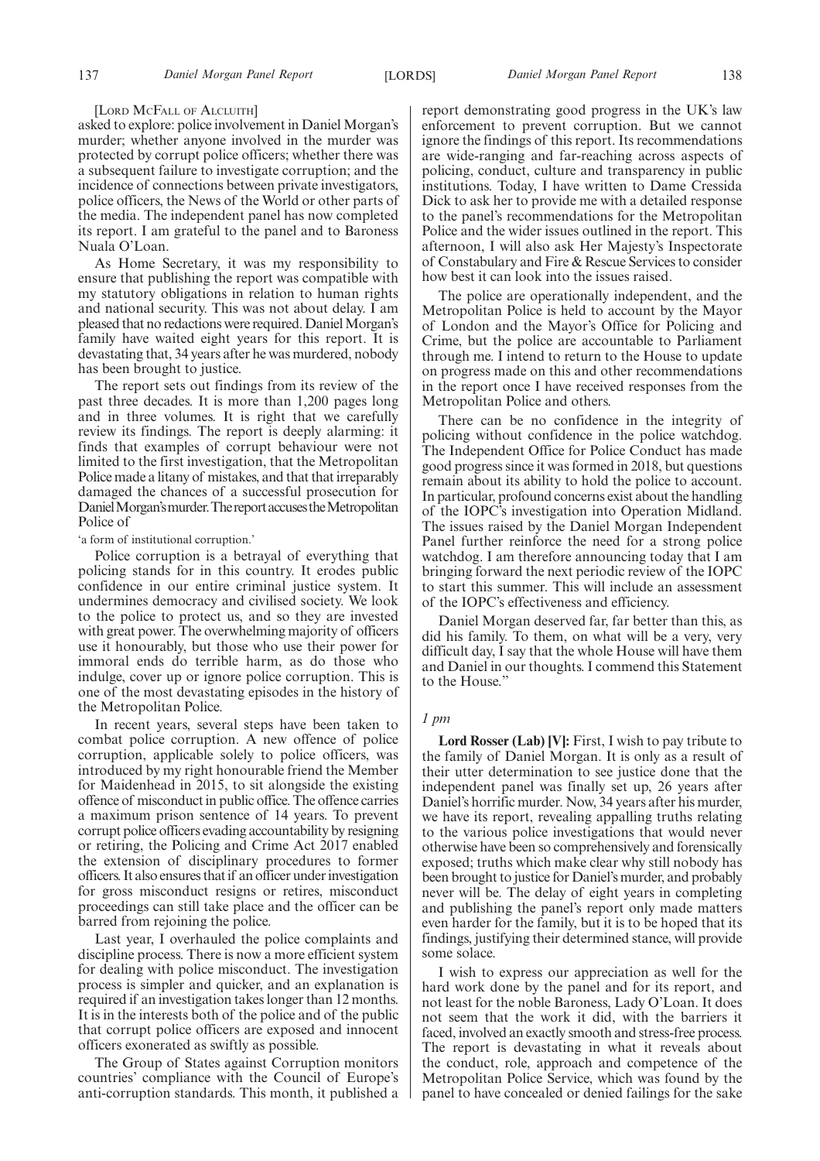#### [LORD MCFALL OF ALCLUITH]

asked to explore: police involvement in Daniel Morgan's murder; whether anyone involved in the murder was protected by corrupt police officers; whether there was a subsequent failure to investigate corruption; and the incidence of connections between private investigators, police officers, the News of the World or other parts of the media. The independent panel has now completed its report. I am grateful to the panel and to Baroness Nuala O'Loan.

As Home Secretary, it was my responsibility to ensure that publishing the report was compatible with my statutory obligations in relation to human rights and national security. This was not about delay. I am pleased that no redactions were required. Daniel Morgan's family have waited eight years for this report. It is devastating that, 34 years after he was murdered, nobody has been brought to justice.

The report sets out findings from its review of the past three decades. It is more than 1,200 pages long and in three volumes. It is right that we carefully review its findings. The report is deeply alarming: it finds that examples of corrupt behaviour were not limited to the first investigation, that the Metropolitan Police made a litany of mistakes, and that that irreparably damaged the chances of a successful prosecution for Daniel Morgan's murder. The report accuses the Metropolitan Police of

'a form of institutional corruption.'

Police corruption is a betrayal of everything that policing stands for in this country. It erodes public confidence in our entire criminal justice system. It undermines democracy and civilised society. We look to the police to protect us, and so they are invested with great power. The overwhelming majority of officers use it honourably, but those who use their power for immoral ends do terrible harm, as do those who indulge, cover up or ignore police corruption. This is one of the most devastating episodes in the history of the Metropolitan Police.

In recent years, several steps have been taken to combat police corruption. A new offence of police corruption, applicable solely to police officers, was introduced by my right honourable friend the Member for Maidenhead in 2015, to sit alongside the existing offence of misconduct in public office. The offence carries a maximum prison sentence of 14 years. To prevent corrupt police officers evading accountability by resigning or retiring, the Policing and Crime Act 2017 enabled the extension of disciplinary procedures to former officers. It also ensures that if an officer under investigation for gross misconduct resigns or retires, misconduct proceedings can still take place and the officer can be barred from rejoining the police.

Last year, I overhauled the police complaints and discipline process. There is now a more efficient system for dealing with police misconduct. The investigation process is simpler and quicker, and an explanation is required if an investigation takes longer than 12 months. It is in the interests both of the police and of the public that corrupt police officers are exposed and innocent officers exonerated as swiftly as possible.

The Group of States against Corruption monitors countries' compliance with the Council of Europe's anti-corruption standards. This month, it published a report demonstrating good progress in the UK's law enforcement to prevent corruption. But we cannot ignore the findings of this report. Its recommendations are wide-ranging and far-reaching across aspects of policing, conduct, culture and transparency in public institutions. Today, I have written to Dame Cressida Dick to ask her to provide me with a detailed response to the panel's recommendations for the Metropolitan Police and the wider issues outlined in the report. This afternoon, I will also ask Her Majesty's Inspectorate of Constabulary and Fire & Rescue Services to consider how best it can look into the issues raised.

The police are operationally independent, and the Metropolitan Police is held to account by the Mayor of London and the Mayor's Office for Policing and Crime, but the police are accountable to Parliament through me. I intend to return to the House to update on progress made on this and other recommendations in the report once I have received responses from the Metropolitan Police and others.

There can be no confidence in the integrity of policing without confidence in the police watchdog. The Independent Office for Police Conduct has made good progress since it was formed in 2018, but questions remain about its ability to hold the police to account. In particular, profound concerns exist about the handling of the IOPC's investigation into Operation Midland. The issues raised by the Daniel Morgan Independent Panel further reinforce the need for a strong police watchdog. I am therefore announcing today that I am bringing forward the next periodic review of the IOPC to start this summer. This will include an assessment of the IOPC's effectiveness and efficiency.

Daniel Morgan deserved far, far better than this, as did his family. To them, on what will be a very, very difficult day, I say that the whole House will have them and Daniel in our thoughts. I commend this Statement to the House.'

# *1 pm*

**Lord Rosser (Lab) [V]:** First, I wish to pay tribute to the family of Daniel Morgan. It is only as a result of their utter determination to see justice done that the independent panel was finally set up, 26 years after Daniel's horrific murder. Now, 34 years after his murder, we have its report, revealing appalling truths relating to the various police investigations that would never otherwise have been so comprehensively and forensically exposed; truths which make clear why still nobody has been brought to justice for Daniel's murder, and probably never will be. The delay of eight years in completing and publishing the panel's report only made matters even harder for the family, but it is to be hoped that its findings, justifying their determined stance, will provide some solace.

I wish to express our appreciation as well for the hard work done by the panel and for its report, and not least for the noble Baroness, Lady O'Loan. It does not seem that the work it did, with the barriers it faced, involved an exactly smooth and stress-free process. The report is devastating in what it reveals about the conduct, role, approach and competence of the Metropolitan Police Service, which was found by the panel to have concealed or denied failings for the sake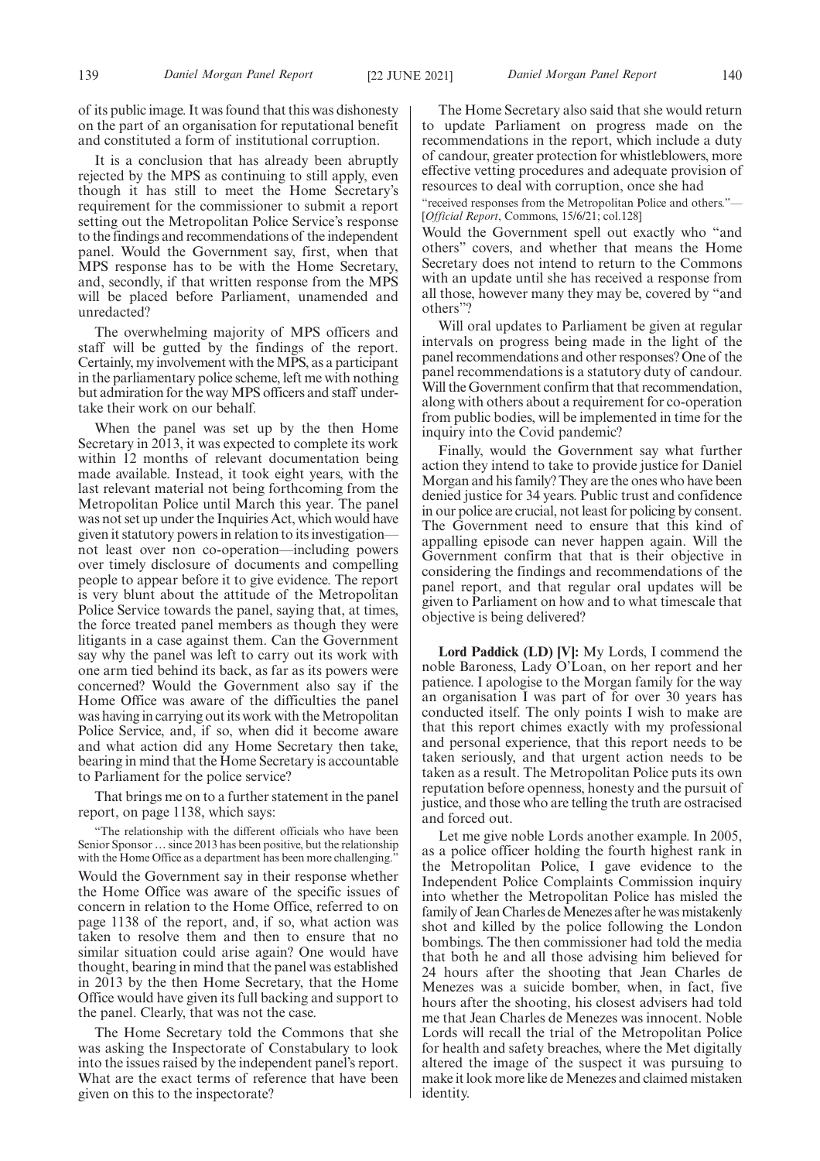of its public image. It was found that this was dishonesty on the part of an organisation for reputational benefit and constituted a form of institutional corruption.

It is a conclusion that has already been abruptly rejected by the MPS as continuing to still apply, even though it has still to meet the Home Secretary's requirement for the commissioner to submit a report setting out the Metropolitan Police Service's response to the findings and recommendations of the independent panel. Would the Government say, first, when that MPS response has to be with the Home Secretary, and, secondly, if that written response from the MPS will be placed before Parliament, unamended and unredacted?

The overwhelming majority of MPS officers and staff will be gutted by the findings of the report. Certainly, my involvement with the MPS, as a participant in the parliamentary police scheme, left me with nothing but admiration for the way MPS officers and staff undertake their work on our behalf.

When the panel was set up by the then Home Secretary in 2013, it was expected to complete its work within 12 months of relevant documentation being made available. Instead, it took eight years, with the last relevant material not being forthcoming from the Metropolitan Police until March this year. The panel was not set up under the Inquiries Act, which would have given it statutory powers in relation to its investigation not least over non co-operation—including powers over timely disclosure of documents and compelling people to appear before it to give evidence. The report is very blunt about the attitude of the Metropolitan Police Service towards the panel, saying that, at times, the force treated panel members as though they were litigants in a case against them. Can the Government say why the panel was left to carry out its work with one arm tied behind its back, as far as its powers were concerned? Would the Government also say if the Home Office was aware of the difficulties the panel was having in carrying out its work with the Metropolitan Police Service, and, if so, when did it become aware and what action did any Home Secretary then take, bearing in mind that the Home Secretary is accountable to Parliament for the police service?

That brings me on to a further statement in the panel report, on page 1138, which says:

"The relationship with the different officials who have been Senior Sponsor … since 2013 has been positive, but the relationship with the Home Office as a department has been more challenging.

Would the Government say in their response whether the Home Office was aware of the specific issues of concern in relation to the Home Office, referred to on page 1138 of the report, and, if so, what action was taken to resolve them and then to ensure that no similar situation could arise again? One would have thought, bearing in mind that the panel was established in 2013 by the then Home Secretary, that the Home Office would have given its full backing and support to the panel. Clearly, that was not the case.

The Home Secretary told the Commons that she was asking the Inspectorate of Constabulary to look into the issues raised by the independent panel's report. What are the exact terms of reference that have been given on this to the inspectorate?

The Home Secretary also said that she would return to update Parliament on progress made on the recommendations in the report, which include a duty of candour, greater protection for whistleblowers, more effective vetting procedures and adequate provision of resources to deal with corruption, once she had

"received responses from the Metropolitan Police and others."— [*Official Report*, Commons, 15/6/21; col.128]

Would the Government spell out exactly who "and others" covers, and whether that means the Home Secretary does not intend to return to the Commons with an update until she has received a response from all those, however many they may be, covered by "and others"?

Will oral updates to Parliament be given at regular intervals on progress being made in the light of the panel recommendations and other responses? One of the panel recommendations is a statutory duty of candour. Will the Government confirm that that recommendation, along with others about a requirement for co-operation from public bodies, will be implemented in time for the inquiry into the Covid pandemic?

Finally, would the Government say what further action they intend to take to provide justice for Daniel Morgan and his family? They are the ones who have been denied justice for 34 years. Public trust and confidence in our police are crucial, not least for policing by consent. The Government need to ensure that this kind of appalling episode can never happen again. Will the Government confirm that that is their objective in considering the findings and recommendations of the panel report, and that regular oral updates will be given to Parliament on how and to what timescale that objective is being delivered?

**Lord Paddick (LD) [V]:** My Lords, I commend the noble Baroness, Lady O'Loan, on her report and her patience. I apologise to the Morgan family for the way an organisation I was part of for over 30 years has conducted itself. The only points I wish to make are that this report chimes exactly with my professional and personal experience, that this report needs to be taken seriously, and that urgent action needs to be taken as a result. The Metropolitan Police puts its own reputation before openness, honesty and the pursuit of justice, and those who are telling the truth are ostracised and forced out.

Let me give noble Lords another example. In 2005, as a police officer holding the fourth highest rank in the Metropolitan Police, I gave evidence to the Independent Police Complaints Commission inquiry into whether the Metropolitan Police has misled the family of Jean Charles de Menezes after he was mistakenly shot and killed by the police following the London bombings. The then commissioner had told the media that both he and all those advising him believed for 24 hours after the shooting that Jean Charles de Menezes was a suicide bomber, when, in fact, five hours after the shooting, his closest advisers had told me that Jean Charles de Menezes was innocent. Noble Lords will recall the trial of the Metropolitan Police for health and safety breaches, where the Met digitally altered the image of the suspect it was pursuing to make it look more like de Menezes and claimed mistaken identity.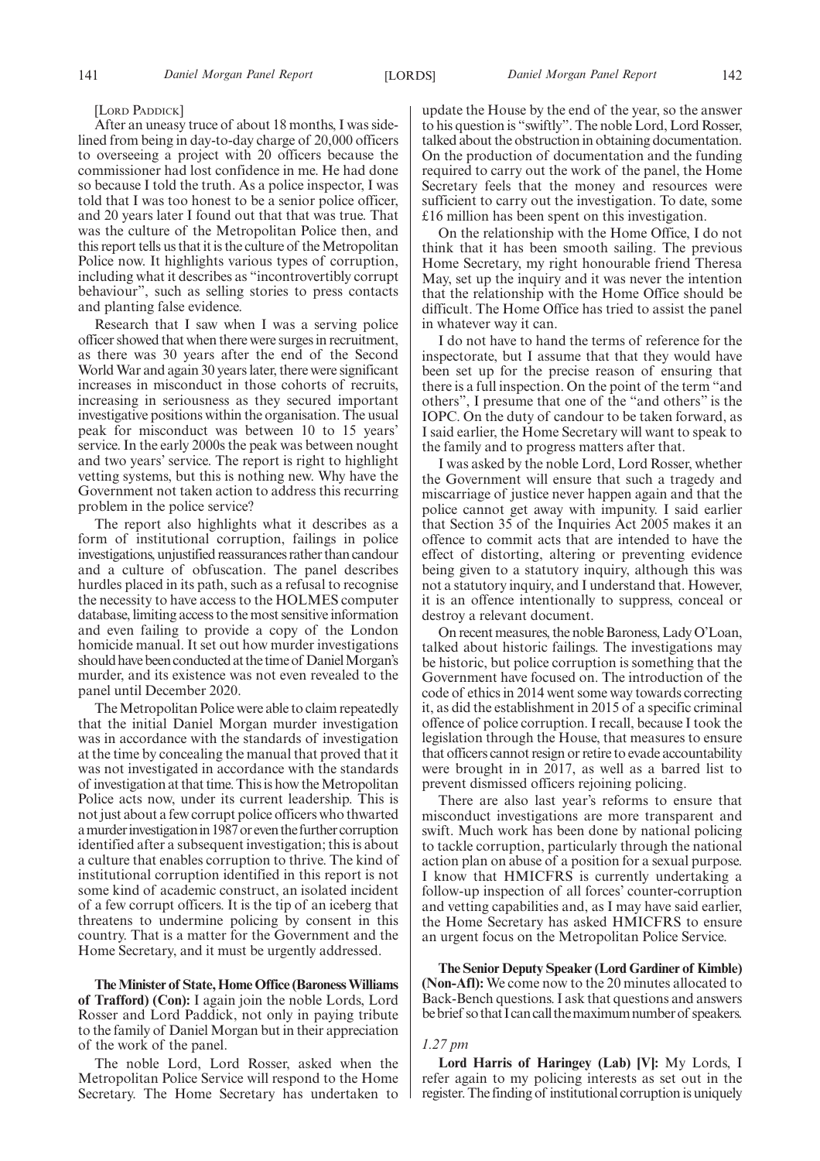#### [LORD PADDICK]

After an uneasy truce of about 18 months, I was sidelined from being in day-to-day charge of 20,000 officers to overseeing a project with 20 officers because the commissioner had lost confidence in me. He had done so because I told the truth. As a police inspector, I was told that I was too honest to be a senior police officer, and 20 years later I found out that that was true. That was the culture of the Metropolitan Police then, and this report tells us that it is the culture of the Metropolitan Police now. It highlights various types of corruption, including what it describes as "incontrovertibly corrupt behaviour", such as selling stories to press contacts and planting false evidence.

Research that I saw when I was a serving police officer showed that when there were surges in recruitment, as there was 30 years after the end of the Second World War and again 30 years later, there were significant increases in misconduct in those cohorts of recruits, increasing in seriousness as they secured important investigative positions within the organisation. The usual peak for misconduct was between 10 to 15 years' service. In the early 2000s the peak was between nought and two years' service. The report is right to highlight vetting systems, but this is nothing new. Why have the Government not taken action to address this recurring problem in the police service?

The report also highlights what it describes as a form of institutional corruption, failings in police investigations, unjustified reassurances rather than candour and a culture of obfuscation. The panel describes hurdles placed in its path, such as a refusal to recognise the necessity to have access to the HOLMES computer database, limiting access to the most sensitive information and even failing to provide a copy of the London homicide manual. It set out how murder investigations should have been conducted at the time of Daniel Morgan's murder, and its existence was not even revealed to the panel until December 2020.

The Metropolitan Police were able to claim repeatedly that the initial Daniel Morgan murder investigation was in accordance with the standards of investigation at the time by concealing the manual that proved that it was not investigated in accordance with the standards of investigation at that time. This is how the Metropolitan Police acts now, under its current leadership. This is not just about a few corrupt police officers who thwarted a murder investigation in 1987 or even the further corruption identified after a subsequent investigation; this is about a culture that enables corruption to thrive. The kind of institutional corruption identified in this report is not some kind of academic construct, an isolated incident of a few corrupt officers. It is the tip of an iceberg that threatens to undermine policing by consent in this country. That is a matter for the Government and the Home Secretary, and it must be urgently addressed.

**The Minister of State, Home Office (Baroness Williams of Trafford) (Con):** I again join the noble Lords, Lord Rosser and Lord Paddick, not only in paying tribute to the family of Daniel Morgan but in their appreciation of the work of the panel.

The noble Lord, Lord Rosser, asked when the Metropolitan Police Service will respond to the Home Secretary. The Home Secretary has undertaken to update the House by the end of the year, so the answer to his question is "swiftly". The noble Lord, Lord Rosser, talked about the obstruction in obtaining documentation. On the production of documentation and the funding required to carry out the work of the panel, the Home Secretary feels that the money and resources were sufficient to carry out the investigation. To date, some £16 million has been spent on this investigation.

On the relationship with the Home Office, I do not think that it has been smooth sailing. The previous Home Secretary, my right honourable friend Theresa May, set up the inquiry and it was never the intention that the relationship with the Home Office should be difficult. The Home Office has tried to assist the panel in whatever way it can.

I do not have to hand the terms of reference for the inspectorate, but I assume that that they would have been set up for the precise reason of ensuring that there is a full inspection. On the point of the term "and others", I presume that one of the "and others" is the IOPC. On the duty of candour to be taken forward, as I said earlier, the Home Secretary will want to speak to the family and to progress matters after that.

I was asked by the noble Lord, Lord Rosser, whether the Government will ensure that such a tragedy and miscarriage of justice never happen again and that the police cannot get away with impunity. I said earlier that Section 35 of the Inquiries Act 2005 makes it an offence to commit acts that are intended to have the effect of distorting, altering or preventing evidence being given to a statutory inquiry, although this was not a statutory inquiry, and I understand that. However, it is an offence intentionally to suppress, conceal or destroy a relevant document.

On recent measures, the noble Baroness, Lady O'Loan, talked about historic failings. The investigations may be historic, but police corruption is something that the Government have focused on. The introduction of the code of ethics in 2014 went some way towards correcting it, as did the establishment in 2015 of a specific criminal offence of police corruption. I recall, because I took the legislation through the House, that measures to ensure that officers cannot resign or retire to evade accountability were brought in in 2017, as well as a barred list to prevent dismissed officers rejoining policing.

There are also last year's reforms to ensure that misconduct investigations are more transparent and swift. Much work has been done by national policing to tackle corruption, particularly through the national action plan on abuse of a position for a sexual purpose. I know that HMICFRS is currently undertaking a follow-up inspection of all forces' counter-corruption and vetting capabilities and, as I may have said earlier, the Home Secretary has asked HMICFRS to ensure an urgent focus on the Metropolitan Police Service.

**The Senior Deputy Speaker (Lord Gardiner of Kimble) (Non-Afl):** We come now to the 20 minutes allocated to Back-Bench questions. I ask that questions and answers be brief so that I can call the maximum number of speakers.

#### *1.27 pm*

**Lord Harris of Haringey (Lab) [V]:** My Lords, I refer again to my policing interests as set out in the register. The finding of institutional corruption is uniquely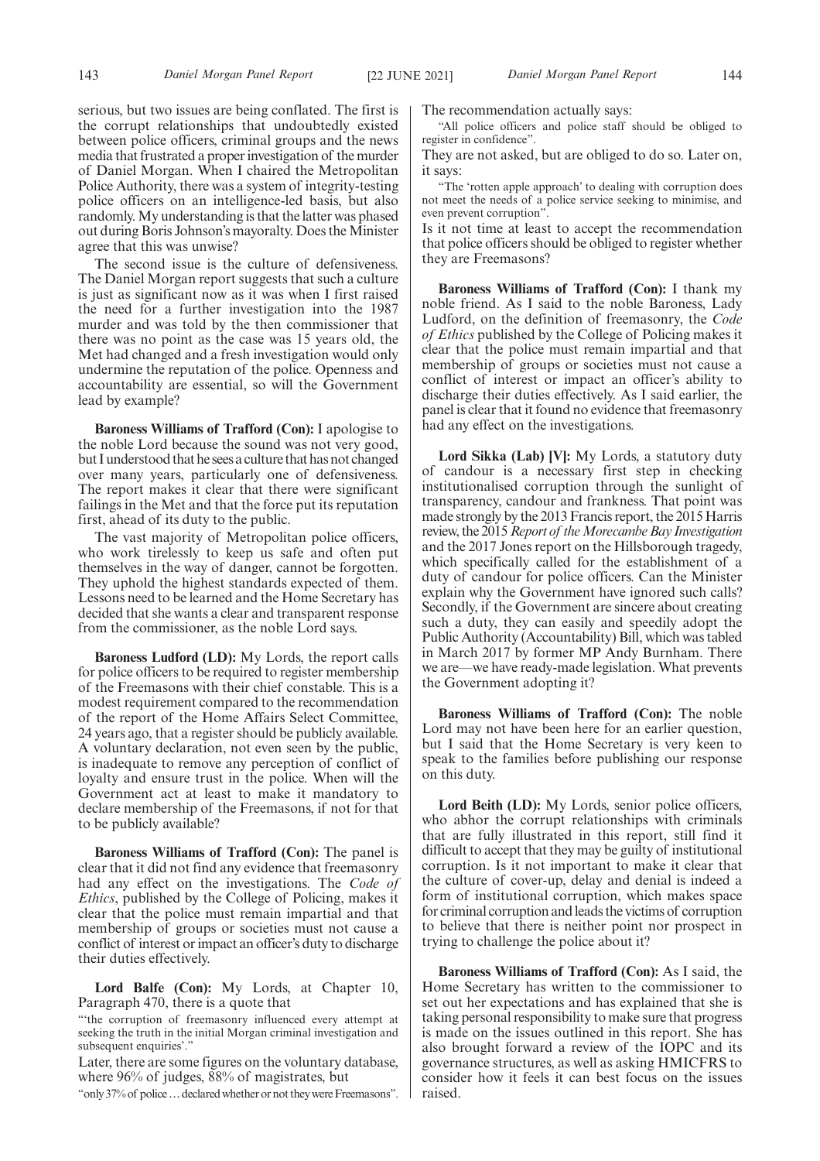serious, but two issues are being conflated. The first is the corrupt relationships that undoubtedly existed between police officers, criminal groups and the news media that frustrated a proper investigation of the murder of Daniel Morgan. When I chaired the Metropolitan Police Authority, there was a system of integrity-testing police officers on an intelligence-led basis, but also randomly. My understanding is that the latter was phased out during Boris Johnson's mayoralty. Does the Minister agree that this was unwise?

The second issue is the culture of defensiveness. The Daniel Morgan report suggests that such a culture is just as significant now as it was when I first raised the need for a further investigation into the 1987 murder and was told by the then commissioner that there was no point as the case was 15 years old, the Met had changed and a fresh investigation would only undermine the reputation of the police. Openness and accountability are essential, so will the Government lead by example?

**Baroness Williams of Trafford (Con):** I apologise to the noble Lord because the sound was not very good, but I understood that he sees a culture that has not changed over many years, particularly one of defensiveness. The report makes it clear that there were significant failings in the Met and that the force put its reputation first, ahead of its duty to the public.

The vast majority of Metropolitan police officers, who work tirelessly to keep us safe and often put themselves in the way of danger, cannot be forgotten. They uphold the highest standards expected of them. Lessons need to be learned and the Home Secretary has decided that she wants a clear and transparent response from the commissioner, as the noble Lord says.

**Baroness Ludford (LD):** My Lords, the report calls for police officers to be required to register membership of the Freemasons with their chief constable. This is a modest requirement compared to the recommendation of the report of the Home Affairs Select Committee, 24 years ago, that a register should be publicly available. A voluntary declaration, not even seen by the public, is inadequate to remove any perception of conflict of loyalty and ensure trust in the police. When will the Government act at least to make it mandatory to declare membership of the Freemasons, if not for that to be publicly available?

**Baroness Williams of Trafford (Con):** The panel is clear that it did not find any evidence that freemasonry had any effect on the investigations. The *Code of Ethics*, published by the College of Policing, makes it clear that the police must remain impartial and that membership of groups or societies must not cause a conflict of interest or impact an officer's duty to discharge their duties effectively.

Lord Balfe (Con): My Lords, at Chapter 10, Paragraph 470, there is a quote that

"'the corruption of freemasonry influenced every attempt at seeking the truth in the initial Morgan criminal investigation and subsequent enquiries'."

Later, there are some figures on the voluntary database, where 96% of judges, 88% of magistrates, but

"only 37% of police ... declared whether or not they were Freemasons".

The recommendation actually says:

"All police officers and police staff should be obliged to register in confidence".

They are not asked, but are obliged to do so. Later on, it says:

"The 'rotten apple approach' to dealing with corruption does not meet the needs of a police service seeking to minimise, and even prevent corruption".

Is it not time at least to accept the recommendation that police officers should be obliged to register whether they are Freemasons?

**Baroness Williams of Trafford (Con):** I thank my noble friend. As I said to the noble Baroness, Lady Ludford, on the definition of freemasonry, the *Code of Ethics* published by the College of Policing makes it clear that the police must remain impartial and that membership of groups or societies must not cause a conflict of interest or impact an officer's ability to discharge their duties effectively. As I said earlier, the panel is clear that it found no evidence that freemasonry had any effect on the investigations.

**Lord Sikka (Lab) [V]:** My Lords, a statutory duty of candour is a necessary first step in checking institutionalised corruption through the sunlight of transparency, candour and frankness. That point was made strongly by the 2013 Francis report, the 2015 Harris review, the 2015*Report of the Morecambe Bay Investigation* and the 2017 Jones report on the Hillsborough tragedy, which specifically called for the establishment of a duty of candour for police officers. Can the Minister explain why the Government have ignored such calls? Secondly, if the Government are sincere about creating such a duty, they can easily and speedily adopt the Public Authority (Accountability) Bill, which was tabled in March 2017 by former MP Andy Burnham. There we are—we have ready-made legislation. What prevents the Government adopting it?

**Baroness Williams of Trafford (Con):** The noble Lord may not have been here for an earlier question, but I said that the Home Secretary is very keen to speak to the families before publishing our response on this duty.

**Lord Beith (LD):** My Lords, senior police officers, who abhor the corrupt relationships with criminals that are fully illustrated in this report, still find it difficult to accept that they may be guilty of institutional corruption. Is it not important to make it clear that the culture of cover-up, delay and denial is indeed a form of institutional corruption, which makes space for criminal corruption and leads the victims of corruption to believe that there is neither point nor prospect in trying to challenge the police about it?

**Baroness Williams of Trafford (Con):** As I said, the Home Secretary has written to the commissioner to set out her expectations and has explained that she is taking personal responsibility to make sure that progress is made on the issues outlined in this report. She has also brought forward a review of the IOPC and its governance structures, as well as asking HMICFRS to consider how it feels it can best focus on the issues raised.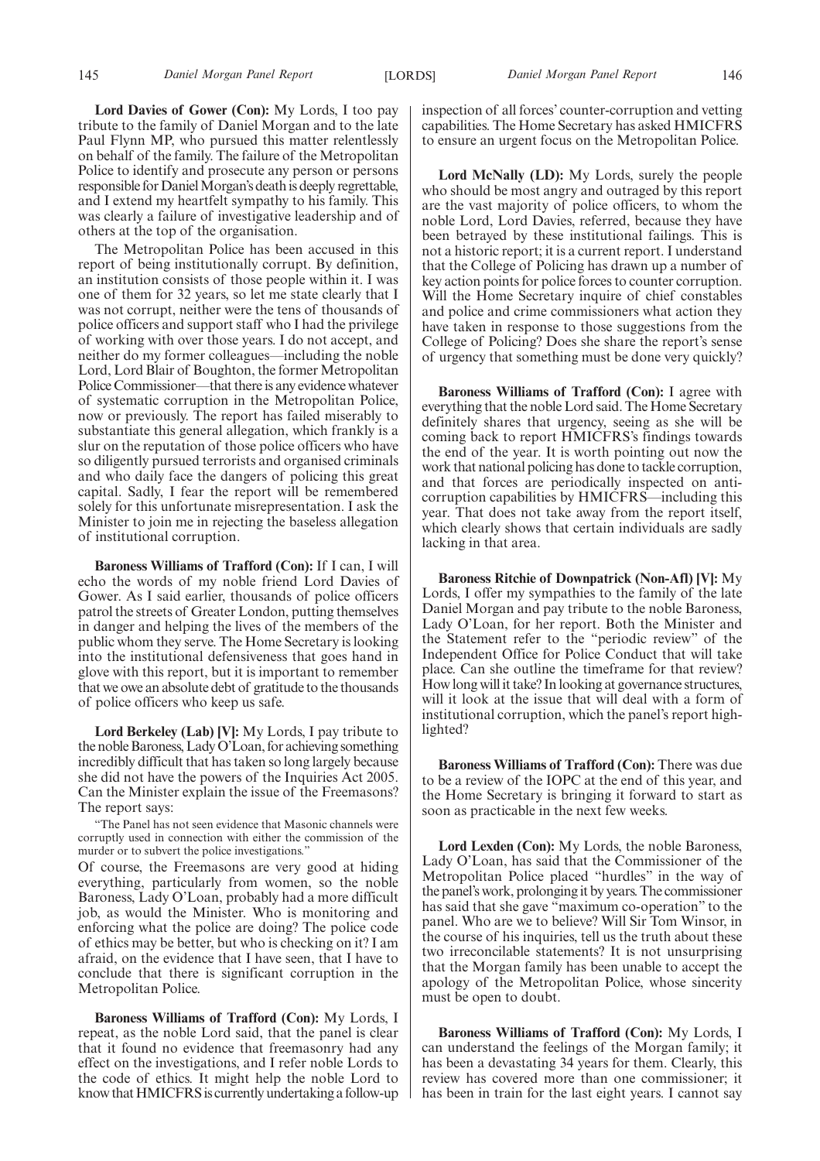**Lord Davies of Gower (Con):** My Lords, I too pay tribute to the family of Daniel Morgan and to the late Paul Flynn MP, who pursued this matter relentlessly on behalf of the family. The failure of the Metropolitan Police to identify and prosecute any person or persons responsible for Daniel Morgan's death is deeply regrettable, and I extend my heartfelt sympathy to his family. This was clearly a failure of investigative leadership and of others at the top of the organisation.

The Metropolitan Police has been accused in this report of being institutionally corrupt. By definition, an institution consists of those people within it. I was one of them for 32 years, so let me state clearly that I was not corrupt, neither were the tens of thousands of police officers and support staff who I had the privilege of working with over those years. I do not accept, and neither do my former colleagues—including the noble Lord, Lord Blair of Boughton, the former Metropolitan Police Commissioner—that there is any evidence whatever of systematic corruption in the Metropolitan Police, now or previously. The report has failed miserably to substantiate this general allegation, which frankly is a slur on the reputation of those police officers who have so diligently pursued terrorists and organised criminals and who daily face the dangers of policing this great capital. Sadly, I fear the report will be remembered solely for this unfortunate misrepresentation. I ask the Minister to join me in rejecting the baseless allegation of institutional corruption.

**Baroness Williams of Trafford (Con):** If I can, I will echo the words of my noble friend Lord Davies of Gower. As I said earlier, thousands of police officers patrol the streets of Greater London, putting themselves in danger and helping the lives of the members of the public whom they serve. The Home Secretary is looking into the institutional defensiveness that goes hand in glove with this report, but it is important to remember that we owe an absolute debt of gratitude to the thousands of police officers who keep us safe.

**Lord Berkeley (Lab) [V]:** My Lords, I pay tribute to the noble Baroness, Lady O'Loan, for achieving something incredibly difficult that has taken so long largely because she did not have the powers of the Inquiries Act 2005. Can the Minister explain the issue of the Freemasons? The report says:

"The Panel has not seen evidence that Masonic channels were corruptly used in connection with either the commission of the murder or to subvert the police investigations."

Of course, the Freemasons are very good at hiding everything, particularly from women, so the noble Baroness, Lady O'Loan, probably had a more difficult job, as would the Minister. Who is monitoring and enforcing what the police are doing? The police code of ethics may be better, but who is checking on it? I am afraid, on the evidence that I have seen, that I have to conclude that there is significant corruption in the Metropolitan Police.

**Baroness Williams of Trafford (Con):** My Lords, I repeat, as the noble Lord said, that the panel is clear that it found no evidence that freemasonry had any effect on the investigations, and I refer noble Lords to the code of ethics. It might help the noble Lord to know that HMICFRS is currently undertaking a follow-up inspection of all forces' counter-corruption and vetting capabilities. The Home Secretary has asked HMICFRS to ensure an urgent focus on the Metropolitan Police.

**Lord McNally (LD):** My Lords, surely the people who should be most angry and outraged by this report are the vast majority of police officers, to whom the noble Lord, Lord Davies, referred, because they have been betrayed by these institutional failings. This is not a historic report; it is a current report. I understand that the College of Policing has drawn up a number of key action points for police forces to counter corruption. Will the Home Secretary inquire of chief constables and police and crime commissioners what action they have taken in response to those suggestions from the College of Policing? Does she share the report's sense of urgency that something must be done very quickly?

**Baroness Williams of Trafford (Con):** I agree with everything that the noble Lord said. The Home Secretary definitely shares that urgency, seeing as she will be coming back to report HMICFRS's findings towards the end of the year. It is worth pointing out now the work that national policing has done to tackle corruption, and that forces are periodically inspected on anticorruption capabilities by HMICFRS—including this year. That does not take away from the report itself, which clearly shows that certain individuals are sadly lacking in that area.

**Baroness Ritchie of Downpatrick (Non-Afl) [V]:** My Lords, I offer my sympathies to the family of the late Daniel Morgan and pay tribute to the noble Baroness, Lady O'Loan, for her report. Both the Minister and the Statement refer to the "periodic review" of the Independent Office for Police Conduct that will take place. Can she outline the timeframe for that review? How long will it take? In looking at governance structures, will it look at the issue that will deal with a form of institutional corruption, which the panel's report highlighted?

**Baroness Williams of Trafford (Con):** There was due to be a review of the IOPC at the end of this year, and the Home Secretary is bringing it forward to start as soon as practicable in the next few weeks.

**Lord Lexden (Con):** My Lords, the noble Baroness, Lady O'Loan, has said that the Commissioner of the Metropolitan Police placed "hurdles" in the way of the panel's work, prolonging it by years. The commissioner has said that she gave "maximum co-operation" to the panel. Who are we to believe? Will Sir Tom Winsor, in the course of his inquiries, tell us the truth about these two irreconcilable statements? It is not unsurprising that the Morgan family has been unable to accept the apology of the Metropolitan Police, whose sincerity must be open to doubt.

**Baroness Williams of Trafford (Con):** My Lords, I can understand the feelings of the Morgan family; it has been a devastating 34 years for them. Clearly, this review has covered more than one commissioner; it has been in train for the last eight years. I cannot say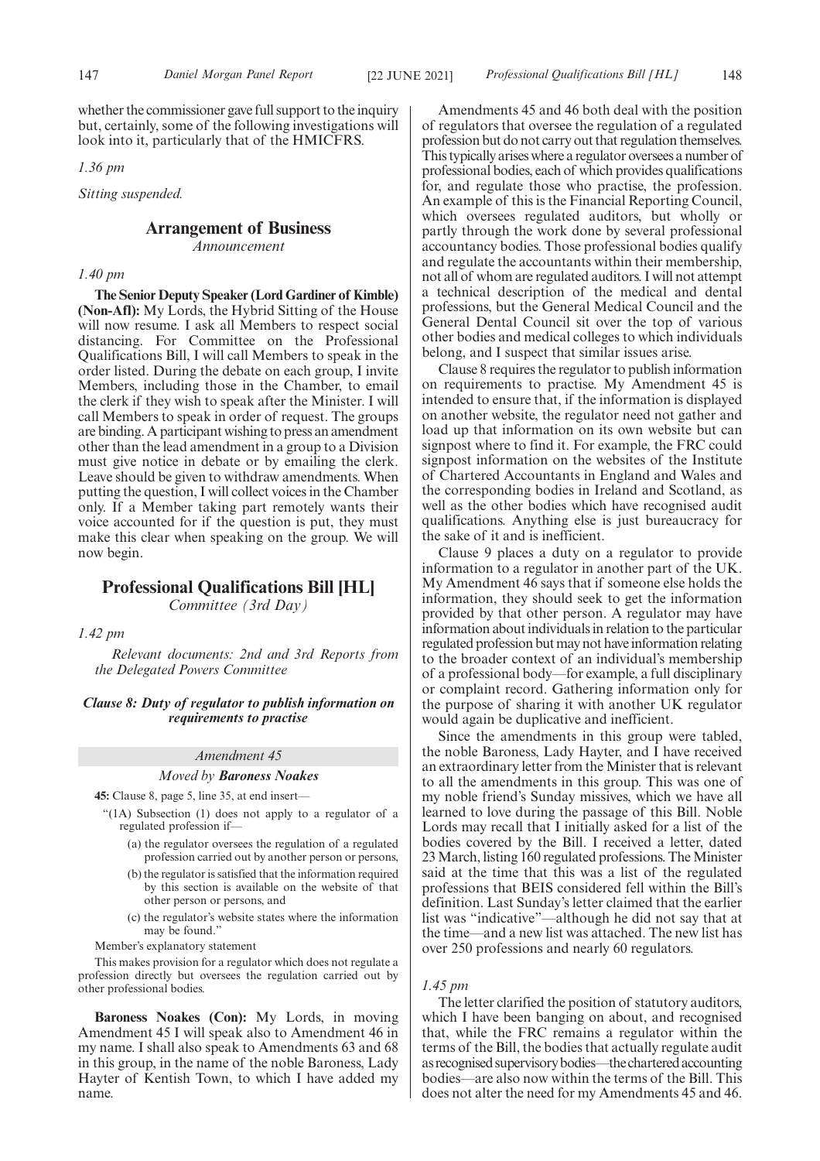whether the commissioner gave full support to the inquiry but, certainly, some of the following investigations will look into it, particularly that of the HMICFRS.

*1.36 pm*

*Sitting suspended.*

# **Arrangement of Business**

*Announcement*

#### *1.40 pm*

**The Senior Deputy Speaker (Lord Gardiner of Kimble) (Non-Afl):** My Lords, the Hybrid Sitting of the House will now resume. I ask all Members to respect social distancing. For Committee on the Professional Qualifications Bill, I will call Members to speak in the order listed. During the debate on each group, I invite Members, including those in the Chamber, to email the clerk if they wish to speak after the Minister. I will call Members to speak in order of request. The groups are binding. A participant wishing to press an amendment other than the lead amendment in a group to a Division must give notice in debate or by emailing the clerk. Leave should be given to withdraw amendments. When putting the question, I will collect voices in the Chamber only. If a Member taking part remotely wants their voice accounted for if the question is put, they must make this clear when speaking on the group. We will now begin.

# **Professional Qualifications Bill [HL]**

*Committee (3rd Day)*

*1.42 pm*

*Relevant documents: 2nd and 3rd Reports from the Delegated Powers Committee*

*Clause 8: Duty of regulator to publish information on requirements to practise*

# *Amendment 45*

#### *Moved by Baroness Noakes*

**45:** Clause 8, page 5, line 35, at end insert—

- "(1A) Subsection (1) does not apply to a regulator of a regulated profession if—
	- (a) the regulator oversees the regulation of a regulated profession carried out by another person or persons,
	- (b) the regulator is satisfied that the information required by this section is available on the website of that other person or persons, and
	- (c) the regulator's website states where the information may be found."

Member's explanatory statement

This makes provision for a regulator which does not regulate a profession directly but oversees the regulation carried out by other professional bodies.

**Baroness Noakes (Con):** My Lords, in moving Amendment 45 I will speak also to Amendment 46 in my name. I shall also speak to Amendments 63 and 68 in this group, in the name of the noble Baroness, Lady Hayter of Kentish Town, to which I have added my name.

Amendments 45 and 46 both deal with the position of regulators that oversee the regulation of a regulated profession but do not carry out that regulation themselves. This typically arises where a regulator oversees a number of professional bodies, each of which provides qualifications for, and regulate those who practise, the profession. An example of this is the Financial Reporting Council, which oversees regulated auditors, but wholly or partly through the work done by several professional accountancy bodies. Those professional bodies qualify and regulate the accountants within their membership, not all of whom are regulated auditors. I will not attempt a technical description of the medical and dental professions, but the General Medical Council and the General Dental Council sit over the top of various other bodies and medical colleges to which individuals belong, and I suspect that similar issues arise.

Clause 8 requires the regulator to publish information on requirements to practise. My Amendment 45 is intended to ensure that, if the information is displayed on another website, the regulator need not gather and load up that information on its own website but can signpost where to find it. For example, the FRC could signpost information on the websites of the Institute of Chartered Accountants in England and Wales and the corresponding bodies in Ireland and Scotland, as well as the other bodies which have recognised audit qualifications. Anything else is just bureaucracy for the sake of it and is inefficient.

Clause 9 places a duty on a regulator to provide information to a regulator in another part of the UK. My Amendment 46 says that if someone else holds the information, they should seek to get the information provided by that other person. A regulator may have information about individuals in relation to the particular regulated profession but may not have information relating to the broader context of an individual's membership of a professional body—for example, a full disciplinary or complaint record. Gathering information only for the purpose of sharing it with another UK regulator would again be duplicative and inefficient.

Since the amendments in this group were tabled, the noble Baroness, Lady Hayter, and I have received an extraordinary letter from the Minister that is relevant to all the amendments in this group. This was one of my noble friend's Sunday missives, which we have all learned to love during the passage of this Bill. Noble Lords may recall that I initially asked for a list of the bodies covered by the Bill. I received a letter, dated 23 March, listing 160 regulated professions. The Minister said at the time that this was a list of the regulated professions that BEIS considered fell within the Bill's definition. Last Sunday's letter claimed that the earlier list was "indicative"—although he did not say that at the time—and a new list was attached. The new list has over 250 professions and nearly 60 regulators.

# *1.45 pm*

The letter clarified the position of statutory auditors, which I have been banging on about, and recognised that, while the FRC remains a regulator within the terms of the Bill, the bodies that actually regulate audit as recognised supervisory bodies—the chartered accounting bodies—are also now within the terms of the Bill. This does not alter the need for my Amendments 45 and 46.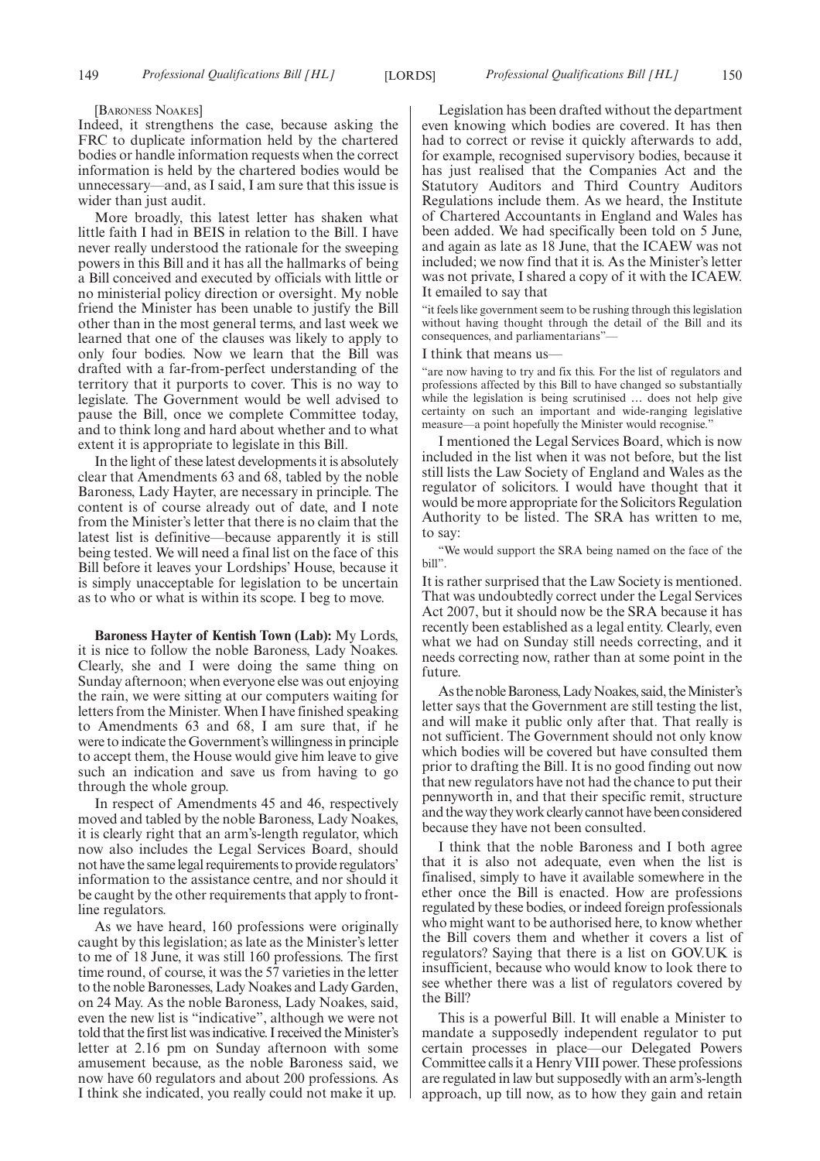[BARONESS NOAKES]

Indeed, it strengthens the case, because asking the FRC to duplicate information held by the chartered bodies or handle information requests when the correct information is held by the chartered bodies would be unnecessary—and, as I said, I am sure that this issue is wider than just audit.

More broadly, this latest letter has shaken what little faith I had in BEIS in relation to the Bill. I have never really understood the rationale for the sweeping powers in this Bill and it has all the hallmarks of being a Bill conceived and executed by officials with little or no ministerial policy direction or oversight. My noble friend the Minister has been unable to justify the Bill other than in the most general terms, and last week we learned that one of the clauses was likely to apply to only four bodies. Now we learn that the Bill was drafted with a far-from-perfect understanding of the territory that it purports to cover. This is no way to legislate. The Government would be well advised to pause the Bill, once we complete Committee today, and to think long and hard about whether and to what extent it is appropriate to legislate in this Bill.

In the light of these latest developments it is absolutely clear that Amendments 63 and 68, tabled by the noble Baroness, Lady Hayter, are necessary in principle. The content is of course already out of date, and I note from the Minister's letter that there is no claim that the latest list is definitive—because apparently it is still being tested. We will need a final list on the face of this Bill before it leaves your Lordships' House, because it is simply unacceptable for legislation to be uncertain as to who or what is within its scope. I beg to move.

**Baroness Hayter of Kentish Town (Lab):** My Lords, it is nice to follow the noble Baroness, Lady Noakes. Clearly, she and I were doing the same thing on Sunday afternoon; when everyone else was out enjoying the rain, we were sitting at our computers waiting for letters from the Minister. When I have finished speaking to Amendments 63 and 68, I am sure that, if he were to indicate the Government's willingness in principle to accept them, the House would give him leave to give such an indication and save us from having to go through the whole group.

In respect of Amendments 45 and 46, respectively moved and tabled by the noble Baroness, Lady Noakes, it is clearly right that an arm's-length regulator, which now also includes the Legal Services Board, should not have the same legal requirements to provide regulators' information to the assistance centre, and nor should it be caught by the other requirements that apply to frontline regulators.

As we have heard, 160 professions were originally caught by this legislation; as late as the Minister's letter to me of 18 June, it was still 160 professions. The first time round, of course, it was the 57 varieties in the letter to the noble Baronesses, Lady Noakes and Lady Garden, on 24 May. As the noble Baroness, Lady Noakes, said, even the new list is "indicative", although we were not told that the first list was indicative. I received the Minister's letter at 2.16 pm on Sunday afternoon with some amusement because, as the noble Baroness said, we now have 60 regulators and about 200 professions. As I think she indicated, you really could not make it up.

Legislation has been drafted without the department even knowing which bodies are covered. It has then had to correct or revise it quickly afterwards to add, for example, recognised supervisory bodies, because it has just realised that the Companies Act and the Statutory Auditors and Third Country Auditors Regulations include them. As we heard, the Institute of Chartered Accountants in England and Wales has been added. We had specifically been told on 5 June, and again as late as 18 June, that the ICAEW was not included; we now find that it is. As the Minister's letter was not private, I shared a copy of it with the ICAEW. It emailed to say that

"it feels like government seem to be rushing through this legislation without having thought through the detail of the Bill and its consequences, and parliamentarians"—

I think that means us-

"are now having to try and fix this. For the list of regulators and professions affected by this Bill to have changed so substantially while the legislation is being scrutinised ... does not help give certainty on such an important and wide-ranging legislative measure—a point hopefully the Minister would recognise.

I mentioned the Legal Services Board, which is now included in the list when it was not before, but the list still lists the Law Society of England and Wales as the regulator of solicitors. I would have thought that it would be more appropriate for the Solicitors Regulation Authority to be listed. The SRA has written to me, to say:

"We would support the SRA being named on the face of the bill".

It is rather surprised that the Law Society is mentioned. That was undoubtedly correct under the Legal Services Act 2007, but it should now be the SRA because it has recently been established as a legal entity. Clearly, even what we had on Sunday still needs correcting, and it needs correcting now, rather than at some point in the future.

As the noble Baroness, Lady Noakes, said, the Minister's letter says that the Government are still testing the list, and will make it public only after that. That really is not sufficient. The Government should not only know which bodies will be covered but have consulted them prior to drafting the Bill. It is no good finding out now that new regulators have not had the chance to put their pennyworth in, and that their specific remit, structure and the way they work clearly cannot have been considered because they have not been consulted.

I think that the noble Baroness and I both agree that it is also not adequate, even when the list is finalised, simply to have it available somewhere in the ether once the Bill is enacted. How are professions regulated by these bodies, or indeed foreign professionals who might want to be authorised here, to know whether the Bill covers them and whether it covers a list of regulators? Saying that there is a list on GOV.UK is insufficient, because who would know to look there to see whether there was a list of regulators covered by the Bill?

This is a powerful Bill. It will enable a Minister to mandate a supposedly independent regulator to put certain processes in place—our Delegated Powers Committee calls it a Henry VIII power. These professions are regulated in law but supposedly with an arm's-length approach, up till now, as to how they gain and retain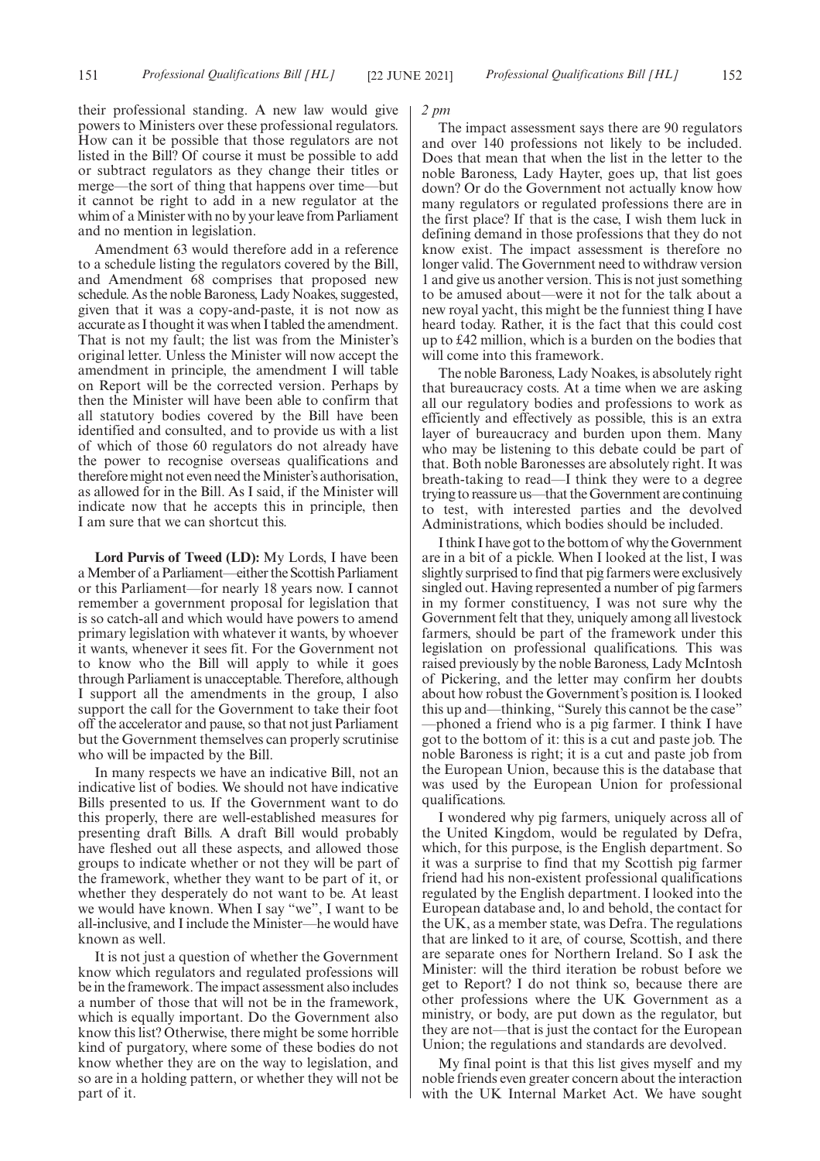their professional standing. A new law would give powers to Ministers over these professional regulators. How can it be possible that those regulators are not listed in the Bill? Of course it must be possible to add or subtract regulators as they change their titles or merge—the sort of thing that happens over time—but it cannot be right to add in a new regulator at the whim of a Minister with no by your leave from Parliament and no mention in legislation.

Amendment 63 would therefore add in a reference to a schedule listing the regulators covered by the Bill, and Amendment 68 comprises that proposed new schedule. As the noble Baroness, Lady Noakes, suggested, given that it was a copy-and-paste, it is not now as accurate as I thought it was when I tabled the amendment. That is not my fault; the list was from the Minister's original letter. Unless the Minister will now accept the amendment in principle, the amendment I will table on Report will be the corrected version. Perhaps by then the Minister will have been able to confirm that all statutory bodies covered by the Bill have been identified and consulted, and to provide us with a list of which of those 60 regulators do not already have the power to recognise overseas qualifications and therefore might not even need the Minister's authorisation, as allowed for in the Bill. As I said, if the Minister will indicate now that he accepts this in principle, then I am sure that we can shortcut this.

**Lord Purvis of Tweed (LD):** My Lords, I have been a Member of a Parliament—either the Scottish Parliament or this Parliament—for nearly 18 years now. I cannot remember a government proposal for legislation that is so catch-all and which would have powers to amend primary legislation with whatever it wants, by whoever it wants, whenever it sees fit. For the Government not to know who the Bill will apply to while it goes through Parliament is unacceptable. Therefore, although I support all the amendments in the group, I also support the call for the Government to take their foot off the accelerator and pause, so that not just Parliament but the Government themselves can properly scrutinise who will be impacted by the Bill.

In many respects we have an indicative Bill, not an indicative list of bodies. We should not have indicative Bills presented to us. If the Government want to do this properly, there are well-established measures for presenting draft Bills. A draft Bill would probably have fleshed out all these aspects, and allowed those groups to indicate whether or not they will be part of the framework, whether they want to be part of it, or whether they desperately do not want to be. At least we would have known. When I say "we", I want to be all-inclusive, and I include the Minister—he would have known as well.

It is not just a question of whether the Government know which regulators and regulated professions will be in the framework. The impact assessment also includes a number of those that will not be in the framework, which is equally important. Do the Government also know this list? Otherwise, there might be some horrible kind of purgatory, where some of these bodies do not know whether they are on the way to legislation, and so are in a holding pattern, or whether they will not be part of it.

*2 pm*

The impact assessment says there are 90 regulators and over 140 professions not likely to be included. Does that mean that when the list in the letter to the noble Baroness, Lady Hayter, goes up, that list goes down? Or do the Government not actually know how many regulators or regulated professions there are in the first place? If that is the case, I wish them luck in defining demand in those professions that they do not know exist. The impact assessment is therefore no longer valid. The Government need to withdraw version 1 and give us another version. This is not just something to be amused about—were it not for the talk about a new royal yacht, this might be the funniest thing I have heard today. Rather, it is the fact that this could cost up to £42 million, which is a burden on the bodies that will come into this framework.

The noble Baroness, Lady Noakes, is absolutely right that bureaucracy costs. At a time when we are asking all our regulatory bodies and professions to work as efficiently and effectively as possible, this is an extra layer of bureaucracy and burden upon them. Many who may be listening to this debate could be part of that. Both noble Baronesses are absolutely right. It was breath-taking to read—I think they were to a degree trying to reassure us—that the Government are continuing to test, with interested parties and the devolved Administrations, which bodies should be included.

I think I have got to the bottom of why the Government are in a bit of a pickle. When I looked at the list, I was slightly surprised to find that pig farmers were exclusively singled out. Having represented a number of pig farmers in my former constituency, I was not sure why the Government felt that they, uniquely among all livestock farmers, should be part of the framework under this legislation on professional qualifications. This was raised previously by the noble Baroness, Lady McIntosh of Pickering, and the letter may confirm her doubts about how robust the Government's position is. I looked this up and—thinking, "Surely this cannot be the case" —phoned a friend who is a pig farmer. I think I have got to the bottom of it: this is a cut and paste job. The noble Baroness is right; it is a cut and paste job from the European Union, because this is the database that was used by the European Union for professional qualifications.

I wondered why pig farmers, uniquely across all of the United Kingdom, would be regulated by Defra, which, for this purpose, is the English department. So it was a surprise to find that my Scottish pig farmer friend had his non-existent professional qualifications regulated by the English department. I looked into the European database and, lo and behold, the contact for the UK, as a member state, was Defra. The regulations that are linked to it are, of course, Scottish, and there are separate ones for Northern Ireland. So I ask the Minister: will the third iteration be robust before we get to Report? I do not think so, because there are other professions where the UK Government as a ministry, or body, are put down as the regulator, but they are not—that is just the contact for the European Union; the regulations and standards are devolved.

My final point is that this list gives myself and my noble friends even greater concern about the interaction with the UK Internal Market Act. We have sought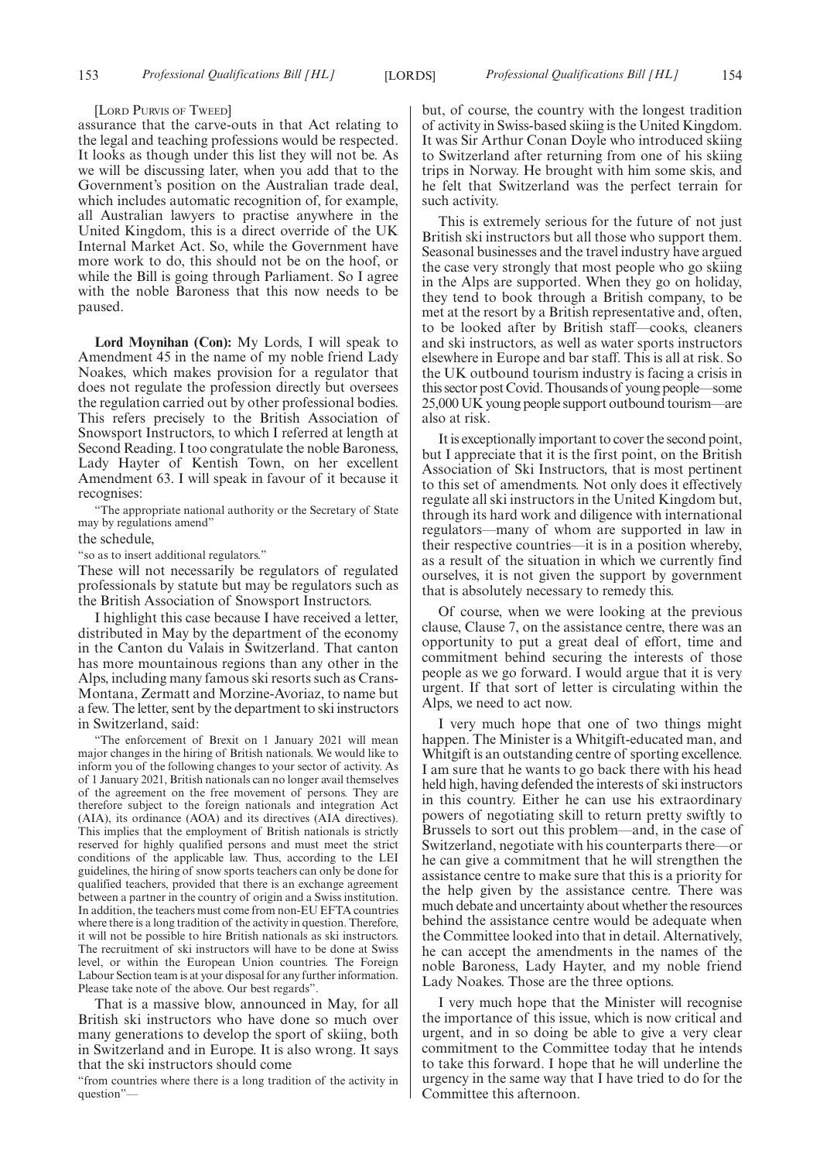#### [LORD PURVIS OF TWEED]

assurance that the carve-outs in that Act relating to the legal and teaching professions would be respected. It looks as though under this list they will not be. As we will be discussing later, when you add that to the Government's position on the Australian trade deal, which includes automatic recognition of, for example, all Australian lawyers to practise anywhere in the United Kingdom, this is a direct override of the UK Internal Market Act. So, while the Government have more work to do, this should not be on the hoof, or while the Bill is going through Parliament. So I agree with the noble Baroness that this now needs to be paused.

**Lord Moynihan (Con):** My Lords, I will speak to Amendment 45 in the name of my noble friend Lady Noakes, which makes provision for a regulator that does not regulate the profession directly but oversees the regulation carried out by other professional bodies. This refers precisely to the British Association of Snowsport Instructors, to which I referred at length at Second Reading. I too congratulate the noble Baroness, Lady Hayter of Kentish Town, on her excellent Amendment 63. I will speak in favour of it because it recognises:

"The appropriate national authority or the Secretary of State may by regulations amend"

the schedule,

"so as to insert additional regulators."

These will not necessarily be regulators of regulated professionals by statute but may be regulators such as the British Association of Snowsport Instructors.

I highlight this case because I have received a letter, distributed in May by the department of the economy in the Canton du Valais in Switzerland. That canton has more mountainous regions than any other in the Alps, including many famous ski resorts such as Crans-Montana, Zermatt and Morzine-Avoriaz, to name but a few. The letter, sent by the department to ski instructors in Switzerland, said:

"The enforcement of Brexit on 1 January 2021 will mean major changes in the hiring of British nationals. We would like to inform you of the following changes to your sector of activity. As of 1 January 2021, British nationals can no longer avail themselves of the agreement on the free movement of persons. They are therefore subject to the foreign nationals and integration Act (AIA), its ordinance (AOA) and its directives (AIA directives). This implies that the employment of British nationals is strictly reserved for highly qualified persons and must meet the strict conditions of the applicable law. Thus, according to the LEI guidelines, the hiring of snow sports teachers can only be done for qualified teachers, provided that there is an exchange agreement between a partner in the country of origin and a Swiss institution. In addition, the teachers must come from non-EU EFTA countries where there is a long tradition of the activity in question. Therefore, it will not be possible to hire British nationals as ski instructors. The recruitment of ski instructors will have to be done at Swiss level, or within the European Union countries. The Foreign Labour Section team is at your disposal for any further information. Please take note of the above. Our best regards".

That is a massive blow, announced in May, for all British ski instructors who have done so much over many generations to develop the sport of skiing, both in Switzerland and in Europe. It is also wrong. It says that the ski instructors should come

"from countries where there is a long tradition of the activity in question"

but, of course, the country with the longest tradition of activity in Swiss-based skiing is the United Kingdom. It was Sir Arthur Conan Doyle who introduced skiing to Switzerland after returning from one of his skiing trips in Norway. He brought with him some skis, and he felt that Switzerland was the perfect terrain for such activity.

This is extremely serious for the future of not just British ski instructors but all those who support them. Seasonal businesses and the travel industry have argued the case very strongly that most people who go skiing in the Alps are supported. When they go on holiday, they tend to book through a British company, to be met at the resort by a British representative and, often, to be looked after by British staff—cooks, cleaners and ski instructors, as well as water sports instructors elsewhere in Europe and bar staff. This is all at risk. So the UK outbound tourism industry is facing a crisis in this sector post Covid. Thousands of young people—some 25,000 UK young people support outbound tourism—are also at risk.

It is exceptionally important to cover the second point, but I appreciate that it is the first point, on the British Association of Ski Instructors, that is most pertinent to this set of amendments. Not only does it effectively regulate all ski instructors in the United Kingdom but, through its hard work and diligence with international regulators—many of whom are supported in law in their respective countries—it is in a position whereby, as a result of the situation in which we currently find ourselves, it is not given the support by government that is absolutely necessary to remedy this.

Of course, when we were looking at the previous clause, Clause 7, on the assistance centre, there was an opportunity to put a great deal of effort, time and commitment behind securing the interests of those people as we go forward. I would argue that it is very urgent. If that sort of letter is circulating within the Alps, we need to act now.

I very much hope that one of two things might happen. The Minister is a Whitgift-educated man, and Whitgift is an outstanding centre of sporting excellence. I am sure that he wants to go back there with his head held high, having defended the interests of ski instructors in this country. Either he can use his extraordinary powers of negotiating skill to return pretty swiftly to Brussels to sort out this problem—and, in the case of Switzerland, negotiate with his counterparts there—or he can give a commitment that he will strengthen the assistance centre to make sure that this is a priority for the help given by the assistance centre. There was much debate and uncertainty about whether the resources behind the assistance centre would be adequate when the Committee looked into that in detail. Alternatively, he can accept the amendments in the names of the noble Baroness, Lady Hayter, and my noble friend Lady Noakes. Those are the three options.

I very much hope that the Minister will recognise the importance of this issue, which is now critical and urgent, and in so doing be able to give a very clear commitment to the Committee today that he intends to take this forward. I hope that he will underline the urgency in the same way that I have tried to do for the Committee this afternoon.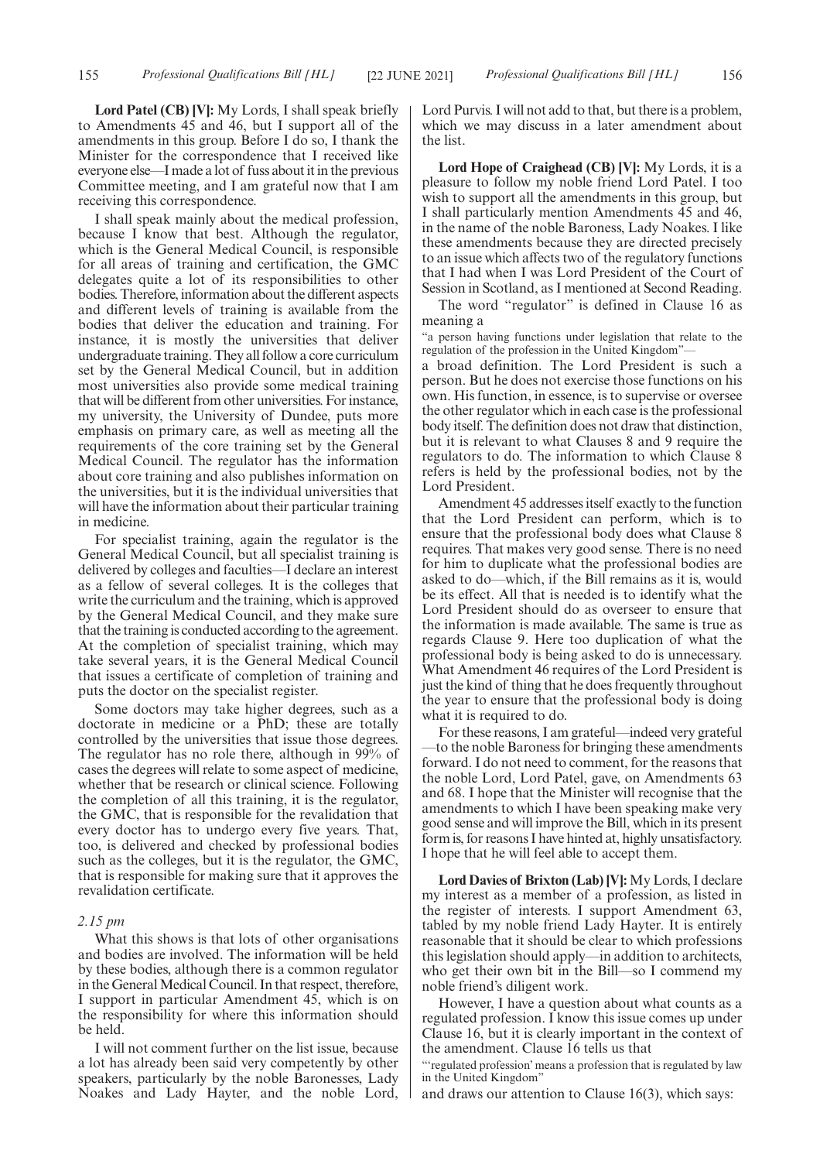**Lord Patel (CB) [V]:** My Lords, I shall speak briefly to Amendments 45 and 46, but I support all of the amendments in this group. Before I do so, I thank the Minister for the correspondence that I received like everyone else—I made a lot of fuss about it in the previous Committee meeting, and I am grateful now that I am receiving this correspondence.

I shall speak mainly about the medical profession, because I know that best. Although the regulator, which is the General Medical Council, is responsible for all areas of training and certification, the GMC delegates quite a lot of its responsibilities to other bodies. Therefore, information about the different aspects and different levels of training is available from the bodies that deliver the education and training. For instance, it is mostly the universities that deliver undergraduate training. They all follow a core curriculum set by the General Medical Council, but in addition most universities also provide some medical training that will be different from other universities. For instance, my university, the University of Dundee, puts more emphasis on primary care, as well as meeting all the requirements of the core training set by the General Medical Council. The regulator has the information about core training and also publishes information on the universities, but it is the individual universities that will have the information about their particular training in medicine.

For specialist training, again the regulator is the General Medical Council, but all specialist training is delivered by colleges and faculties—I declare an interest as a fellow of several colleges. It is the colleges that write the curriculum and the training, which is approved by the General Medical Council, and they make sure that the training is conducted according to the agreement. At the completion of specialist training, which may take several years, it is the General Medical Council that issues a certificate of completion of training and puts the doctor on the specialist register.

Some doctors may take higher degrees, such as a doctorate in medicine or a PhD; these are totally controlled by the universities that issue those degrees. The regulator has no role there, although in 99% of cases the degrees will relate to some aspect of medicine, whether that be research or clinical science. Following the completion of all this training, it is the regulator, the GMC, that is responsible for the revalidation that every doctor has to undergo every five years. That, too, is delivered and checked by professional bodies such as the colleges, but it is the regulator, the GMC, that is responsible for making sure that it approves the revalidation certificate.

### *2.15 pm*

What this shows is that lots of other organisations and bodies are involved. The information will be held by these bodies, although there is a common regulator in the General Medical Council. In that respect, therefore, I support in particular Amendment 45, which is on the responsibility for where this information should be held.

I will not comment further on the list issue, because a lot has already been said very competently by other speakers, particularly by the noble Baronesses, Lady Noakes and Lady Hayter, and the noble Lord, Lord Purvis. I will not add to that, but there is a problem, which we may discuss in a later amendment about the list.

**Lord Hope of Craighead (CB) [V]:** My Lords, it is a pleasure to follow my noble friend Lord Patel. I too wish to support all the amendments in this group, but I shall particularly mention Amendments 45 and 46, in the name of the noble Baroness, Lady Noakes. I like these amendments because they are directed precisely to an issue which affects two of the regulatory functions that I had when I was Lord President of the Court of Session in Scotland, as I mentioned at Second Reading.

The word "regulator" is defined in Clause 16 as meaning a

"a person having functions under legislation that relate to the regulation of the profession in the United Kingdom"—

a broad definition. The Lord President is such a person. But he does not exercise those functions on his own. His function, in essence, is to supervise or oversee the other regulator which in each case is the professional body itself. The definition does not draw that distinction, but it is relevant to what Clauses 8 and 9 require the regulators to do. The information to which Clause 8 refers is held by the professional bodies, not by the Lord President.

Amendment 45 addresses itself exactly to the function that the Lord President can perform, which is to ensure that the professional body does what Clause 8 requires. That makes very good sense. There is no need for him to duplicate what the professional bodies are asked to do—which, if the Bill remains as it is, would be its effect. All that is needed is to identify what the Lord President should do as overseer to ensure that the information is made available. The same is true as regards Clause 9. Here too duplication of what the professional body is being asked to do is unnecessary. What Amendment 46 requires of the Lord President is just the kind of thing that he does frequently throughout the year to ensure that the professional body is doing what it is required to do.

For these reasons, I am grateful—indeed very grateful —to the noble Baroness for bringing these amendments forward. I do not need to comment, for the reasons that the noble Lord, Lord Patel, gave, on Amendments 63 and 68. I hope that the Minister will recognise that the amendments to which I have been speaking make very good sense and will improve the Bill, which in its present form is, for reasons I have hinted at, highly unsatisfactory. I hope that he will feel able to accept them.

**Lord Davies of Brixton (Lab) [V]:** My Lords, I declare my interest as a member of a profession, as listed in the register of interests. I support Amendment 63, tabled by my noble friend Lady Hayter. It is entirely reasonable that it should be clear to which professions this legislation should apply—in addition to architects, who get their own bit in the Bill—so I commend my noble friend's diligent work.

However, I have a question about what counts as a regulated profession. I know this issue comes up under Clause 16, but it is clearly important in the context of the amendment. Clause 16 tells us that

"'regulated profession' means a profession that is regulated by law in the United Kingdom"

and draws our attention to Clause 16(3), which says: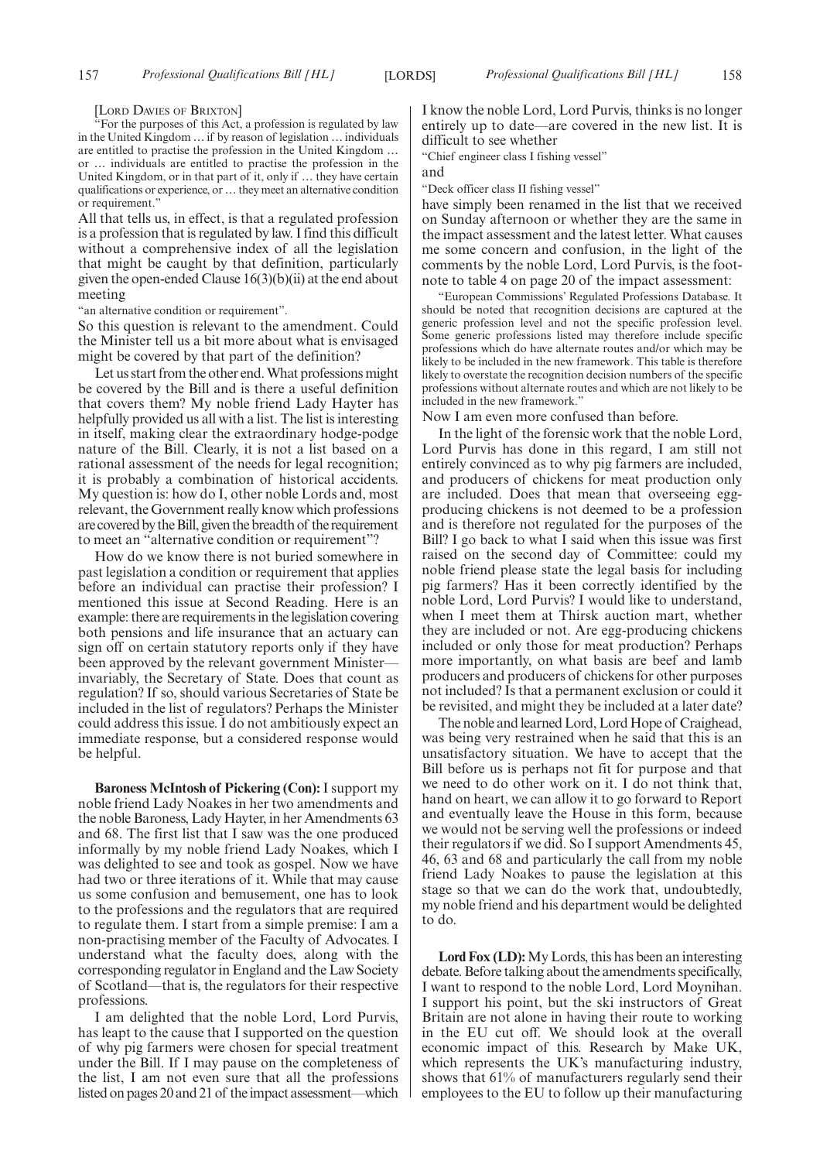[LORD DAVIES OF BRIXTON]

"For the purposes of this Act, a profession is regulated by law in the United Kingdom … if by reason of legislation … individuals are entitled to practise the profession in the United Kingdom … or … individuals are entitled to practise the profession in the United Kingdom, or in that part of it, only if … they have certain qualifications or experience, or … they meet an alternative condition or requirement."

All that tells us, in effect, is that a regulated profession is a profession that is regulated by law. I find this difficult without a comprehensive index of all the legislation that might be caught by that definition, particularly given the open-ended Clause  $16(3)(b)(ii)$  at the end about meeting

"an alternative condition or requirement".

So this question is relevant to the amendment. Could the Minister tell us a bit more about what is envisaged might be covered by that part of the definition?

Let us start from the other end. What professions might be covered by the Bill and is there a useful definition that covers them? My noble friend Lady Hayter has helpfully provided us all with a list. The list is interesting in itself, making clear the extraordinary hodge-podge nature of the Bill. Clearly, it is not a list based on a rational assessment of the needs for legal recognition; it is probably a combination of historical accidents. My question is: how do I, other noble Lords and, most relevant, the Government really know which professions are covered by the Bill, given the breadth of the requirement to meet an "alternative condition or requirement"?

How do we know there is not buried somewhere in past legislation a condition or requirement that applies before an individual can practise their profession? I mentioned this issue at Second Reading. Here is an example: there are requirements in the legislation covering both pensions and life insurance that an actuary can sign off on certain statutory reports only if they have been approved by the relevant government Ministerinvariably, the Secretary of State. Does that count as regulation? If so, should various Secretaries of State be included in the list of regulators? Perhaps the Minister could address this issue. I do not ambitiously expect an immediate response, but a considered response would be helpful.

**Baroness McIntosh of Pickering (Con):** I support my noble friend Lady Noakes in her two amendments and the noble Baroness, Lady Hayter, in her Amendments 63 and 68. The first list that I saw was the one produced informally by my noble friend Lady Noakes, which I was delighted to see and took as gospel. Now we have had two or three iterations of it. While that may cause us some confusion and bemusement, one has to look to the professions and the regulators that are required to regulate them. I start from a simple premise: I am a non-practising member of the Faculty of Advocates. I understand what the faculty does, along with the corresponding regulator in England and the Law Society of Scotland—that is, the regulators for their respective professions.

I am delighted that the noble Lord, Lord Purvis, has leapt to the cause that I supported on the question of why pig farmers were chosen for special treatment under the Bill. If I may pause on the completeness of the list, I am not even sure that all the professions listed on pages 20 and 21 of the impact assessment—which I know the noble Lord, Lord Purvis, thinks is no longer entirely up to date—are covered in the new list. It is difficult to see whether

"Chief engineer class I fishing vessel"

and

"Deck officer class II fishing vessel"

have simply been renamed in the list that we received on Sunday afternoon or whether they are the same in the impact assessment and the latest letter. What causes me some concern and confusion, in the light of the comments by the noble Lord, Lord Purvis, is the footnote to table 4 on page 20 of the impact assessment:

"European Commissions' Regulated Professions Database. It should be noted that recognition decisions are captured at the generic profession level and not the specific profession level. Some generic professions listed may therefore include specific professions which do have alternate routes and/or which may be likely to be included in the new framework. This table is therefore likely to overstate the recognition decision numbers of the specific professions without alternate routes and which are not likely to be included in the new framework."

Now I am even more confused than before.

In the light of the forensic work that the noble Lord, Lord Purvis has done in this regard, I am still not entirely convinced as to why pig farmers are included, and producers of chickens for meat production only are included. Does that mean that overseeing eggproducing chickens is not deemed to be a profession and is therefore not regulated for the purposes of the Bill? I go back to what I said when this issue was first raised on the second day of Committee: could my noble friend please state the legal basis for including pig farmers? Has it been correctly identified by the noble Lord, Lord Purvis? I would like to understand, when I meet them at Thirsk auction mart, whether they are included or not. Are egg-producing chickens included or only those for meat production? Perhaps more importantly, on what basis are beef and lamb producers and producers of chickens for other purposes not included? Is that a permanent exclusion or could it be revisited, and might they be included at a later date?

The noble and learned Lord, Lord Hope of Craighead, was being very restrained when he said that this is an unsatisfactory situation. We have to accept that the Bill before us is perhaps not fit for purpose and that we need to do other work on it. I do not think that, hand on heart, we can allow it to go forward to Report and eventually leave the House in this form, because we would not be serving well the professions or indeed their regulators if we did. So I support Amendments 45, 46, 63 and 68 and particularly the call from my noble friend Lady Noakes to pause the legislation at this stage so that we can do the work that, undoubtedly, my noble friend and his department would be delighted to do.

**Lord Fox (LD):**My Lords, this has been an interesting debate. Before talking about the amendments specifically, I want to respond to the noble Lord, Lord Moynihan. I support his point, but the ski instructors of Great Britain are not alone in having their route to working in the EU cut off. We should look at the overall economic impact of this. Research by Make UK, which represents the UK's manufacturing industry, shows that 61% of manufacturers regularly send their employees to the EU to follow up their manufacturing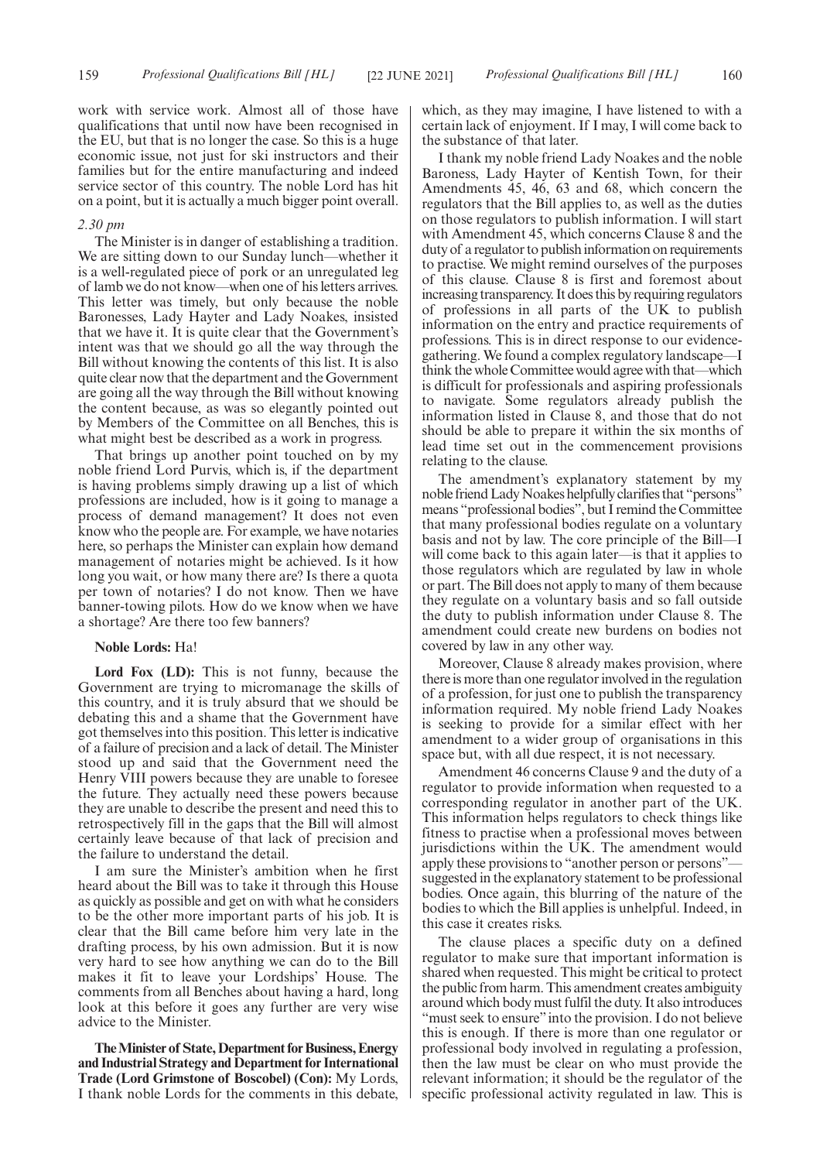work with service work. Almost all of those have qualifications that until now have been recognised in the EU, but that is no longer the case. So this is a huge economic issue, not just for ski instructors and their families but for the entire manufacturing and indeed service sector of this country. The noble Lord has hit on a point, but it is actually a much bigger point overall.

#### *2.30 pm*

The Minister is in danger of establishing a tradition. We are sitting down to our Sunday lunch—whether it is a well-regulated piece of pork or an unregulated leg of lamb we do not know—when one of his letters arrives. This letter was timely, but only because the noble Baronesses, Lady Hayter and Lady Noakes, insisted that we have it. It is quite clear that the Government's intent was that we should go all the way through the Bill without knowing the contents of this list. It is also quite clear now that the department and the Government are going all the way through the Bill without knowing the content because, as was so elegantly pointed out by Members of the Committee on all Benches, this is what might best be described as a work in progress.

That brings up another point touched on by my noble friend Lord Purvis, which is, if the department is having problems simply drawing up a list of which professions are included, how is it going to manage a process of demand management? It does not even know who the people are. For example, we have notaries here, so perhaps the Minister can explain how demand management of notaries might be achieved. Is it how long you wait, or how many there are? Is there a quota per town of notaries? I do not know. Then we have banner-towing pilots. How do we know when we have a shortage? Are there too few banners?

#### **Noble Lords:** Ha!

**Lord Fox (LD):** This is not funny, because the Government are trying to micromanage the skills of this country, and it is truly absurd that we should be debating this and a shame that the Government have got themselves into this position. This letter is indicative of a failure of precision and a lack of detail. The Minister stood up and said that the Government need the Henry VIII powers because they are unable to foresee the future. They actually need these powers because they are unable to describe the present and need this to retrospectively fill in the gaps that the Bill will almost certainly leave because of that lack of precision and the failure to understand the detail.

I am sure the Minister's ambition when he first heard about the Bill was to take it through this House as quickly as possible and get on with what he considers to be the other more important parts of his job. It is clear that the Bill came before him very late in the drafting process, by his own admission. But it is now very hard to see how anything we can do to the Bill makes it fit to leave your Lordships' House. The comments from all Benches about having a hard, long look at this before it goes any further are very wise advice to the Minister.

**The Minister of State, Department for Business, Energy and Industrial Strategy and Department for International Trade (Lord Grimstone of Boscobel) (Con):** My Lords, I thank noble Lords for the comments in this debate, which, as they may imagine, I have listened to with a certain lack of enjoyment. If I may, I will come back to the substance of that later.

I thank my noble friend Lady Noakes and the noble Baroness, Lady Hayter of Kentish Town, for their Amendments 45, 46, 63 and 68, which concern the regulators that the Bill applies to, as well as the duties on those regulators to publish information. I will start with Amendment 45, which concerns Clause 8 and the duty of a regulator to publish information on requirements to practise. We might remind ourselves of the purposes of this clause. Clause 8 is first and foremost about increasing transparency. It does this by requiring regulators of professions in all parts of the UK to publish information on the entry and practice requirements of professions. This is in direct response to our evidencegathering. We found a complex regulatory landscape—I think the whole Committee would agree with that—which is difficult for professionals and aspiring professionals to navigate. Some regulators already publish the information listed in Clause 8, and those that do not should be able to prepare it within the six months of lead time set out in the commencement provisions relating to the clause.

The amendment's explanatory statement by my noble friend Lady Noakes helpfully clarifies that "persons" means "professional bodies", but I remind the Committee that many professional bodies regulate on a voluntary basis and not by law. The core principle of the Bill—I will come back to this again later—is that it applies to those regulators which are regulated by law in whole or part. The Bill does not apply to many of them because they regulate on a voluntary basis and so fall outside the duty to publish information under Clause 8. The amendment could create new burdens on bodies not covered by law in any other way.

Moreover, Clause 8 already makes provision, where there is more than one regulator involved in the regulation of a profession, for just one to publish the transparency information required. My noble friend Lady Noakes is seeking to provide for a similar effect with her amendment to a wider group of organisations in this space but, with all due respect, it is not necessary.

Amendment 46 concerns Clause 9 and the duty of a regulator to provide information when requested to a corresponding regulator in another part of the UK. This information helps regulators to check things like fitness to practise when a professional moves between jurisdictions within the UK. The amendment would apply these provisions to "another person or persons" suggested in the explanatory statement to be professional bodies. Once again, this blurring of the nature of the bodies to which the Bill applies is unhelpful. Indeed, in this case it creates risks.

The clause places a specific duty on a defined regulator to make sure that important information is shared when requested. This might be critical to protect the public from harm. This amendment creates ambiguity around which body must fulfil the duty. It also introduces "must seek to ensure" into the provision. I do not believe this is enough. If there is more than one regulator or professional body involved in regulating a profession, then the law must be clear on who must provide the relevant information; it should be the regulator of the specific professional activity regulated in law. This is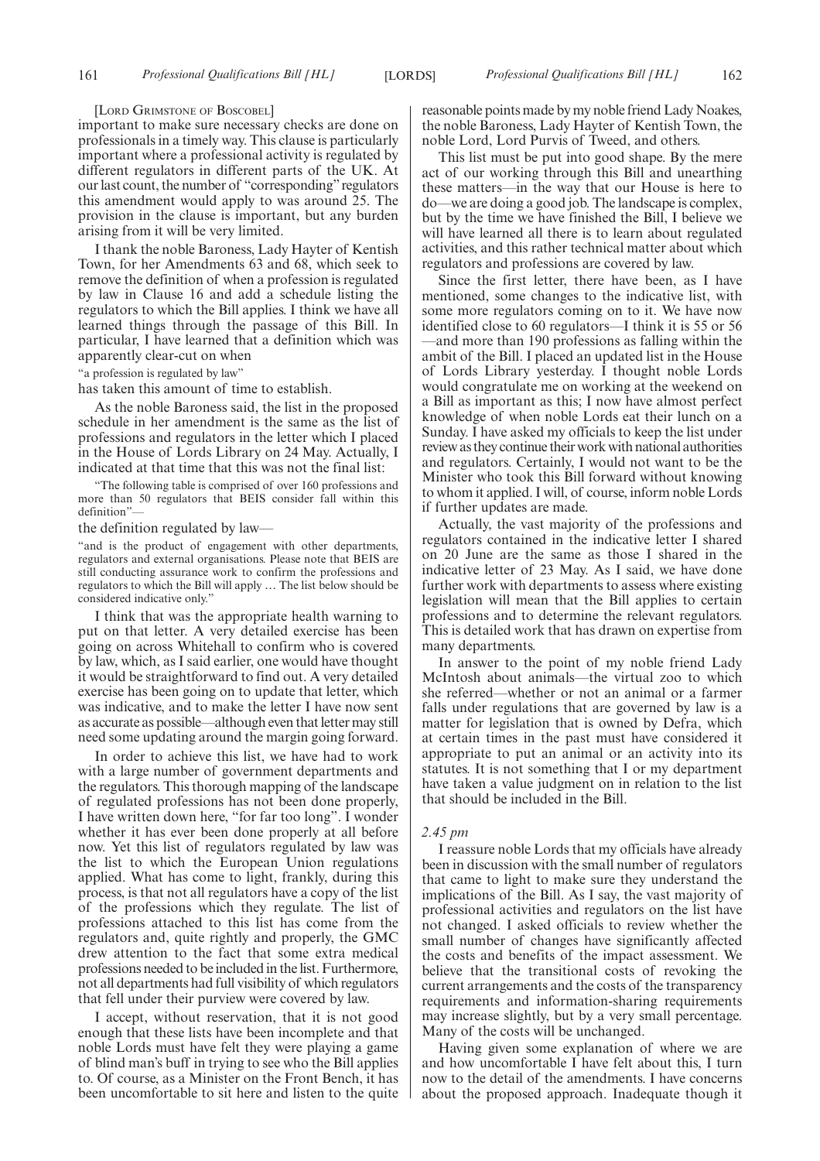[LORD GRIMSTONE OF BOSCOBEL]

important to make sure necessary checks are done on professionals in a timely way. This clause is particularly important where a professional activity is regulated by different regulators in different parts of the UK. At our last count, the number of "corresponding" regulators this amendment would apply to was around 25. The provision in the clause is important, but any burden arising from it will be very limited.

I thank the noble Baroness, Lady Hayter of Kentish Town, for her Amendments 63 and 68, which seek to remove the definition of when a profession is regulated by law in Clause 16 and add a schedule listing the regulators to which the Bill applies. I think we have all learned things through the passage of this Bill. In particular, I have learned that a definition which was apparently clear-cut on when

"a profession is regulated by law"

has taken this amount of time to establish.

As the noble Baroness said, the list in the proposed schedule in her amendment is the same as the list of professions and regulators in the letter which I placed in the House of Lords Library on 24 May. Actually, I indicated at that time that this was not the final list:

"The following table is comprised of over 160 professions and more than 50 regulators that BEIS consider fall within this definition"—

the definition regulated by law—

"and is the product of engagement with other departments, regulators and external organisations. Please note that BEIS are still conducting assurance work to confirm the professions and regulators to which the Bill will apply … The list below should be considered indicative only."

I think that was the appropriate health warning to put on that letter. A very detailed exercise has been going on across Whitehall to confirm who is covered by law, which, as I said earlier, one would have thought it would be straightforward to find out. A very detailed exercise has been going on to update that letter, which was indicative, and to make the letter I have now sent as accurate as possible—although even that letter may still need some updating around the margin going forward.

In order to achieve this list, we have had to work with a large number of government departments and the regulators. This thorough mapping of the landscape of regulated professions has not been done properly, I have written down here, "for far too long". I wonder whether it has ever been done properly at all before now. Yet this list of regulators regulated by law was the list to which the European Union regulations applied. What has come to light, frankly, during this process, is that not all regulators have a copy of the list of the professions which they regulate. The list of professions attached to this list has come from the regulators and, quite rightly and properly, the GMC drew attention to the fact that some extra medical professions needed to be included in the list. Furthermore, not all departments had full visibility of which regulators that fell under their purview were covered by law.

I accept, without reservation, that it is not good enough that these lists have been incomplete and that noble Lords must have felt they were playing a game of blind man's buff in trying to see who the Bill applies to. Of course, as a Minister on the Front Bench, it has been uncomfortable to sit here and listen to the quite reasonable points made by my noble friend Lady Noakes, the noble Baroness, Lady Hayter of Kentish Town, the noble Lord, Lord Purvis of Tweed, and others.

This list must be put into good shape. By the mere act of our working through this Bill and unearthing these matters—in the way that our House is here to do—we are doing a good job. The landscape is complex, but by the time we have finished the Bill, I believe we will have learned all there is to learn about regulated activities, and this rather technical matter about which regulators and professions are covered by law.

Since the first letter, there have been, as I have mentioned, some changes to the indicative list, with some more regulators coming on to it. We have now identified close to 60 regulators—I think it is 55 or 56 —and more than 190 professions as falling within the ambit of the Bill. I placed an updated list in the House of Lords Library yesterday. I thought noble Lords would congratulate me on working at the weekend on a Bill as important as this; I now have almost perfect knowledge of when noble Lords eat their lunch on a Sunday. I have asked my officials to keep the list under review as they continue their work with national authorities and regulators. Certainly, I would not want to be the Minister who took this Bill forward without knowing to whom it applied. I will, of course, inform noble Lords if further updates are made.

Actually, the vast majority of the professions and regulators contained in the indicative letter I shared on 20 June are the same as those I shared in the indicative letter of 23 May. As I said, we have done further work with departments to assess where existing legislation will mean that the Bill applies to certain professions and to determine the relevant regulators. This is detailed work that has drawn on expertise from many departments.

In answer to the point of my noble friend Lady McIntosh about animals—the virtual zoo to which she referred—whether or not an animal or a farmer falls under regulations that are governed by law is a matter for legislation that is owned by Defra, which at certain times in the past must have considered it appropriate to put an animal or an activity into its statutes. It is not something that I or my department have taken a value judgment on in relation to the list that should be included in the Bill.

#### *2.45 pm*

I reassure noble Lords that my officials have already been in discussion with the small number of regulators that came to light to make sure they understand the implications of the Bill. As I say, the vast majority of professional activities and regulators on the list have not changed. I asked officials to review whether the small number of changes have significantly affected the costs and benefits of the impact assessment. We believe that the transitional costs of revoking the current arrangements and the costs of the transparency requirements and information-sharing requirements may increase slightly, but by a very small percentage. Many of the costs will be unchanged.

Having given some explanation of where we are and how uncomfortable I have felt about this, I turn now to the detail of the amendments. I have concerns about the proposed approach. Inadequate though it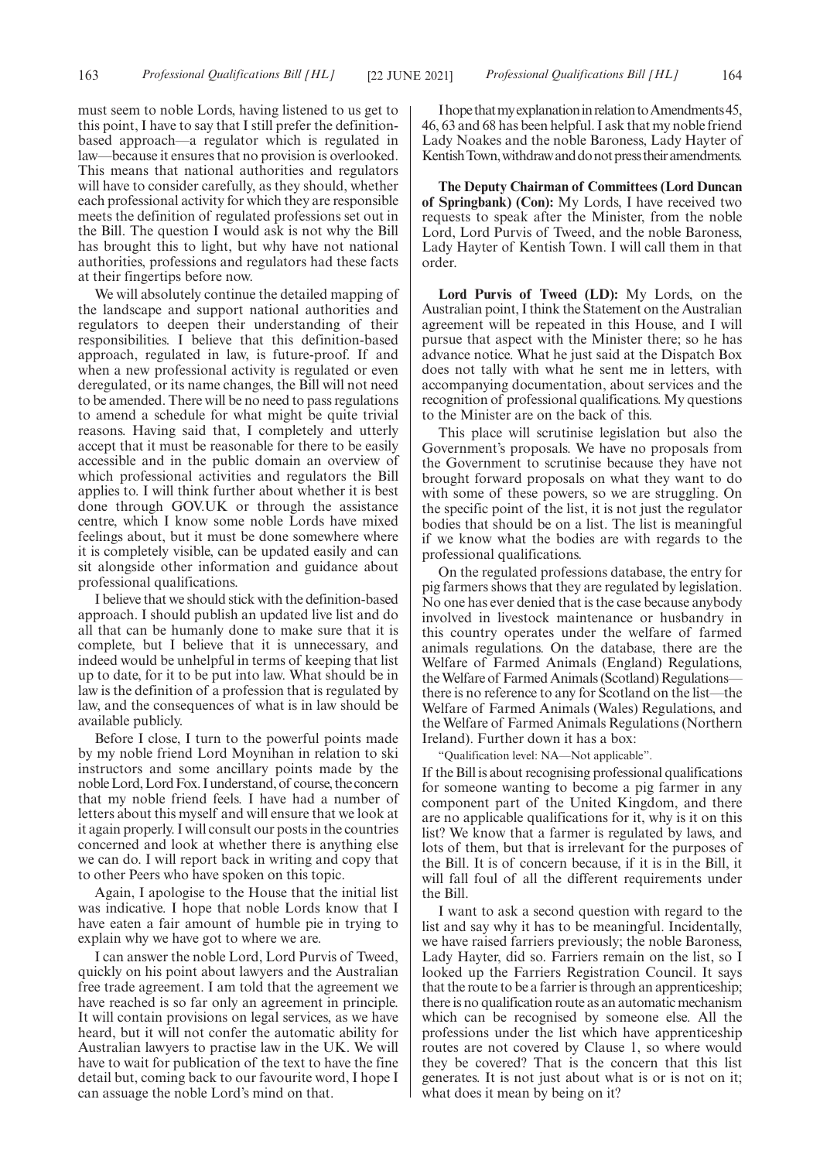must seem to noble Lords, having listened to us get to this point, I have to say that I still prefer the definitionbased approach—a regulator which is regulated in law—because it ensures that no provision is overlooked. This means that national authorities and regulators will have to consider carefully, as they should, whether each professional activity for which they are responsible meets the definition of regulated professions set out in the Bill. The question I would ask is not why the Bill has brought this to light, but why have not national authorities, professions and regulators had these facts at their fingertips before now.

We will absolutely continue the detailed mapping of the landscape and support national authorities and regulators to deepen their understanding of their responsibilities. I believe that this definition-based approach, regulated in law, is future-proof. If and when a new professional activity is regulated or even deregulated, or its name changes, the Bill will not need to be amended. There will be no need to pass regulations to amend a schedule for what might be quite trivial reasons. Having said that, I completely and utterly accept that it must be reasonable for there to be easily accessible and in the public domain an overview of which professional activities and regulators the Bill applies to. I will think further about whether it is best done through GOV.UK or through the assistance centre, which I know some noble Lords have mixed feelings about, but it must be done somewhere where it is completely visible, can be updated easily and can sit alongside other information and guidance about professional qualifications.

I believe that we should stick with the definition-based approach. I should publish an updated live list and do all that can be humanly done to make sure that it is complete, but I believe that it is unnecessary, and indeed would be unhelpful in terms of keeping that list up to date, for it to be put into law. What should be in law is the definition of a profession that is regulated by law, and the consequences of what is in law should be available publicly.

Before I close, I turn to the powerful points made by my noble friend Lord Moynihan in relation to ski instructors and some ancillary points made by the noble Lord, Lord Fox. I understand, of course, the concern that my noble friend feels. I have had a number of letters about this myself and will ensure that we look at it again properly. I will consult our posts in the countries concerned and look at whether there is anything else we can do. I will report back in writing and copy that to other Peers who have spoken on this topic.

Again, I apologise to the House that the initial list was indicative. I hope that noble Lords know that I have eaten a fair amount of humble pie in trying to explain why we have got to where we are.

I can answer the noble Lord, Lord Purvis of Tweed, quickly on his point about lawyers and the Australian free trade agreement. I am told that the agreement we have reached is so far only an agreement in principle. It will contain provisions on legal services, as we have heard, but it will not confer the automatic ability for Australian lawyers to practise law in the UK. We will have to wait for publication of the text to have the fine detail but, coming back to our favourite word, I hope I can assuage the noble Lord's mind on that.

I hope that my explanation in relation to Amendments 45, 46, 63 and 68 has been helpful. I ask that my noble friend Lady Noakes and the noble Baroness, Lady Hayter of Kentish Town, withdraw and do not press their amendments.

**The Deputy Chairman of Committees (Lord Duncan of Springbank) (Con):** My Lords, I have received two requests to speak after the Minister, from the noble Lord, Lord Purvis of Tweed, and the noble Baroness, Lady Hayter of Kentish Town. I will call them in that order.

**Lord Purvis of Tweed (LD):** My Lords, on the Australian point, I think the Statement on the Australian agreement will be repeated in this House, and I will pursue that aspect with the Minister there; so he has advance notice. What he just said at the Dispatch Box does not tally with what he sent me in letters, with accompanying documentation, about services and the recognition of professional qualifications. My questions to the Minister are on the back of this.

This place will scrutinise legislation but also the Government's proposals. We have no proposals from the Government to scrutinise because they have not brought forward proposals on what they want to do with some of these powers, so we are struggling. On the specific point of the list, it is not just the regulator bodies that should be on a list. The list is meaningful if we know what the bodies are with regards to the professional qualifications.

On the regulated professions database, the entry for pig farmers shows that they are regulated by legislation. No one has ever denied that is the case because anybody involved in livestock maintenance or husbandry in this country operates under the welfare of farmed animals regulations. On the database, there are the Welfare of Farmed Animals (England) Regulations, the Welfare of Farmed Animals (Scotland) Regulations there is no reference to any for Scotland on the list—the Welfare of Farmed Animals (Wales) Regulations, and the Welfare of Farmed Animals Regulations (Northern Ireland). Further down it has a box:

"Qualification level: NA—Not applicable".

If the Bill is about recognising professional qualifications for someone wanting to become a pig farmer in any component part of the United Kingdom, and there are no applicable qualifications for it, why is it on this list? We know that a farmer is regulated by laws, and lots of them, but that is irrelevant for the purposes of the Bill. It is of concern because, if it is in the Bill, it will fall foul of all the different requirements under the Bill.

I want to ask a second question with regard to the list and say why it has to be meaningful. Incidentally, we have raised farriers previously; the noble Baroness, Lady Hayter, did so. Farriers remain on the list, so I looked up the Farriers Registration Council. It says that the route to be a farrier is through an apprenticeship; there is no qualification route as an automatic mechanism which can be recognised by someone else. All the professions under the list which have apprenticeship routes are not covered by Clause 1, so where would they be covered? That is the concern that this list generates. It is not just about what is or is not on it; what does it mean by being on it?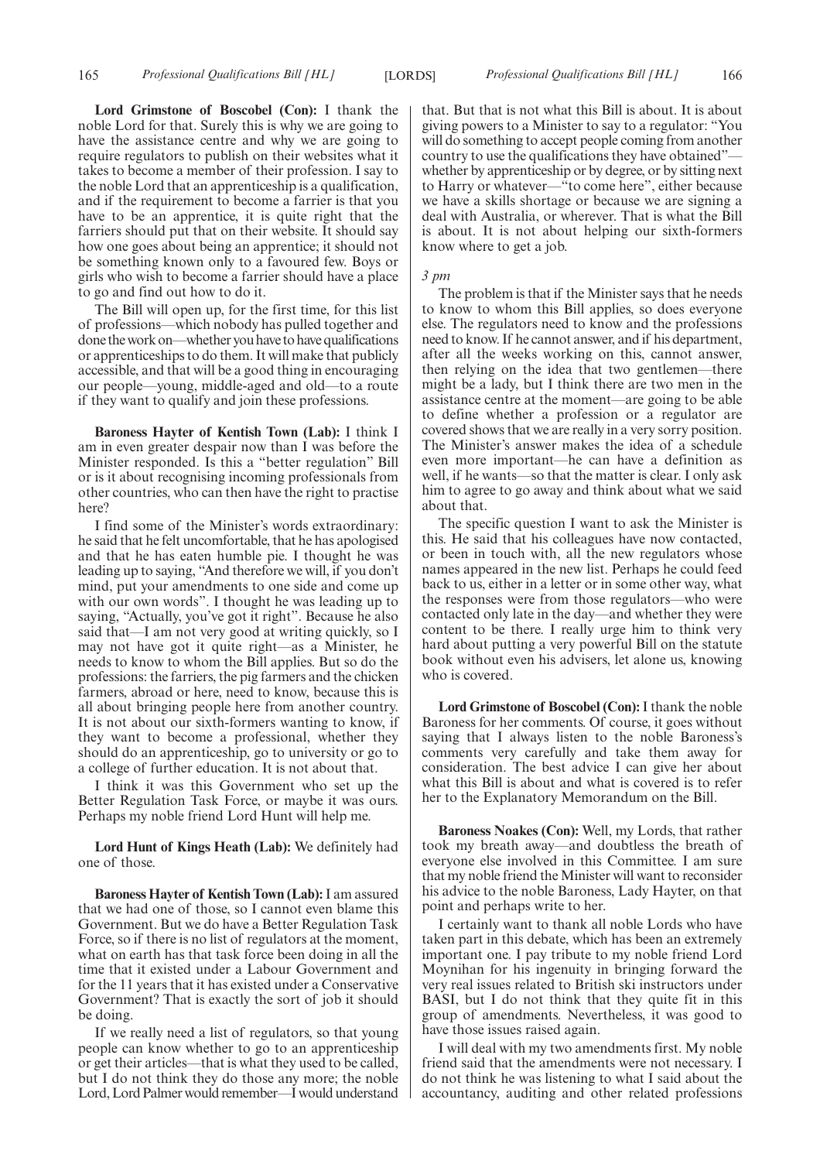**Lord Grimstone of Boscobel (Con):** I thank the noble Lord for that. Surely this is why we are going to have the assistance centre and why we are going to require regulators to publish on their websites what it takes to become a member of their profession. I say to the noble Lord that an apprenticeship is a qualification, and if the requirement to become a farrier is that you have to be an apprentice, it is quite right that the farriers should put that on their website. It should say how one goes about being an apprentice; it should not be something known only to a favoured few. Boys or girls who wish to become a farrier should have a place to go and find out how to do it.

The Bill will open up, for the first time, for this list of professions—which nobody has pulled together and done the work on—whether you have to have qualifications or apprenticeships to do them. It will make that publicly accessible, and that will be a good thing in encouraging our people—young, middle-aged and old—to a route if they want to qualify and join these professions.

**Baroness Hayter of Kentish Town (Lab):** I think I am in even greater despair now than I was before the Minister responded. Is this a "better regulation" Bill or is it about recognising incoming professionals from other countries, who can then have the right to practise here?

I find some of the Minister's words extraordinary: he said that he felt uncomfortable, that he has apologised and that he has eaten humble pie. I thought he was leading up to saying, "And therefore we will, if you don't mind, put your amendments to one side and come up with our own words". I thought he was leading up to saying, "Actually, you've got it right". Because he also said that—I am not very good at writing quickly, so I may not have got it quite right—as a Minister, he needs to know to whom the Bill applies. But so do the professions: the farriers, the pig farmers and the chicken farmers, abroad or here, need to know, because this is all about bringing people here from another country. It is not about our sixth-formers wanting to know, if they want to become a professional, whether they should do an apprenticeship, go to university or go to a college of further education. It is not about that.

I think it was this Government who set up the Better Regulation Task Force, or maybe it was ours. Perhaps my noble friend Lord Hunt will help me.

**Lord Hunt of Kings Heath (Lab):** We definitely had one of those.

**Baroness Hayter of Kentish Town (Lab):**I am assured that we had one of those, so I cannot even blame this Government. But we do have a Better Regulation Task Force, so if there is no list of regulators at the moment, what on earth has that task force been doing in all the time that it existed under a Labour Government and for the 11 years that it has existed under a Conservative Government? That is exactly the sort of job it should be doing.

If we really need a list of regulators, so that young people can know whether to go to an apprenticeship or get their articles—that is what they used to be called, but I do not think they do those any more; the noble Lord, Lord Palmer would remember—I would understand

that. But that is not what this Bill is about. It is about giving powers to a Minister to say to a regulator: "You will do something to accept people coming from another country to use the qualifications they have obtained" whether by apprenticeship or by degree, or by sitting next to Harry or whatever—"to come here", either because we have a skills shortage or because we are signing a deal with Australia, or wherever. That is what the Bill is about. It is not about helping our sixth-formers know where to get a job.

#### *3 pm*

The problem is that if the Minister says that he needs to know to whom this Bill applies, so does everyone else. The regulators need to know and the professions need to know. If he cannot answer, and if his department, after all the weeks working on this, cannot answer, then relying on the idea that two gentlemen—there might be a lady, but I think there are two men in the assistance centre at the moment—are going to be able to define whether a profession or a regulator are covered shows that we are really in a very sorry position. The Minister's answer makes the idea of a schedule even more important—he can have a definition as well, if he wants—so that the matter is clear. I only ask him to agree to go away and think about what we said about that.

The specific question I want to ask the Minister is this. He said that his colleagues have now contacted, or been in touch with, all the new regulators whose names appeared in the new list. Perhaps he could feed back to us, either in a letter or in some other way, what the responses were from those regulators—who were contacted only late in the day—and whether they were content to be there. I really urge him to think very hard about putting a very powerful Bill on the statute book without even his advisers, let alone us, knowing who is covered.

**Lord Grimstone of Boscobel (Con):**I thank the noble Baroness for her comments. Of course, it goes without saying that I always listen to the noble Baroness's comments very carefully and take them away for consideration. The best advice I can give her about what this Bill is about and what is covered is to refer her to the Explanatory Memorandum on the Bill.

**Baroness Noakes (Con):** Well, my Lords, that rather took my breath away—and doubtless the breath of everyone else involved in this Committee. I am sure that my noble friend the Minister will want to reconsider his advice to the noble Baroness, Lady Hayter, on that point and perhaps write to her.

I certainly want to thank all noble Lords who have taken part in this debate, which has been an extremely important one. I pay tribute to my noble friend Lord Moynihan for his ingenuity in bringing forward the very real issues related to British ski instructors under BASI, but I do not think that they quite fit in this group of amendments. Nevertheless, it was good to have those issues raised again.

I will deal with my two amendments first. My noble friend said that the amendments were not necessary. I do not think he was listening to what I said about the accountancy, auditing and other related professions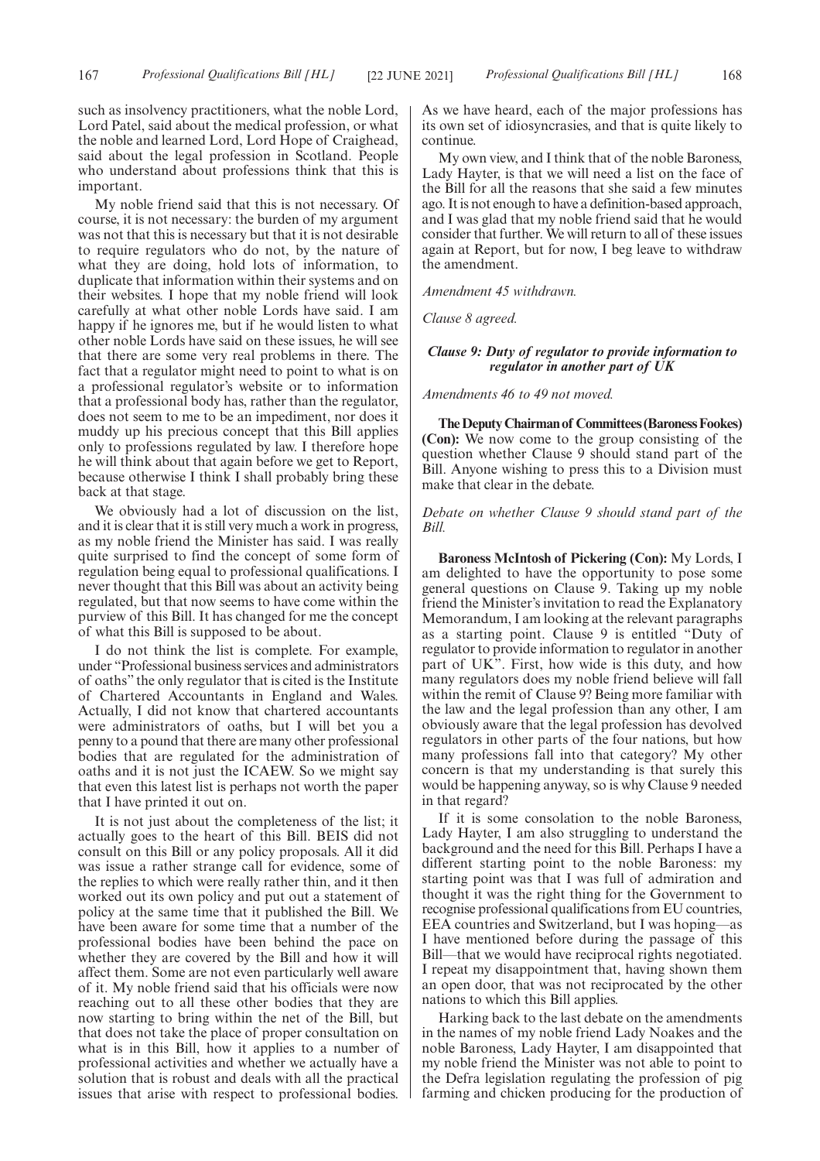such as insolvency practitioners, what the noble Lord, Lord Patel, said about the medical profession, or what the noble and learned Lord, Lord Hope of Craighead, said about the legal profession in Scotland. People who understand about professions think that this is important.

My noble friend said that this is not necessary. Of course, it is not necessary: the burden of my argument was not that this is necessary but that it is not desirable to require regulators who do not, by the nature of what they are doing, hold lots of information, to duplicate that information within their systems and on their websites. I hope that my noble friend will look carefully at what other noble Lords have said. I am happy if he ignores me, but if he would listen to what other noble Lords have said on these issues, he will see that there are some very real problems in there. The fact that a regulator might need to point to what is on a professional regulator's website or to information that a professional body has, rather than the regulator, does not seem to me to be an impediment, nor does it muddy up his precious concept that this Bill applies only to professions regulated by law. I therefore hope he will think about that again before we get to Report, because otherwise I think I shall probably bring these back at that stage.

We obviously had a lot of discussion on the list, and it is clear that it is still very much a work in progress, as my noble friend the Minister has said. I was really quite surprised to find the concept of some form of regulation being equal to professional qualifications. I never thought that this Bill was about an activity being regulated, but that now seems to have come within the purview of this Bill. It has changed for me the concept of what this Bill is supposed to be about.

I do not think the list is complete. For example, under "Professional business services and administrators of oaths" the only regulator that is cited is the Institute of Chartered Accountants in England and Wales. Actually, I did not know that chartered accountants were administrators of oaths, but I will bet you a penny to a pound that there are many other professional bodies that are regulated for the administration of oaths and it is not just the ICAEW. So we might say that even this latest list is perhaps not worth the paper that I have printed it out on.

It is not just about the completeness of the list; it actually goes to the heart of this Bill. BEIS did not consult on this Bill or any policy proposals. All it did was issue a rather strange call for evidence, some of the replies to which were really rather thin, and it then worked out its own policy and put out a statement of policy at the same time that it published the Bill. We have been aware for some time that a number of the professional bodies have been behind the pace on whether they are covered by the Bill and how it will affect them. Some are not even particularly well aware of it. My noble friend said that his officials were now reaching out to all these other bodies that they are now starting to bring within the net of the Bill, but that does not take the place of proper consultation on what is in this Bill, how it applies to a number of professional activities and whether we actually have a solution that is robust and deals with all the practical issues that arise with respect to professional bodies.

As we have heard, each of the major professions has its own set of idiosyncrasies, and that is quite likely to continue.

My own view, and I think that of the noble Baroness, Lady Hayter, is that we will need a list on the face of the Bill for all the reasons that she said a few minutes ago. It is not enough to have a definition-based approach, and I was glad that my noble friend said that he would consider that further. We will return to all of these issues again at Report, but for now, I beg leave to withdraw the amendment.

*Amendment 45 withdrawn.*

*Clause 8 agreed.*

# *Clause 9: Duty of regulator to provide information to regulator in another part of UK*

*Amendments 46 to 49 not moved.*

**TheDeputyChairmanof Committees(BaronessFookes) (Con):** We now come to the group consisting of the question whether Clause 9 should stand part of the Bill. Anyone wishing to press this to a Division must make that clear in the debate.

# *Debate on whether Clause 9 should stand part of the Bill.*

**Baroness McIntosh of Pickering (Con):** My Lords, I am delighted to have the opportunity to pose some general questions on Clause 9. Taking up my noble friend the Minister's invitation to read the Explanatory Memorandum, I am looking at the relevant paragraphs as a starting point. Clause 9 is entitled "Duty of regulator to provide information to regulator in another part of UK". First, how wide is this duty, and how many regulators does my noble friend believe will fall within the remit of Clause 9? Being more familiar with the law and the legal profession than any other, I am obviously aware that the legal profession has devolved regulators in other parts of the four nations, but how many professions fall into that category? My other concern is that my understanding is that surely this would be happening anyway, so is why Clause 9 needed in that regard?

If it is some consolation to the noble Baroness, Lady Hayter, I am also struggling to understand the background and the need for this Bill. Perhaps I have a different starting point to the noble Baroness: my starting point was that I was full of admiration and thought it was the right thing for the Government to recognise professional qualifications from EU countries, EEA countries and Switzerland, but I was hoping—as I have mentioned before during the passage of this Bill—that we would have reciprocal rights negotiated. I repeat my disappointment that, having shown them an open door, that was not reciprocated by the other nations to which this Bill applies.

Harking back to the last debate on the amendments in the names of my noble friend Lady Noakes and the noble Baroness, Lady Hayter, I am disappointed that my noble friend the Minister was not able to point to the Defra legislation regulating the profession of pig farming and chicken producing for the production of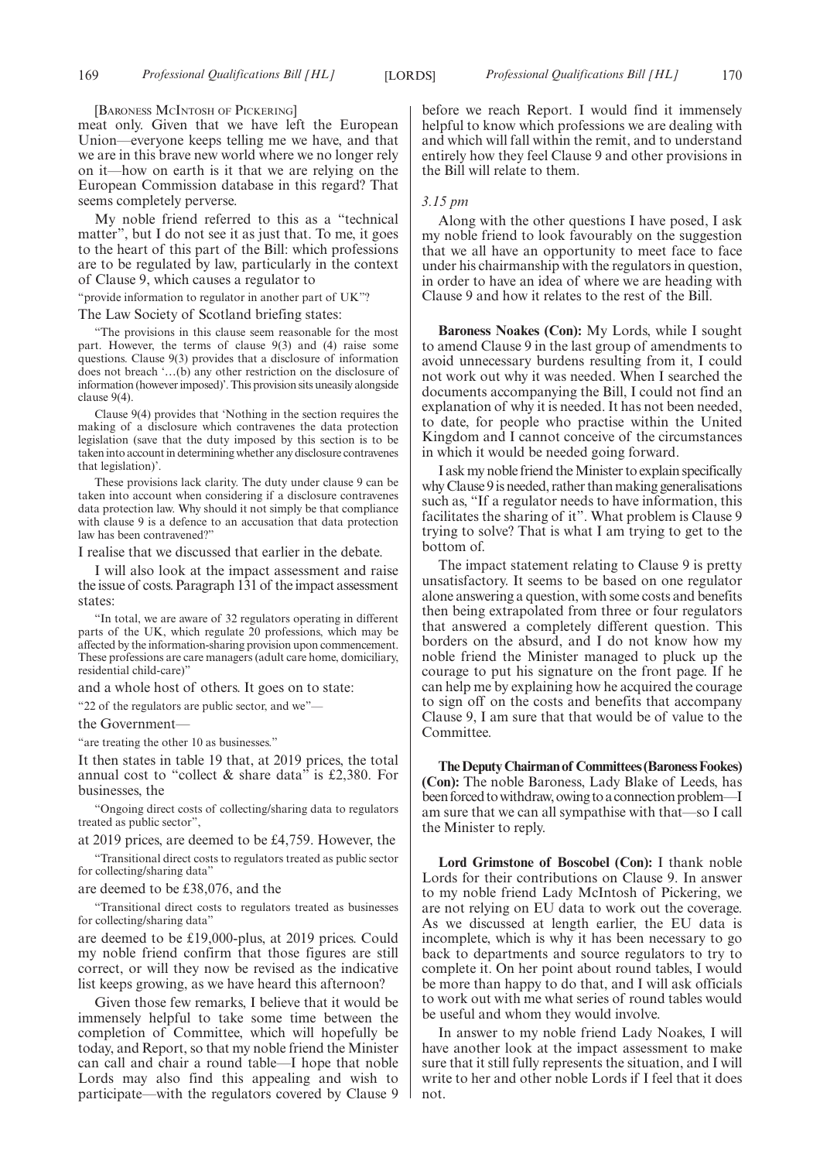169 *Professional Qualifications Bill [HL] Professional Qualifications Bill [HL]* [LORDS] 170

[BARONESS MCINTOSH OF PICKERING]

meat only. Given that we have left the European Union—everyone keeps telling me we have, and that we are in this brave new world where we no longer rely on it—how on earth is it that we are relying on the European Commission database in this regard? That seems completely perverse.

My noble friend referred to this as a "technical matter", but I do not see it as just that. To me, it goes to the heart of this part of the Bill: which professions are to be regulated by law, particularly in the context of Clause 9, which causes a regulator to

"provide information to regulator in another part of UK"?

The Law Society of Scotland briefing states:

"The provisions in this clause seem reasonable for the most part. However, the terms of clause 9(3) and (4) raise some questions. Clause 9(3) provides that a disclosure of information does not breach '…(b) any other restriction on the disclosure of information (however imposed)'. This provision sits uneasily alongside clause 9(4).

Clause 9(4) provides that 'Nothing in the section requires the making of a disclosure which contravenes the data protection legislation (save that the duty imposed by this section is to be taken into account in determining whether any disclosure contravenes that legislation)'.

These provisions lack clarity. The duty under clause 9 can be taken into account when considering if a disclosure contravenes data protection law. Why should it not simply be that compliance with clause 9 is a defence to an accusation that data protection law has been contravened?"

I realise that we discussed that earlier in the debate.

I will also look at the impact assessment and raise the issue of costs. Paragraph 131 of the impact assessment states:

"In total, we are aware of 32 regulators operating in different parts of the UK, which regulate 20 professions, which may be affected by the information-sharing provision upon commencement. These professions are care managers (adult care home, domiciliary, residential child-care)"

and a whole host of others. It goes on to state:

"22 of the regulators are public sector, and we"—

the Government—

"are treating the other 10 as businesses."

It then states in table 19 that, at 2019 prices, the total annual cost to "collect  $\&$  share data" is £2,380. For businesses, the

"Ongoing direct costs of collecting/sharing data to regulators treated as public sector",

at 2019 prices, are deemed to be £4,759. However, the

"Transitional direct costs to regulators treated as public sector for collecting/sharing data"

are deemed to be £38,076, and the

"Transitional direct costs to regulators treated as businesses for collecting/sharing data"

are deemed to be £19,000-plus, at 2019 prices. Could my noble friend confirm that those figures are still correct, or will they now be revised as the indicative list keeps growing, as we have heard this afternoon?

Given those few remarks, I believe that it would be immensely helpful to take some time between the completion of Committee, which will hopefully be today, and Report, so that my noble friend the Minister can call and chair a round table—I hope that noble Lords may also find this appealing and wish to participate—with the regulators covered by Clause 9 before we reach Report. I would find it immensely helpful to know which professions we are dealing with and which will fall within the remit, and to understand entirely how they feel Clause 9 and other provisions in the Bill will relate to them.

### *3.15 pm*

Along with the other questions I have posed, I ask my noble friend to look favourably on the suggestion that we all have an opportunity to meet face to face under his chairmanship with the regulators in question, in order to have an idea of where we are heading with Clause 9 and how it relates to the rest of the Bill.

**Baroness Noakes (Con):** My Lords, while I sought to amend Clause 9 in the last group of amendments to avoid unnecessary burdens resulting from it, I could not work out why it was needed. When I searched the documents accompanying the Bill, I could not find an explanation of why it is needed. It has not been needed, to date, for people who practise within the United Kingdom and I cannot conceive of the circumstances in which it would be needed going forward.

I ask my noble friend the Minister to explain specifically why Clause 9 is needed, rather than making generalisations such as, "If a regulator needs to have information, this facilitates the sharing of it". What problem is Clause 9 trying to solve? That is what I am trying to get to the bottom of.

The impact statement relating to Clause 9 is pretty unsatisfactory. It seems to be based on one regulator alone answering a question, with some costs and benefits then being extrapolated from three or four regulators that answered a completely different question. This borders on the absurd, and I do not know how my noble friend the Minister managed to pluck up the courage to put his signature on the front page. If he can help me by explaining how he acquired the courage to sign off on the costs and benefits that accompany Clause 9, I am sure that that would be of value to the Committee.

**TheDeputyChairmanof Committees(BaronessFookes) (Con):** The noble Baroness, Lady Blake of Leeds, has been forced to withdraw, owing to a connection problem—I am sure that we can all sympathise with that—so I call the Minister to reply.

**Lord Grimstone of Boscobel (Con):** I thank noble Lords for their contributions on Clause 9. In answer to my noble friend Lady McIntosh of Pickering, we are not relying on EU data to work out the coverage. As we discussed at length earlier, the EU data is incomplete, which is why it has been necessary to go back to departments and source regulators to try to complete it. On her point about round tables, I would be more than happy to do that, and I will ask officials to work out with me what series of round tables would be useful and whom they would involve.

In answer to my noble friend Lady Noakes, I will have another look at the impact assessment to make sure that it still fully represents the situation, and I will write to her and other noble Lords if I feel that it does not.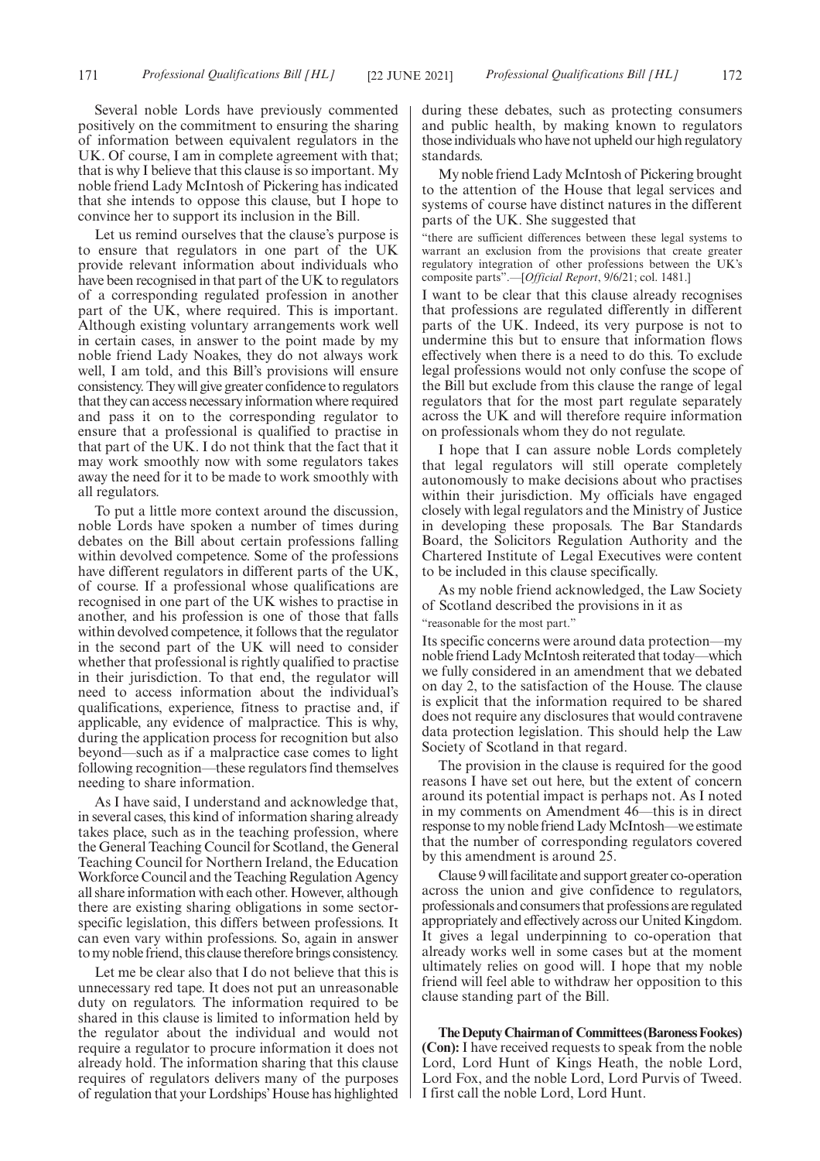Several noble Lords have previously commented positively on the commitment to ensuring the sharing of information between equivalent regulators in the UK. Of course, I am in complete agreement with that; that is why I believe that this clause is so important. My noble friend Lady McIntosh of Pickering has indicated that she intends to oppose this clause, but I hope to convince her to support its inclusion in the Bill.

Let us remind ourselves that the clause's purpose is to ensure that regulators in one part of the UK provide relevant information about individuals who have been recognised in that part of the UK to regulators of a corresponding regulated profession in another part of the UK, where required. This is important. Although existing voluntary arrangements work well in certain cases, in answer to the point made by my noble friend Lady Noakes, they do not always work well, I am told, and this Bill's provisions will ensure consistency. They will give greater confidence to regulators that they can access necessary information where required and pass it on to the corresponding regulator to ensure that a professional is qualified to practise in that part of the UK. I do not think that the fact that it may work smoothly now with some regulators takes away the need for it to be made to work smoothly with all regulators.

To put a little more context around the discussion, noble Lords have spoken a number of times during debates on the Bill about certain professions falling within devolved competence. Some of the professions have different regulators in different parts of the UK, of course. If a professional whose qualifications are recognised in one part of the UK wishes to practise in another, and his profession is one of those that falls within devolved competence, it follows that the regulator in the second part of the UK will need to consider whether that professional is rightly qualified to practise in their jurisdiction. To that end, the regulator will need to access information about the individual's qualifications, experience, fitness to practise and, if applicable, any evidence of malpractice. This is why, during the application process for recognition but also beyond—such as if a malpractice case comes to light following recognition—these regulators find themselves needing to share information.

As I have said, I understand and acknowledge that, in several cases, this kind of information sharing already takes place, such as in the teaching profession, where the General Teaching Council for Scotland, the General Teaching Council for Northern Ireland, the Education Workforce Council and the Teaching Regulation Agency all share information with each other. However, although there are existing sharing obligations in some sectorspecific legislation, this differs between professions. It can even vary within professions. So, again in answer to my noble friend, this clause therefore brings consistency.

Let me be clear also that I do not believe that this is unnecessary red tape. It does not put an unreasonable duty on regulators. The information required to be shared in this clause is limited to information held by the regulator about the individual and would not require a regulator to procure information it does not already hold. The information sharing that this clause requires of regulators delivers many of the purposes of regulation that your Lordships'House has highlighted

during these debates, such as protecting consumers and public health, by making known to regulators those individuals who have not upheld our high regulatory standards.

My noble friend Lady McIntosh of Pickering brought to the attention of the House that legal services and systems of course have distinct natures in the different parts of the UK. She suggested that

"there are sufficient differences between these legal systems to warrant an exclusion from the provisions that create greater regulatory integration of other professions between the UK's composite parts".—[*Official Report*, 9/6/21; col. 1481.]

I want to be clear that this clause already recognises that professions are regulated differently in different parts of the UK. Indeed, its very purpose is not to undermine this but to ensure that information flows effectively when there is a need to do this. To exclude legal professions would not only confuse the scope of the Bill but exclude from this clause the range of legal regulators that for the most part regulate separately across the UK and will therefore require information on professionals whom they do not regulate.

I hope that I can assure noble Lords completely that legal regulators will still operate completely autonomously to make decisions about who practises within their jurisdiction. My officials have engaged closely with legal regulators and the Ministry of Justice in developing these proposals. The Bar Standards Board, the Solicitors Regulation Authority and the Chartered Institute of Legal Executives were content to be included in this clause specifically.

As my noble friend acknowledged, the Law Society of Scotland described the provisions in it as

"reasonable for the most part."

Its specific concerns were around data protection—my noble friend Lady McIntosh reiterated that today—which we fully considered in an amendment that we debated on day 2, to the satisfaction of the House. The clause is explicit that the information required to be shared does not require any disclosures that would contravene data protection legislation. This should help the Law Society of Scotland in that regard.

The provision in the clause is required for the good reasons I have set out here, but the extent of concern around its potential impact is perhaps not. As I noted in my comments on Amendment 46—this is in direct response to my noble friend Lady McIntosh—we estimate that the number of corresponding regulators covered by this amendment is around 25.

Clause 9 will facilitate and support greater co-operation across the union and give confidence to regulators, professionals and consumers that professions are regulated appropriately and effectively across our United Kingdom. It gives a legal underpinning to co-operation that already works well in some cases but at the moment ultimately relies on good will. I hope that my noble friend will feel able to withdraw her opposition to this clause standing part of the Bill.

**TheDeputyChairmanof Committees(BaronessFookes) (Con):** I have received requests to speak from the noble Lord, Lord Hunt of Kings Heath, the noble Lord, Lord Fox, and the noble Lord, Lord Purvis of Tweed. I first call the noble Lord, Lord Hunt.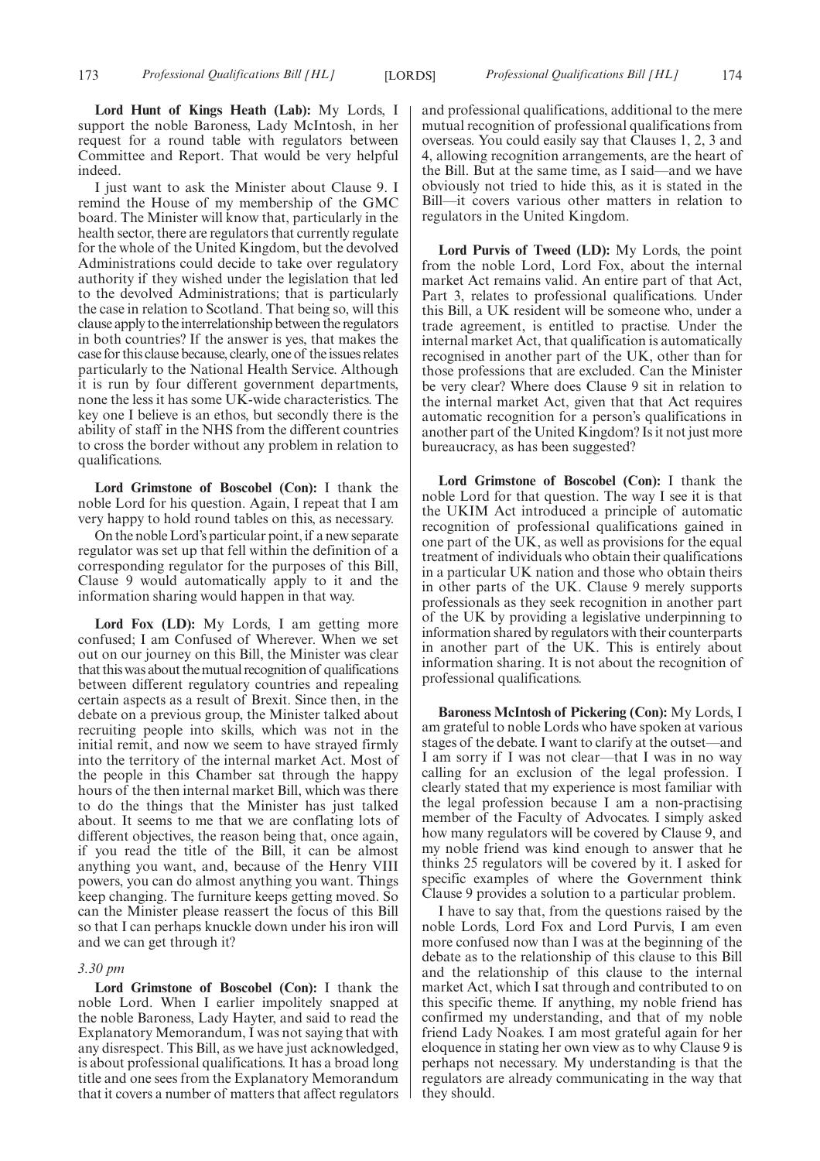**Lord Hunt of Kings Heath (Lab):** My Lords, I support the noble Baroness, Lady McIntosh, in her request for a round table with regulators between Committee and Report. That would be very helpful indeed.

I just want to ask the Minister about Clause 9. I remind the House of my membership of the GMC board. The Minister will know that, particularly in the health sector, there are regulators that currently regulate for the whole of the United Kingdom, but the devolved Administrations could decide to take over regulatory authority if they wished under the legislation that led to the devolved Administrations; that is particularly the case in relation to Scotland. That being so, will this clause apply to the interrelationship between the regulators in both countries? If the answer is yes, that makes the case for this clause because, clearly, one of the issues relates particularly to the National Health Service. Although it is run by four different government departments, none the less it has some UK-wide characteristics. The key one I believe is an ethos, but secondly there is the ability of staff in the NHS from the different countries to cross the border without any problem in relation to qualifications.

**Lord Grimstone of Boscobel (Con):** I thank the noble Lord for his question. Again, I repeat that I am very happy to hold round tables on this, as necessary.

On the noble Lord's particular point, if a new separate regulator was set up that fell within the definition of a corresponding regulator for the purposes of this Bill, Clause 9 would automatically apply to it and the information sharing would happen in that way.

Lord Fox (LD): My Lords, I am getting more confused; I am Confused of Wherever. When we set out on our journey on this Bill, the Minister was clear that this was about the mutual recognition of qualifications between different regulatory countries and repealing certain aspects as a result of Brexit. Since then, in the debate on a previous group, the Minister talked about recruiting people into skills, which was not in the initial remit, and now we seem to have strayed firmly into the territory of the internal market Act. Most of the people in this Chamber sat through the happy hours of the then internal market Bill, which was there to do the things that the Minister has just talked about. It seems to me that we are conflating lots of different objectives, the reason being that, once again, if you read the title of the Bill, it can be almost anything you want, and, because of the Henry VIII powers, you can do almost anything you want. Things keep changing. The furniture keeps getting moved. So can the Minister please reassert the focus of this Bill so that I can perhaps knuckle down under his iron will and we can get through it?

#### *3.30 pm*

**Lord Grimstone of Boscobel (Con):** I thank the noble Lord. When I earlier impolitely snapped at the noble Baroness, Lady Hayter, and said to read the Explanatory Memorandum, I was not saying that with any disrespect. This Bill, as we have just acknowledged, is about professional qualifications. It has a broad long title and one sees from the Explanatory Memorandum that it covers a number of matters that affect regulators and professional qualifications, additional to the mere mutual recognition of professional qualifications from overseas. You could easily say that Clauses 1, 2, 3 and 4, allowing recognition arrangements, are the heart of the Bill. But at the same time, as I said—and we have obviously not tried to hide this, as it is stated in the Bill—it covers various other matters in relation to regulators in the United Kingdom.

**Lord Purvis of Tweed (LD):** My Lords, the point from the noble Lord, Lord Fox, about the internal market Act remains valid. An entire part of that Act, Part 3, relates to professional qualifications. Under this Bill, a UK resident will be someone who, under a trade agreement, is entitled to practise. Under the internal market Act, that qualification is automatically recognised in another part of the UK, other than for those professions that are excluded. Can the Minister be very clear? Where does Clause 9 sit in relation to the internal market Act, given that that Act requires automatic recognition for a person's qualifications in another part of the United Kingdom? Is it not just more bureaucracy, as has been suggested?

**Lord Grimstone of Boscobel (Con):** I thank the noble Lord for that question. The way I see it is that the UKIM Act introduced a principle of automatic recognition of professional qualifications gained in one part of the UK, as well as provisions for the equal treatment of individuals who obtain their qualifications in a particular UK nation and those who obtain theirs in other parts of the UK. Clause 9 merely supports professionals as they seek recognition in another part of the UK by providing a legislative underpinning to information shared by regulators with their counterparts in another part of the UK. This is entirely about information sharing. It is not about the recognition of professional qualifications.

**Baroness McIntosh of Pickering (Con):** My Lords, I am grateful to noble Lords who have spoken at various stages of the debate. I want to clarify at the outset—and I am sorry if I was not clear—that I was in no way calling for an exclusion of the legal profession. I clearly stated that my experience is most familiar with the legal profession because I am a non-practising member of the Faculty of Advocates. I simply asked how many regulators will be covered by Clause 9, and my noble friend was kind enough to answer that he thinks 25 regulators will be covered by it. I asked for specific examples of where the Government think Clause 9 provides a solution to a particular problem.

I have to say that, from the questions raised by the noble Lords, Lord Fox and Lord Purvis, I am even more confused now than I was at the beginning of the debate as to the relationship of this clause to this Bill and the relationship of this clause to the internal market Act, which I sat through and contributed to on this specific theme. If anything, my noble friend has confirmed my understanding, and that of my noble friend Lady Noakes. I am most grateful again for her eloquence in stating her own view as to why Clause 9 is perhaps not necessary. My understanding is that the regulators are already communicating in the way that they should.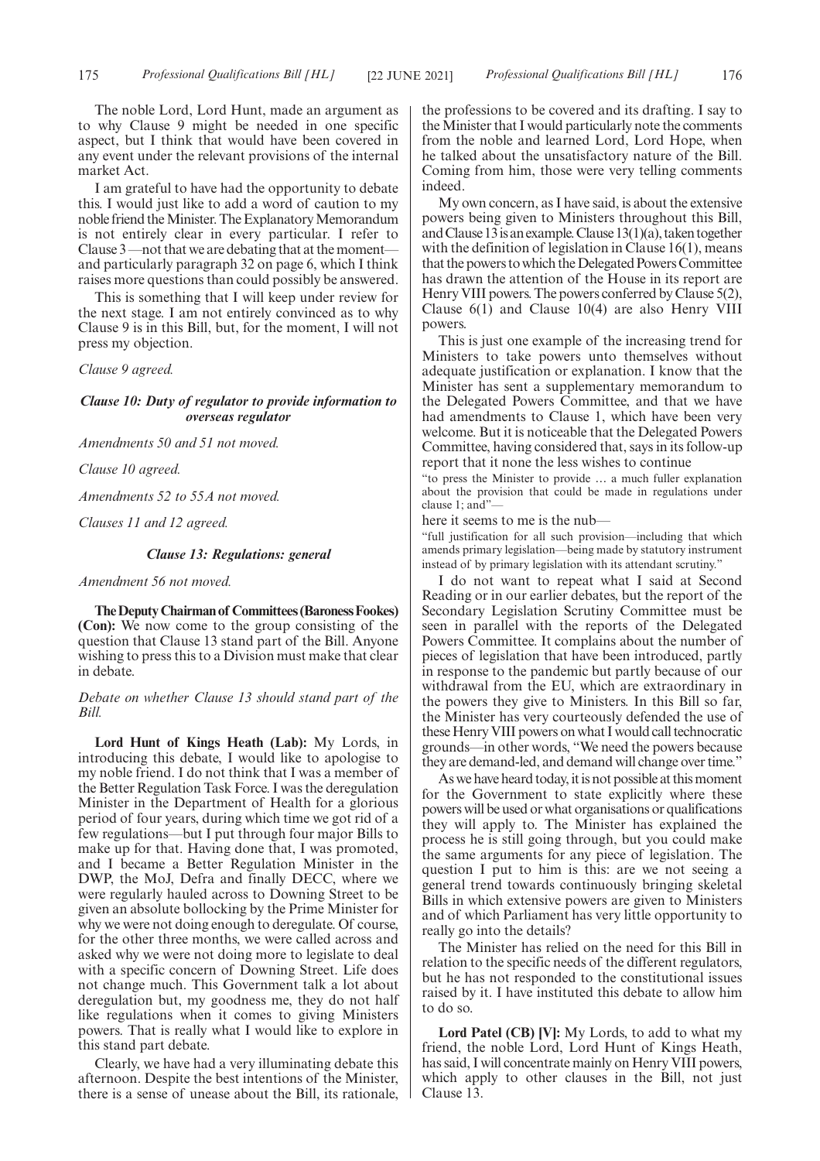The noble Lord, Lord Hunt, made an argument as to why Clause 9 might be needed in one specific aspect, but I think that would have been covered in any event under the relevant provisions of the internal market Act.

I am grateful to have had the opportunity to debate this. I would just like to add a word of caution to my noble friend the Minister. The Explanatory Memorandum is not entirely clear in every particular. I refer to Clause 3 —not that we are debating that at the moment and particularly paragraph 32 on page 6, which I think raises more questions than could possibly be answered.

This is something that I will keep under review for the next stage. I am not entirely convinced as to why Clause 9 is in this Bill, but, for the moment, I will not press my objection.

*Clause 9 agreed.*

# *Clause 10: Duty of regulator to provide information to overseas regulator*

*Amendments 50 and 51 not moved.*

*Clause 10 agreed.*

*Amendments 52 to 55A not moved.*

*Clauses 11 and 12 agreed.*

# *Clause 13: Regulations: general*

### *Amendment 56 not moved.*

**TheDeputyChairmanof Committees(BaronessFookes) (Con):** We now come to the group consisting of the question that Clause 13 stand part of the Bill. Anyone wishing to press this to a Division must make that clear in debate.

# *Debate on whether Clause 13 should stand part of the Bill.*

**Lord Hunt of Kings Heath (Lab):** My Lords, in introducing this debate, I would like to apologise to my noble friend. I do not think that I was a member of the Better Regulation Task Force. I was the deregulation Minister in the Department of Health for a glorious period of four years, during which time we got rid of a few regulations—but I put through four major Bills to make up for that. Having done that, I was promoted, and I became a Better Regulation Minister in the DWP, the MoJ, Defra and finally DECC, where we were regularly hauled across to Downing Street to be given an absolute bollocking by the Prime Minister for why we were not doing enough to deregulate. Of course, for the other three months, we were called across and asked why we were not doing more to legislate to deal with a specific concern of Downing Street. Life does not change much. This Government talk a lot about deregulation but, my goodness me, they do not half like regulations when it comes to giving Ministers powers. That is really what I would like to explore in this stand part debate.

Clearly, we have had a very illuminating debate this afternoon. Despite the best intentions of the Minister, there is a sense of unease about the Bill, its rationale, the professions to be covered and its drafting. I say to the Minister that I would particularly note the comments from the noble and learned Lord, Lord Hope, when he talked about the unsatisfactory nature of the Bill. Coming from him, those were very telling comments indeed.

My own concern, as I have said, is about the extensive powers being given to Ministers throughout this Bill, and Clause 13 is an example. Clause  $13(1)(a)$ , taken together with the definition of legislation in Clause 16(1), means that the powers to which the Delegated Powers Committee has drawn the attention of the House in its report are Henry VIII powers. The powers conferred by Clause 5(2), Clause 6(1) and Clause 10(4) are also Henry VIII powers.

This is just one example of the increasing trend for Ministers to take powers unto themselves without adequate justification or explanation. I know that the Minister has sent a supplementary memorandum to the Delegated Powers Committee, and that we have had amendments to Clause 1, which have been very welcome. But it is noticeable that the Delegated Powers Committee, having considered that, says in its follow-up report that it none the less wishes to continue

"to press the Minister to provide … a much fuller explanation about the provision that could be made in regulations under clause 1; and"—

here it seems to me is the nub—

"full justification for all such provision—including that which amends primary legislation—being made by statutory instrument instead of by primary legislation with its attendant scrutiny."

I do not want to repeat what I said at Second Reading or in our earlier debates, but the report of the Secondary Legislation Scrutiny Committee must be seen in parallel with the reports of the Delegated Powers Committee. It complains about the number of pieces of legislation that have been introduced, partly in response to the pandemic but partly because of our withdrawal from the EU, which are extraordinary in the powers they give to Ministers. In this Bill so far, the Minister has very courteously defended the use of these Henry VIII powers on what I would call technocratic grounds—in other words, "We need the powers because they are demand-led, and demand will change over time."

As we have heard today, it is not possible at this moment for the Government to state explicitly where these powers will be used or what organisations or qualifications they will apply to. The Minister has explained the process he is still going through, but you could make the same arguments for any piece of legislation. The question I put to him is this: are we not seeing a general trend towards continuously bringing skeletal Bills in which extensive powers are given to Ministers and of which Parliament has very little opportunity to really go into the details?

The Minister has relied on the need for this Bill in relation to the specific needs of the different regulators, but he has not responded to the constitutional issues raised by it. I have instituted this debate to allow him to do so.

**Lord Patel (CB) [V]:** My Lords, to add to what my friend, the noble Lord, Lord Hunt of Kings Heath, has said, I will concentrate mainly on Henry VIII powers, which apply to other clauses in the Bill, not just Clause 13.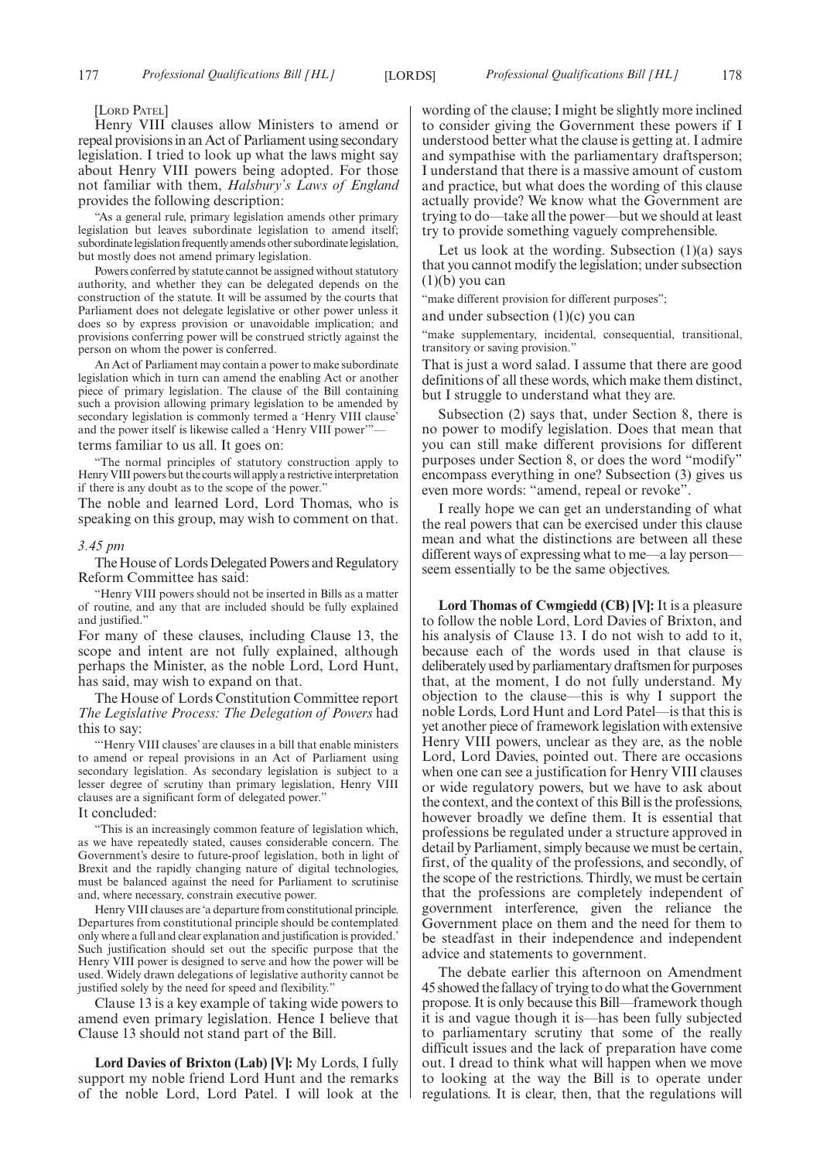[LORD PATEL]

Henry VIII clauses allow Ministers to amend or repeal provisions in an Act of Parliament using secondary legislation. I tried to look up what the laws might say about Henry VIII powers being adopted. For those not familiar with them, *Halsbury's Laws of England* provides the following description:

"As a general rule, primary legislation amends other primary legislation but leaves subordinate legislation to amend itself; subordinate legislation frequently amends other subordinate legislation, but mostly does not amend primary legislation.

Powers conferred by statute cannot be assigned without statutory authority, and whether they can be delegated depends on the construction of the statute. It will be assumed by the courts that Parliament does not delegate legislative or other power unless it does so by express provision or unavoidable implication; and provisions conferring power will be construed strictly against the person on whom the power is conferred.

An Act of Parliament may contain a power to make subordinate legislation which in turn can amend the enabling Act or another piece of primary legislation. The clause of the Bill containing such a provision allowing primary legislation to be amended by secondary legislation is commonly termed a 'Henry VIII clause' and the power itself is likewise called a 'Henry VIII power" terms familiar to us all. It goes on:

"The normal principles of statutory construction apply to Henry VIII powers but the courts will apply a restrictive interpretation if there is any doubt as to the scope of the power."

The noble and learned Lord, Lord Thomas, who is speaking on this group, may wish to comment on that.

#### *3.45 pm*

The House of Lords Delegated Powers and Regulatory Reform Committee has said:

"Henry VIII powers should not be inserted in Bills as a matter of routine, and any that are included should be fully explained and justified."

For many of these clauses, including Clause 13, the scope and intent are not fully explained, although perhaps the Minister, as the noble Lord, Lord Hunt, has said, may wish to expand on that.

The House of Lords Constitution Committee report *The Legislative Process: The Delegation of Powers* had this to say:

"'Henry VIII clauses' are clauses in a bill that enable ministers to amend or repeal provisions in an Act of Parliament using secondary legislation. As secondary legislation is subject to a lesser degree of scrutiny than primary legislation, Henry VIII clauses are a significant form of delegated power."

#### It concluded:

"This is an increasingly common feature of legislation which, as we have repeatedly stated, causes considerable concern. The Government's desire to future-proof legislation, both in light of Brexit and the rapidly changing nature of digital technologies, must be balanced against the need for Parliament to scrutinise and, where necessary, constrain executive power.

Henry VIII clauses are 'a departure from constitutional principle. Departures from constitutional principle should be contemplated only where a full and clear explanation and justification is provided.' Such justification should set out the specific purpose that the Henry VIII power is designed to serve and how the power will be used. Widely drawn delegations of legislative authority cannot be justified solely by the need for speed and flexibility."

Clause 13 is a key example of taking wide powers to amend even primary legislation. Hence I believe that Clause 13 should not stand part of the Bill.

**Lord Davies of Brixton (Lab) [V]:** My Lords, I fully support my noble friend Lord Hunt and the remarks of the noble Lord, Lord Patel. I will look at the wording of the clause; I might be slightly more inclined to consider giving the Government these powers if I understood better what the clause is getting at. I admire and sympathise with the parliamentary draftsperson; I understand that there is a massive amount of custom and practice, but what does the wording of this clause actually provide? We know what the Government are trying to do—take all the power—but we should at least try to provide something vaguely comprehensible.

Let us look at the wording. Subsection  $(1)(a)$  says that you cannot modify the legislation; under subsection  $(1)(b)$  you can

"make different provision for different purposes";

and under subsection  $(1)(c)$  you can

"make supplementary, incidental, consequential, transitional, transitory or saving provision."

That is just a word salad. I assume that there are good definitions of all these words, which make them distinct, but I struggle to understand what they are.

Subsection (2) says that, under Section 8, there is no power to modify legislation. Does that mean that you can still make different provisions for different purposes under Section 8, or does the word "modify" encompass everything in one? Subsection (3) gives us even more words: "amend, repeal or revoke".

I really hope we can get an understanding of what the real powers that can be exercised under this clause mean and what the distinctions are between all these different ways of expressing what to me—a lay person seem essentially to be the same objectives.

**Lord Thomas of Cwmgiedd (CB) [V]:** It is a pleasure to follow the noble Lord, Lord Davies of Brixton, and his analysis of Clause 13. I do not wish to add to it, because each of the words used in that clause is deliberately used by parliamentary draftsmen for purposes that, at the moment, I do not fully understand. My objection to the clause—this is why I support the noble Lords, Lord Hunt and Lord Patel—is that this is yet another piece of framework legislation with extensive Henry VIII powers, unclear as they are, as the noble Lord, Lord Davies, pointed out. There are occasions when one can see a justification for Henry VIII clauses or wide regulatory powers, but we have to ask about the context, and the context of this Bill is the professions, however broadly we define them. It is essential that professions be regulated under a structure approved in detail by Parliament, simply because we must be certain, first, of the quality of the professions, and secondly, of the scope of the restrictions. Thirdly, we must be certain that the professions are completely independent of government interference, given the reliance the Government place on them and the need for them to be steadfast in their independence and independent advice and statements to government.

The debate earlier this afternoon on Amendment 45 showed the fallacy of trying to do what the Government propose. It is only because this Bill—framework though it is and vague though it is—has been fully subjected to parliamentary scrutiny that some of the really difficult issues and the lack of preparation have come out. I dread to think what will happen when we move to looking at the way the Bill is to operate under regulations. It is clear, then, that the regulations will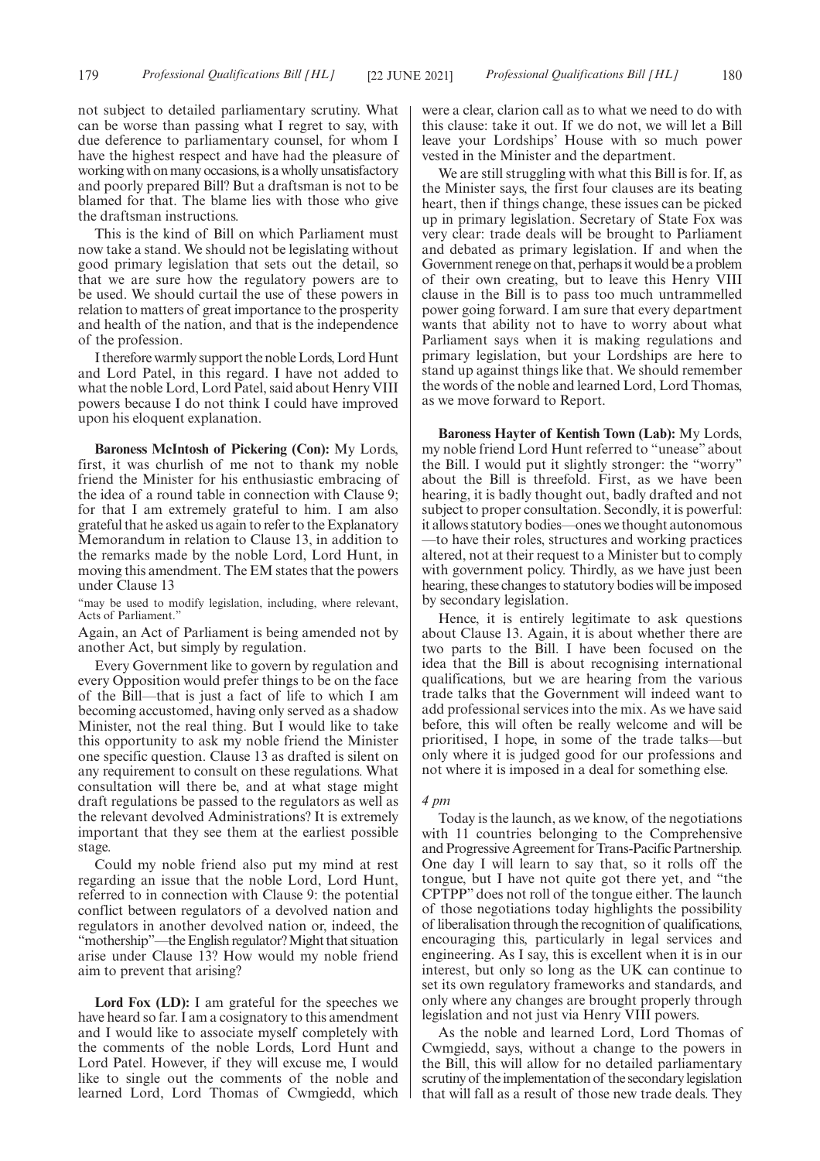not subject to detailed parliamentary scrutiny. What can be worse than passing what I regret to say, with due deference to parliamentary counsel, for whom I have the highest respect and have had the pleasure of working with on many occasions, is a wholly unsatisfactory and poorly prepared Bill? But a draftsman is not to be blamed for that. The blame lies with those who give the draftsman instructions.

This is the kind of Bill on which Parliament must now take a stand. We should not be legislating without good primary legislation that sets out the detail, so that we are sure how the regulatory powers are to be used. We should curtail the use of these powers in relation to matters of great importance to the prosperity and health of the nation, and that is the independence of the profession.

I therefore warmly support the noble Lords, Lord Hunt and Lord Patel, in this regard. I have not added to what the noble Lord, Lord Patel, said about Henry VIII powers because I do not think I could have improved upon his eloquent explanation.

**Baroness McIntosh of Pickering (Con):** My Lords, first, it was churlish of me not to thank my noble friend the Minister for his enthusiastic embracing of the idea of a round table in connection with Clause 9; for that I am extremely grateful to him. I am also grateful that he asked us again to refer to the Explanatory Memorandum in relation to Clause 13, in addition to the remarks made by the noble Lord, Lord Hunt, in moving this amendment. The EM states that the powers under Clause 13

"may be used to modify legislation, including, where relevant, Acts of Parliament."

Again, an Act of Parliament is being amended not by another Act, but simply by regulation.

Every Government like to govern by regulation and every Opposition would prefer things to be on the face of the Bill—that is just a fact of life to which I am becoming accustomed, having only served as a shadow Minister, not the real thing. But I would like to take this opportunity to ask my noble friend the Minister one specific question. Clause 13 as drafted is silent on any requirement to consult on these regulations. What consultation will there be, and at what stage might draft regulations be passed to the regulators as well as the relevant devolved Administrations? It is extremely important that they see them at the earliest possible stage.

Could my noble friend also put my mind at rest regarding an issue that the noble Lord, Lord Hunt, referred to in connection with Clause 9: the potential conflict between regulators of a devolved nation and regulators in another devolved nation or, indeed, the "mothership"—the English regulator? Might that situation arise under Clause 13? How would my noble friend aim to prevent that arising?

Lord Fox (LD): I am grateful for the speeches we have heard so far. I am a cosignatory to this amendment and I would like to associate myself completely with the comments of the noble Lords, Lord Hunt and Lord Patel. However, if they will excuse me, I would like to single out the comments of the noble and learned Lord, Lord Thomas of Cwmgiedd, which were a clear, clarion call as to what we need to do with this clause: take it out. If we do not, we will let a Bill leave your Lordships' House with so much power vested in the Minister and the department.

We are still struggling with what this Bill is for. If, as the Minister says, the first four clauses are its beating heart, then if things change, these issues can be picked up in primary legislation. Secretary of State Fox was very clear: trade deals will be brought to Parliament and debated as primary legislation. If and when the Government renege on that, perhaps it would be a problem of their own creating, but to leave this Henry VIII clause in the Bill is to pass too much untrammelled power going forward. I am sure that every department wants that ability not to have to worry about what Parliament says when it is making regulations and primary legislation, but your Lordships are here to stand up against things like that. We should remember the words of the noble and learned Lord, Lord Thomas, as we move forward to Report.

**Baroness Hayter of Kentish Town (Lab):** My Lords, my noble friend Lord Hunt referred to "unease" about the Bill. I would put it slightly stronger: the "worry" about the Bill is threefold. First, as we have been hearing, it is badly thought out, badly drafted and not subject to proper consultation. Secondly, it is powerful: it allows statutory bodies—ones we thought autonomous —to have their roles, structures and working practices altered, not at their request to a Minister but to comply with government policy. Thirdly, as we have just been hearing, these changes to statutory bodies will be imposed by secondary legislation.

Hence, it is entirely legitimate to ask questions about Clause 13. Again, it is about whether there are two parts to the Bill. I have been focused on the idea that the Bill is about recognising international qualifications, but we are hearing from the various trade talks that the Government will indeed want to add professional services into the mix. As we have said before, this will often be really welcome and will be prioritised, I hope, in some of the trade talks—but only where it is judged good for our professions and not where it is imposed in a deal for something else.

#### *4 pm*

Today is the launch, as we know, of the negotiations with 11 countries belonging to the Comprehensive and Progressive Agreement for Trans-Pacific Partnership. One day I will learn to say that, so it rolls off the tongue, but I have not quite got there yet, and "the CPTPP" does not roll of the tongue either. The launch of those negotiations today highlights the possibility of liberalisation through the recognition of qualifications, encouraging this, particularly in legal services and engineering. As I say, this is excellent when it is in our interest, but only so long as the UK can continue to set its own regulatory frameworks and standards, and only where any changes are brought properly through legislation and not just via Henry VIII powers.

As the noble and learned Lord, Lord Thomas of Cwmgiedd, says, without a change to the powers in the Bill, this will allow for no detailed parliamentary scrutiny of the implementation of the secondary legislation that will fall as a result of those new trade deals. They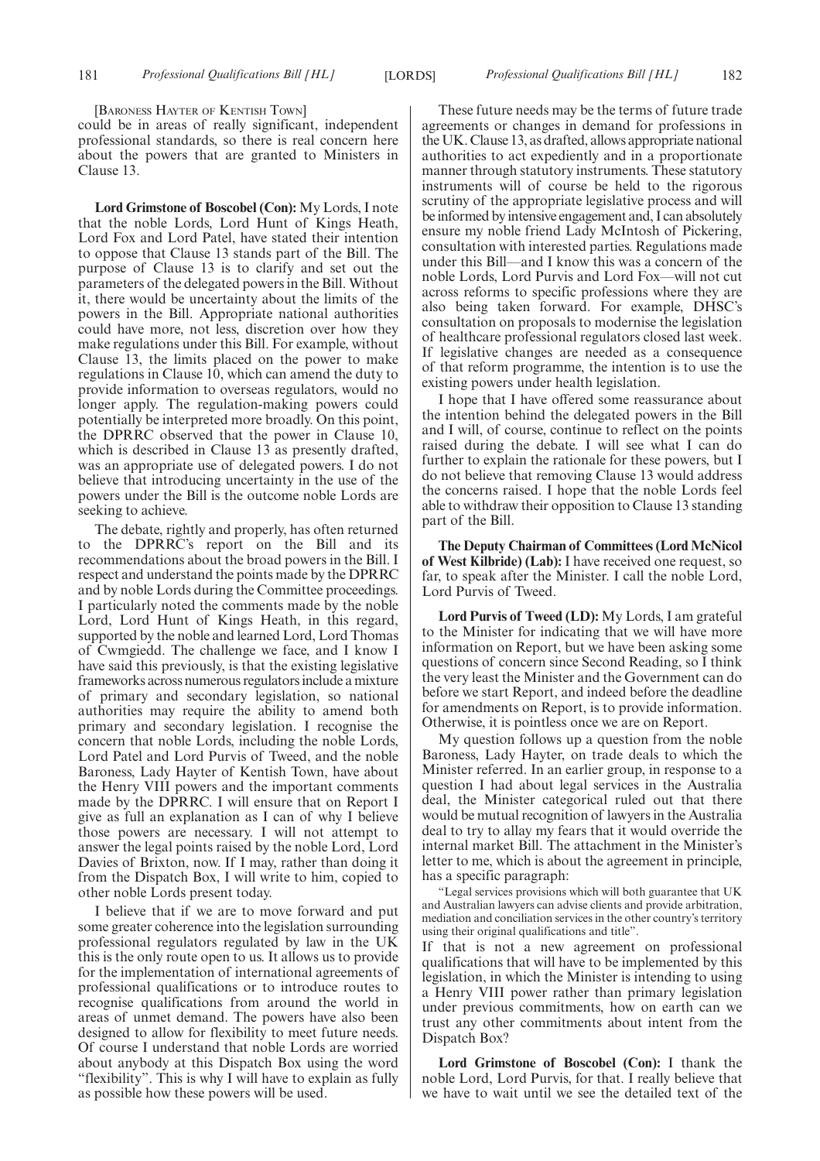[BARONESS HAYTER OF KENTISH TOWN]

could be in areas of really significant, independent professional standards, so there is real concern here about the powers that are granted to Ministers in Clause 13.

**Lord Grimstone of Boscobel (Con):** My Lords, I note that the noble Lords, Lord Hunt of Kings Heath, Lord Fox and Lord Patel, have stated their intention to oppose that Clause 13 stands part of the Bill. The purpose of Clause 13 is to clarify and set out the parameters of the delegated powers in the Bill. Without it, there would be uncertainty about the limits of the powers in the Bill. Appropriate national authorities could have more, not less, discretion over how they make regulations under this Bill. For example, without Clause 13, the limits placed on the power to make regulations in Clause 10, which can amend the duty to provide information to overseas regulators, would no longer apply. The regulation-making powers could potentially be interpreted more broadly. On this point, the DPRRC observed that the power in Clause 10, which is described in Clause 13 as presently drafted, was an appropriate use of delegated powers. I do not believe that introducing uncertainty in the use of the powers under the Bill is the outcome noble Lords are seeking to achieve.

The debate, rightly and properly, has often returned to the DPRRC's report on the Bill and its recommendations about the broad powers in the Bill. I respect and understand the points made by the DPRRC and by noble Lords during the Committee proceedings. I particularly noted the comments made by the noble Lord, Lord Hunt of Kings Heath, in this regard, supported by the noble and learned Lord, Lord Thomas of Cwmgiedd. The challenge we face, and I know I have said this previously, is that the existing legislative frameworks across numerous regulators include a mixture of primary and secondary legislation, so national authorities may require the ability to amend both primary and secondary legislation. I recognise the concern that noble Lords, including the noble Lords, Lord Patel and Lord Purvis of Tweed, and the noble Baroness, Lady Hayter of Kentish Town, have about the Henry VIII powers and the important comments made by the DPRRC. I will ensure that on Report I give as full an explanation as I can of why I believe those powers are necessary. I will not attempt to answer the legal points raised by the noble Lord, Lord Davies of Brixton, now. If I may, rather than doing it from the Dispatch Box, I will write to him, copied to other noble Lords present today.

I believe that if we are to move forward and put some greater coherence into the legislation surrounding professional regulators regulated by law in the UK this is the only route open to us. It allows us to provide for the implementation of international agreements of professional qualifications or to introduce routes to recognise qualifications from around the world in areas of unmet demand. The powers have also been designed to allow for flexibility to meet future needs. Of course I understand that noble Lords are worried about anybody at this Dispatch Box using the word "flexibility". This is why I will have to explain as fully as possible how these powers will be used.

These future needs may be the terms of future trade agreements or changes in demand for professions in the UK. Clause 13, as drafted, allows appropriate national authorities to act expediently and in a proportionate manner through statutory instruments. These statutory instruments will of course be held to the rigorous scrutiny of the appropriate legislative process and will be informed by intensive engagement and, I can absolutely ensure my noble friend Lady McIntosh of Pickering, consultation with interested parties. Regulations made under this Bill—and I know this was a concern of the noble Lords, Lord Purvis and Lord Fox—will not cut across reforms to specific professions where they are also being taken forward. For example, DHSC's consultation on proposals to modernise the legislation of healthcare professional regulators closed last week. If legislative changes are needed as a consequence of that reform programme, the intention is to use the existing powers under health legislation.

I hope that I have offered some reassurance about the intention behind the delegated powers in the Bill and I will, of course, continue to reflect on the points raised during the debate. I will see what I can do further to explain the rationale for these powers, but I do not believe that removing Clause 13 would address the concerns raised. I hope that the noble Lords feel able to withdraw their opposition to Clause 13 standing part of the Bill.

**The Deputy Chairman of Committees (Lord McNicol of West Kilbride) (Lab):** I have received one request, so far, to speak after the Minister. I call the noble Lord, Lord Purvis of Tweed.

**Lord Purvis of Tweed (LD):** My Lords, I am grateful to the Minister for indicating that we will have more information on Report, but we have been asking some questions of concern since Second Reading, so I think the very least the Minister and the Government can do before we start Report, and indeed before the deadline for amendments on Report, is to provide information. Otherwise, it is pointless once we are on Report.

My question follows up a question from the noble Baroness, Lady Hayter, on trade deals to which the Minister referred. In an earlier group, in response to a question I had about legal services in the Australia deal, the Minister categorical ruled out that there would be mutual recognition of lawyers in the Australia deal to try to allay my fears that it would override the internal market Bill. The attachment in the Minister's letter to me, which is about the agreement in principle, has a specific paragraph:

"Legal services provisions which will both guarantee that UK and Australian lawyers can advise clients and provide arbitration, mediation and conciliation services in the other country's territory using their original qualifications and title".

If that is not a new agreement on professional qualifications that will have to be implemented by this legislation, in which the Minister is intending to using a Henry VIII power rather than primary legislation under previous commitments, how on earth can we trust any other commitments about intent from the Dispatch Box?

**Lord Grimstone of Boscobel (Con):** I thank the noble Lord, Lord Purvis, for that. I really believe that we have to wait until we see the detailed text of the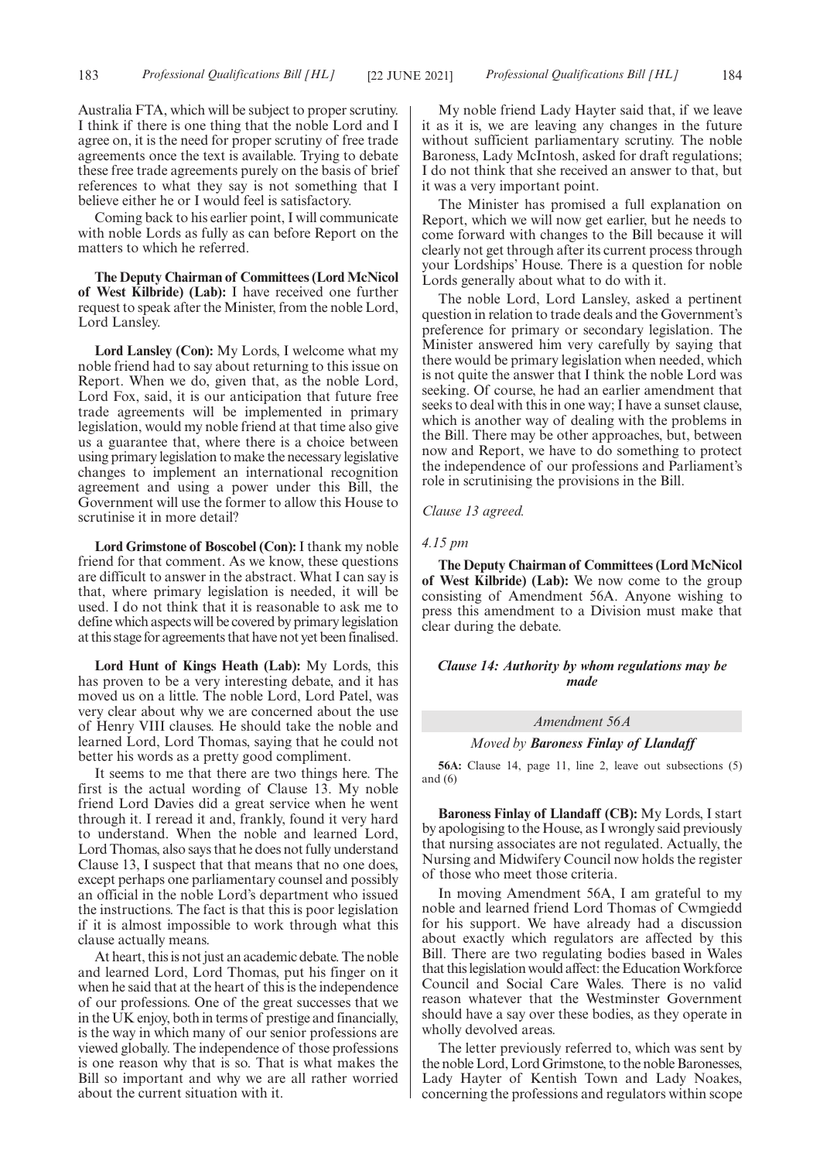Australia FTA, which will be subject to proper scrutiny. I think if there is one thing that the noble Lord and I agree on, it is the need for proper scrutiny of free trade agreements once the text is available. Trying to debate these free trade agreements purely on the basis of brief references to what they say is not something that I believe either he or I would feel is satisfactory.

Coming back to his earlier point, I will communicate with noble Lords as fully as can before Report on the matters to which he referred.

**The Deputy Chairman of Committees (Lord McNicol of West Kilbride) (Lab):** I have received one further request to speak after the Minister, from the noble Lord, Lord Lansley.

**Lord Lansley (Con):** My Lords, I welcome what my noble friend had to say about returning to this issue on Report. When we do, given that, as the noble Lord, Lord Fox, said, it is our anticipation that future free trade agreements will be implemented in primary legislation, would my noble friend at that time also give us a guarantee that, where there is a choice between using primary legislation to make the necessary legislative changes to implement an international recognition agreement and using a power under this Bill, the Government will use the former to allow this House to scrutinise it in more detail?

**Lord Grimstone of Boscobel (Con):**I thank my noble friend for that comment. As we know, these questions are difficult to answer in the abstract. What I can say is that, where primary legislation is needed, it will be used. I do not think that it is reasonable to ask me to define which aspects will be covered by primary legislation at this stage for agreements that have not yet been finalised.

**Lord Hunt of Kings Heath (Lab):** My Lords, this has proven to be a very interesting debate, and it has moved us on a little. The noble Lord, Lord Patel, was very clear about why we are concerned about the use of Henry VIII clauses. He should take the noble and learned Lord, Lord Thomas, saying that he could not better his words as a pretty good compliment.

It seems to me that there are two things here. The first is the actual wording of Clause 13. My noble friend Lord Davies did a great service when he went through it. I reread it and, frankly, found it very hard to understand. When the noble and learned Lord, Lord Thomas, also says that he does not fully understand Clause 13, I suspect that that means that no one does, except perhaps one parliamentary counsel and possibly an official in the noble Lord's department who issued the instructions. The fact is that this is poor legislation if it is almost impossible to work through what this clause actually means.

At heart, this is not just an academic debate. The noble and learned Lord, Lord Thomas, put his finger on it when he said that at the heart of this is the independence of our professions. One of the great successes that we in the UK enjoy, both in terms of prestige and financially, is the way in which many of our senior professions are viewed globally. The independence of those professions is one reason why that is so. That is what makes the Bill so important and why we are all rather worried about the current situation with it.

My noble friend Lady Hayter said that, if we leave it as it is, we are leaving any changes in the future without sufficient parliamentary scrutiny. The noble Baroness, Lady McIntosh, asked for draft regulations; I do not think that she received an answer to that, but it was a very important point.

The Minister has promised a full explanation on Report, which we will now get earlier, but he needs to come forward with changes to the Bill because it will clearly not get through after its current process through your Lordships' House. There is a question for noble Lords generally about what to do with it.

The noble Lord, Lord Lansley, asked a pertinent question in relation to trade deals and the Government's preference for primary or secondary legislation. The Minister answered him very carefully by saying that there would be primary legislation when needed, which is not quite the answer that I think the noble Lord was seeking. Of course, he had an earlier amendment that seeks to deal with this in one way; I have a sunset clause, which is another way of dealing with the problems in the Bill. There may be other approaches, but, between now and Report, we have to do something to protect the independence of our professions and Parliament's role in scrutinising the provisions in the Bill.

# *Clause 13 agreed.*

#### *4.15 pm*

**The Deputy Chairman of Committees (Lord McNicol of West Kilbride) (Lab):** We now come to the group consisting of Amendment 56A. Anyone wishing to press this amendment to a Division must make that clear during the debate.

# *Clause 14: Authority by whom regulations may be made*

#### *Amendment 56A*

#### *Moved by Baroness Finlay of Llandaff*

**56A:** Clause 14, page 11, line 2, leave out subsections (5) and  $(6)$ 

**Baroness Finlay of Llandaff (CB):** My Lords, I start by apologising to the House, as I wrongly said previously that nursing associates are not regulated. Actually, the Nursing and Midwifery Council now holds the register of those who meet those criteria.

In moving Amendment 56A, I am grateful to my noble and learned friend Lord Thomas of Cwmgiedd for his support. We have already had a discussion about exactly which regulators are affected by this Bill. There are two regulating bodies based in Wales that this legislation would affect: the Education Workforce Council and Social Care Wales. There is no valid reason whatever that the Westminster Government should have a say over these bodies, as they operate in wholly devolved areas.

The letter previously referred to, which was sent by the noble Lord, Lord Grimstone, to the noble Baronesses, Lady Hayter of Kentish Town and Lady Noakes, concerning the professions and regulators within scope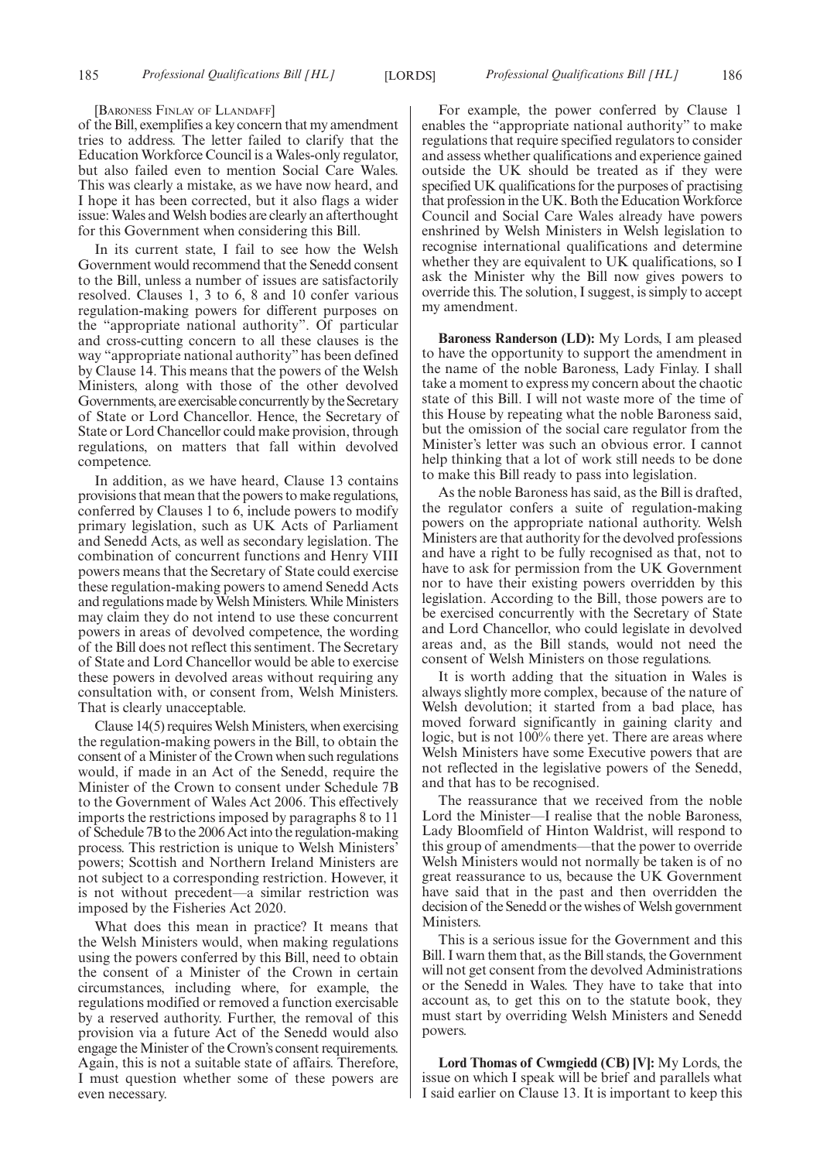[BARONESS FINLAY OF LLANDAFF]

of the Bill, exemplifies a key concern that my amendment tries to address. The letter failed to clarify that the Education Workforce Council is a Wales-only regulator, but also failed even to mention Social Care Wales. This was clearly a mistake, as we have now heard, and I hope it has been corrected, but it also flags a wider issue: Wales and Welsh bodies are clearly an afterthought for this Government when considering this Bill.

In its current state, I fail to see how the Welsh Government would recommend that the Senedd consent to the Bill, unless a number of issues are satisfactorily resolved. Clauses 1, 3 to 6, 8 and 10 confer various regulation-making powers for different purposes on the "appropriate national authority". Of particular and cross-cutting concern to all these clauses is the way "appropriate national authority" has been defined by Clause 14. This means that the powers of the Welsh Ministers, along with those of the other devolved Governments, are exercisable concurrently by the Secretary of State or Lord Chancellor. Hence, the Secretary of State or Lord Chancellor could make provision, through regulations, on matters that fall within devolved competence.

In addition, as we have heard, Clause 13 contains provisions that mean that the powers to make regulations, conferred by Clauses 1 to 6, include powers to modify primary legislation, such as UK Acts of Parliament and Senedd Acts, as well as secondary legislation. The combination of concurrent functions and Henry VIII powers means that the Secretary of State could exercise these regulation-making powers to amend Senedd Acts and regulations made by Welsh Ministers. While Ministers may claim they do not intend to use these concurrent powers in areas of devolved competence, the wording of the Bill does not reflect this sentiment. The Secretary of State and Lord Chancellor would be able to exercise these powers in devolved areas without requiring any consultation with, or consent from, Welsh Ministers. That is clearly unacceptable.

Clause 14(5) requires Welsh Ministers, when exercising the regulation-making powers in the Bill, to obtain the consent of a Minister of the Crown when such regulations would, if made in an Act of the Senedd, require the Minister of the Crown to consent under Schedule 7B to the Government of Wales Act 2006. This effectively imports the restrictions imposed by paragraphs 8 to 11 of Schedule 7B to the 2006 Act into the regulation-making process. This restriction is unique to Welsh Ministers' powers; Scottish and Northern Ireland Ministers are not subject to a corresponding restriction. However, it is not without precedent—a similar restriction was imposed by the Fisheries Act 2020.

What does this mean in practice? It means that the Welsh Ministers would, when making regulations using the powers conferred by this Bill, need to obtain the consent of a Minister of the Crown in certain circumstances, including where, for example, the regulations modified or removed a function exercisable by a reserved authority. Further, the removal of this provision via a future Act of the Senedd would also engage the Minister of the Crown's consent requirements. Again, this is not a suitable state of affairs. Therefore, I must question whether some of these powers are even necessary.

For example, the power conferred by Clause 1 enables the "appropriate national authority" to make regulations that require specified regulators to consider and assess whether qualifications and experience gained outside the UK should be treated as if they were specified UK qualifications for the purposes of practising that profession in the UK. Both the Education Workforce Council and Social Care Wales already have powers enshrined by Welsh Ministers in Welsh legislation to recognise international qualifications and determine whether they are equivalent to UK qualifications, so I ask the Minister why the Bill now gives powers to override this. The solution, I suggest, is simply to accept my amendment.

**Baroness Randerson (LD):** My Lords, I am pleased to have the opportunity to support the amendment in the name of the noble Baroness, Lady Finlay. I shall take a moment to express my concern about the chaotic state of this Bill. I will not waste more of the time of this House by repeating what the noble Baroness said, but the omission of the social care regulator from the Minister's letter was such an obvious error. I cannot help thinking that a lot of work still needs to be done to make this Bill ready to pass into legislation.

As the noble Baroness has said, as the Bill is drafted, the regulator confers a suite of regulation-making powers on the appropriate national authority. Welsh Ministers are that authority for the devolved professions and have a right to be fully recognised as that, not to have to ask for permission from the UK Government nor to have their existing powers overridden by this legislation. According to the Bill, those powers are to be exercised concurrently with the Secretary of State and Lord Chancellor, who could legislate in devolved areas and, as the Bill stands, would not need the consent of Welsh Ministers on those regulations.

It is worth adding that the situation in Wales is always slightly more complex, because of the nature of Welsh devolution; it started from a bad place, has moved forward significantly in gaining clarity and logic, but is not 100% there yet. There are areas where Welsh Ministers have some Executive powers that are not reflected in the legislative powers of the Senedd, and that has to be recognised.

The reassurance that we received from the noble Lord the Minister—I realise that the noble Baroness, Lady Bloomfield of Hinton Waldrist, will respond to this group of amendments—that the power to override Welsh Ministers would not normally be taken is of no great reassurance to us, because the UK Government have said that in the past and then overridden the decision of the Senedd or the wishes of Welsh government **Ministers**.

This is a serious issue for the Government and this Bill. I warn them that, as the Bill stands, the Government will not get consent from the devolved Administrations or the Senedd in Wales. They have to take that into account as, to get this on to the statute book, they must start by overriding Welsh Ministers and Senedd powers.

**Lord Thomas of Cwmgiedd (CB) [V]:** My Lords, the issue on which I speak will be brief and parallels what I said earlier on Clause 13. It is important to keep this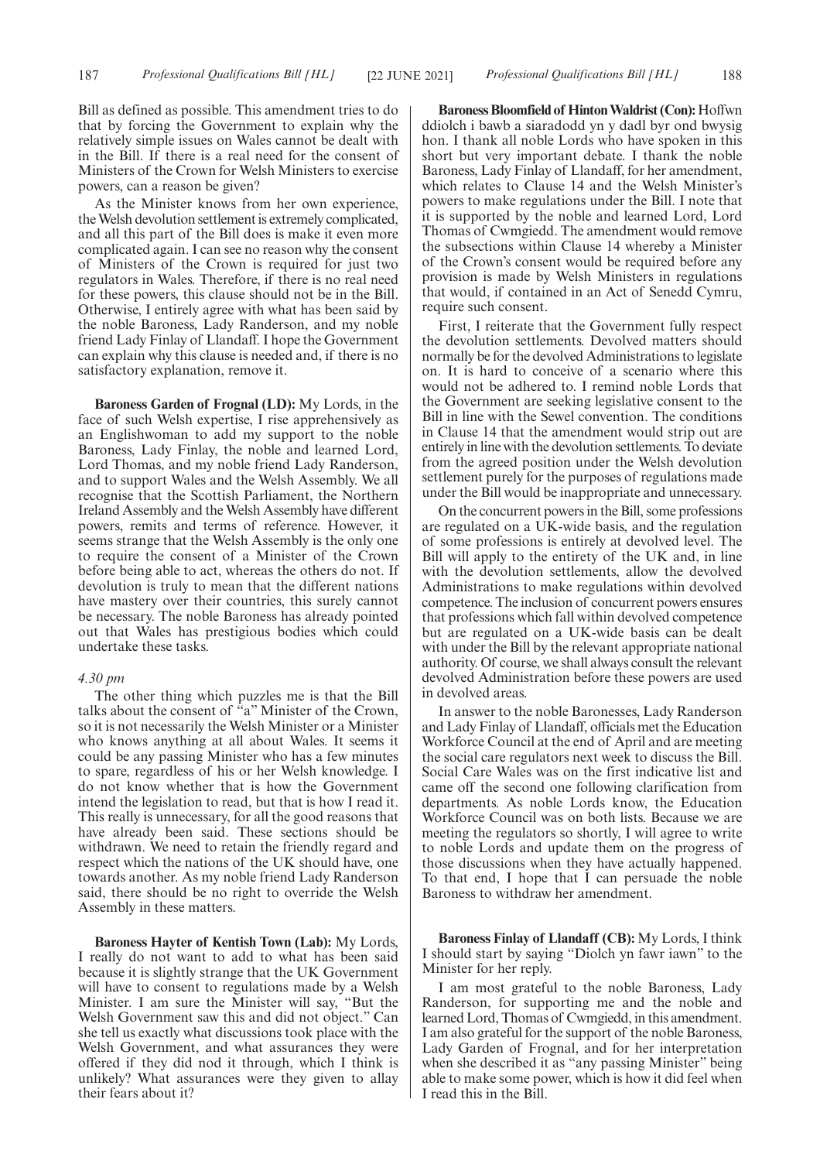Bill as defined as possible. This amendment tries to do that by forcing the Government to explain why the relatively simple issues on Wales cannot be dealt with in the Bill. If there is a real need for the consent of Ministers of the Crown for Welsh Ministers to exercise powers, can a reason be given?

As the Minister knows from her own experience, the Welsh devolution settlement is extremely complicated, and all this part of the Bill does is make it even more complicated again. I can see no reason why the consent of Ministers of the Crown is required for just two regulators in Wales. Therefore, if there is no real need for these powers, this clause should not be in the Bill. Otherwise, I entirely agree with what has been said by the noble Baroness, Lady Randerson, and my noble friend Lady Finlay of Llandaff. I hope the Government can explain why this clause is needed and, if there is no satisfactory explanation, remove it.

**Baroness Garden of Frognal (LD):** My Lords, in the face of such Welsh expertise, I rise apprehensively as an Englishwoman to add my support to the noble Baroness, Lady Finlay, the noble and learned Lord, Lord Thomas, and my noble friend Lady Randerson, and to support Wales and the Welsh Assembly. We all recognise that the Scottish Parliament, the Northern Ireland Assembly and the Welsh Assembly have different powers, remits and terms of reference. However, it seems strange that the Welsh Assembly is the only one to require the consent of a Minister of the Crown before being able to act, whereas the others do not. If devolution is truly to mean that the different nations have mastery over their countries, this surely cannot be necessary. The noble Baroness has already pointed out that Wales has prestigious bodies which could undertake these tasks.

#### *4.30 pm*

The other thing which puzzles me is that the Bill talks about the consent of "a" Minister of the Crown, so it is not necessarily the Welsh Minister or a Minister who knows anything at all about Wales. It seems it could be any passing Minister who has a few minutes to spare, regardless of his or her Welsh knowledge. I do not know whether that is how the Government intend the legislation to read, but that is how I read it. This really is unnecessary, for all the good reasons that have already been said. These sections should be withdrawn. We need to retain the friendly regard and respect which the nations of the UK should have, one towards another. As my noble friend Lady Randerson said, there should be no right to override the Welsh Assembly in these matters.

**Baroness Hayter of Kentish Town (Lab):** My Lords, I really do not want to add to what has been said because it is slightly strange that the UK Government will have to consent to regulations made by a Welsh Minister. I am sure the Minister will say, "But the Welsh Government saw this and did not object." Can she tell us exactly what discussions took place with the Welsh Government, and what assurances they were offered if they did nod it through, which I think is unlikely? What assurances were they given to allay their fears about it?

**Baroness Bloomfield of Hinton Waldrist (Con):** Hoffwn ddiolch i bawb a siaradodd yn y dadl byr ond bwysig hon. I thank all noble Lords who have spoken in this short but very important debate. I thank the noble Baroness, Lady Finlay of Llandaff, for her amendment, which relates to Clause 14 and the Welsh Minister's powers to make regulations under the Bill. I note that it is supported by the noble and learned Lord, Lord Thomas of Cwmgiedd. The amendment would remove the subsections within Clause 14 whereby a Minister of the Crown's consent would be required before any provision is made by Welsh Ministers in regulations that would, if contained in an Act of Senedd Cymru, require such consent.

First, I reiterate that the Government fully respect the devolution settlements. Devolved matters should normally be for the devolved Administrations to legislate on. It is hard to conceive of a scenario where this would not be adhered to. I remind noble Lords that the Government are seeking legislative consent to the Bill in line with the Sewel convention. The conditions in Clause 14 that the amendment would strip out are entirely in line with the devolution settlements. To deviate from the agreed position under the Welsh devolution settlement purely for the purposes of regulations made under the Bill would be inappropriate and unnecessary.

On the concurrent powers in the Bill, some professions are regulated on a UK-wide basis, and the regulation of some professions is entirely at devolved level. The Bill will apply to the entirety of the UK and, in line with the devolution settlements, allow the devolved Administrations to make regulations within devolved competence. The inclusion of concurrent powers ensures that professions which fall within devolved competence but are regulated on a UK-wide basis can be dealt with under the Bill by the relevant appropriate national authority. Of course, we shall always consult the relevant devolved Administration before these powers are used in devolved areas.

In answer to the noble Baronesses, Lady Randerson and Lady Finlay of Llandaff, officials met the Education Workforce Council at the end of April and are meeting the social care regulators next week to discuss the Bill. Social Care Wales was on the first indicative list and came off the second one following clarification from departments. As noble Lords know, the Education Workforce Council was on both lists. Because we are meeting the regulators so shortly, I will agree to write to noble Lords and update them on the progress of those discussions when they have actually happened. To that end, I hope that I can persuade the noble Baroness to withdraw her amendment.

**Baroness Finlay of Llandaff (CB):** My Lords, I think I should start by saying "Diolch yn fawr iawn" to the Minister for her reply.

I am most grateful to the noble Baroness, Lady Randerson, for supporting me and the noble and learned Lord, Thomas of Cwmgiedd, in this amendment. I am also grateful for the support of the noble Baroness, Lady Garden of Frognal, and for her interpretation when she described it as "any passing Minister" being able to make some power, which is how it did feel when I read this in the Bill.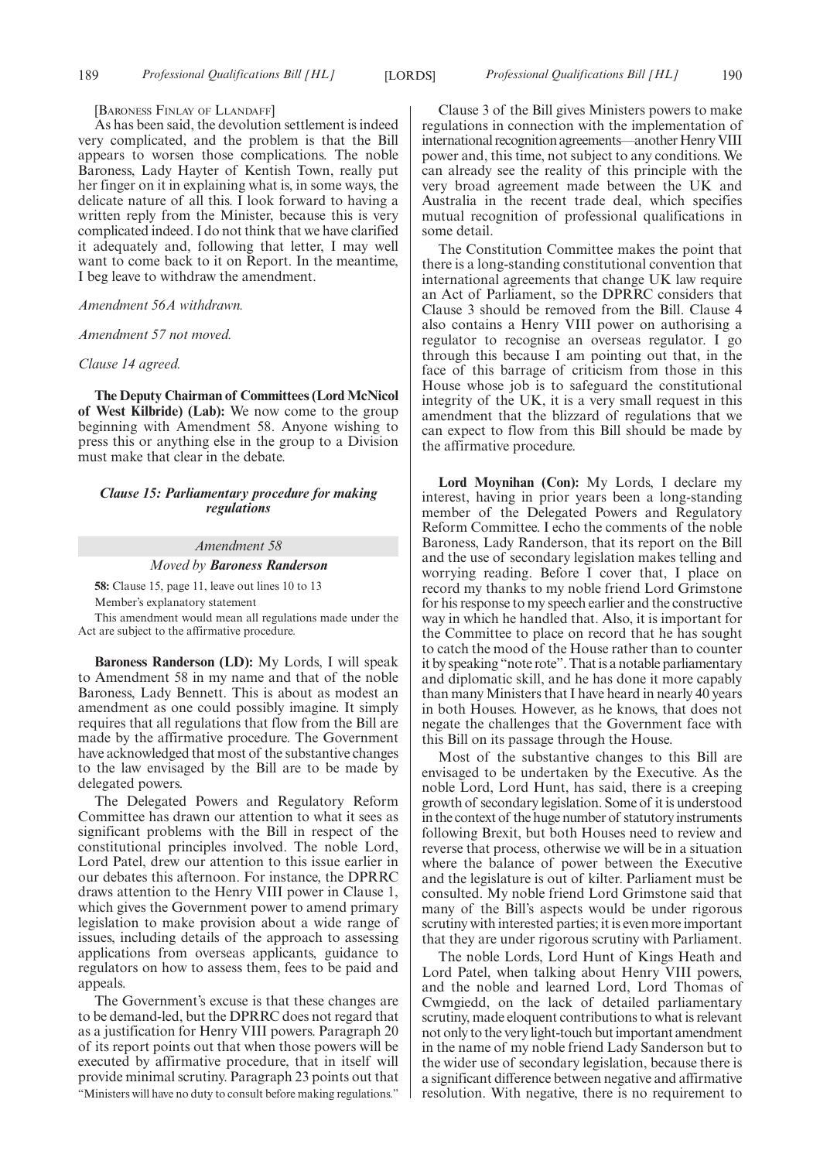#### [BARONESS FINLAY OF LLANDAFF]

As has been said, the devolution settlement is indeed very complicated, and the problem is that the Bill appears to worsen those complications. The noble Baroness, Lady Hayter of Kentish Town, really put her finger on it in explaining what is, in some ways, the delicate nature of all this. I look forward to having a written reply from the Minister, because this is very complicated indeed. I do not think that we have clarified it adequately and, following that letter, I may well want to come back to it on Report. In the meantime, I beg leave to withdraw the amendment.

#### *Amendment 56A withdrawn.*

#### *Amendment 57 not moved.*

#### *Clause 14 agreed.*

**The Deputy Chairman of Committees (Lord McNicol of West Kilbride) (Lab):** We now come to the group beginning with Amendment 58. Anyone wishing to press this or anything else in the group to a Division must make that clear in the debate.

# *Clause 15: Parliamentary procedure for making regulations*

#### *Amendment 58*

#### *Moved by Baroness Randerson*

**58:** Clause 15, page 11, leave out lines 10 to 13 Member's explanatory statement

This amendment would mean all regulations made under the Act are subject to the affirmative procedure.

**Baroness Randerson (LD):** My Lords, I will speak to Amendment 58 in my name and that of the noble Baroness, Lady Bennett. This is about as modest an amendment as one could possibly imagine. It simply requires that all regulations that flow from the Bill are made by the affirmative procedure. The Government have acknowledged that most of the substantive changes to the law envisaged by the Bill are to be made by delegated powers.

The Delegated Powers and Regulatory Reform Committee has drawn our attention to what it sees as significant problems with the Bill in respect of the constitutional principles involved. The noble Lord, Lord Patel, drew our attention to this issue earlier in our debates this afternoon. For instance, the DPRRC draws attention to the Henry VIII power in Clause 1, which gives the Government power to amend primary legislation to make provision about a wide range of issues, including details of the approach to assessing applications from overseas applicants, guidance to regulators on how to assess them, fees to be paid and appeals.

The Government's excuse is that these changes are to be demand-led, but the DPRRC does not regard that as a justification for Henry VIII powers. Paragraph 20 of its report points out that when those powers will be executed by affirmative procedure, that in itself will provide minimal scrutiny. Paragraph 23 points out that "Ministers will have no duty to consult before making regulations."

Clause 3 of the Bill gives Ministers powers to make regulations in connection with the implementation of international recognition agreements—another Henry VIII power and, this time, not subject to any conditions. We can already see the reality of this principle with the very broad agreement made between the UK and Australia in the recent trade deal, which specifies mutual recognition of professional qualifications in some detail.

The Constitution Committee makes the point that there is a long-standing constitutional convention that international agreements that change UK law require an Act of Parliament, so the DPRRC considers that Clause 3 should be removed from the Bill. Clause 4 also contains a Henry VIII power on authorising a regulator to recognise an overseas regulator. I go through this because I am pointing out that, in the face of this barrage of criticism from those in this House whose job is to safeguard the constitutional integrity of the UK, it is a very small request in this amendment that the blizzard of regulations that we can expect to flow from this Bill should be made by the affirmative procedure.

**Lord Moynihan (Con):** My Lords, I declare my interest, having in prior years been a long-standing member of the Delegated Powers and Regulatory Reform Committee. I echo the comments of the noble Baroness, Lady Randerson, that its report on the Bill and the use of secondary legislation makes telling and worrying reading. Before I cover that, I place on record my thanks to my noble friend Lord Grimstone for his response to my speech earlier and the constructive way in which he handled that. Also, it is important for the Committee to place on record that he has sought to catch the mood of the House rather than to counter it by speaking "note rote". That is a notable parliamentary and diplomatic skill, and he has done it more capably than many Ministers that I have heard in nearly 40 years in both Houses. However, as he knows, that does not negate the challenges that the Government face with this Bill on its passage through the House.

Most of the substantive changes to this Bill are envisaged to be undertaken by the Executive. As the noble Lord, Lord Hunt, has said, there is a creeping growth of secondary legislation. Some of it is understood in the context of the huge number of statutory instruments following Brexit, but both Houses need to review and reverse that process, otherwise we will be in a situation where the balance of power between the Executive and the legislature is out of kilter. Parliament must be consulted. My noble friend Lord Grimstone said that many of the Bill's aspects would be under rigorous scrutiny with interested parties; it is even more important that they are under rigorous scrutiny with Parliament.

The noble Lords, Lord Hunt of Kings Heath and Lord Patel, when talking about Henry VIII powers, and the noble and learned Lord, Lord Thomas of Cwmgiedd, on the lack of detailed parliamentary scrutiny, made eloquent contributions to what is relevant not only to the very light-touch but important amendment in the name of my noble friend Lady Sanderson but to the wider use of secondary legislation, because there is a significant difference between negative and affirmative resolution. With negative, there is no requirement to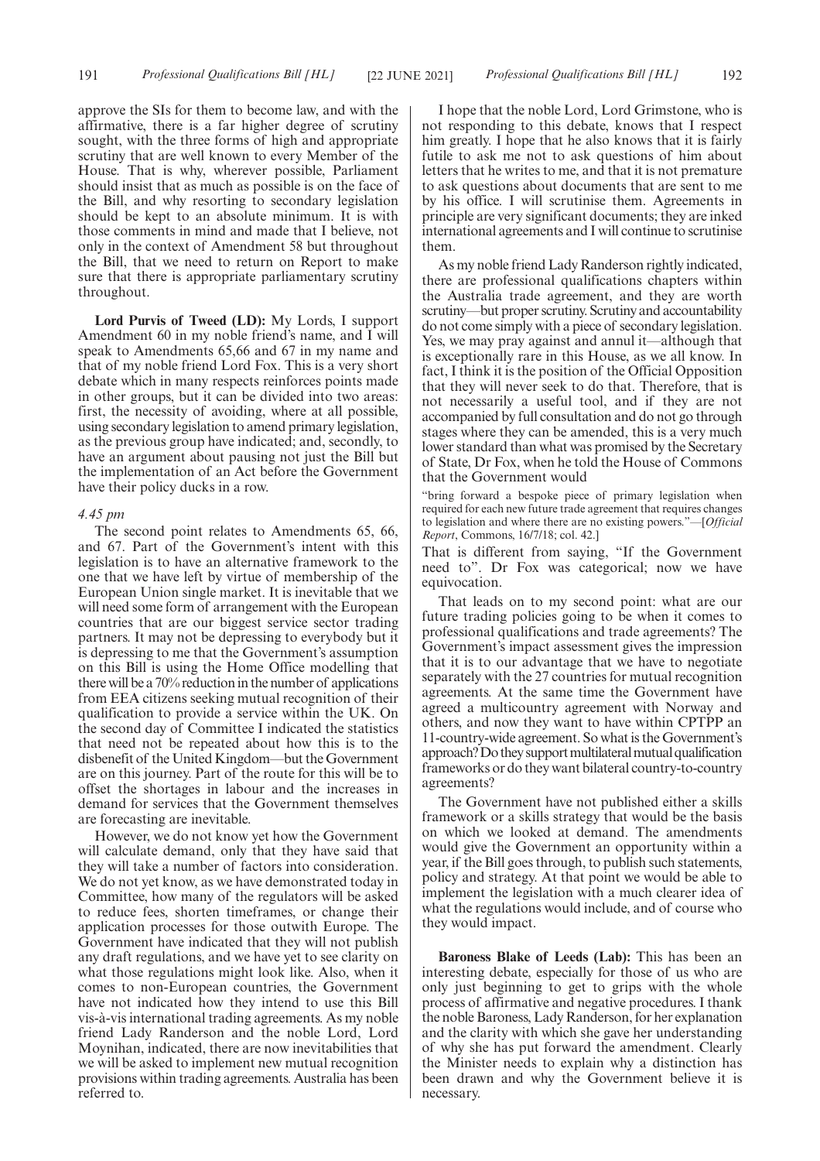approve the SIs for them to become law, and with the affirmative, there is a far higher degree of scrutiny sought, with the three forms of high and appropriate scrutiny that are well known to every Member of the House. That is why, wherever possible, Parliament should insist that as much as possible is on the face of the Bill, and why resorting to secondary legislation should be kept to an absolute minimum. It is with those comments in mind and made that I believe, not only in the context of Amendment 58 but throughout the Bill, that we need to return on Report to make sure that there is appropriate parliamentary scrutiny throughout.

**Lord Purvis of Tweed (LD):** My Lords, I support Amendment 60 in my noble friend's name, and I will speak to Amendments 65,66 and 67 in my name and that of my noble friend Lord Fox. This is a very short debate which in many respects reinforces points made in other groups, but it can be divided into two areas: first, the necessity of avoiding, where at all possible, using secondary legislation to amend primary legislation, as the previous group have indicated; and, secondly, to have an argument about pausing not just the Bill but the implementation of an Act before the Government have their policy ducks in a row.

#### *4.45 pm*

The second point relates to Amendments 65, 66, and 67. Part of the Government's intent with this legislation is to have an alternative framework to the one that we have left by virtue of membership of the European Union single market. It is inevitable that we will need some form of arrangement with the European countries that are our biggest service sector trading partners. It may not be depressing to everybody but it is depressing to me that the Government's assumption on this Bill is using the Home Office modelling that there will be a 70% reduction in the number of applications from EEA citizens seeking mutual recognition of their qualification to provide a service within the UK. On the second day of Committee I indicated the statistics that need not be repeated about how this is to the disbenefit of the United Kingdom—but the Government are on this journey. Part of the route for this will be to offset the shortages in labour and the increases in demand for services that the Government themselves are forecasting are inevitable.

However, we do not know yet how the Government will calculate demand, only that they have said that they will take a number of factors into consideration. We do not yet know, as we have demonstrated today in Committee, how many of the regulators will be asked to reduce fees, shorten timeframes, or change their application processes for those outwith Europe. The Government have indicated that they will not publish any draft regulations, and we have yet to see clarity on what those regulations might look like. Also, when it comes to non-European countries, the Government have not indicated how they intend to use this Bill vis-à-vis international trading agreements. As my noble friend Lady Randerson and the noble Lord, Lord Moynihan, indicated, there are now inevitabilities that we will be asked to implement new mutual recognition provisions within trading agreements. Australia has been referred to.

I hope that the noble Lord, Lord Grimstone, who is not responding to this debate, knows that I respect him greatly. I hope that he also knows that it is fairly futile to ask me not to ask questions of him about letters that he writes to me, and that it is not premature to ask questions about documents that are sent to me by his office. I will scrutinise them. Agreements in principle are very significant documents; they are inked international agreements and I will continue to scrutinise them.

As my noble friend Lady Randerson rightly indicated, there are professional qualifications chapters within the Australia trade agreement, and they are worth scrutiny—but proper scrutiny. Scrutiny and accountability do not come simply with a piece of secondary legislation. Yes, we may pray against and annul it—although that is exceptionally rare in this House, as we all know. In fact, I think it is the position of the Official Opposition that they will never seek to do that. Therefore, that is not necessarily a useful tool, and if they are not accompanied by full consultation and do not go through stages where they can be amended, this is a very much lower standard than what was promised by the Secretary of State, Dr Fox, when he told the House of Commons that the Government would

"bring forward a bespoke piece of primary legislation when required for each new future trade agreement that requires changes to legislation and where there are no existing powers."—[*Official Report*, Commons, 16/7/18; col. 42.]

That is different from saying, "If the Government need to". Dr Fox was categorical; now we have equivocation.

That leads on to my second point: what are our future trading policies going to be when it comes to professional qualifications and trade agreements? The Government's impact assessment gives the impression that it is to our advantage that we have to negotiate separately with the 27 countries for mutual recognition agreements. At the same time the Government have agreed a multicountry agreement with Norway and others, and now they want to have within CPTPP an 11-country-wide agreement. So what is the Government's approach? Do they support multilateral mutual qualification frameworks or do they want bilateral country-to-country agreements?

The Government have not published either a skills framework or a skills strategy that would be the basis on which we looked at demand. The amendments would give the Government an opportunity within a year, if the Bill goes through, to publish such statements, policy and strategy. At that point we would be able to implement the legislation with a much clearer idea of what the regulations would include, and of course who they would impact.

**Baroness Blake of Leeds (Lab):** This has been an interesting debate, especially for those of us who are only just beginning to get to grips with the whole process of affirmative and negative procedures. I thank the noble Baroness, Lady Randerson, for her explanation and the clarity with which she gave her understanding of why she has put forward the amendment. Clearly the Minister needs to explain why a distinction has been drawn and why the Government believe it is necessary.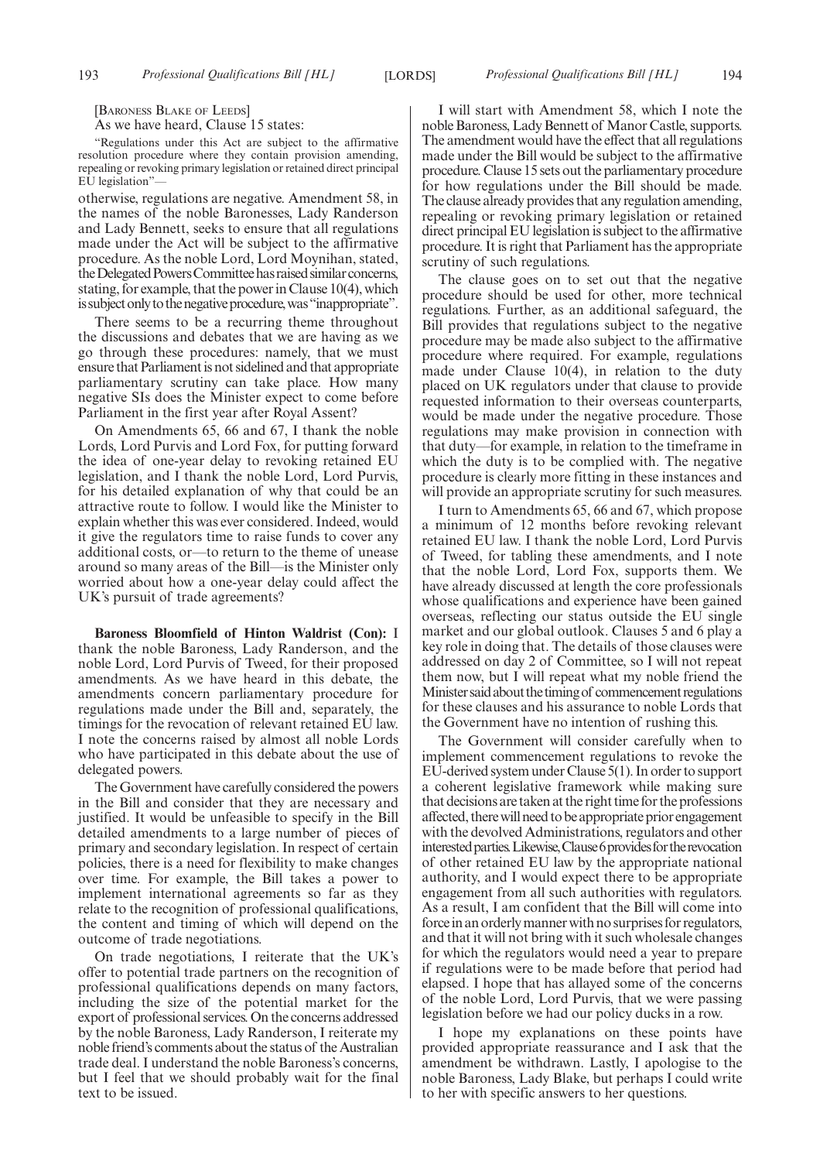[BARONESS BLAKE OF LEEDS]

As we have heard, Clause 15 states:

"Regulations under this Act are subject to the affirmative resolution procedure where they contain provision amending, repealing or revoking primary legislation or retained direct principal EU legislation"

otherwise, regulations are negative. Amendment 58, in the names of the noble Baronesses, Lady Randerson and Lady Bennett, seeks to ensure that all regulations made under the Act will be subject to the affirmative procedure. As the noble Lord, Lord Moynihan, stated, the Delegated Powers Committee has raised similar concerns, stating, for example, that the power in Clause 10(4), which is subject only to the negative procedure, was "inappropriate".

There seems to be a recurring theme throughout the discussions and debates that we are having as we go through these procedures: namely, that we must ensure that Parliament is not sidelined and that appropriate parliamentary scrutiny can take place. How many negative SIs does the Minister expect to come before Parliament in the first year after Royal Assent?

On Amendments 65, 66 and 67, I thank the noble Lords, Lord Purvis and Lord Fox, for putting forward the idea of one-year delay to revoking retained EU legislation, and I thank the noble Lord, Lord Purvis, for his detailed explanation of why that could be an attractive route to follow. I would like the Minister to explain whether this was ever considered. Indeed, would it give the regulators time to raise funds to cover any additional costs, or—to return to the theme of unease around so many areas of the Bill—is the Minister only worried about how a one-year delay could affect the UK's pursuit of trade agreements?

**Baroness Bloomfield of Hinton Waldrist (Con):** I thank the noble Baroness, Lady Randerson, and the noble Lord, Lord Purvis of Tweed, for their proposed amendments. As we have heard in this debate, the amendments concern parliamentary procedure for regulations made under the Bill and, separately, the timings for the revocation of relevant retained EU law. I note the concerns raised by almost all noble Lords who have participated in this debate about the use of delegated powers.

The Government have carefully considered the powers in the Bill and consider that they are necessary and justified. It would be unfeasible to specify in the Bill detailed amendments to a large number of pieces of primary and secondary legislation. In respect of certain policies, there is a need for flexibility to make changes over time. For example, the Bill takes a power to implement international agreements so far as they relate to the recognition of professional qualifications, the content and timing of which will depend on the outcome of trade negotiations.

On trade negotiations, I reiterate that the UK's offer to potential trade partners on the recognition of professional qualifications depends on many factors, including the size of the potential market for the export of professional services. On the concerns addressed by the noble Baroness, Lady Randerson, I reiterate my noble friend's comments about the status of the Australian trade deal. I understand the noble Baroness's concerns, but I feel that we should probably wait for the final text to be issued.

I will start with Amendment 58, which I note the noble Baroness, Lady Bennett of Manor Castle, supports. The amendment would have the effect that all regulations made under the Bill would be subject to the affirmative procedure. Clause 15 sets out the parliamentary procedure for how regulations under the Bill should be made. The clause already provides that any regulation amending, repealing or revoking primary legislation or retained direct principal EU legislation is subject to the affirmative procedure. It is right that Parliament has the appropriate scrutiny of such regulations.

The clause goes on to set out that the negative procedure should be used for other, more technical regulations. Further, as an additional safeguard, the Bill provides that regulations subject to the negative procedure may be made also subject to the affirmative procedure where required. For example, regulations made under Clause 10(4), in relation to the duty placed on UK regulators under that clause to provide requested information to their overseas counterparts, would be made under the negative procedure. Those regulations may make provision in connection with that duty—for example, in relation to the timeframe in which the duty is to be complied with. The negative procedure is clearly more fitting in these instances and will provide an appropriate scrutiny for such measures.

I turn to Amendments 65, 66 and 67, which propose a minimum of 12 months before revoking relevant retained EU law. I thank the noble Lord, Lord Purvis of Tweed, for tabling these amendments, and I note that the noble Lord, Lord Fox, supports them. We have already discussed at length the core professionals whose qualifications and experience have been gained overseas, reflecting our status outside the EU single market and our global outlook. Clauses 5 and 6 play a key role in doing that. The details of those clauses were addressed on day 2 of Committee, so I will not repeat them now, but I will repeat what my noble friend the Minister said about the timing of commencement regulations for these clauses and his assurance to noble Lords that the Government have no intention of rushing this.

The Government will consider carefully when to implement commencement regulations to revoke the EU-derived system under Clause 5(1). In order to support a coherent legislative framework while making sure that decisions are taken at the right time for the professions affected, there will need to be appropriate prior engagement with the devolved Administrations, regulators and other interested parties. Likewise, Clause 6 provides for the revocation of other retained EU law by the appropriate national authority, and I would expect there to be appropriate engagement from all such authorities with regulators. As a result, I am confident that the Bill will come into force in an orderly manner with no surprises for regulators, and that it will not bring with it such wholesale changes for which the regulators would need a year to prepare if regulations were to be made before that period had elapsed. I hope that has allayed some of the concerns of the noble Lord, Lord Purvis, that we were passing legislation before we had our policy ducks in a row.

I hope my explanations on these points have provided appropriate reassurance and I ask that the amendment be withdrawn. Lastly, I apologise to the noble Baroness, Lady Blake, but perhaps I could write to her with specific answers to her questions.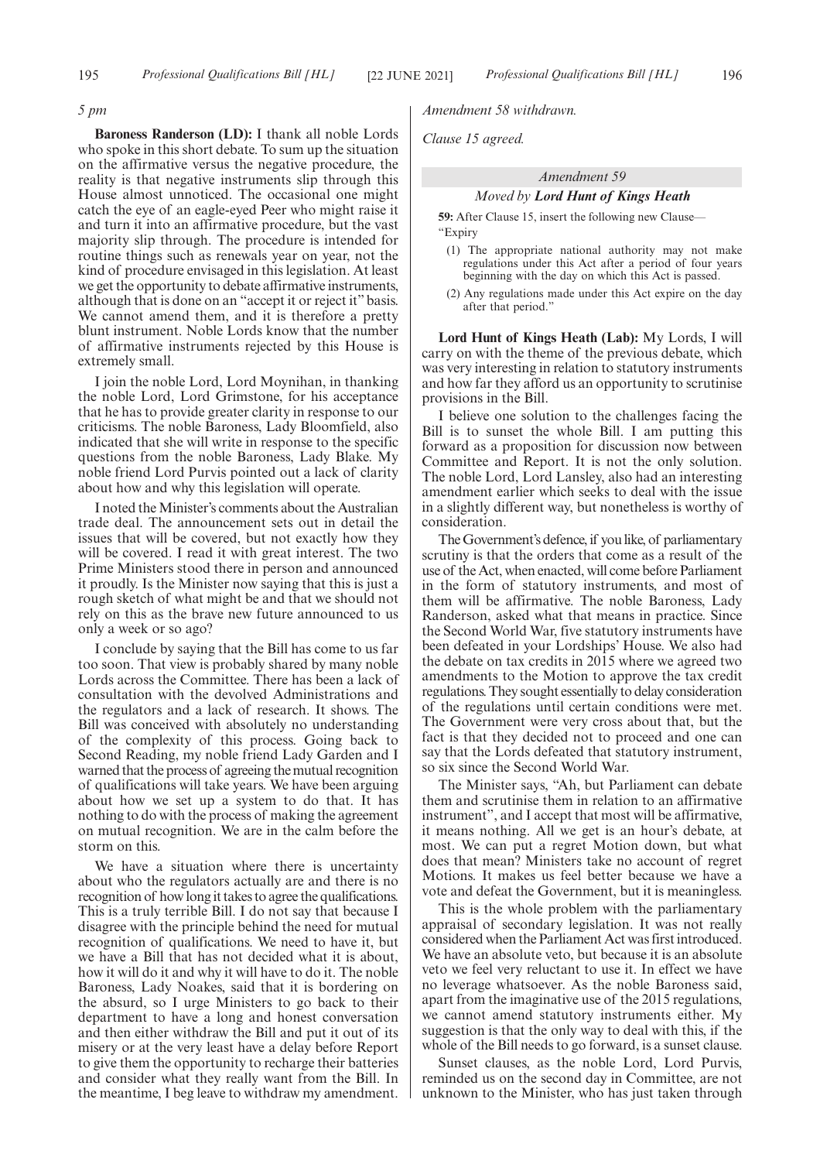#### *5 pm*

**Baroness Randerson (LD):** I thank all noble Lords who spoke in this short debate. To sum up the situation on the affirmative versus the negative procedure, the reality is that negative instruments slip through this House almost unnoticed. The occasional one might catch the eye of an eagle-eyed Peer who might raise it and turn it into an affirmative procedure, but the vast majority slip through. The procedure is intended for routine things such as renewals year on year, not the kind of procedure envisaged in this legislation. At least we get the opportunity to debate affirmative instruments, although that is done on an "accept it or reject it" basis. We cannot amend them, and it is therefore a pretty blunt instrument. Noble Lords know that the number of affirmative instruments rejected by this House is extremely small.

I join the noble Lord, Lord Moynihan, in thanking the noble Lord, Lord Grimstone, for his acceptance that he has to provide greater clarity in response to our criticisms. The noble Baroness, Lady Bloomfield, also indicated that she will write in response to the specific questions from the noble Baroness, Lady Blake. My noble friend Lord Purvis pointed out a lack of clarity about how and why this legislation will operate.

I noted the Minister's comments about the Australian trade deal. The announcement sets out in detail the issues that will be covered, but not exactly how they will be covered. I read it with great interest. The two Prime Ministers stood there in person and announced it proudly. Is the Minister now saying that this is just a rough sketch of what might be and that we should not rely on this as the brave new future announced to us only a week or so ago?

I conclude by saying that the Bill has come to us far too soon. That view is probably shared by many noble Lords across the Committee. There has been a lack of consultation with the devolved Administrations and the regulators and a lack of research. It shows. The Bill was conceived with absolutely no understanding of the complexity of this process. Going back to Second Reading, my noble friend Lady Garden and I warned that the process of agreeing the mutual recognition of qualifications will take years. We have been arguing about how we set up a system to do that. It has nothing to do with the process of making the agreement on mutual recognition. We are in the calm before the storm on this.

We have a situation where there is uncertainty about who the regulators actually are and there is no recognition of how long it takes to agree the qualifications. This is a truly terrible Bill. I do not say that because I disagree with the principle behind the need for mutual recognition of qualifications. We need to have it, but we have a Bill that has not decided what it is about, how it will do it and why it will have to do it. The noble Baroness, Lady Noakes, said that it is bordering on the absurd, so I urge Ministers to go back to their department to have a long and honest conversation and then either withdraw the Bill and put it out of its misery or at the very least have a delay before Report to give them the opportunity to recharge their batteries and consider what they really want from the Bill. In the meantime, I beg leave to withdraw my amendment. *Amendment 58 withdrawn.*

*Clause 15 agreed.*

### *Amendment 59*

#### *Moved by Lord Hunt of Kings Heath*

**59:** After Clause 15, insert the following new Clause— "Expiry

- (1) The appropriate national authority may not make regulations under this Act after a period of four years beginning with the day on which this Act is passed.
- (2) Any regulations made under this Act expire on the day after that period."

**Lord Hunt of Kings Heath (Lab):** My Lords, I will carry on with the theme of the previous debate, which was very interesting in relation to statutory instruments and how far they afford us an opportunity to scrutinise provisions in the Bill.

I believe one solution to the challenges facing the Bill is to sunset the whole Bill. I am putting this forward as a proposition for discussion now between Committee and Report. It is not the only solution. The noble Lord, Lord Lansley, also had an interesting amendment earlier which seeks to deal with the issue in a slightly different way, but nonetheless is worthy of consideration.

The Government's defence, if you like, of parliamentary scrutiny is that the orders that come as a result of the use of the Act, when enacted, will come before Parliament in the form of statutory instruments, and most of them will be affirmative. The noble Baroness, Lady Randerson, asked what that means in practice. Since the Second World War, five statutory instruments have been defeated in your Lordships' House. We also had the debate on tax credits in 2015 where we agreed two amendments to the Motion to approve the tax credit regulations. They sought essentially to delay consideration of the regulations until certain conditions were met. The Government were very cross about that, but the fact is that they decided not to proceed and one can say that the Lords defeated that statutory instrument, so six since the Second World War.

The Minister says, "Ah, but Parliament can debate them and scrutinise them in relation to an affirmative instrument", and I accept that most will be affirmative, it means nothing. All we get is an hour's debate, at most. We can put a regret Motion down, but what does that mean? Ministers take no account of regret Motions. It makes us feel better because we have a vote and defeat the Government, but it is meaningless.

This is the whole problem with the parliamentary appraisal of secondary legislation. It was not really considered when the Parliament Act was first introduced. We have an absolute veto, but because it is an absolute veto we feel very reluctant to use it. In effect we have no leverage whatsoever. As the noble Baroness said, apart from the imaginative use of the 2015 regulations, we cannot amend statutory instruments either. My suggestion is that the only way to deal with this, if the whole of the Bill needs to go forward, is a sunset clause.

Sunset clauses, as the noble Lord, Lord Purvis, reminded us on the second day in Committee, are not unknown to the Minister, who has just taken through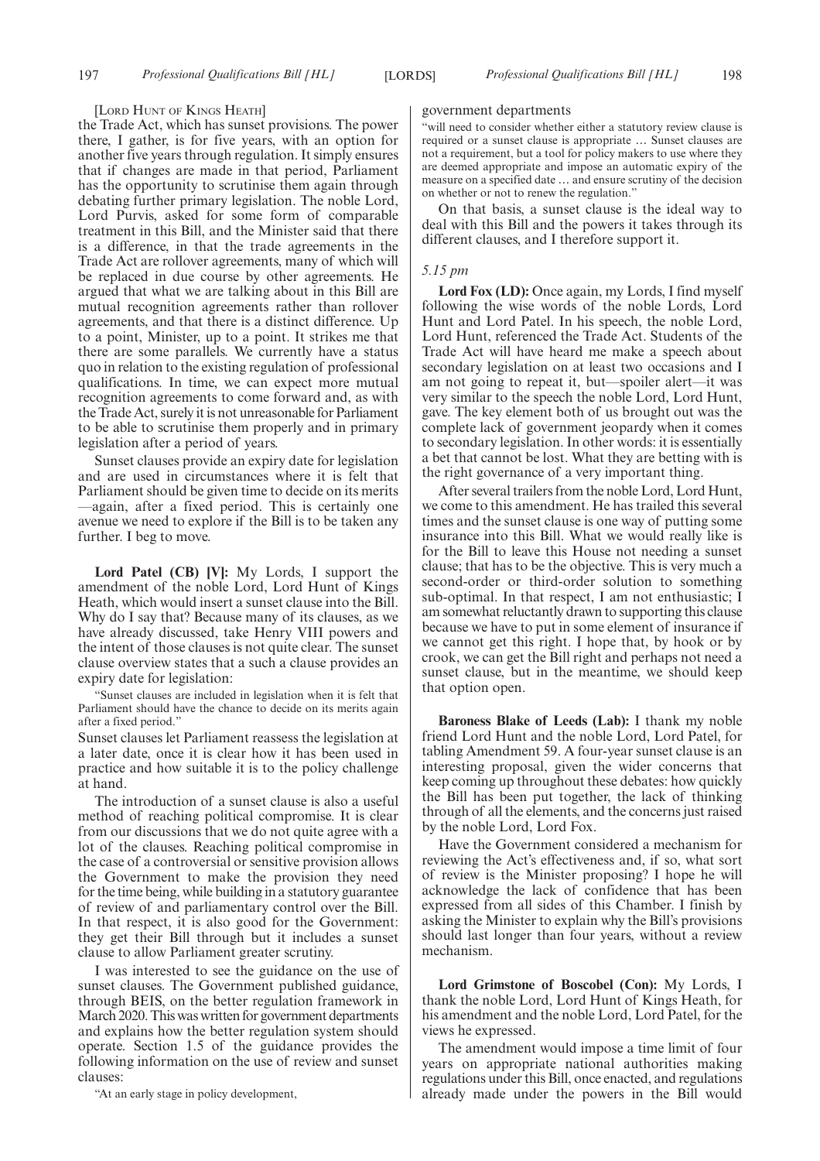#### [LORD HUNT OF KINGS HEATH]

the Trade Act, which has sunset provisions. The power there, I gather, is for five years, with an option for another five years through regulation. It simply ensures that if changes are made in that period, Parliament has the opportunity to scrutinise them again through debating further primary legislation. The noble Lord, Lord Purvis, asked for some form of comparable treatment in this Bill, and the Minister said that there is a difference, in that the trade agreements in the Trade Act are rollover agreements, many of which will be replaced in due course by other agreements. He argued that what we are talking about in this Bill are mutual recognition agreements rather than rollover agreements, and that there is a distinct difference. Up to a point, Minister, up to a point. It strikes me that there are some parallels. We currently have a status quo in relation to the existing regulation of professional qualifications. In time, we can expect more mutual recognition agreements to come forward and, as with the Trade Act, surely it is not unreasonable for Parliament to be able to scrutinise them properly and in primary legislation after a period of years.

Sunset clauses provide an expiry date for legislation and are used in circumstances where it is felt that Parliament should be given time to decide on its merits —again, after a fixed period. This is certainly one avenue we need to explore if the Bill is to be taken any further. I beg to move.

**Lord Patel (CB) [V]:** My Lords, I support the amendment of the noble Lord, Lord Hunt of Kings Heath, which would insert a sunset clause into the Bill. Why do I say that? Because many of its clauses, as we have already discussed, take Henry VIII powers and the intent of those clauses is not quite clear. The sunset clause overview states that a such a clause provides an expiry date for legislation:

"Sunset clauses are included in legislation when it is felt that Parliament should have the chance to decide on its merits again after a fixed period."

Sunset clauses let Parliament reassess the legislation at a later date, once it is clear how it has been used in practice and how suitable it is to the policy challenge at hand.

The introduction of a sunset clause is also a useful method of reaching political compromise. It is clear from our discussions that we do not quite agree with a lot of the clauses. Reaching political compromise in the case of a controversial or sensitive provision allows the Government to make the provision they need for the time being, while building in a statutory guarantee of review of and parliamentary control over the Bill. In that respect, it is also good for the Government: they get their Bill through but it includes a sunset clause to allow Parliament greater scrutiny.

I was interested to see the guidance on the use of sunset clauses. The Government published guidance, through BEIS, on the better regulation framework in March 2020. This was written for government departments and explains how the better regulation system should operate. Section 1.5 of the guidance provides the following information on the use of review and sunset clauses:

"At an early stage in policy development,

#### government departments

"will need to consider whether either a statutory review clause is required or a sunset clause is appropriate … Sunset clauses are not a requirement, but a tool for policy makers to use where they are deemed appropriate and impose an automatic expiry of the measure on a specified date … and ensure scrutiny of the decision on whether or not to renew the regulation.

On that basis, a sunset clause is the ideal way to deal with this Bill and the powers it takes through its different clauses, and I therefore support it.

### *5.15 pm*

**Lord Fox (LD):** Once again, my Lords, I find myself following the wise words of the noble Lords, Lord Hunt and Lord Patel. In his speech, the noble Lord, Lord Hunt, referenced the Trade Act. Students of the Trade Act will have heard me make a speech about secondary legislation on at least two occasions and I am not going to repeat it, but—spoiler alert—it was very similar to the speech the noble Lord, Lord Hunt, gave. The key element both of us brought out was the complete lack of government jeopardy when it comes to secondary legislation. In other words: it is essentially a bet that cannot be lost. What they are betting with is the right governance of a very important thing.

After several trailers from the noble Lord, Lord Hunt, we come to this amendment. He has trailed this several times and the sunset clause is one way of putting some insurance into this Bill. What we would really like is for the Bill to leave this House not needing a sunset clause; that has to be the objective. This is very much a second-order or third-order solution to something sub-optimal. In that respect, I am not enthusiastic; I am somewhat reluctantly drawn to supporting this clause because we have to put in some element of insurance if we cannot get this right. I hope that, by hook or by crook, we can get the Bill right and perhaps not need a sunset clause, but in the meantime, we should keep that option open.

**Baroness Blake of Leeds (Lab):** I thank my noble friend Lord Hunt and the noble Lord, Lord Patel, for tabling Amendment 59. A four-year sunset clause is an interesting proposal, given the wider concerns that keep coming up throughout these debates: how quickly the Bill has been put together, the lack of thinking through of all the elements, and the concerns just raised by the noble Lord, Lord Fox.

Have the Government considered a mechanism for reviewing the Act's effectiveness and, if so, what sort of review is the Minister proposing? I hope he will acknowledge the lack of confidence that has been expressed from all sides of this Chamber. I finish by asking the Minister to explain why the Bill's provisions should last longer than four years, without a review mechanism.

**Lord Grimstone of Boscobel (Con):** My Lords, I thank the noble Lord, Lord Hunt of Kings Heath, for his amendment and the noble Lord, Lord Patel, for the views he expressed.

The amendment would impose a time limit of four years on appropriate national authorities making regulations under this Bill, once enacted, and regulations already made under the powers in the Bill would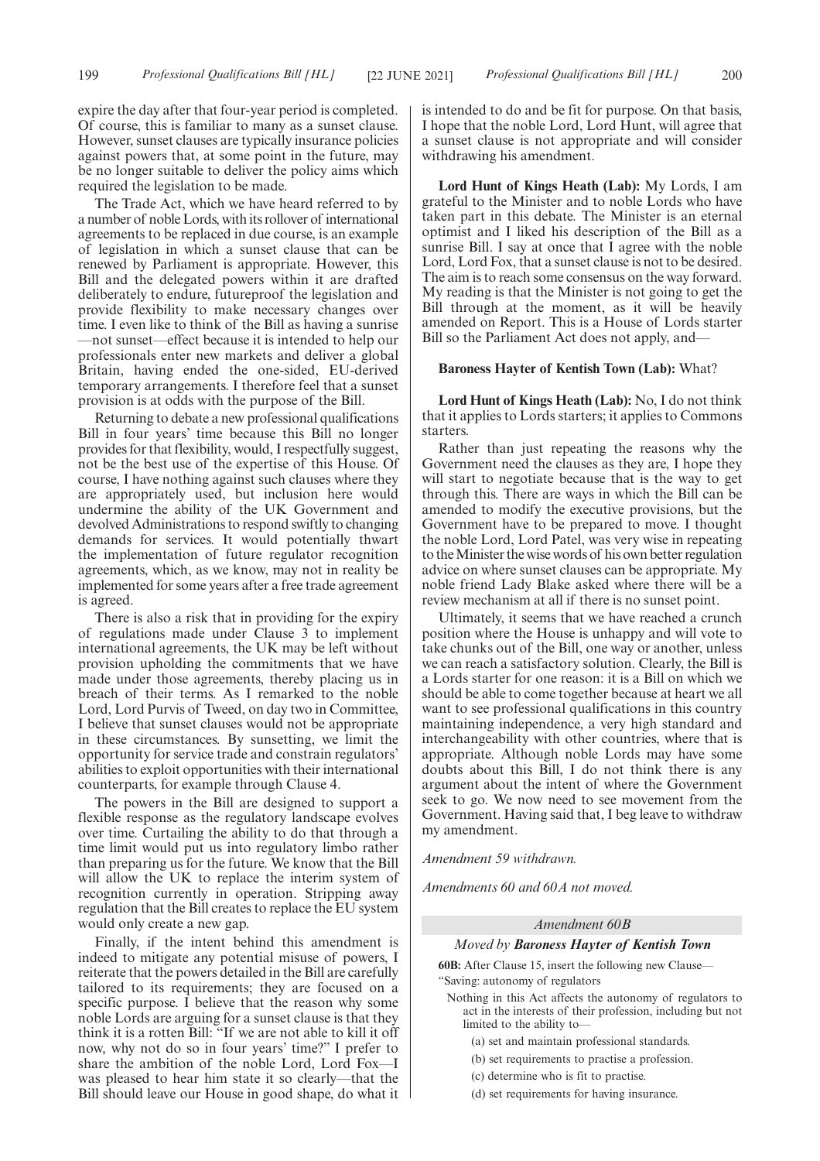expire the day after that four-year period is completed. Of course, this is familiar to many as a sunset clause. However, sunset clauses are typically insurance policies against powers that, at some point in the future, may be no longer suitable to deliver the policy aims which required the legislation to be made.

The Trade Act, which we have heard referred to by a number of noble Lords, with its rollover of international agreements to be replaced in due course, is an example of legislation in which a sunset clause that can be renewed by Parliament is appropriate. However, this Bill and the delegated powers within it are drafted deliberately to endure, futureproof the legislation and provide flexibility to make necessary changes over time. I even like to think of the Bill as having a sunrise —not sunset—effect because it is intended to help our professionals enter new markets and deliver a global Britain, having ended the one-sided, EU-derived temporary arrangements. I therefore feel that a sunset provision is at odds with the purpose of the Bill.

Returning to debate a new professional qualifications Bill in four years' time because this Bill no longer provides for that flexibility, would, I respectfully suggest, not be the best use of the expertise of this House. Of course, I have nothing against such clauses where they are appropriately used, but inclusion here would undermine the ability of the UK Government and devolved Administrations to respond swiftly to changing demands for services. It would potentially thwart the implementation of future regulator recognition agreements, which, as we know, may not in reality be implemented for some years after a free trade agreement is agreed.

There is also a risk that in providing for the expiry of regulations made under Clause 3 to implement international agreements, the UK may be left without provision upholding the commitments that we have made under those agreements, thereby placing us in breach of their terms. As I remarked to the noble Lord, Lord Purvis of Tweed, on day two in Committee, I believe that sunset clauses would not be appropriate in these circumstances. By sunsetting, we limit the opportunity for service trade and constrain regulators' abilities to exploit opportunities with their international counterparts, for example through Clause 4.

The powers in the Bill are designed to support a flexible response as the regulatory landscape evolves over time. Curtailing the ability to do that through a time limit would put us into regulatory limbo rather than preparing us for the future. We know that the Bill will allow the UK to replace the interim system of recognition currently in operation. Stripping away regulation that the Bill creates to replace the EU system would only create a new gap.

Finally, if the intent behind this amendment is indeed to mitigate any potential misuse of powers, I reiterate that the powers detailed in the Bill are carefully tailored to its requirements; they are focused on a specific purpose. I believe that the reason why some noble Lords are arguing for a sunset clause is that they think it is a rotten Bill: "If we are not able to kill it off now, why not do so in four years' time?" I prefer to share the ambition of the noble Lord, Lord Fox—I was pleased to hear him state it so clearly—that the Bill should leave our House in good shape, do what it is intended to do and be fit for purpose. On that basis, I hope that the noble Lord, Lord Hunt, will agree that a sunset clause is not appropriate and will consider withdrawing his amendment.

**Lord Hunt of Kings Heath (Lab):** My Lords, I am grateful to the Minister and to noble Lords who have taken part in this debate. The Minister is an eternal optimist and I liked his description of the Bill as a sunrise Bill. I say at once that I agree with the noble Lord, Lord Fox, that a sunset clause is not to be desired. The aim is to reach some consensus on the way forward. My reading is that the Minister is not going to get the Bill through at the moment, as it will be heavily amended on Report. This is a House of Lords starter Bill so the Parliament Act does not apply, and—

# **Baroness Hayter of Kentish Town (Lab):** What?

**Lord Hunt of Kings Heath (Lab):** No, I do not think that it applies to Lords starters; it applies to Commons starters.

Rather than just repeating the reasons why the Government need the clauses as they are, I hope they will start to negotiate because that is the way to get through this. There are ways in which the Bill can be amended to modify the executive provisions, but the Government have to be prepared to move. I thought the noble Lord, Lord Patel, was very wise in repeating to the Minister the wise words of his own better regulation advice on where sunset clauses can be appropriate. My noble friend Lady Blake asked where there will be a review mechanism at all if there is no sunset point.

Ultimately, it seems that we have reached a crunch position where the House is unhappy and will vote to take chunks out of the Bill, one way or another, unless we can reach a satisfactory solution. Clearly, the Bill is a Lords starter for one reason: it is a Bill on which we should be able to come together because at heart we all want to see professional qualifications in this country maintaining independence, a very high standard and interchangeability with other countries, where that is appropriate. Although noble Lords may have some doubts about this Bill, I do not think there is any argument about the intent of where the Government seek to go. We now need to see movement from the Government. Having said that, I beg leave to withdraw my amendment.

*Amendment 59 withdrawn.*

*Amendments 60 and 60A not moved.*

#### *Amendment 60B*

#### *Moved by Baroness Hayter of Kentish Town*

**60B:** After Clause 15, insert the following new Clause— "Saving: autonomy of regulators

- Nothing in this Act affects the autonomy of regulators to act in the interests of their profession, including but not limited to the ability to—
	- (a) set and maintain professional standards.
	- (b) set requirements to practise a profession.
	- (c) determine who is fit to practise.
	- (d) set requirements for having insurance.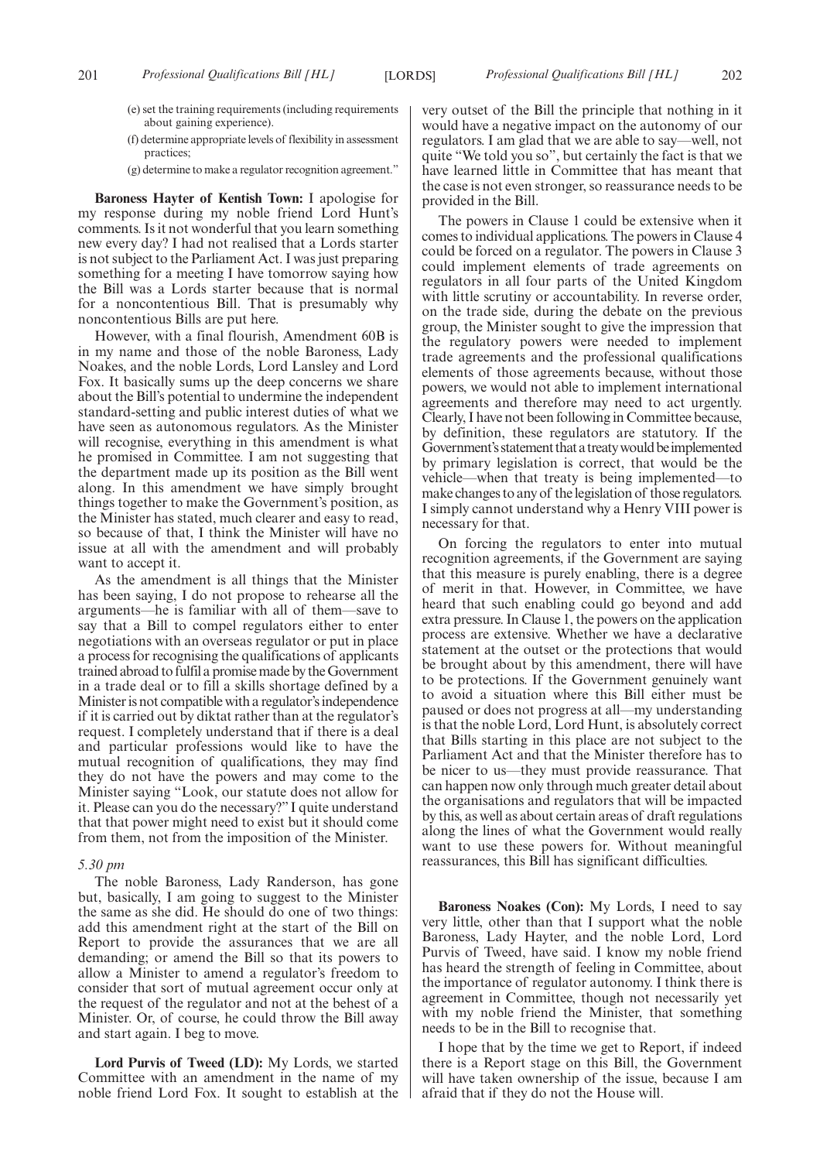- (e) set the training requirements (including requirements about gaining experience).
- (f) determine appropriate levels of flexibility in assessment practices;
- (g) determine to make a regulator recognition agreement."

**Baroness Hayter of Kentish Town:** I apologise for my response during my noble friend Lord Hunt's comments. Is it not wonderful that you learn something new every day? I had not realised that a Lords starter is not subject to the Parliament Act. I was just preparing something for a meeting I have tomorrow saying how the Bill was a Lords starter because that is normal for a noncontentious Bill. That is presumably why noncontentious Bills are put here.

However, with a final flourish, Amendment 60B is in my name and those of the noble Baroness, Lady Noakes, and the noble Lords, Lord Lansley and Lord Fox. It basically sums up the deep concerns we share about the Bill's potential to undermine the independent standard-setting and public interest duties of what we have seen as autonomous regulators. As the Minister will recognise, everything in this amendment is what he promised in Committee. I am not suggesting that the department made up its position as the Bill went along. In this amendment we have simply brought things together to make the Government's position, as the Minister has stated, much clearer and easy to read, so because of that, I think the Minister will have no issue at all with the amendment and will probably want to accept it.

As the amendment is all things that the Minister has been saying, I do not propose to rehearse all the arguments—he is familiar with all of them—save to say that a Bill to compel regulators either to enter negotiations with an overseas regulator or put in place a process for recognising the qualifications of applicants trained abroad to fulfil a promise made by the Government in a trade deal or to fill a skills shortage defined by a Minister is not compatible with a regulator's independence if it is carried out by diktat rather than at the regulator's request. I completely understand that if there is a deal and particular professions would like to have the mutual recognition of qualifications, they may find they do not have the powers and may come to the Minister saying "Look, our statute does not allow for it. Please can you do the necessary?" I quite understand that that power might need to exist but it should come from them, not from the imposition of the Minister.

#### *5.30 pm*

The noble Baroness, Lady Randerson, has gone but, basically, I am going to suggest to the Minister the same as she did. He should do one of two things: add this amendment right at the start of the Bill on Report to provide the assurances that we are all demanding; or amend the Bill so that its powers to allow a Minister to amend a regulator's freedom to consider that sort of mutual agreement occur only at the request of the regulator and not at the behest of a Minister. Or, of course, he could throw the Bill away and start again. I beg to move.

**Lord Purvis of Tweed (LD):** My Lords, we started Committee with an amendment in the name of my noble friend Lord Fox. It sought to establish at the very outset of the Bill the principle that nothing in it would have a negative impact on the autonomy of our regulators. I am glad that we are able to say—well, not quite "We told you so", but certainly the fact is that we have learned little in Committee that has meant that the case is not even stronger, so reassurance needs to be provided in the Bill.

The powers in Clause 1 could be extensive when it comes to individual applications. The powers in Clause 4 could be forced on a regulator. The powers in Clause 3 could implement elements of trade agreements on regulators in all four parts of the United Kingdom with little scrutiny or accountability. In reverse order, on the trade side, during the debate on the previous group, the Minister sought to give the impression that the regulatory powers were needed to implement trade agreements and the professional qualifications elements of those agreements because, without those powers, we would not able to implement international agreements and therefore may need to act urgently. Clearly, I have not been following in Committee because, by definition, these regulators are statutory. If the Government's statement that a treaty would be implemented by primary legislation is correct, that would be the vehicle—when that treaty is being implemented—to make changes to any of the legislation of those regulators. I simply cannot understand why a Henry VIII power is necessary for that.

On forcing the regulators to enter into mutual recognition agreements, if the Government are saying that this measure is purely enabling, there is a degree of merit in that. However, in Committee, we have heard that such enabling could go beyond and add extra pressure. In Clause 1, the powers on the application process are extensive. Whether we have a declarative statement at the outset or the protections that would be brought about by this amendment, there will have to be protections. If the Government genuinely want to avoid a situation where this Bill either must be paused or does not progress at all—my understanding is that the noble Lord, Lord Hunt, is absolutely correct that Bills starting in this place are not subject to the Parliament Act and that the Minister therefore has to be nicer to us—they must provide reassurance. That can happen now only through much greater detail about the organisations and regulators that will be impacted by this, as well as about certain areas of draft regulations along the lines of what the Government would really want to use these powers for. Without meaningful reassurances, this Bill has significant difficulties.

**Baroness Noakes (Con):** My Lords, I need to say very little, other than that I support what the noble Baroness, Lady Hayter, and the noble Lord, Lord Purvis of Tweed, have said. I know my noble friend has heard the strength of feeling in Committee, about the importance of regulator autonomy. I think there is agreement in Committee, though not necessarily yet with my noble friend the Minister, that something needs to be in the Bill to recognise that.

I hope that by the time we get to Report, if indeed there is a Report stage on this Bill, the Government will have taken ownership of the issue, because I am afraid that if they do not the House will.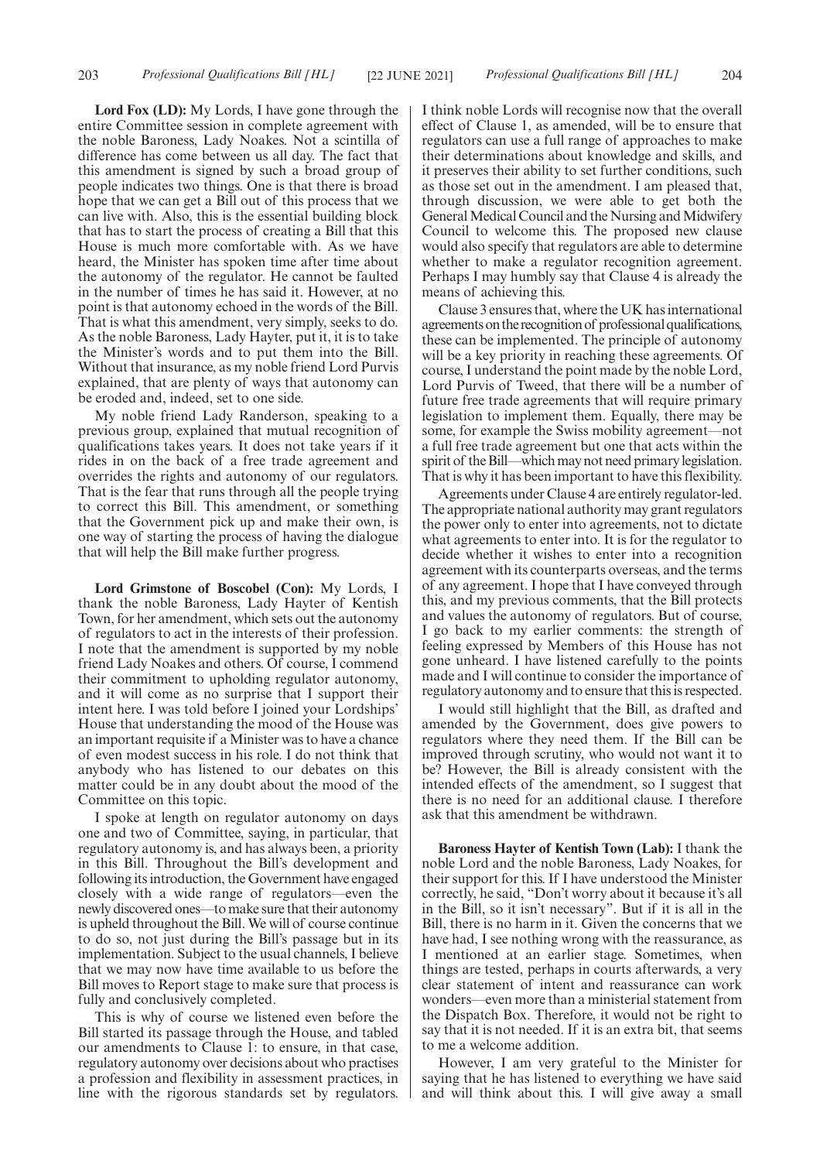**Lord Fox (LD):** My Lords, I have gone through the entire Committee session in complete agreement with the noble Baroness, Lady Noakes. Not a scintilla of difference has come between us all day. The fact that this amendment is signed by such a broad group of people indicates two things. One is that there is broad hope that we can get a Bill out of this process that we can live with. Also, this is the essential building block that has to start the process of creating a Bill that this House is much more comfortable with. As we have heard, the Minister has spoken time after time about the autonomy of the regulator. He cannot be faulted in the number of times he has said it. However, at no point is that autonomy echoed in the words of the Bill. That is what this amendment, very simply, seeks to do. As the noble Baroness, Lady Hayter, put it, it is to take the Minister's words and to put them into the Bill. Without that insurance, as my noble friend Lord Purvis explained, that are plenty of ways that autonomy can be eroded and, indeed, set to one side.

My noble friend Lady Randerson, speaking to a previous group, explained that mutual recognition of qualifications takes years. It does not take years if it rides in on the back of a free trade agreement and overrides the rights and autonomy of our regulators. That is the fear that runs through all the people trying to correct this Bill. This amendment, or something that the Government pick up and make their own, is one way of starting the process of having the dialogue that will help the Bill make further progress.

**Lord Grimstone of Boscobel (Con):** My Lords, I thank the noble Baroness, Lady Hayter of Kentish Town, for her amendment, which sets out the autonomy of regulators to act in the interests of their profession. I note that the amendment is supported by my noble friend Lady Noakes and others. Of course, I commend their commitment to upholding regulator autonomy, and it will come as no surprise that I support their intent here. I was told before I joined your Lordships' House that understanding the mood of the House was an important requisite if a Minister was to have a chance of even modest success in his role. I do not think that anybody who has listened to our debates on this matter could be in any doubt about the mood of the Committee on this topic.

I spoke at length on regulator autonomy on days one and two of Committee, saying, in particular, that regulatory autonomy is, and has always been, a priority in this Bill. Throughout the Bill's development and following its introduction, the Government have engaged closely with a wide range of regulators—even the newly discovered ones—to make sure that their autonomy is upheld throughout the Bill. We will of course continue to do so, not just during the Bill's passage but in its implementation. Subject to the usual channels, I believe that we may now have time available to us before the Bill moves to Report stage to make sure that process is fully and conclusively completed.

This is why of course we listened even before the Bill started its passage through the House, and tabled our amendments to Clause 1: to ensure, in that case, regulatory autonomy over decisions about who practises a profession and flexibility in assessment practices, in line with the rigorous standards set by regulators. I think noble Lords will recognise now that the overall effect of Clause 1, as amended, will be to ensure that regulators can use a full range of approaches to make their determinations about knowledge and skills, and it preserves their ability to set further conditions, such as those set out in the amendment. I am pleased that, through discussion, we were able to get both the General Medical Council and the Nursing and Midwifery Council to welcome this. The proposed new clause would also specify that regulators are able to determine whether to make a regulator recognition agreement. Perhaps I may humbly say that Clause 4 is already the means of achieving this.

Clause 3 ensures that, where the UK has international agreements on the recognition of professional qualifications, these can be implemented. The principle of autonomy will be a key priority in reaching these agreements. Of course, I understand the point made by the noble Lord, Lord Purvis of Tweed, that there will be a number of future free trade agreements that will require primary legislation to implement them. Equally, there may be some, for example the Swiss mobility agreement—not a full free trade agreement but one that acts within the spirit of the Bill—which may not need primary legislation. That is why it has been important to have this flexibility.

Agreements under Clause 4 are entirely regulator-led. The appropriate national authority may grant regulators the power only to enter into agreements, not to dictate what agreements to enter into. It is for the regulator to decide whether it wishes to enter into a recognition agreement with its counterparts overseas, and the terms of any agreement. I hope that I have conveyed through this, and my previous comments, that the Bill protects and values the autonomy of regulators. But of course, I go back to my earlier comments: the strength of feeling expressed by Members of this House has not gone unheard. I have listened carefully to the points made and I will continue to consider the importance of regulatory autonomy and to ensure that this is respected.

I would still highlight that the Bill, as drafted and amended by the Government, does give powers to regulators where they need them. If the Bill can be improved through scrutiny, who would not want it to be? However, the Bill is already consistent with the intended effects of the amendment, so I suggest that there is no need for an additional clause. I therefore ask that this amendment be withdrawn.

**Baroness Hayter of Kentish Town (Lab):** I thank the noble Lord and the noble Baroness, Lady Noakes, for their support for this. If I have understood the Minister correctly, he said, "Don't worry about it because it's all in the Bill, so it isn't necessary". But if it is all in the Bill, there is no harm in it. Given the concerns that we have had, I see nothing wrong with the reassurance, as I mentioned at an earlier stage. Sometimes, when things are tested, perhaps in courts afterwards, a very clear statement of intent and reassurance can work wonders—even more than a ministerial statement from the Dispatch Box. Therefore, it would not be right to say that it is not needed. If it is an extra bit, that seems to me a welcome addition.

However, I am very grateful to the Minister for saying that he has listened to everything we have said and will think about this. I will give away a small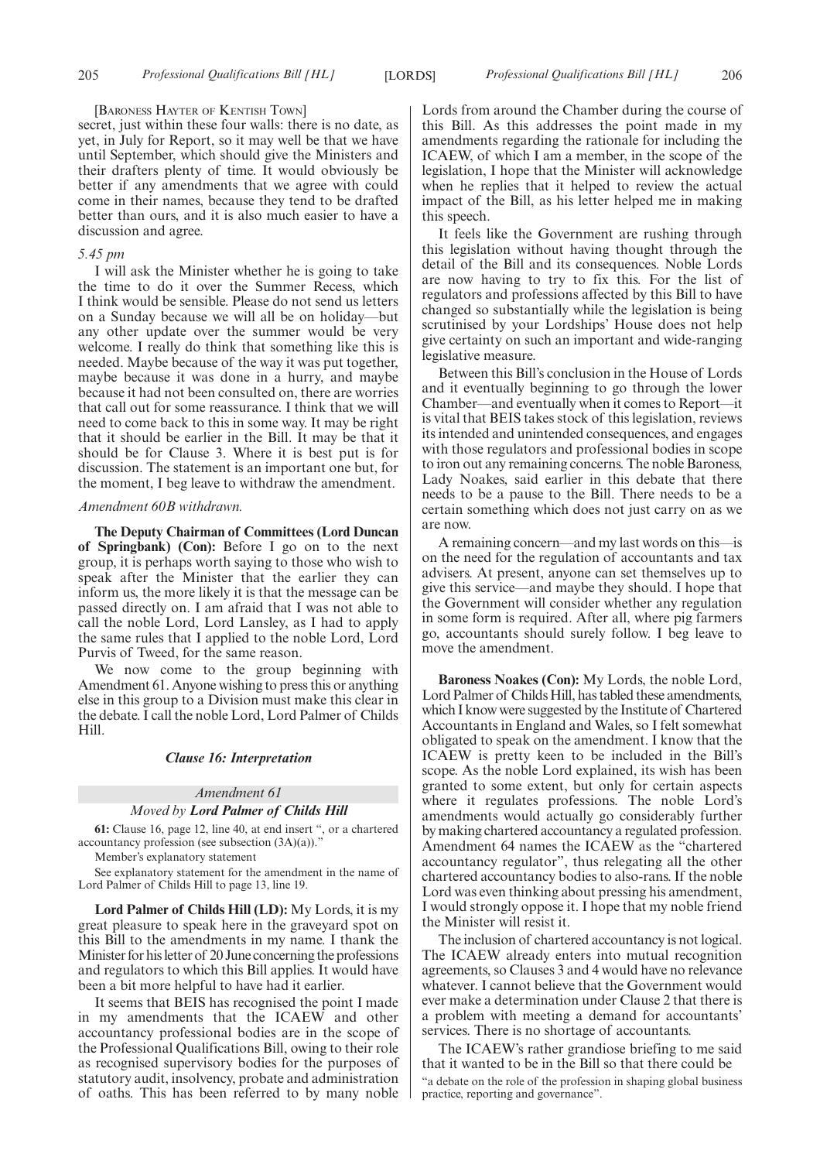#### [BARONESS HAYTER OF KENTISH TOWN]

secret, just within these four walls: there is no date, as yet, in July for Report, so it may well be that we have until September, which should give the Ministers and their drafters plenty of time. It would obviously be better if any amendments that we agree with could come in their names, because they tend to be drafted better than ours, and it is also much easier to have a discussion and agree.

#### *5.45 pm*

I will ask the Minister whether he is going to take the time to do it over the Summer Recess, which I think would be sensible. Please do not send us letters on a Sunday because we will all be on holiday—but any other update over the summer would be very welcome. I really do think that something like this is needed. Maybe because of the way it was put together, maybe because it was done in a hurry, and maybe because it had not been consulted on, there are worries that call out for some reassurance. I think that we will need to come back to this in some way. It may be right that it should be earlier in the Bill. It may be that it should be for Clause 3. Where it is best put is for discussion. The statement is an important one but, for the moment, I beg leave to withdraw the amendment.

#### *Amendment 60B withdrawn.*

**The Deputy Chairman of Committees (Lord Duncan of Springbank) (Con):** Before I go on to the next group, it is perhaps worth saying to those who wish to speak after the Minister that the earlier they can inform us, the more likely it is that the message can be passed directly on. I am afraid that I was not able to call the noble Lord, Lord Lansley, as I had to apply the same rules that I applied to the noble Lord, Lord Purvis of Tweed, for the same reason.

We now come to the group beginning with Amendment 61. Anyone wishing to press this or anything else in this group to a Division must make this clear in the debate. I call the noble Lord, Lord Palmer of Childs Hill.

#### *Clause 16: Interpretation*

#### *Amendment 61*

#### *Moved by Lord Palmer of Childs Hill*

**61:** Clause 16, page 12, line 40, at end insert ", or a chartered accountancy profession (see subsection  $(3A)(a)$ ).

Member's explanatory statement

See explanatory statement for the amendment in the name of Lord Palmer of Childs Hill to page 13, line 19.

**Lord Palmer of Childs Hill (LD):** My Lords, it is my great pleasure to speak here in the graveyard spot on this Bill to the amendments in my name. I thank the Minister for his letter of 20 June concerning the professions and regulators to which this Bill applies. It would have been a bit more helpful to have had it earlier.

It seems that BEIS has recognised the point I made in my amendments that the ICAEW and other accountancy professional bodies are in the scope of the Professional Qualifications Bill, owing to their role as recognised supervisory bodies for the purposes of statutory audit, insolvency, probate and administration of oaths. This has been referred to by many noble Lords from around the Chamber during the course of this Bill. As this addresses the point made in my amendments regarding the rationale for including the ICAEW, of which I am a member, in the scope of the legislation, I hope that the Minister will acknowledge when he replies that it helped to review the actual impact of the Bill, as his letter helped me in making this speech.

It feels like the Government are rushing through this legislation without having thought through the detail of the Bill and its consequences. Noble Lords are now having to try to fix this. For the list of regulators and professions affected by this Bill to have changed so substantially while the legislation is being scrutinised by your Lordships' House does not help give certainty on such an important and wide-ranging legislative measure.

Between this Bill's conclusion in the House of Lords and it eventually beginning to go through the lower Chamber—and eventually when it comes to Report—it is vital that BEIS takes stock of this legislation, reviews its intended and unintended consequences, and engages with those regulators and professional bodies in scope to iron out any remaining concerns. The noble Baroness, Lady Noakes, said earlier in this debate that there needs to be a pause to the Bill. There needs to be a certain something which does not just carry on as we are now.

A remaining concern—and my last words on this—is on the need for the regulation of accountants and tax advisers. At present, anyone can set themselves up to give this service—and maybe they should. I hope that the Government will consider whether any regulation in some form is required. After all, where pig farmers go, accountants should surely follow. I beg leave to move the amendment.

**Baroness Noakes (Con):** My Lords, the noble Lord, Lord Palmer of Childs Hill, has tabled these amendments, which I know were suggested by the Institute of Chartered Accountants in England and Wales, so I felt somewhat obligated to speak on the amendment. I know that the ICAEW is pretty keen to be included in the Bill's scope. As the noble Lord explained, its wish has been granted to some extent, but only for certain aspects where it regulates professions. The noble Lord's amendments would actually go considerably further by making chartered accountancy a regulated profession. Amendment 64 names the ICAEW as the "chartered accountancy regulator", thus relegating all the other chartered accountancy bodies to also-rans. If the noble Lord was even thinking about pressing his amendment, I would strongly oppose it. I hope that my noble friend the Minister will resist it.

The inclusion of chartered accountancy is not logical. The ICAEW already enters into mutual recognition agreements, so Clauses 3 and 4 would have no relevance whatever. I cannot believe that the Government would ever make a determination under Clause 2 that there is a problem with meeting a demand for accountants' services. There is no shortage of accountants.

The ICAEW's rather grandiose briefing to me said that it wanted to be in the Bill so that there could be "a debate on the role of the profession in shaping global business practice, reporting and governance".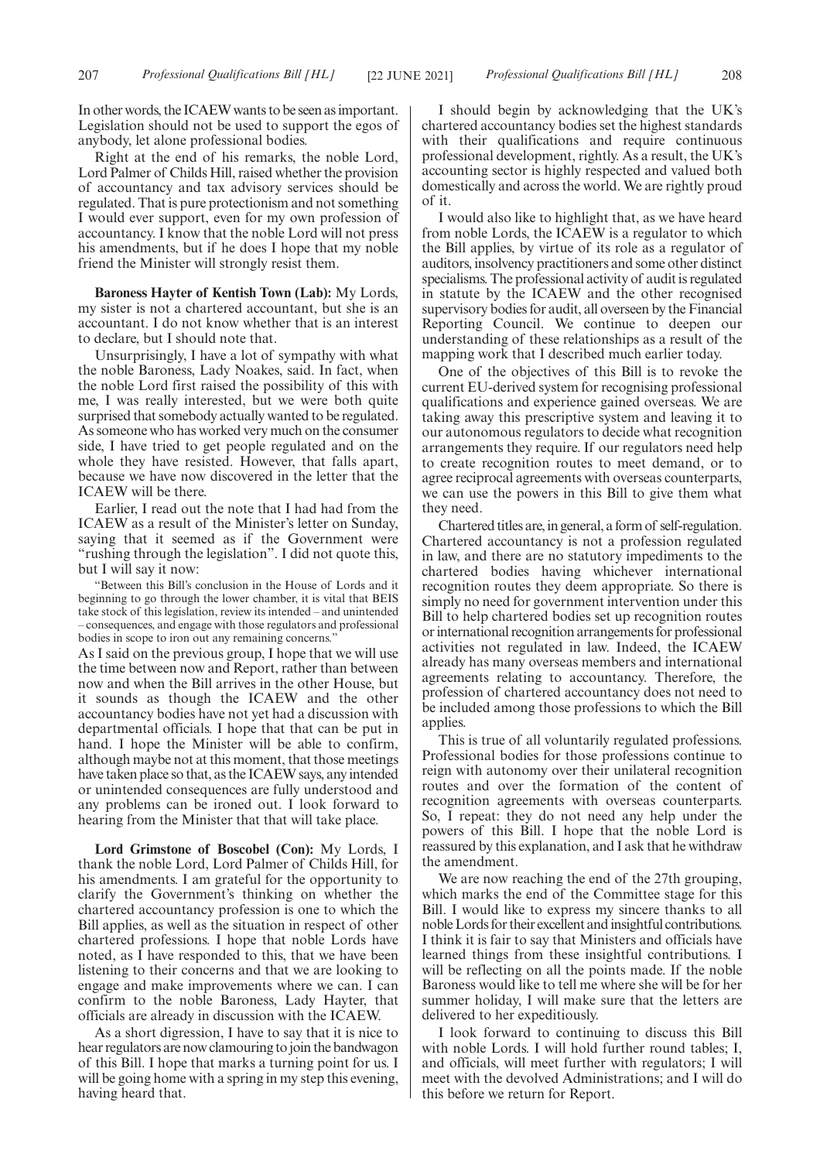In other words, the ICAEW wants to be seen as important. Legislation should not be used to support the egos of anybody, let alone professional bodies.

Right at the end of his remarks, the noble Lord, Lord Palmer of Childs Hill, raised whether the provision of accountancy and tax advisory services should be regulated. That is pure protectionism and not something I would ever support, even for my own profession of accountancy. I know that the noble Lord will not press his amendments, but if he does I hope that my noble friend the Minister will strongly resist them.

**Baroness Hayter of Kentish Town (Lab):** My Lords, my sister is not a chartered accountant, but she is an accountant. I do not know whether that is an interest to declare, but I should note that.

Unsurprisingly, I have a lot of sympathy with what the noble Baroness, Lady Noakes, said. In fact, when the noble Lord first raised the possibility of this with me, I was really interested, but we were both quite surprised that somebody actually wanted to be regulated. As someone who has worked very much on the consumer side, I have tried to get people regulated and on the whole they have resisted. However, that falls apart, because we have now discovered in the letter that the ICAEW will be there.

Earlier, I read out the note that I had had from the ICAEW as a result of the Minister's letter on Sunday, saying that it seemed as if the Government were "rushing through the legislation". I did not quote this, but I will say it now:

"Between this Bill's conclusion in the House of Lords and it beginning to go through the lower chamber, it is vital that BEIS take stock of this legislation, review its intended – and unintended – consequences, and engage with those regulators and professional bodies in scope to iron out any remaining concerns."

As I said on the previous group, I hope that we will use the time between now and Report, rather than between now and when the Bill arrives in the other House, but it sounds as though the ICAEW and the other accountancy bodies have not yet had a discussion with departmental officials. I hope that that can be put in hand. I hope the Minister will be able to confirm, although maybe not at this moment, that those meetings have taken place so that, as the ICAEW says, any intended or unintended consequences are fully understood and any problems can be ironed out. I look forward to hearing from the Minister that that will take place.

**Lord Grimstone of Boscobel (Con):** My Lords, I thank the noble Lord, Lord Palmer of Childs Hill, for his amendments. I am grateful for the opportunity to clarify the Government's thinking on whether the chartered accountancy profession is one to which the Bill applies, as well as the situation in respect of other chartered professions. I hope that noble Lords have noted, as I have responded to this, that we have been listening to their concerns and that we are looking to engage and make improvements where we can. I can confirm to the noble Baroness, Lady Hayter, that officials are already in discussion with the ICAEW.

As a short digression, I have to say that it is nice to hear regulators are now clamouring to join the bandwagon of this Bill. I hope that marks a turning point for us. I will be going home with a spring in my step this evening, having heard that.

I should begin by acknowledging that the UK's chartered accountancy bodies set the highest standards with their qualifications and require continuous professional development, rightly. As a result, the UK's accounting sector is highly respected and valued both domestically and across the world. We are rightly proud of it.

I would also like to highlight that, as we have heard from noble Lords, the ICAEW is a regulator to which the Bill applies, by virtue of its role as a regulator of auditors, insolvency practitioners and some other distinct specialisms. The professional activity of audit is regulated in statute by the ICAEW and the other recognised supervisory bodies for audit, all overseen by the Financial Reporting Council. We continue to deepen our understanding of these relationships as a result of the mapping work that I described much earlier today.

One of the objectives of this Bill is to revoke the current EU-derived system for recognising professional qualifications and experience gained overseas. We are taking away this prescriptive system and leaving it to our autonomous regulators to decide what recognition arrangements they require. If our regulators need help to create recognition routes to meet demand, or to agree reciprocal agreements with overseas counterparts, we can use the powers in this Bill to give them what they need.

Chartered titles are, in general, a form of self-regulation. Chartered accountancy is not a profession regulated in law, and there are no statutory impediments to the chartered bodies having whichever international recognition routes they deem appropriate. So there is simply no need for government intervention under this Bill to help chartered bodies set up recognition routes or international recognition arrangements for professional activities not regulated in law. Indeed, the ICAEW already has many overseas members and international agreements relating to accountancy. Therefore, the profession of chartered accountancy does not need to be included among those professions to which the Bill applies.

This is true of all voluntarily regulated professions. Professional bodies for those professions continue to reign with autonomy over their unilateral recognition routes and over the formation of the content of recognition agreements with overseas counterparts. So, I repeat: they do not need any help under the powers of this Bill. I hope that the noble Lord is reassured by this explanation, and I ask that he withdraw the amendment.

We are now reaching the end of the 27th grouping, which marks the end of the Committee stage for this Bill. I would like to express my sincere thanks to all noble Lords for their excellent and insightful contributions. I think it is fair to say that Ministers and officials have learned things from these insightful contributions. I will be reflecting on all the points made. If the noble Baroness would like to tell me where she will be for her summer holiday, I will make sure that the letters are delivered to her expeditiously.

I look forward to continuing to discuss this Bill with noble Lords. I will hold further round tables; I, and officials, will meet further with regulators; I will meet with the devolved Administrations; and I will do this before we return for Report.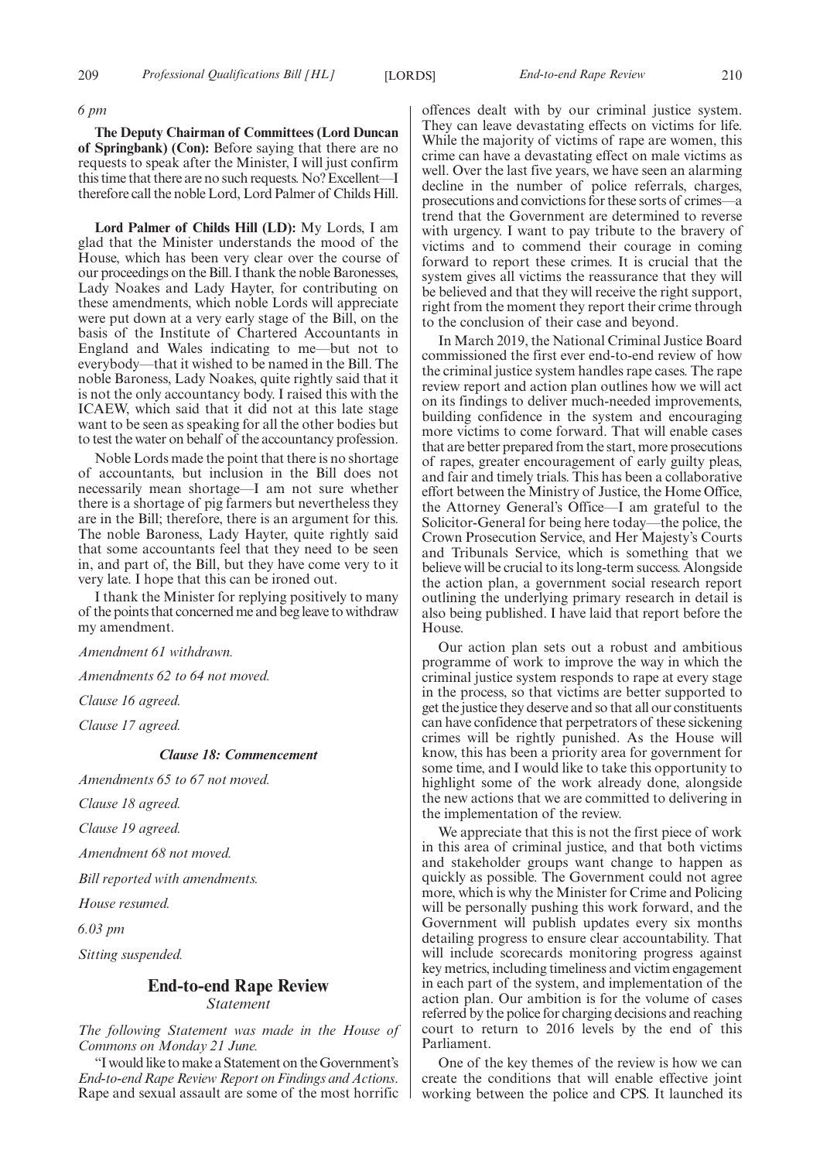#### *6 pm*

**The Deputy Chairman of Committees (Lord Duncan of Springbank) (Con):** Before saying that there are no requests to speak after the Minister, I will just confirm this time that there are no such requests. No? Excellent—I therefore call the noble Lord, Lord Palmer of Childs Hill.

**Lord Palmer of Childs Hill (LD):** My Lords, I am glad that the Minister understands the mood of the House, which has been very clear over the course of our proceedings on the Bill. I thank the noble Baronesses, Lady Noakes and Lady Hayter, for contributing on these amendments, which noble Lords will appreciate were put down at a very early stage of the Bill, on the basis of the Institute of Chartered Accountants in England and Wales indicating to me—but not to everybody—that it wished to be named in the Bill. The noble Baroness, Lady Noakes, quite rightly said that it is not the only accountancy body. I raised this with the ICAEW, which said that it did not at this late stage want to be seen as speaking for all the other bodies but to test the water on behalf of the accountancy profession.

Noble Lords made the point that there is no shortage of accountants, but inclusion in the Bill does not necessarily mean shortage—I am not sure whether there is a shortage of pig farmers but nevertheless they are in the Bill; therefore, there is an argument for this. The noble Baroness, Lady Hayter, quite rightly said that some accountants feel that they need to be seen in, and part of, the Bill, but they have come very to it very late. I hope that this can be ironed out.

I thank the Minister for replying positively to many of the points that concerned me and beg leave to withdraw my amendment.

*Amendment 61 withdrawn.*

*Amendments 62 to 64 not moved.*

*Clause 16 agreed.*

*Clause 17 agreed.*

# *Clause 18: Commencement*

*Amendments 65 to 67 not moved.*

*Clause 18 agreed.*

*Clause 19 agreed.*

*Amendment 68 not moved.*

*Bill reported with amendments.*

*House resumed.*

*6.03 pm*

*Sitting suspended.*

# **End-to-end Rape Review** *Statement*

*The following Statement was made in the House of Commons on Monday 21 June.*

"I would like to make a Statement on the Government's *End-to-end Rape Review Report on Findings and Actions*. Rape and sexual assault are some of the most horrific offences dealt with by our criminal justice system. They can leave devastating effects on victims for life. While the majority of victims of rape are women, this crime can have a devastating effect on male victims as well. Over the last five years, we have seen an alarming decline in the number of police referrals, charges, prosecutions and convictions for these sorts of crimes—a trend that the Government are determined to reverse with urgency. I want to pay tribute to the bravery of victims and to commend their courage in coming forward to report these crimes. It is crucial that the system gives all victims the reassurance that they will be believed and that they will receive the right support, right from the moment they report their crime through to the conclusion of their case and beyond.

In March 2019, the National Criminal Justice Board commissioned the first ever end-to-end review of how the criminal justice system handles rape cases. The rape review report and action plan outlines how we will act on its findings to deliver much-needed improvements, building confidence in the system and encouraging more victims to come forward. That will enable cases that are better prepared from the start, more prosecutions of rapes, greater encouragement of early guilty pleas, and fair and timely trials. This has been a collaborative effort between the Ministry of Justice, the Home Office, the Attorney General's Office—I am grateful to the Solicitor-General for being here today—the police, the Crown Prosecution Service, and Her Majesty's Courts and Tribunals Service, which is something that we believe will be crucial to its long-term success. Alongside the action plan, a government social research report outlining the underlying primary research in detail is also being published. I have laid that report before the House.

Our action plan sets out a robust and ambitious programme of work to improve the way in which the criminal justice system responds to rape at every stage in the process, so that victims are better supported to get the justice they deserve and so that all our constituents can have confidence that perpetrators of these sickening crimes will be rightly punished. As the House will know, this has been a priority area for government for some time, and I would like to take this opportunity to highlight some of the work already done, alongside the new actions that we are committed to delivering in the implementation of the review.

We appreciate that this is not the first piece of work in this area of criminal justice, and that both victims and stakeholder groups want change to happen as quickly as possible. The Government could not agree more, which is why the Minister for Crime and Policing will be personally pushing this work forward, and the Government will publish updates every six months detailing progress to ensure clear accountability. That will include scorecards monitoring progress against key metrics, including timeliness and victim engagement in each part of the system, and implementation of the action plan. Our ambition is for the volume of cases referred by the police for charging decisions and reaching court to return to 2016 levels by the end of this Parliament.

One of the key themes of the review is how we can create the conditions that will enable effective joint working between the police and CPS. It launched its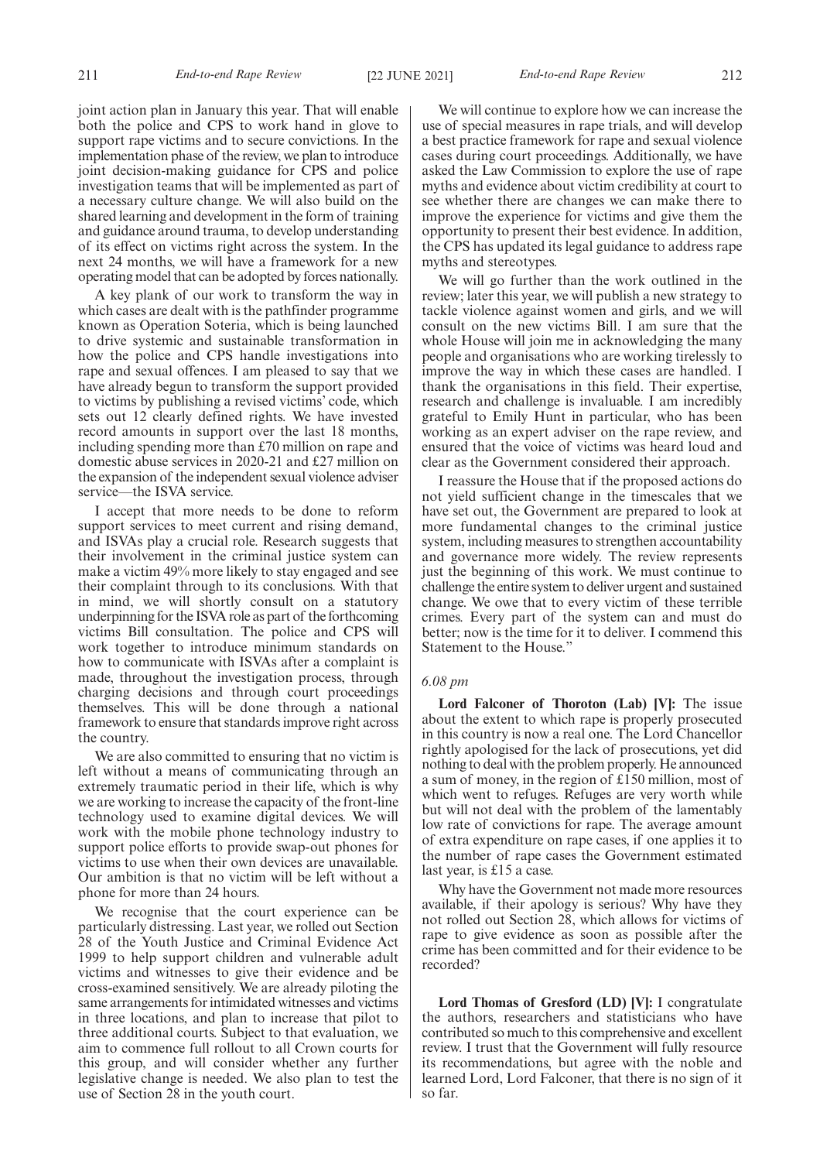joint action plan in January this year. That will enable both the police and CPS to work hand in glove to support rape victims and to secure convictions. In the implementation phase of the review, we plan to introduce joint decision-making guidance for CPS and police investigation teams that will be implemented as part of a necessary culture change. We will also build on the shared learning and development in the form of training and guidance around trauma, to develop understanding of its effect on victims right across the system. In the next 24 months, we will have a framework for a new operating model that can be adopted by forces nationally.

A key plank of our work to transform the way in which cases are dealt with is the pathfinder programme known as Operation Soteria, which is being launched to drive systemic and sustainable transformation in how the police and CPS handle investigations into rape and sexual offences. I am pleased to say that we have already begun to transform the support provided to victims by publishing a revised victims' code, which sets out 12 clearly defined rights. We have invested record amounts in support over the last 18 months, including spending more than £70 million on rape and domestic abuse services in 2020-21 and £27 million on the expansion of the independent sexual violence adviser service—the ISVA service.

I accept that more needs to be done to reform support services to meet current and rising demand, and ISVAs play a crucial role. Research suggests that their involvement in the criminal justice system can make a victim 49% more likely to stay engaged and see their complaint through to its conclusions. With that in mind, we will shortly consult on a statutory underpinning for the ISVA role as part of the forthcoming victims Bill consultation. The police and CPS will work together to introduce minimum standards on how to communicate with ISVAs after a complaint is made, throughout the investigation process, through charging decisions and through court proceedings themselves. This will be done through a national framework to ensure that standards improve right across the country.

We are also committed to ensuring that no victim is left without a means of communicating through an extremely traumatic period in their life, which is why we are working to increase the capacity of the front-line technology used to examine digital devices. We will work with the mobile phone technology industry to support police efforts to provide swap-out phones for victims to use when their own devices are unavailable. Our ambition is that no victim will be left without a phone for more than 24 hours.

We recognise that the court experience can be particularly distressing. Last year, we rolled out Section 28 of the Youth Justice and Criminal Evidence Act 1999 to help support children and vulnerable adult victims and witnesses to give their evidence and be cross-examined sensitively. We are already piloting the same arrangements for intimidated witnesses and victims in three locations, and plan to increase that pilot to three additional courts. Subject to that evaluation, we aim to commence full rollout to all Crown courts for this group, and will consider whether any further legislative change is needed. We also plan to test the use of Section 28 in the youth court.

We will continue to explore how we can increase the use of special measures in rape trials, and will develop a best practice framework for rape and sexual violence cases during court proceedings. Additionally, we have asked the Law Commission to explore the use of rape myths and evidence about victim credibility at court to see whether there are changes we can make there to improve the experience for victims and give them the opportunity to present their best evidence. In addition, the CPS has updated its legal guidance to address rape myths and stereotypes.

We will go further than the work outlined in the review; later this year, we will publish a new strategy to tackle violence against women and girls, and we will consult on the new victims Bill. I am sure that the whole House will join me in acknowledging the many people and organisations who are working tirelessly to improve the way in which these cases are handled. I thank the organisations in this field. Their expertise, research and challenge is invaluable. I am incredibly grateful to Emily Hunt in particular, who has been working as an expert adviser on the rape review, and ensured that the voice of victims was heard loud and clear as the Government considered their approach.

I reassure the House that if the proposed actions do not yield sufficient change in the timescales that we have set out, the Government are prepared to look at more fundamental changes to the criminal justice system, including measures to strengthen accountability and governance more widely. The review represents just the beginning of this work. We must continue to challenge the entire system to deliver urgent and sustained change. We owe that to every victim of these terrible crimes. Every part of the system can and must do better; now is the time for it to deliver. I commend this Statement to the House."

#### *6.08 pm*

**Lord Falconer of Thoroton (Lab) [V]:** The issue about the extent to which rape is properly prosecuted in this country is now a real one. The Lord Chancellor rightly apologised for the lack of prosecutions, yet did nothing to deal with the problem properly. He announced a sum of money, in the region of £150 million, most of which went to refuges. Refuges are very worth while but will not deal with the problem of the lamentably low rate of convictions for rape. The average amount of extra expenditure on rape cases, if one applies it to the number of rape cases the Government estimated last year, is £15 a case.

Why have the Government not made more resources available, if their apology is serious? Why have they not rolled out Section 28, which allows for victims of rape to give evidence as soon as possible after the crime has been committed and for their evidence to be recorded?

**Lord Thomas of Gresford (LD) [V]:** I congratulate the authors, researchers and statisticians who have contributed so much to this comprehensive and excellent review. I trust that the Government will fully resource its recommendations, but agree with the noble and learned Lord, Lord Falconer, that there is no sign of it so far.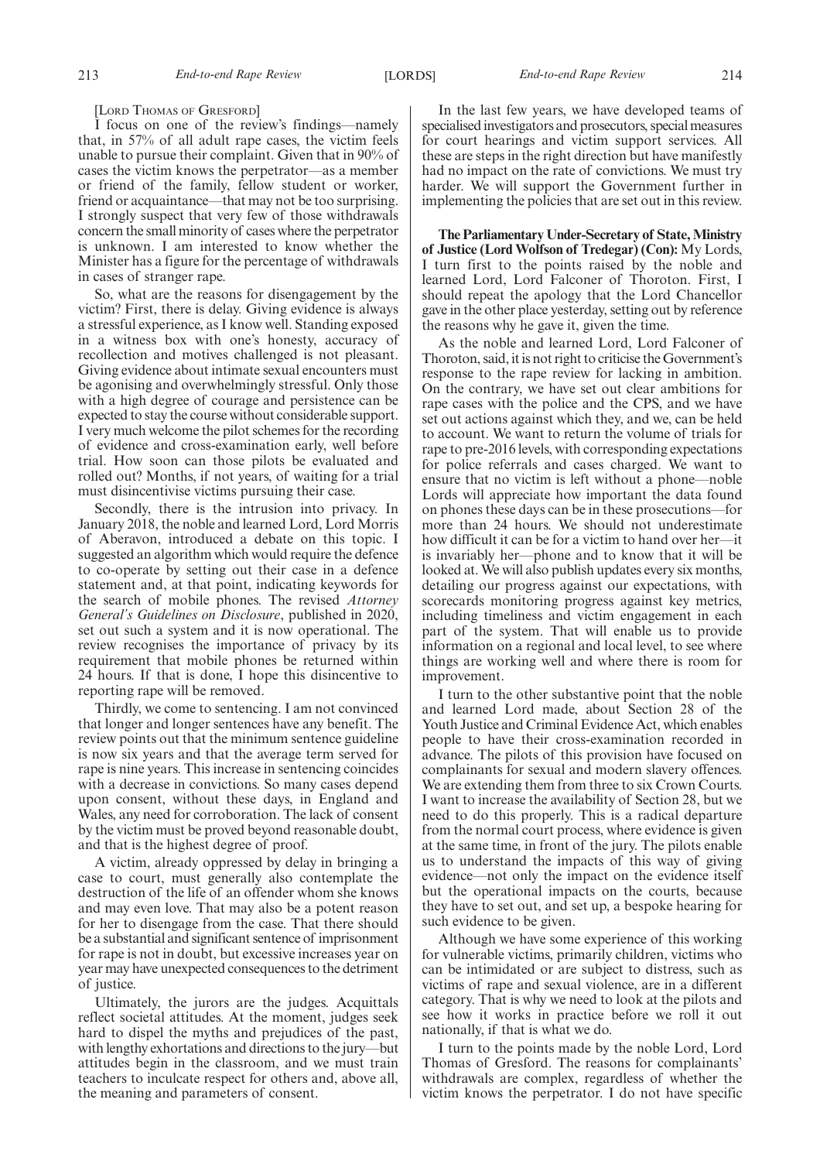[LORD THOMAS OF GRESFORD]

I focus on one of the review's findings—namely that, in 57% of all adult rape cases, the victim feels unable to pursue their complaint. Given that in 90% of cases the victim knows the perpetrator—as a member or friend of the family, fellow student or worker, friend or acquaintance—that may not be too surprising. I strongly suspect that very few of those withdrawals concern the small minority of cases where the perpetrator is unknown. I am interested to know whether the Minister has a figure for the percentage of withdrawals in cases of stranger rape.

So, what are the reasons for disengagement by the victim? First, there is delay. Giving evidence is always a stressful experience, as I know well. Standing exposed in a witness box with one's honesty, accuracy of recollection and motives challenged is not pleasant. Giving evidence about intimate sexual encounters must be agonising and overwhelmingly stressful. Only those with a high degree of courage and persistence can be expected to stay the course without considerable support. I very much welcome the pilot schemes for the recording of evidence and cross-examination early, well before trial. How soon can those pilots be evaluated and rolled out? Months, if not years, of waiting for a trial must disincentivise victims pursuing their case.

Secondly, there is the intrusion into privacy. In January 2018, the noble and learned Lord, Lord Morris of Aberavon, introduced a debate on this topic. I suggested an algorithm which would require the defence to co-operate by setting out their case in a defence statement and, at that point, indicating keywords for the search of mobile phones. The revised *Attorney General's Guidelines on Disclosure*, published in 2020, set out such a system and it is now operational. The review recognises the importance of privacy by its requirement that mobile phones be returned within 24 hours. If that is done, I hope this disincentive to reporting rape will be removed.

Thirdly, we come to sentencing. I am not convinced that longer and longer sentences have any benefit. The review points out that the minimum sentence guideline is now six years and that the average term served for rape is nine years. This increase in sentencing coincides with a decrease in convictions. So many cases depend upon consent, without these days, in England and Wales, any need for corroboration. The lack of consent by the victim must be proved beyond reasonable doubt, and that is the highest degree of proof.

A victim, already oppressed by delay in bringing a case to court, must generally also contemplate the destruction of the life of an offender whom she knows and may even love. That may also be a potent reason for her to disengage from the case. That there should be a substantial and significant sentence of imprisonment for rape is not in doubt, but excessive increases year on year may have unexpected consequences to the detriment of justice.

Ultimately, the jurors are the judges. Acquittals reflect societal attitudes. At the moment, judges seek hard to dispel the myths and prejudices of the past, with lengthy exhortations and directions to the jury—but attitudes begin in the classroom, and we must train teachers to inculcate respect for others and, above all, the meaning and parameters of consent.

In the last few years, we have developed teams of specialised investigators and prosecutors, special measures for court hearings and victim support services. All these are steps in the right direction but have manifestly had no impact on the rate of convictions. We must try harder. We will support the Government further in implementing the policies that are set out in this review.

**The Parliamentary Under-Secretary of State, Ministry of Justice (Lord Wolfson of Tredegar) (Con):** My Lords, I turn first to the points raised by the noble and learned Lord, Lord Falconer of Thoroton. First, I should repeat the apology that the Lord Chancellor gave in the other place yesterday, setting out by reference the reasons why he gave it, given the time.

As the noble and learned Lord, Lord Falconer of Thoroton, said, it is not right to criticise the Government's response to the rape review for lacking in ambition. On the contrary, we have set out clear ambitions for rape cases with the police and the CPS, and we have set out actions against which they, and we, can be held to account. We want to return the volume of trials for rape to pre-2016 levels, with corresponding expectations for police referrals and cases charged. We want to ensure that no victim is left without a phone—noble Lords will appreciate how important the data found on phones these days can be in these prosecutions—for more than 24 hours. We should not underestimate how difficult it can be for a victim to hand over her—it is invariably her—phone and to know that it will be looked at. We will also publish updates every six months, detailing our progress against our expectations, with scorecards monitoring progress against key metrics, including timeliness and victim engagement in each part of the system. That will enable us to provide information on a regional and local level, to see where things are working well and where there is room for improvement.

I turn to the other substantive point that the noble and learned Lord made, about Section 28 of the Youth Justice and Criminal Evidence Act, which enables people to have their cross-examination recorded in advance. The pilots of this provision have focused on complainants for sexual and modern slavery offences. We are extending them from three to six Crown Courts. I want to increase the availability of Section 28, but we need to do this properly. This is a radical departure from the normal court process, where evidence is given at the same time, in front of the jury. The pilots enable us to understand the impacts of this way of giving evidence—not only the impact on the evidence itself but the operational impacts on the courts, because they have to set out, and set up, a bespoke hearing for such evidence to be given.

Although we have some experience of this working for vulnerable victims, primarily children, victims who can be intimidated or are subject to distress, such as victims of rape and sexual violence, are in a different category. That is why we need to look at the pilots and see how it works in practice before we roll it out nationally, if that is what we do.

I turn to the points made by the noble Lord, Lord Thomas of Gresford. The reasons for complainants' withdrawals are complex, regardless of whether the victim knows the perpetrator. I do not have specific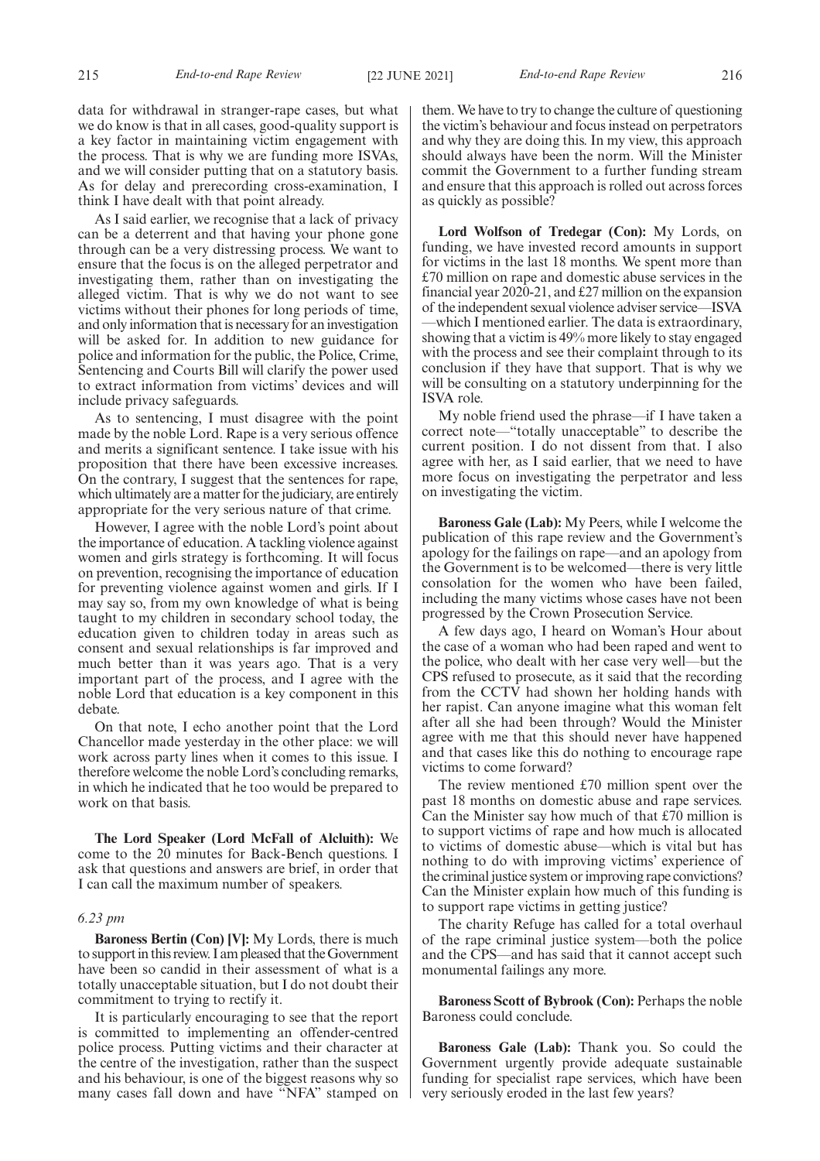215 *End-to-end Rape Review* [22 JUNE 2021] *End-to-end Rape Review* 216

data for withdrawal in stranger-rape cases, but what we do know is that in all cases, good-quality support is a key factor in maintaining victim engagement with the process. That is why we are funding more ISVAs, and we will consider putting that on a statutory basis. As for delay and prerecording cross-examination, I think I have dealt with that point already.

As I said earlier, we recognise that a lack of privacy can be a deterrent and that having your phone gone through can be a very distressing process. We want to ensure that the focus is on the alleged perpetrator and investigating them, rather than on investigating the alleged victim. That is why we do not want to see victims without their phones for long periods of time, and only information that is necessary for an investigation will be asked for. In addition to new guidance for police and information for the public, the Police, Crime, Sentencing and Courts Bill will clarify the power used to extract information from victims' devices and will include privacy safeguards.

As to sentencing, I must disagree with the point made by the noble Lord. Rape is a very serious offence and merits a significant sentence. I take issue with his proposition that there have been excessive increases. On the contrary, I suggest that the sentences for rape, which ultimately are a matter for the judiciary, are entirely appropriate for the very serious nature of that crime.

However, I agree with the noble Lord's point about the importance of education. A tackling violence against women and girls strategy is forthcoming. It will focus on prevention, recognising the importance of education for preventing violence against women and girls. If I may say so, from my own knowledge of what is being taught to my children in secondary school today, the education given to children today in areas such as consent and sexual relationships is far improved and much better than it was years ago. That is a very important part of the process, and I agree with the noble Lord that education is a key component in this debate.

On that note, I echo another point that the Lord Chancellor made yesterday in the other place: we will work across party lines when it comes to this issue. I therefore welcome the noble Lord's concluding remarks, in which he indicated that he too would be prepared to work on that basis.

**The Lord Speaker (Lord McFall of Alcluith):** We come to the 20 minutes for Back-Bench questions. I ask that questions and answers are brief, in order that I can call the maximum number of speakers.

#### *6.23 pm*

**Baroness Bertin (Con) [V]:** My Lords, there is much to support in this review. I am pleased that the Government have been so candid in their assessment of what is a totally unacceptable situation, but I do not doubt their commitment to trying to rectify it.

It is particularly encouraging to see that the report is committed to implementing an offender-centred police process. Putting victims and their character at the centre of the investigation, rather than the suspect and his behaviour, is one of the biggest reasons why so many cases fall down and have "NFA" stamped on them. We have to try to change the culture of questioning the victim's behaviour and focus instead on perpetrators and why they are doing this. In my view, this approach should always have been the norm. Will the Minister commit the Government to a further funding stream and ensure that this approach is rolled out across forces as quickly as possible?

**Lord Wolfson of Tredegar (Con):** My Lords, on funding, we have invested record amounts in support for victims in the last 18 months. We spent more than £70 million on rape and domestic abuse services in the financial year 2020-21, and £27 million on the expansion of the independent sexual violence adviser service—ISVA —which I mentioned earlier. The data is extraordinary, showing that a victim is 49% more likely to stay engaged with the process and see their complaint through to its conclusion if they have that support. That is why we will be consulting on a statutory underpinning for the ISVA role.

My noble friend used the phrase—if I have taken a correct note—"totally unacceptable" to describe the current position. I do not dissent from that. I also agree with her, as I said earlier, that we need to have more focus on investigating the perpetrator and less on investigating the victim.

**Baroness Gale (Lab):** My Peers, while I welcome the publication of this rape review and the Government's apology for the failings on rape—and an apology from the Government is to be welcomed—there is very little consolation for the women who have been failed, including the many victims whose cases have not been progressed by the Crown Prosecution Service.

A few days ago, I heard on Woman's Hour about the case of a woman who had been raped and went to the police, who dealt with her case very well—but the CPS refused to prosecute, as it said that the recording from the CCTV had shown her holding hands with her rapist. Can anyone imagine what this woman felt after all she had been through? Would the Minister agree with me that this should never have happened and that cases like this do nothing to encourage rape victims to come forward?

The review mentioned £70 million spent over the past 18 months on domestic abuse and rape services. Can the Minister say how much of that £70 million is to support victims of rape and how much is allocated to victims of domestic abuse—which is vital but has nothing to do with improving victims' experience of the criminal justice system or improving rape convictions? Can the Minister explain how much of this funding is to support rape victims in getting justice?

The charity Refuge has called for a total overhaul of the rape criminal justice system—both the police and the CPS—and has said that it cannot accept such monumental failings any more.

**Baroness Scott of Bybrook (Con):** Perhaps the noble Baroness could conclude.

**Baroness Gale (Lab):** Thank you. So could the Government urgently provide adequate sustainable funding for specialist rape services, which have been very seriously eroded in the last few years?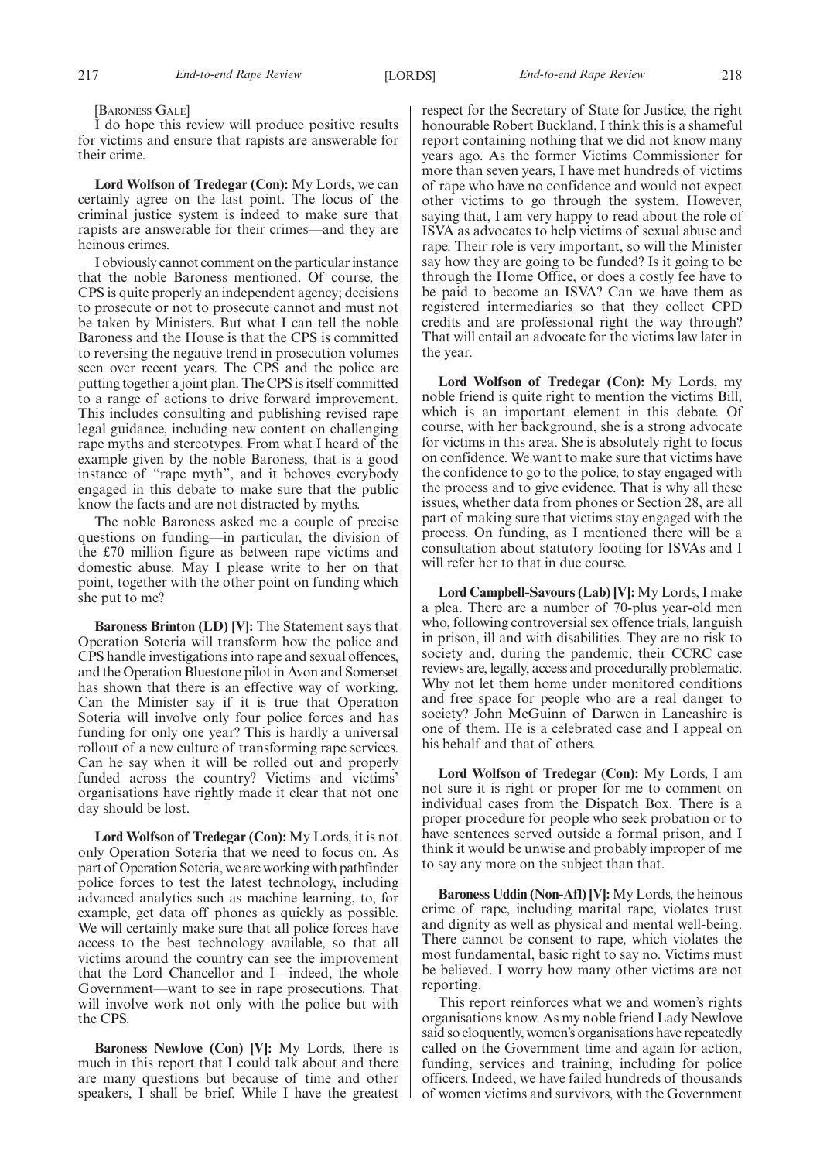#### [BARONESS GALE]

I do hope this review will produce positive results for victims and ensure that rapists are answerable for their crime.

**Lord Wolfson of Tredegar (Con):** My Lords, we can certainly agree on the last point. The focus of the criminal justice system is indeed to make sure that rapists are answerable for their crimes—and they are heinous crimes.

I obviously cannot comment on the particular instance that the noble Baroness mentioned. Of course, the CPS is quite properly an independent agency; decisions to prosecute or not to prosecute cannot and must not be taken by Ministers. But what I can tell the noble Baroness and the House is that the CPS is committed to reversing the negative trend in prosecution volumes seen over recent years. The CPS and the police are putting together a joint plan. The CPS is itself committed to a range of actions to drive forward improvement. This includes consulting and publishing revised rape legal guidance, including new content on challenging rape myths and stereotypes. From what I heard of the example given by the noble Baroness, that is a good instance of "rape myth", and it behoves everybody engaged in this debate to make sure that the public know the facts and are not distracted by myths.

The noble Baroness asked me a couple of precise questions on funding—in particular, the division of the £70 million figure as between rape victims and domestic abuse. May I please write to her on that point, together with the other point on funding which she put to me?

**Baroness Brinton (LD) [V]:** The Statement says that Operation Soteria will transform how the police and CPS handle investigations into rape and sexual offences, and the Operation Bluestone pilot in Avon and Somerset has shown that there is an effective way of working. Can the Minister say if it is true that Operation Soteria will involve only four police forces and has funding for only one year? This is hardly a universal rollout of a new culture of transforming rape services. Can he say when it will be rolled out and properly funded across the country? Victims and victims' organisations have rightly made it clear that not one day should be lost.

**Lord Wolfson of Tredegar (Con):** My Lords, it is not only Operation Soteria that we need to focus on. As part of Operation Soteria, we are working with pathfinder police forces to test the latest technology, including advanced analytics such as machine learning, to, for example, get data off phones as quickly as possible. We will certainly make sure that all police forces have access to the best technology available, so that all victims around the country can see the improvement that the Lord Chancellor and I—indeed, the whole Government—want to see in rape prosecutions. That will involve work not only with the police but with the CPS.

**Baroness Newlove (Con) [V]:** My Lords, there is much in this report that I could talk about and there are many questions but because of time and other speakers, I shall be brief. While I have the greatest respect for the Secretary of State for Justice, the right honourable Robert Buckland, I think this is a shameful report containing nothing that we did not know many years ago. As the former Victims Commissioner for more than seven years, I have met hundreds of victims of rape who have no confidence and would not expect other victims to go through the system. However, saying that, I am very happy to read about the role of ISVA as advocates to help victims of sexual abuse and rape. Their role is very important, so will the Minister say how they are going to be funded? Is it going to be through the Home Office, or does a costly fee have to be paid to become an ISVA? Can we have them as registered intermediaries so that they collect CPD credits and are professional right the way through? That will entail an advocate for the victims law later in the year.

**Lord Wolfson of Tredegar (Con):** My Lords, my noble friend is quite right to mention the victims Bill, which is an important element in this debate. Of course, with her background, she is a strong advocate for victims in this area. She is absolutely right to focus on confidence. We want to make sure that victims have the confidence to go to the police, to stay engaged with the process and to give evidence. That is why all these issues, whether data from phones or Section 28, are all part of making sure that victims stay engaged with the process. On funding, as I mentioned there will be a consultation about statutory footing for ISVAs and I will refer her to that in due course.

**Lord Campbell-Savours (Lab) [V]:** My Lords, I make a plea. There are a number of 70-plus year-old men who, following controversial sex offence trials, languish in prison, ill and with disabilities. They are no risk to society and, during the pandemic, their CCRC case reviews are, legally, access and procedurally problematic. Why not let them home under monitored conditions and free space for people who are a real danger to society? John McGuinn of Darwen in Lancashire is one of them. He is a celebrated case and I appeal on his behalf and that of others.

**Lord Wolfson of Tredegar (Con):** My Lords, I am not sure it is right or proper for me to comment on individual cases from the Dispatch Box. There is a proper procedure for people who seek probation or to have sentences served outside a formal prison, and I think it would be unwise and probably improper of me to say any more on the subject than that.

**Baroness Uddin (Non-Afl) [V]:** My Lords, the heinous crime of rape, including marital rape, violates trust and dignity as well as physical and mental well-being. There cannot be consent to rape, which violates the most fundamental, basic right to say no. Victims must be believed. I worry how many other victims are not reporting.

This report reinforces what we and women's rights organisations know. As my noble friend Lady Newlove said so eloquently, women's organisations have repeatedly called on the Government time and again for action, funding, services and training, including for police officers. Indeed, we have failed hundreds of thousands of women victims and survivors, with the Government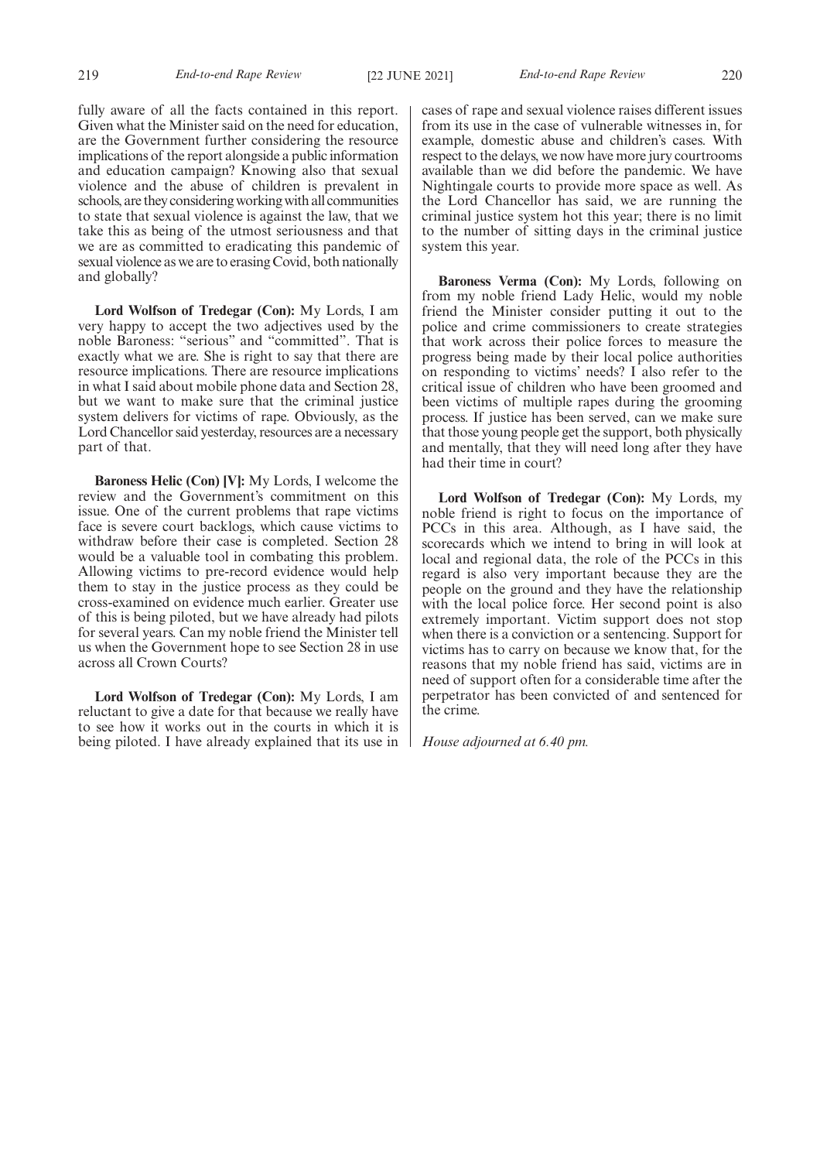fully aware of all the facts contained in this report. Given what the Minister said on the need for education, are the Government further considering the resource implications of the report alongside a public information and education campaign? Knowing also that sexual violence and the abuse of children is prevalent in schools, are they considering working with all communities to state that sexual violence is against the law, that we take this as being of the utmost seriousness and that we are as committed to eradicating this pandemic of sexual violence as we are to erasing Covid, both nationally and globally?

**Lord Wolfson of Tredegar (Con):** My Lords, I am very happy to accept the two adjectives used by the noble Baroness: "serious" and "committed". That is exactly what we are. She is right to say that there are resource implications. There are resource implications in what I said about mobile phone data and Section 28, but we want to make sure that the criminal justice system delivers for victims of rape. Obviously, as the Lord Chancellor said yesterday, resources are a necessary part of that.

**Baroness Helic (Con) [V]:** My Lords, I welcome the review and the Government's commitment on this issue. One of the current problems that rape victims face is severe court backlogs, which cause victims to withdraw before their case is completed. Section 28 would be a valuable tool in combating this problem. Allowing victims to pre-record evidence would help them to stay in the justice process as they could be cross-examined on evidence much earlier. Greater use of this is being piloted, but we have already had pilots for several years. Can my noble friend the Minister tell us when the Government hope to see Section 28 in use across all Crown Courts?

**Lord Wolfson of Tredegar (Con):** My Lords, I am reluctant to give a date for that because we really have to see how it works out in the courts in which it is being piloted. I have already explained that its use in cases of rape and sexual violence raises different issues from its use in the case of vulnerable witnesses in, for example, domestic abuse and children's cases. With respect to the delays, we now have more jury courtrooms available than we did before the pandemic. We have Nightingale courts to provide more space as well. As the Lord Chancellor has said, we are running the criminal justice system hot this year; there is no limit to the number of sitting days in the criminal justice system this year.

**Baroness Verma (Con):** My Lords, following on from my noble friend Lady Helic, would my noble friend the Minister consider putting it out to the police and crime commissioners to create strategies that work across their police forces to measure the progress being made by their local police authorities on responding to victims' needs? I also refer to the critical issue of children who have been groomed and been victims of multiple rapes during the grooming process. If justice has been served, can we make sure that those young people get the support, both physically and mentally, that they will need long after they have had their time in court?

**Lord Wolfson of Tredegar (Con):** My Lords, my noble friend is right to focus on the importance of PCCs in this area. Although, as I have said, the scorecards which we intend to bring in will look at local and regional data, the role of the PCCs in this regard is also very important because they are the people on the ground and they have the relationship with the local police force. Her second point is also extremely important. Victim support does not stop when there is a conviction or a sentencing. Support for victims has to carry on because we know that, for the reasons that my noble friend has said, victims are in need of support often for a considerable time after the perpetrator has been convicted of and sentenced for the crime.

*House adjourned at 6.40 pm.*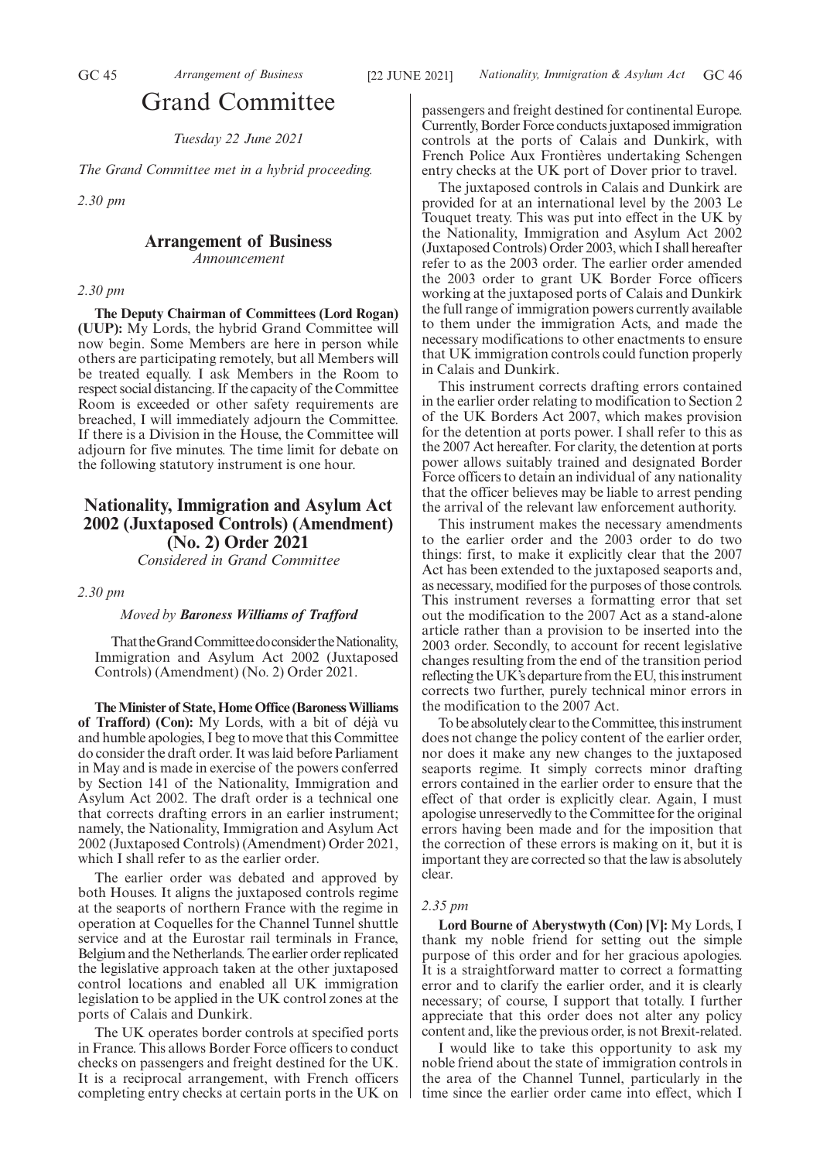# Grand Committee

*Tuesday 22 June 2021*

*The Grand Committee met in a hybrid proceeding.*

*2.30 pm*

# **Arrangement of Business**

*Announcement*

#### *2.30 pm*

**The Deputy Chairman of Committees (Lord Rogan) (UUP):** My Lords, the hybrid Grand Committee will now begin. Some Members are here in person while others are participating remotely, but all Members will be treated equally. I ask Members in the Room to respect social distancing. If the capacity of the Committee Room is exceeded or other safety requirements are breached, I will immediately adjourn the Committee. If there is a Division in the House, the Committee will adjourn for five minutes. The time limit for debate on the following statutory instrument is one hour.

# **Nationality, Immigration and Asylum Act 2002 (Juxtaposed Controls) (Amendment) (No. 2) Order 2021**

*Considered in Grand Committee*

*2.30 pm*

#### *Moved by Baroness Williams of Trafford*

That the Grand Committee do consider the Nationality, Immigration and Asylum Act 2002 (Juxtaposed Controls) (Amendment) (No. 2) Order 2021.

**The Minister of State, Home Office (Baroness Williams of Trafford) (Con):** My Lords, with a bit of déjà vu and humble apologies, I beg to move that this Committee do consider the draft order. It was laid before Parliament in May and is made in exercise of the powers conferred by Section 141 of the Nationality, Immigration and Asylum Act 2002. The draft order is a technical one that corrects drafting errors in an earlier instrument; namely, the Nationality, Immigration and Asylum Act 2002 (Juxtaposed Controls) (Amendment) Order 2021, which I shall refer to as the earlier order.

The earlier order was debated and approved by both Houses. It aligns the juxtaposed controls regime at the seaports of northern France with the regime in operation at Coquelles for the Channel Tunnel shuttle service and at the Eurostar rail terminals in France, Belgium and the Netherlands. The earlier order replicated the legislative approach taken at the other juxtaposed control locations and enabled all UK immigration legislation to be applied in the UK control zones at the ports of Calais and Dunkirk.

The UK operates border controls at specified ports in France. This allows Border Force officers to conduct checks on passengers and freight destined for the UK. It is a reciprocal arrangement, with French officers completing entry checks at certain ports in the UK on passengers and freight destined for continental Europe. Currently, Border Force conducts juxtaposed immigration controls at the ports of Calais and Dunkirk, with French Police Aux Frontières undertaking Schengen entry checks at the UK port of Dover prior to travel.

The juxtaposed controls in Calais and Dunkirk are provided for at an international level by the 2003 Le Touquet treaty. This was put into effect in the UK by the Nationality, Immigration and Asylum Act 2002 (Juxtaposed Controls) Order 2003, which I shall hereafter refer to as the 2003 order. The earlier order amended the 2003 order to grant UK Border Force officers working at the juxtaposed ports of Calais and Dunkirk the full range of immigration powers currently available to them under the immigration Acts, and made the necessary modifications to other enactments to ensure that UK immigration controls could function properly in Calais and Dunkirk.

This instrument corrects drafting errors contained in the earlier order relating to modification to Section 2 of the UK Borders Act 2007, which makes provision for the detention at ports power. I shall refer to this as the 2007 Act hereafter. For clarity, the detention at ports power allows suitably trained and designated Border Force officers to detain an individual of any nationality that the officer believes may be liable to arrest pending the arrival of the relevant law enforcement authority.

This instrument makes the necessary amendments to the earlier order and the 2003 order to do two things: first, to make it explicitly clear that the 2007 Act has been extended to the juxtaposed seaports and, as necessary, modified for the purposes of those controls. This instrument reverses a formatting error that set out the modification to the 2007 Act as a stand-alone article rather than a provision to be inserted into the 2003 order. Secondly, to account for recent legislative changes resulting from the end of the transition period reflecting the UK's departure from the EU, this instrument corrects two further, purely technical minor errors in the modification to the 2007 Act.

To be absolutely clear to the Committee, this instrument does not change the policy content of the earlier order, nor does it make any new changes to the juxtaposed seaports regime. It simply corrects minor drafting errors contained in the earlier order to ensure that the effect of that order is explicitly clear. Again, I must apologise unreservedly to the Committee for the original errors having been made and for the imposition that the correction of these errors is making on it, but it is important they are corrected so that the law is absolutely clear.

# *2.35 pm*

**Lord Bourne of Aberystwyth (Con) [V]:** My Lords, I thank my noble friend for setting out the simple purpose of this order and for her gracious apologies. It is a straightforward matter to correct a formatting error and to clarify the earlier order, and it is clearly necessary; of course, I support that totally. I further appreciate that this order does not alter any policy content and, like the previous order, is not Brexit-related.

I would like to take this opportunity to ask my noble friend about the state of immigration controls in the area of the Channel Tunnel, particularly in the time since the earlier order came into effect, which I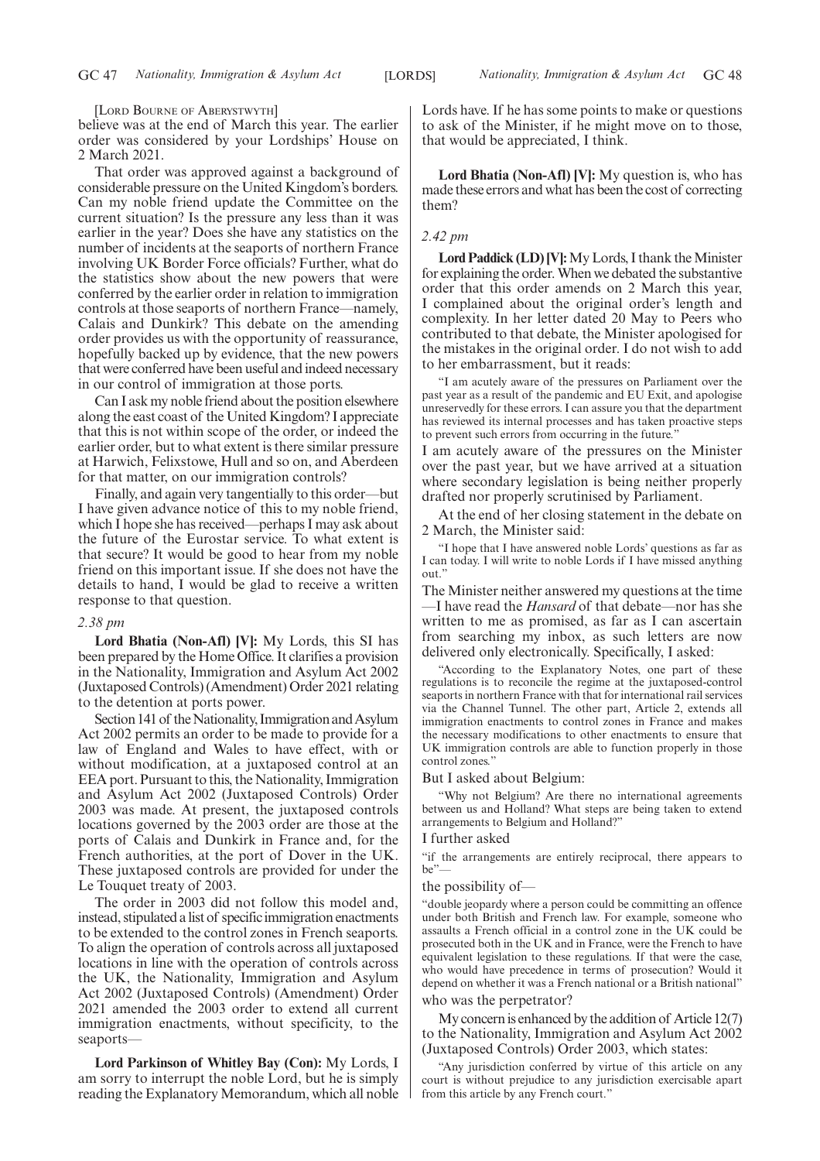[LORD BOURNE OF ABERYSTWYTH]

believe was at the end of March this year. The earlier order was considered by your Lordships' House on 2 March 2021.

That order was approved against a background of considerable pressure on the United Kingdom's borders. Can my noble friend update the Committee on the current situation? Is the pressure any less than it was earlier in the year? Does she have any statistics on the number of incidents at the seaports of northern France involving UK Border Force officials? Further, what do the statistics show about the new powers that were conferred by the earlier order in relation to immigration controls at those seaports of northern France—namely, Calais and Dunkirk? This debate on the amending order provides us with the opportunity of reassurance, hopefully backed up by evidence, that the new powers that were conferred have been useful and indeed necessary in our control of immigration at those ports.

Can I ask my noble friend about the position elsewhere along the east coast of the United Kingdom? I appreciate that this is not within scope of the order, or indeed the earlier order, but to what extent is there similar pressure at Harwich, Felixstowe, Hull and so on, and Aberdeen for that matter, on our immigration controls?

Finally, and again very tangentially to this order—but I have given advance notice of this to my noble friend, which I hope she has received—perhaps I may ask about the future of the Eurostar service. To what extent is that secure? It would be good to hear from my noble friend on this important issue. If she does not have the details to hand, I would be glad to receive a written response to that question.

# *2.38 pm*

**Lord Bhatia (Non-Afl) [V]:** My Lords, this SI has been prepared by the Home Office. It clarifies a provision in the Nationality, Immigration and Asylum Act 2002 (Juxtaposed Controls) (Amendment) Order 2021 relating to the detention at ports power.

Section 141 of the Nationality, Immigration and Asylum Act 2002 permits an order to be made to provide for a law of England and Wales to have effect, with or without modification, at a juxtaposed control at an EEA port. Pursuant to this, the Nationality, Immigration and Asylum Act 2002 (Juxtaposed Controls) Order 2003 was made. At present, the juxtaposed controls locations governed by the 2003 order are those at the ports of Calais and Dunkirk in France and, for the French authorities, at the port of Dover in the UK. These juxtaposed controls are provided for under the Le Touquet treaty of 2003.

The order in 2003 did not follow this model and, instead, stipulated a list of specific immigration enactments to be extended to the control zones in French seaports. To align the operation of controls across all juxtaposed locations in line with the operation of controls across the UK, the Nationality, Immigration and Asylum Act 2002 (Juxtaposed Controls) (Amendment) Order 2021 amended the 2003 order to extend all current immigration enactments, without specificity, to the seaports—

**Lord Parkinson of Whitley Bay (Con):** My Lords, I am sorry to interrupt the noble Lord, but he is simply reading the Explanatory Memorandum, which all noble Lords have. If he has some points to make or questions to ask of the Minister, if he might move on to those, that would be appreciated, I think.

**Lord Bhatia (Non-Afl) [V]:** My question is, who has made these errors and what has been the cost of correcting them?

#### *2.42 pm*

**Lord Paddick (LD) [V]:**My Lords, I thank the Minister for explaining the order. When we debated the substantive order that this order amends on 2 March this year, I complained about the original order's length and complexity. In her letter dated 20 May to Peers who contributed to that debate, the Minister apologised for the mistakes in the original order. I do not wish to add to her embarrassment, but it reads:

"I am acutely aware of the pressures on Parliament over the past year as a result of the pandemic and EU Exit, and apologise unreservedly for these errors. I can assure you that the department has reviewed its internal processes and has taken proactive steps to prevent such errors from occurring in the future."

I am acutely aware of the pressures on the Minister over the past year, but we have arrived at a situation where secondary legislation is being neither properly drafted nor properly scrutinised by Parliament.

At the end of her closing statement in the debate on 2 March, the Minister said:

"I hope that I have answered noble Lords' questions as far as I can today. I will write to noble Lords if I have missed anything out.'

The Minister neither answered my questions at the time —I have read the *Hansard* of that debate—nor has she written to me as promised, as far as I can ascertain from searching my inbox, as such letters are now delivered only electronically. Specifically, I asked:

"According to the Explanatory Notes, one part of these regulations is to reconcile the regime at the juxtaposed-control seaports in northern France with that for international rail services via the Channel Tunnel. The other part, Article 2, extends all immigration enactments to control zones in France and makes the necessary modifications to other enactments to ensure that UK immigration controls are able to function properly in those control zones."

But I asked about Belgium:

"Why not Belgium? Are there no international agreements between us and Holland? What steps are being taken to extend arrangements to Belgium and Holland?"

#### I further asked

"if the arrangements are entirely reciprocal, there appears to be"—

#### the possibility of—

"double jeopardy where a person could be committing an offence under both British and French law. For example, someone who assaults a French official in a control zone in the UK could be prosecuted both in the UK and in France, were the French to have equivalent legislation to these regulations. If that were the case, who would have precedence in terms of prosecution? Would it depend on whether it was a French national or a British national" who was the perpetrator?

My concern is enhanced by the addition of Article 12(7) to the Nationality, Immigration and Asylum Act 2002 (Juxtaposed Controls) Order 2003, which states:

"Any jurisdiction conferred by virtue of this article on any court is without prejudice to any jurisdiction exercisable apart from this article by any French court."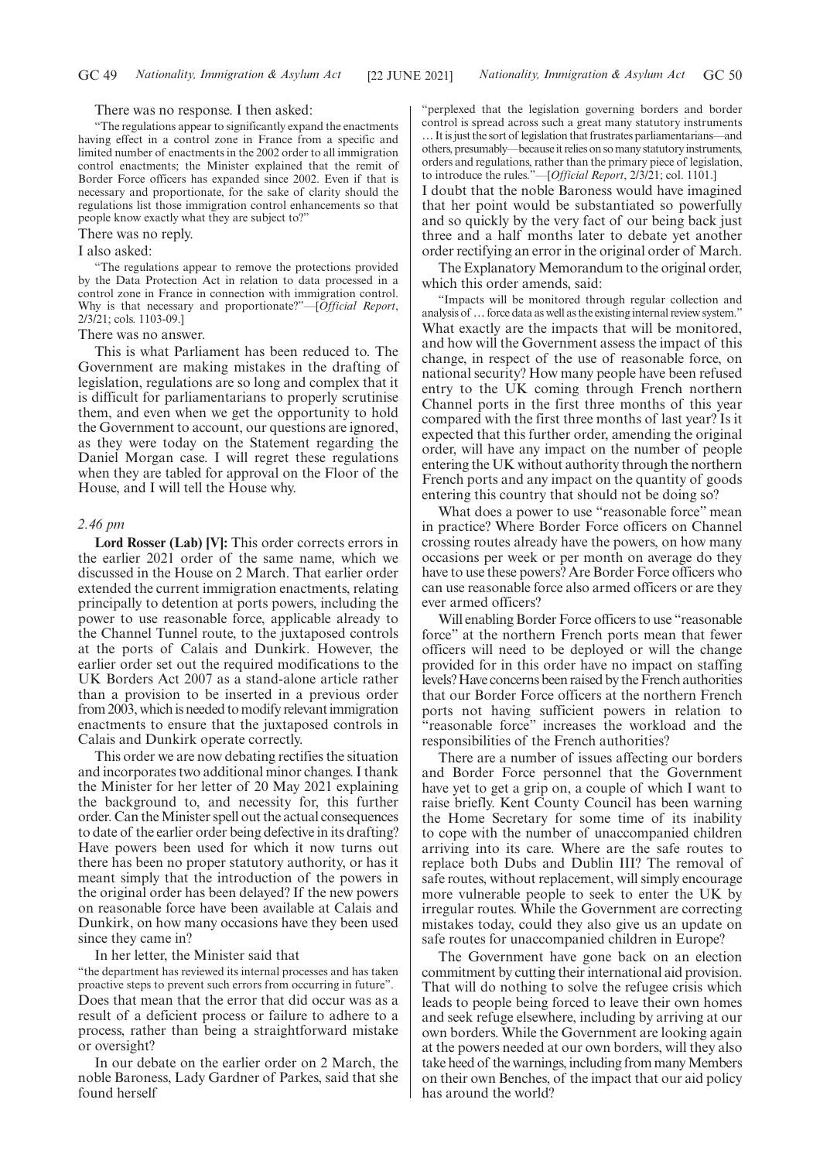#### There was no response. I then asked:

"The regulations appear to significantly expand the enactments having effect in a control zone in France from a specific and limited number of enactments in the 2002 order to all immigration control enactments; the Minister explained that the remit of Border Force officers has expanded since 2002. Even if that is necessary and proportionate, for the sake of clarity should the regulations list those immigration control enhancements so that people know exactly what they are subject to?"

#### There was no reply.

# I also asked:

"The regulations appear to remove the protections provided by the Data Protection Act in relation to data processed in a control zone in France in connection with immigration control. Why is that necessary and proportionate?"—[*Official Report*, 2/3/21; cols. 1103-09.]

#### There was no answer.

This is what Parliament has been reduced to. The Government are making mistakes in the drafting of legislation, regulations are so long and complex that it is difficult for parliamentarians to properly scrutinise them, and even when we get the opportunity to hold the Government to account, our questions are ignored, as they were today on the Statement regarding the Daniel Morgan case. I will regret these regulations when they are tabled for approval on the Floor of the House, and I will tell the House why.

#### *2.46 pm*

**Lord Rosser (Lab) [V]:** This order corrects errors in the earlier 2021 order of the same name, which we discussed in the House on 2 March. That earlier order extended the current immigration enactments, relating principally to detention at ports powers, including the power to use reasonable force, applicable already to the Channel Tunnel route, to the juxtaposed controls at the ports of Calais and Dunkirk. However, the earlier order set out the required modifications to the UK Borders Act 2007 as a stand-alone article rather than a provision to be inserted in a previous order from 2003, which is needed to modify relevant immigration enactments to ensure that the juxtaposed controls in Calais and Dunkirk operate correctly.

This order we are now debating rectifies the situation and incorporates two additional minor changes. I thank the Minister for her letter of 20 May 2021 explaining the background to, and necessity for, this further order. Can the Minister spell out the actual consequences to date of the earlier order being defective in its drafting? Have powers been used for which it now turns out there has been no proper statutory authority, or has it meant simply that the introduction of the powers in the original order has been delayed? If the new powers on reasonable force have been available at Calais and Dunkirk, on how many occasions have they been used since they came in?

In her letter, the Minister said that

"the department has reviewed its internal processes and has taken proactive steps to prevent such errors from occurring in future". Does that mean that the error that did occur was as a result of a deficient process or failure to adhere to a process, rather than being a straightforward mistake or oversight?

In our debate on the earlier order on 2 March, the noble Baroness, Lady Gardner of Parkes, said that she found herself

"perplexed that the legislation governing borders and border control is spread across such a great many statutory instruments …It is just the sort of legislation that frustrates parliamentarians—and others, presumably—because it relies on so many statutory instruments, orders and regulations, rather than the primary piece of legislation, to introduce the rules."—[*Official Report*, 2/3/21; col. 1101.]

I doubt that the noble Baroness would have imagined that her point would be substantiated so powerfully and so quickly by the very fact of our being back just three and a half months later to debate yet another order rectifying an error in the original order of March.

The Explanatory Memorandum to the original order, which this order amends, said:

"Impacts will be monitored through regular collection and analysis of …force data as well as the existing internal review system." What exactly are the impacts that will be monitored, and how will the Government assess the impact of this change, in respect of the use of reasonable force, on national security? How many people have been refused entry to the UK coming through French northern Channel ports in the first three months of this year compared with the first three months of last year? Is it expected that this further order, amending the original order, will have any impact on the number of people entering the UK without authority through the northern French ports and any impact on the quantity of goods entering this country that should not be doing so?

What does a power to use "reasonable force" mean in practice? Where Border Force officers on Channel crossing routes already have the powers, on how many occasions per week or per month on average do they have to use these powers? Are Border Force officers who can use reasonable force also armed officers or are they ever armed officers?

Will enabling Border Force officers to use "reasonable force" at the northern French ports mean that fewer officers will need to be deployed or will the change provided for in this order have no impact on staffing levels? Have concerns been raised by the French authorities that our Border Force officers at the northern French ports not having sufficient powers in relation to "reasonable force" increases the workload and the responsibilities of the French authorities?

There are a number of issues affecting our borders and Border Force personnel that the Government have yet to get a grip on, a couple of which I want to raise briefly. Kent County Council has been warning the Home Secretary for some time of its inability to cope with the number of unaccompanied children arriving into its care. Where are the safe routes to replace both Dubs and Dublin III? The removal of safe routes, without replacement, will simply encourage more vulnerable people to seek to enter the UK by irregular routes. While the Government are correcting mistakes today, could they also give us an update on safe routes for unaccompanied children in Europe?

The Government have gone back on an election commitment by cutting their international aid provision. That will do nothing to solve the refugee crisis which leads to people being forced to leave their own homes and seek refuge elsewhere, including by arriving at our own borders. While the Government are looking again at the powers needed at our own borders, will they also take heed of the warnings, including from many Members on their own Benches, of the impact that our aid policy has around the world?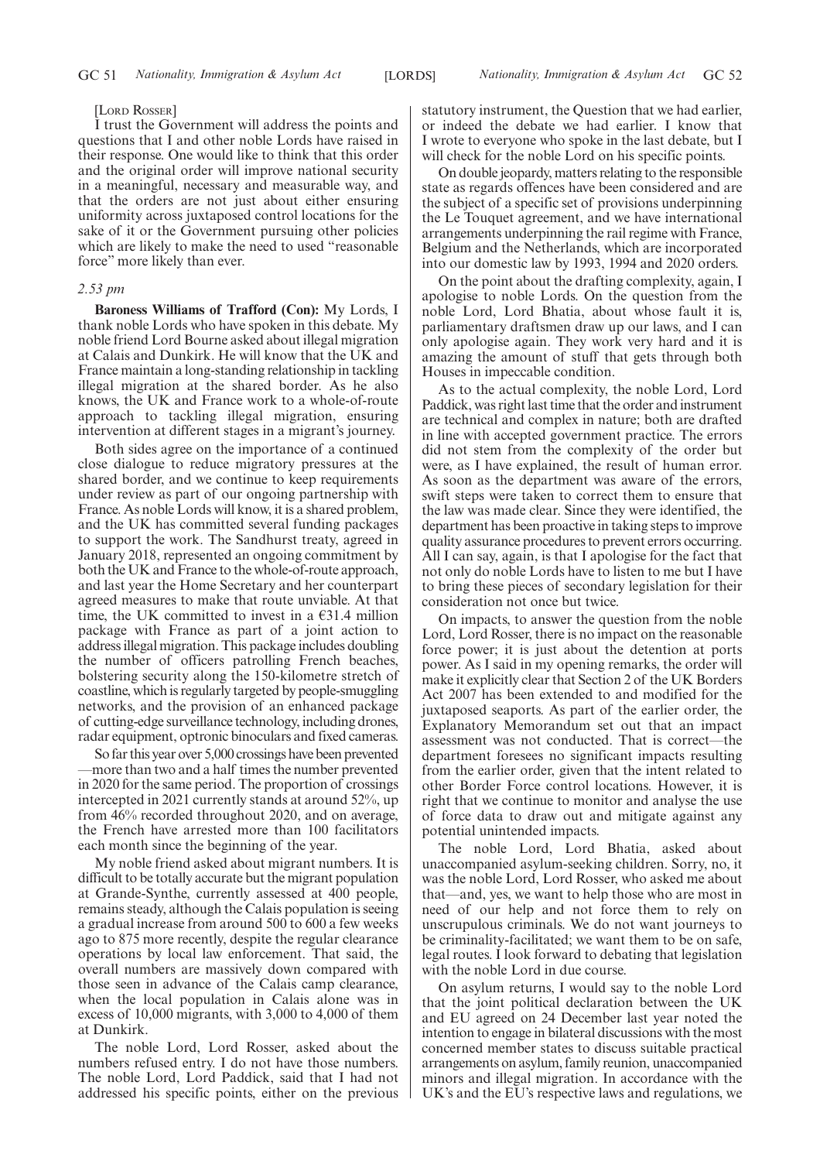#### [LORD ROSSER]

I trust the Government will address the points and questions that I and other noble Lords have raised in their response. One would like to think that this order and the original order will improve national security in a meaningful, necessary and measurable way, and that the orders are not just about either ensuring uniformity across juxtaposed control locations for the sake of it or the Government pursuing other policies which are likely to make the need to used "reasonable force" more likely than ever.

#### *2.53 pm*

**Baroness Williams of Trafford (Con):** My Lords, I thank noble Lords who have spoken in this debate. My noble friend Lord Bourne asked about illegal migration at Calais and Dunkirk. He will know that the UK and France maintain a long-standing relationship in tackling illegal migration at the shared border. As he also knows, the UK and France work to a whole-of-route approach to tackling illegal migration, ensuring intervention at different stages in a migrant's journey.

Both sides agree on the importance of a continued close dialogue to reduce migratory pressures at the shared border, and we continue to keep requirements under review as part of our ongoing partnership with France. As noble Lords will know, it is a shared problem, and the UK has committed several funding packages to support the work. The Sandhurst treaty, agreed in January 2018, represented an ongoing commitment by both the UK and France to the whole-of-route approach, and last year the Home Secretary and her counterpart agreed measures to make that route unviable. At that time, the UK committed to invest in a  $\epsilon$ 31.4 million package with France as part of a joint action to address illegal migration. This package includes doubling the number of officers patrolling French beaches, bolstering security along the 150-kilometre stretch of coastline, which is regularly targeted by people-smuggling networks, and the provision of an enhanced package of cutting-edge surveillance technology, including drones, radar equipment, optronic binoculars and fixed cameras.

So far this year over 5,000 crossings have been prevented —more than two and a half times the number prevented in 2020 for the same period. The proportion of crossings intercepted in 2021 currently stands at around 52%, up from 46% recorded throughout 2020, and on average, the French have arrested more than 100 facilitators each month since the beginning of the year.

My noble friend asked about migrant numbers. It is difficult to be totally accurate but the migrant population at Grande-Synthe, currently assessed at 400 people, remains steady, although the Calais population is seeing a gradual increase from around 500 to 600 a few weeks ago to 875 more recently, despite the regular clearance operations by local law enforcement. That said, the overall numbers are massively down compared with those seen in advance of the Calais camp clearance, when the local population in Calais alone was in excess of 10,000 migrants, with 3,000 to 4,000 of them at Dunkirk.

The noble Lord, Lord Rosser, asked about the numbers refused entry. I do not have those numbers. The noble Lord, Lord Paddick, said that I had not addressed his specific points, either on the previous statutory instrument, the Question that we had earlier, or indeed the debate we had earlier. I know that I wrote to everyone who spoke in the last debate, but I will check for the noble Lord on his specific points.

On double jeopardy, matters relating to the responsible state as regards offences have been considered and are the subject of a specific set of provisions underpinning the Le Touquet agreement, and we have international arrangements underpinning the rail regime with France, Belgium and the Netherlands, which are incorporated into our domestic law by 1993, 1994 and 2020 orders.

On the point about the drafting complexity, again, I apologise to noble Lords. On the question from the noble Lord, Lord Bhatia, about whose fault it is, parliamentary draftsmen draw up our laws, and I can only apologise again. They work very hard and it is amazing the amount of stuff that gets through both Houses in impeccable condition.

As to the actual complexity, the noble Lord, Lord Paddick, was right last time that the order and instrument are technical and complex in nature; both are drafted in line with accepted government practice. The errors did not stem from the complexity of the order but were, as I have explained, the result of human error. As soon as the department was aware of the errors, swift steps were taken to correct them to ensure that the law was made clear. Since they were identified, the department has been proactive in taking steps to improve quality assurance procedures to prevent errors occurring. All I can say, again, is that I apologise for the fact that not only do noble Lords have to listen to me but I have to bring these pieces of secondary legislation for their consideration not once but twice.

On impacts, to answer the question from the noble Lord, Lord Rosser, there is no impact on the reasonable force power; it is just about the detention at ports power. As I said in my opening remarks, the order will make it explicitly clear that Section 2 of the UK Borders Act 2007 has been extended to and modified for the juxtaposed seaports. As part of the earlier order, the Explanatory Memorandum set out that an impact assessment was not conducted. That is correct—the department foresees no significant impacts resulting from the earlier order, given that the intent related to other Border Force control locations. However, it is right that we continue to monitor and analyse the use of force data to draw out and mitigate against any potential unintended impacts.

The noble Lord, Lord Bhatia, asked about unaccompanied asylum-seeking children. Sorry, no, it was the noble Lord, Lord Rosser, who asked me about that—and, yes, we want to help those who are most in need of our help and not force them to rely on unscrupulous criminals. We do not want journeys to be criminality-facilitated; we want them to be on safe, legal routes. I look forward to debating that legislation with the noble Lord in due course.

On asylum returns, I would say to the noble Lord that the joint political declaration between the UK and EU agreed on 24 December last year noted the intention to engage in bilateral discussions with the most concerned member states to discuss suitable practical arrangements on asylum, family reunion, unaccompanied minors and illegal migration. In accordance with the UK's and the EU's respective laws and regulations, we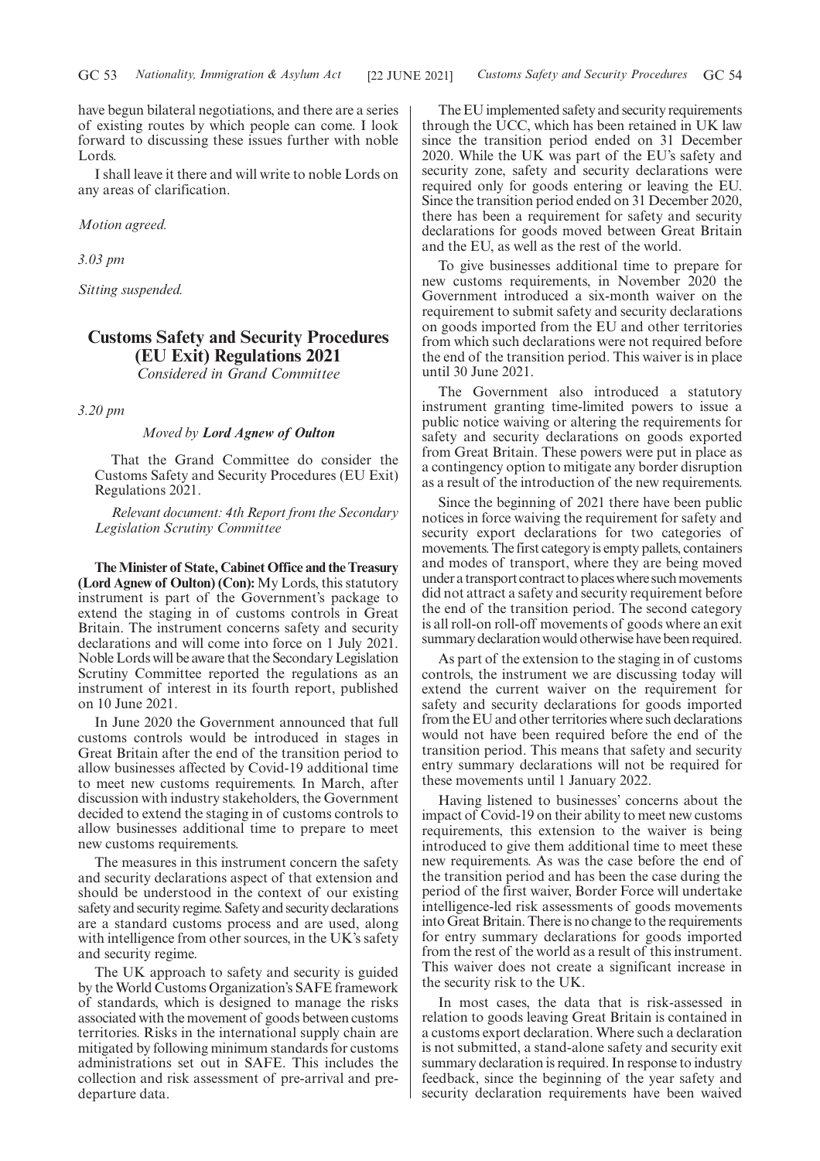have begun bilateral negotiations, and there are a series of existing routes by which people can come. I look forward to discussing these issues further with noble Lords.

I shall leave it there and will write to noble Lords on any areas of clarification.

*Motion agreed.*

*3.03 pm*

*Sitting suspended.*

# **Customs Safety and Security Procedures (EU Exit) Regulations 2021** *Considered in Grand Committee*

*3.20 pm*

#### *Moved by Lord Agnew of Oulton*

That the Grand Committee do consider the Customs Safety and Security Procedures (EU Exit) Regulations 2021.

*Relevant document: 4th Report from the Secondary Legislation Scrutiny Committee*

**The Minister of State, Cabinet Office and the Treasury (Lord Agnew of Oulton) (Con):** My Lords, this statutory instrument is part of the Government's package to extend the staging in of customs controls in Great Britain. The instrument concerns safety and security declarations and will come into force on 1 July 2021. Noble Lords will be aware that the Secondary Legislation Scrutiny Committee reported the regulations as an instrument of interest in its fourth report, published on 10 June 2021.

In June 2020 the Government announced that full customs controls would be introduced in stages in Great Britain after the end of the transition period to allow businesses affected by Covid-19 additional time to meet new customs requirements. In March, after discussion with industry stakeholders, the Government decided to extend the staging in of customs controls to allow businesses additional time to prepare to meet new customs requirements.

The measures in this instrument concern the safety and security declarations aspect of that extension and should be understood in the context of our existing safety and security regime. Safety and security declarations are a standard customs process and are used, along with intelligence from other sources, in the UK's safety and security regime.

The UK approach to safety and security is guided by the World Customs Organization's SAFE framework of standards, which is designed to manage the risks associated with the movement of goods between customs territories. Risks in the international supply chain are mitigated by following minimum standards for customs administrations set out in SAFE. This includes the collection and risk assessment of pre-arrival and predeparture data.

The EU implemented safety and security requirements through the UCC, which has been retained in UK law since the transition period ended on 31 December 2020. While the UK was part of the EU's safety and security zone, safety and security declarations were required only for goods entering or leaving the EU. Since the transition period ended on 31 December 2020, there has been a requirement for safety and security declarations for goods moved between Great Britain and the EU, as well as the rest of the world.

To give businesses additional time to prepare for new customs requirements, in November 2020 the Government introduced a six-month waiver on the requirement to submit safety and security declarations on goods imported from the EU and other territories from which such declarations were not required before the end of the transition period. This waiver is in place until 30 June 2021.

The Government also introduced a statutory instrument granting time-limited powers to issue a public notice waiving or altering the requirements for safety and security declarations on goods exported from Great Britain. These powers were put in place as a contingency option to mitigate any border disruption as a result of the introduction of the new requirements.

Since the beginning of 2021 there have been public notices in force waiving the requirement for safety and security export declarations for two categories of movements. The first category is empty pallets, containers and modes of transport, where they are being moved under a transport contract to places where such movements did not attract a safety and security requirement before the end of the transition period. The second category is all roll-on roll-off movements of goods where an exit summary declaration would otherwise have been required.

As part of the extension to the staging in of customs controls, the instrument we are discussing today will extend the current waiver on the requirement for safety and security declarations for goods imported from the EU and other territories where such declarations would not have been required before the end of the transition period. This means that safety and security entry summary declarations will not be required for these movements until 1 January 2022.

Having listened to businesses' concerns about the impact of Covid-19 on their ability to meet new customs requirements, this extension to the waiver is being introduced to give them additional time to meet these new requirements. As was the case before the end of the transition period and has been the case during the period of the first waiver, Border Force will undertake intelligence-led risk assessments of goods movements into Great Britain. There is no change to the requirements for entry summary declarations for goods imported from the rest of the world as a result of this instrument. This waiver does not create a significant increase in the security risk to the UK.

In most cases, the data that is risk-assessed in relation to goods leaving Great Britain is contained in a customs export declaration. Where such a declaration is not submitted, a stand-alone safety and security exit summary declaration is required. In response to industry feedback, since the beginning of the year safety and security declaration requirements have been waived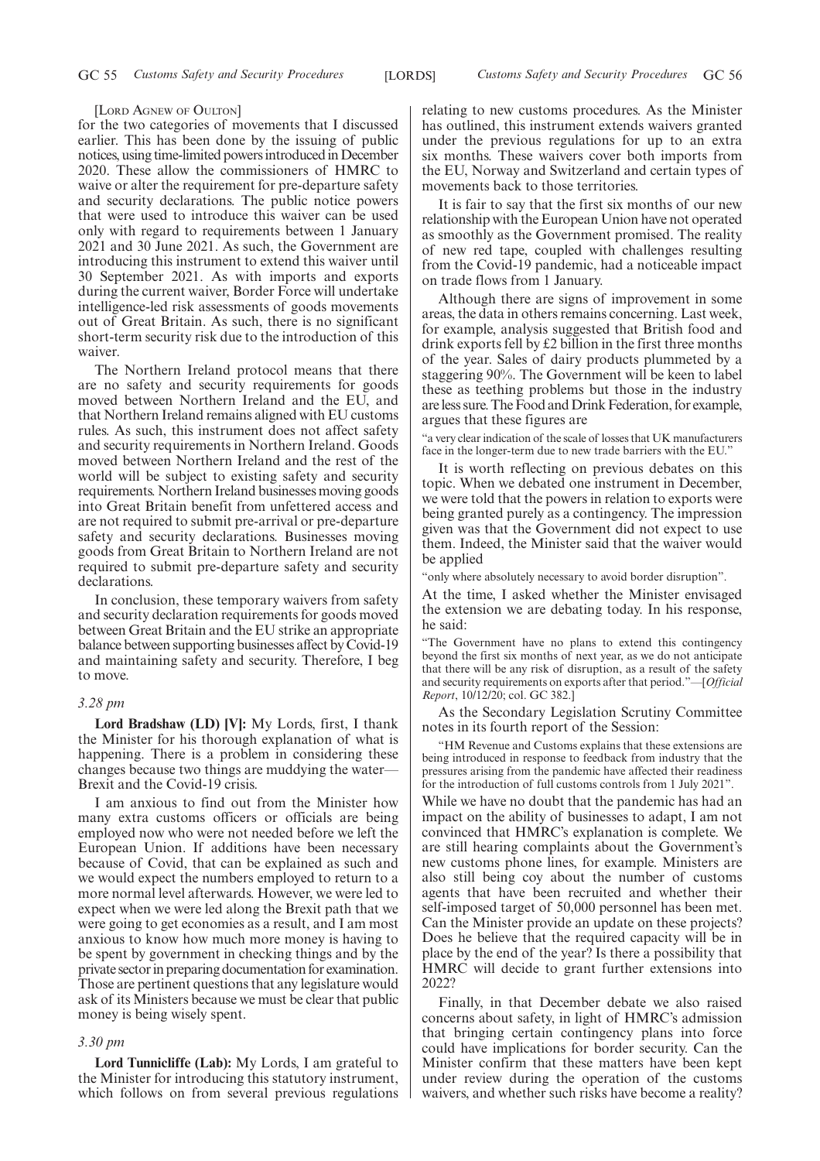#### [LORD AGNEW OF OULTON]

for the two categories of movements that I discussed earlier. This has been done by the issuing of public notices, using time-limited powers introduced in December 2020. These allow the commissioners of HMRC to waive or alter the requirement for pre-departure safety and security declarations. The public notice powers that were used to introduce this waiver can be used only with regard to requirements between 1 January 2021 and 30 June 2021. As such, the Government are introducing this instrument to extend this waiver until 30 September 2021. As with imports and exports during the current waiver, Border Force will undertake intelligence-led risk assessments of goods movements out of Great Britain. As such, there is no significant short-term security risk due to the introduction of this waiver.

The Northern Ireland protocol means that there are no safety and security requirements for goods moved between Northern Ireland and the EU, and that Northern Ireland remains aligned with EU customs rules. As such, this instrument does not affect safety and security requirements in Northern Ireland. Goods moved between Northern Ireland and the rest of the world will be subject to existing safety and security requirements. Northern Ireland businesses moving goods into Great Britain benefit from unfettered access and are not required to submit pre-arrival or pre-departure safety and security declarations. Businesses moving goods from Great Britain to Northern Ireland are not required to submit pre-departure safety and security declarations.

In conclusion, these temporary waivers from safety and security declaration requirements for goods moved between Great Britain and the EU strike an appropriate balance between supporting businesses affect by Covid-19 and maintaining safety and security. Therefore, I beg to move.

#### *3.28 pm*

**Lord Bradshaw (LD) [V]:** My Lords, first, I thank the Minister for his thorough explanation of what is happening. There is a problem in considering these changes because two things are muddying the water— Brexit and the Covid-19 crisis.

I am anxious to find out from the Minister how many extra customs officers or officials are being employed now who were not needed before we left the European Union. If additions have been necessary because of Covid, that can be explained as such and we would expect the numbers employed to return to a more normal level afterwards. However, we were led to expect when we were led along the Brexit path that we were going to get economies as a result, and I am most anxious to know how much more money is having to be spent by government in checking things and by the private sector in preparing documentation for examination. Those are pertinent questions that any legislature would ask of its Ministers because we must be clear that public money is being wisely spent.

#### *3.30 pm*

**Lord Tunnicliffe (Lab):** My Lords, I am grateful to the Minister for introducing this statutory instrument, which follows on from several previous regulations relating to new customs procedures. As the Minister has outlined, this instrument extends waivers granted under the previous regulations for up to an extra six months. These waivers cover both imports from the EU, Norway and Switzerland and certain types of movements back to those territories.

It is fair to say that the first six months of our new relationship with the European Union have not operated as smoothly as the Government promised. The reality of new red tape, coupled with challenges resulting from the Covid-19 pandemic, had a noticeable impact on trade flows from 1 January.

Although there are signs of improvement in some areas, the data in others remains concerning. Last week, for example, analysis suggested that British food and drink exports fell by £2 billion in the first three months of the year. Sales of dairy products plummeted by a staggering 90%. The Government will be keen to label these as teething problems but those in the industry are less sure. The Food and Drink Federation, for example, argues that these figures are

"a very clear indication of the scale of losses that UK manufacturers face in the longer-term due to new trade barriers with the EU."

It is worth reflecting on previous debates on this topic. When we debated one instrument in December, we were told that the powers in relation to exports were being granted purely as a contingency. The impression given was that the Government did not expect to use them. Indeed, the Minister said that the waiver would be applied

"only where absolutely necessary to avoid border disruption".

At the time, I asked whether the Minister envisaged the extension we are debating today. In his response, he said:

"The Government have no plans to extend this contingency beyond the first six months of next year, as we do not anticipate that there will be any risk of disruption, as a result of the safety and security requirements on exports after that period."—[*Official Report*, 10/12/20; col. GC 382.]

As the Secondary Legislation Scrutiny Committee notes in its fourth report of the Session:

"HM Revenue and Customs explains that these extensions are being introduced in response to feedback from industry that the pressures arising from the pandemic have affected their readiness for the introduction of full customs controls from 1 July 2021".

While we have no doubt that the pandemic has had an impact on the ability of businesses to adapt, I am not convinced that HMRC's explanation is complete. We are still hearing complaints about the Government's new customs phone lines, for example. Ministers are also still being coy about the number of customs agents that have been recruited and whether their self-imposed target of 50,000 personnel has been met. Can the Minister provide an update on these projects? Does he believe that the required capacity will be in place by the end of the year? Is there a possibility that HMRC will decide to grant further extensions into 2022?

Finally, in that December debate we also raised concerns about safety, in light of HMRC's admission that bringing certain contingency plans into force could have implications for border security. Can the Minister confirm that these matters have been kept under review during the operation of the customs waivers, and whether such risks have become a reality?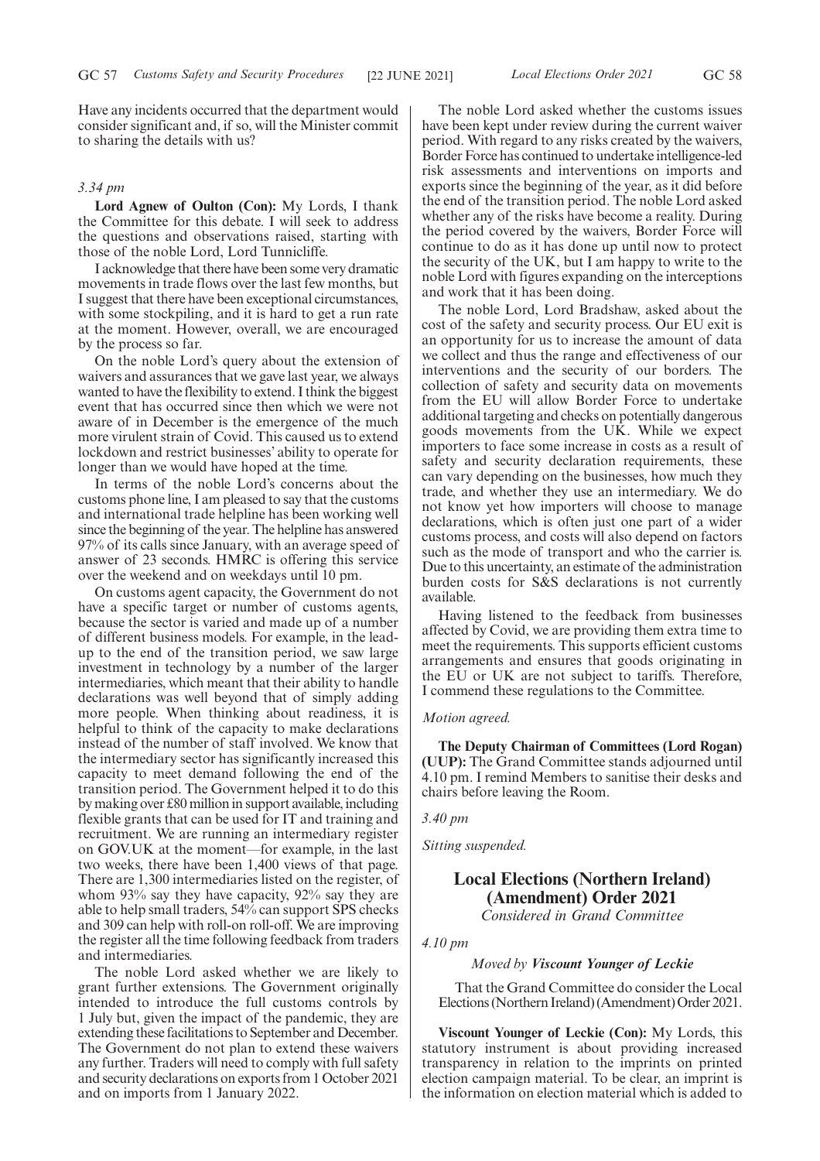Have any incidents occurred that the department would consider significant and, if so, will the Minister commit to sharing the details with us?

# *3.34 pm*

**Lord Agnew of Oulton (Con):** My Lords, I thank the Committee for this debate. I will seek to address the questions and observations raised, starting with those of the noble Lord, Lord Tunnicliffe.

I acknowledge that there have been some very dramatic movements in trade flows over the last few months, but I suggest that there have been exceptional circumstances, with some stockpiling, and it is hard to get a run rate at the moment. However, overall, we are encouraged by the process so far.

On the noble Lord's query about the extension of waivers and assurances that we gave last year, we always wanted to have the flexibility to extend. I think the biggest event that has occurred since then which we were not aware of in December is the emergence of the much more virulent strain of Covid. This caused us to extend lockdown and restrict businesses' ability to operate for longer than we would have hoped at the time.

In terms of the noble Lord's concerns about the customs phone line, I am pleased to say that the customs and international trade helpline has been working well since the beginning of the year. The helpline has answered 97% of its calls since January, with an average speed of answer of 23 seconds. HMRC is offering this service over the weekend and on weekdays until 10 pm.

On customs agent capacity, the Government do not have a specific target or number of customs agents, because the sector is varied and made up of a number of different business models. For example, in the leadup to the end of the transition period, we saw large investment in technology by a number of the larger intermediaries, which meant that their ability to handle declarations was well beyond that of simply adding more people. When thinking about readiness, it is helpful to think of the capacity to make declarations instead of the number of staff involved. We know that the intermediary sector has significantly increased this capacity to meet demand following the end of the transition period. The Government helped it to do this by making over £80 million in support available, including flexible grants that can be used for IT and training and recruitment. We are running an intermediary register on GOV.UK at the moment—for example, in the last two weeks, there have been 1,400 views of that page. There are 1,300 intermediaries listed on the register, of whom 93% say they have capacity, 92% say they are able to help small traders, 54% can support SPS checks and 309 can help with roll-on roll-off. We are improving the register all the time following feedback from traders and intermediaries.

The noble Lord asked whether we are likely to grant further extensions. The Government originally intended to introduce the full customs controls by 1 July but, given the impact of the pandemic, they are extending these facilitations to September and December. The Government do not plan to extend these waivers any further. Traders will need to comply with full safety and security declarations on exports from 1 October 2021 and on imports from 1 January 2022.

The noble Lord asked whether the customs issues have been kept under review during the current waiver period. With regard to any risks created by the waivers, Border Force has continued to undertake intelligence-led risk assessments and interventions on imports and exports since the beginning of the year, as it did before the end of the transition period. The noble Lord asked whether any of the risks have become a reality. During the period covered by the waivers, Border Force will continue to do as it has done up until now to protect the security of the UK, but I am happy to write to the noble Lord with figures expanding on the interceptions and work that it has been doing.

The noble Lord, Lord Bradshaw, asked about the cost of the safety and security process. Our EU exit is an opportunity for us to increase the amount of data we collect and thus the range and effectiveness of our interventions and the security of our borders. The collection of safety and security data on movements from the EU will allow Border Force to undertake additional targeting and checks on potentially dangerous goods movements from the UK. While we expect importers to face some increase in costs as a result of safety and security declaration requirements, these can vary depending on the businesses, how much they trade, and whether they use an intermediary. We do not know yet how importers will choose to manage declarations, which is often just one part of a wider customs process, and costs will also depend on factors such as the mode of transport and who the carrier is. Due to this uncertainty, an estimate of the administration burden costs for S&S declarations is not currently available.

Having listened to the feedback from businesses affected by Covid, we are providing them extra time to meet the requirements. This supports efficient customs arrangements and ensures that goods originating in the EU or UK are not subject to tariffs. Therefore, I commend these regulations to the Committee.

#### *Motion agreed.*

**The Deputy Chairman of Committees (Lord Rogan) (UUP):** The Grand Committee stands adjourned until 4.10 pm. I remind Members to sanitise their desks and chairs before leaving the Room.

*3.40 pm*

*Sitting suspended.*

# **Local Elections (Northern Ireland) (Amendment) Order 2021**

*Considered in Grand Committee*

# *4.10 pm*

#### *Moved by Viscount Younger of Leckie*

That the Grand Committee do consider the Local Elections (Northern Ireland) (Amendment) Order 2021.

**Viscount Younger of Leckie (Con):** My Lords, this statutory instrument is about providing increased transparency in relation to the imprints on printed election campaign material. To be clear, an imprint is the information on election material which is added to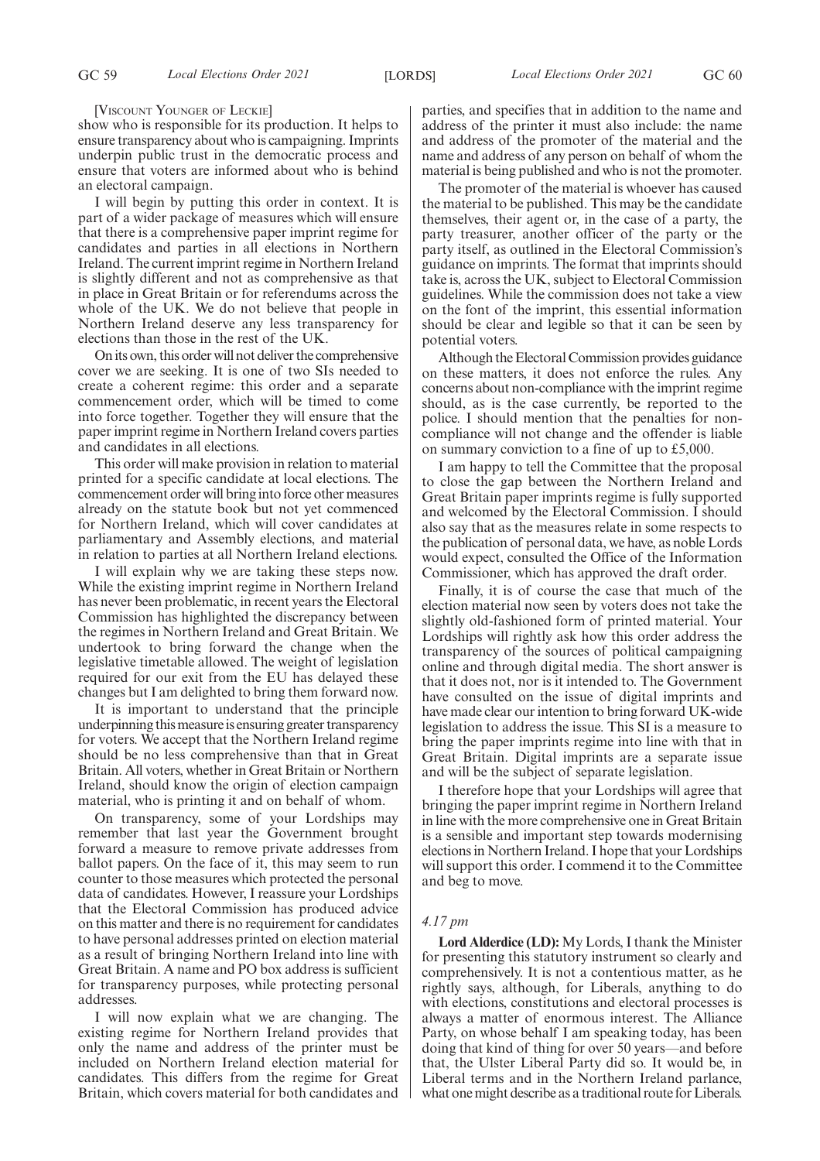[VISCOUNT YOUNGER OF LECKIE]

show who is responsible for its production. It helps to ensure transparency about who is campaigning. Imprints underpin public trust in the democratic process and ensure that voters are informed about who is behind an electoral campaign.

I will begin by putting this order in context. It is part of a wider package of measures which will ensure that there is a comprehensive paper imprint regime for candidates and parties in all elections in Northern Ireland. The current imprint regime in Northern Ireland is slightly different and not as comprehensive as that in place in Great Britain or for referendums across the whole of the UK. We do not believe that people in Northern Ireland deserve any less transparency for elections than those in the rest of the UK.

On its own, this order will not deliver the comprehensive cover we are seeking. It is one of two SIs needed to create a coherent regime: this order and a separate commencement order, which will be timed to come into force together. Together they will ensure that the paper imprint regime in Northern Ireland covers parties and candidates in all elections.

This order will make provision in relation to material printed for a specific candidate at local elections. The commencement order will bring into force other measures already on the statute book but not yet commenced for Northern Ireland, which will cover candidates at parliamentary and Assembly elections, and material in relation to parties at all Northern Ireland elections.

I will explain why we are taking these steps now. While the existing imprint regime in Northern Ireland has never been problematic, in recent years the Electoral Commission has highlighted the discrepancy between the regimes in Northern Ireland and Great Britain. We undertook to bring forward the change when the legislative timetable allowed. The weight of legislation required for our exit from the EU has delayed these changes but I am delighted to bring them forward now.

It is important to understand that the principle underpinning this measure is ensuring greater transparency for voters. We accept that the Northern Ireland regime should be no less comprehensive than that in Great Britain. All voters, whether in Great Britain or Northern Ireland, should know the origin of election campaign material, who is printing it and on behalf of whom.

On transparency, some of your Lordships may remember that last year the Government brought forward a measure to remove private addresses from ballot papers. On the face of it, this may seem to run counter to those measures which protected the personal data of candidates. However, I reassure your Lordships that the Electoral Commission has produced advice on this matter and there is no requirement for candidates to have personal addresses printed on election material as a result of bringing Northern Ireland into line with Great Britain. A name and PO box address is sufficient for transparency purposes, while protecting personal addresses.

I will now explain what we are changing. The existing regime for Northern Ireland provides that only the name and address of the printer must be included on Northern Ireland election material for candidates. This differs from the regime for Great Britain, which covers material for both candidates and parties, and specifies that in addition to the name and address of the printer it must also include: the name and address of the promoter of the material and the name and address of any person on behalf of whom the material is being published and who is not the promoter.

The promoter of the material is whoever has caused the material to be published. This may be the candidate themselves, their agent or, in the case of a party, the party treasurer, another officer of the party or the party itself, as outlined in the Electoral Commission's guidance on imprints. The format that imprints should take is, across the UK, subject to Electoral Commission guidelines. While the commission does not take a view on the font of the imprint, this essential information should be clear and legible so that it can be seen by potential voters.

Although the Electoral Commission provides guidance on these matters, it does not enforce the rules. Any concerns about non-compliance with the imprint regime should, as is the case currently, be reported to the police. I should mention that the penalties for noncompliance will not change and the offender is liable on summary conviction to a fine of up to £5,000.

I am happy to tell the Committee that the proposal to close the gap between the Northern Ireland and Great Britain paper imprints regime is fully supported and welcomed by the Electoral Commission. I should also say that as the measures relate in some respects to the publication of personal data, we have, as noble Lords would expect, consulted the Office of the Information Commissioner, which has approved the draft order.

Finally, it is of course the case that much of the election material now seen by voters does not take the slightly old-fashioned form of printed material. Your Lordships will rightly ask how this order address the transparency of the sources of political campaigning online and through digital media. The short answer is that it does not, nor is it intended to. The Government have consulted on the issue of digital imprints and have made clear our intention to bring forward UK-wide legislation to address the issue. This SI is a measure to bring the paper imprints regime into line with that in Great Britain. Digital imprints are a separate issue and will be the subject of separate legislation.

I therefore hope that your Lordships will agree that bringing the paper imprint regime in Northern Ireland in line with the more comprehensive one in Great Britain is a sensible and important step towards modernising elections in Northern Ireland. I hope that your Lordships will support this order. I commend it to the Committee and beg to move.

# *4.17 pm*

**Lord Alderdice (LD):** My Lords, I thank the Minister for presenting this statutory instrument so clearly and comprehensively. It is not a contentious matter, as he rightly says, although, for Liberals, anything to do with elections, constitutions and electoral processes is always a matter of enormous interest. The Alliance Party, on whose behalf I am speaking today, has been doing that kind of thing for over 50 years—and before that, the Ulster Liberal Party did so. It would be, in Liberal terms and in the Northern Ireland parlance, what one might describe as a traditional route for Liberals.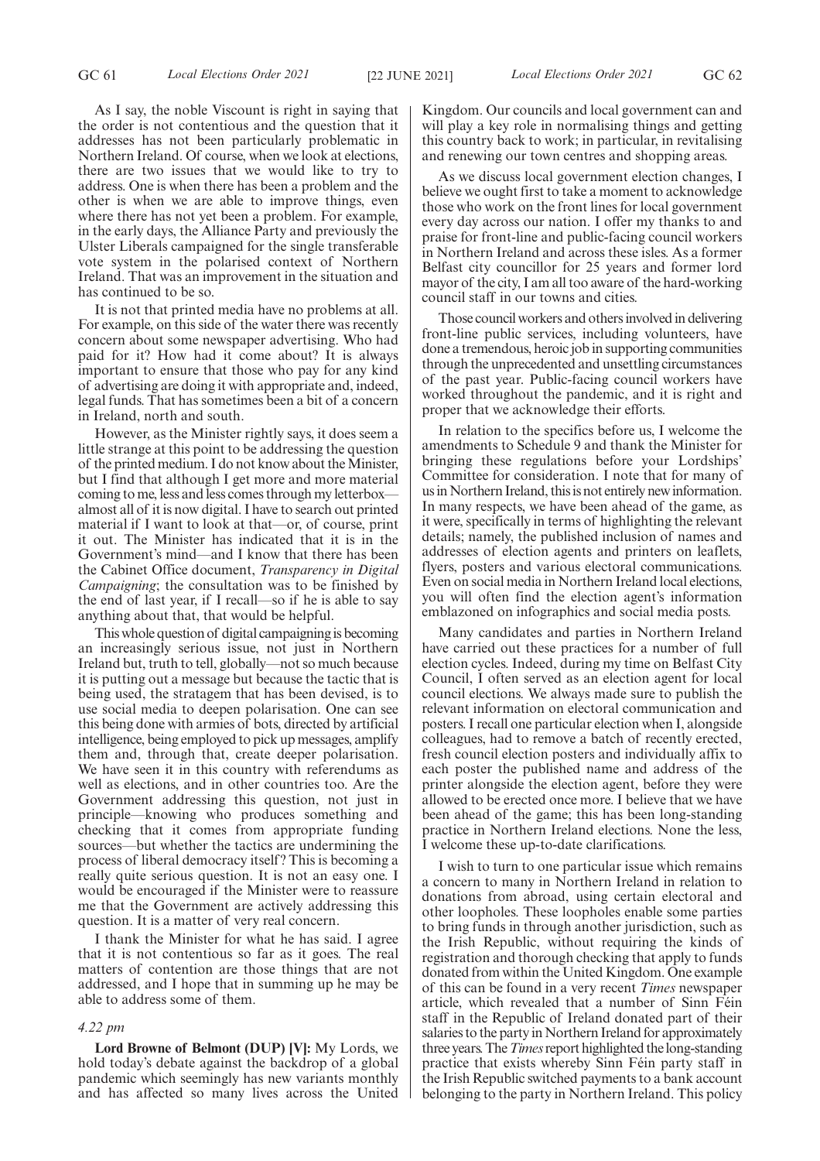As I say, the noble Viscount is right in saying that the order is not contentious and the question that it addresses has not been particularly problematic in Northern Ireland. Of course, when we look at elections, there are two issues that we would like to try to address. One is when there has been a problem and the other is when we are able to improve things, even where there has not yet been a problem. For example, in the early days, the Alliance Party and previously the Ulster Liberals campaigned for the single transferable vote system in the polarised context of Northern Ireland. That was an improvement in the situation and has continued to be so.

It is not that printed media have no problems at all. For example, on this side of the water there was recently concern about some newspaper advertising. Who had paid for it? How had it come about? It is always important to ensure that those who pay for any kind of advertising are doing it with appropriate and, indeed, legal funds. That has sometimes been a bit of a concern in Ireland, north and south.

However, as the Minister rightly says, it does seem a little strange at this point to be addressing the question of the printed medium. I do not know about the Minister, but I find that although I get more and more material coming to me, less and less comes through my letterbox almost all of it is now digital. I have to search out printed material if I want to look at that—or, of course, print it out. The Minister has indicated that it is in the Government's mind—and I know that there has been the Cabinet Office document, *Transparency in Digital Campaigning*; the consultation was to be finished by the end of last year, if I recall—so if he is able to say anything about that, that would be helpful.

This whole question of digital campaigning is becoming an increasingly serious issue, not just in Northern Ireland but, truth to tell, globally—not so much because it is putting out a message but because the tactic that is being used, the stratagem that has been devised, is to use social media to deepen polarisation. One can see this being done with armies of bots, directed by artificial intelligence, being employed to pick up messages, amplify them and, through that, create deeper polarisation. We have seen it in this country with referendums as well as elections, and in other countries too. Are the Government addressing this question, not just in principle—knowing who produces something and checking that it comes from appropriate funding sources—but whether the tactics are undermining the process of liberal democracy itself? This is becoming a really quite serious question. It is not an easy one. I would be encouraged if the Minister were to reassure me that the Government are actively addressing this question. It is a matter of very real concern.

I thank the Minister for what he has said. I agree that it is not contentious so far as it goes. The real matters of contention are those things that are not addressed, and I hope that in summing up he may be able to address some of them.

#### *4.22 pm*

**Lord Browne of Belmont (DUP) [V]:** My Lords, we hold today's debate against the backdrop of a global pandemic which seemingly has new variants monthly and has affected so many lives across the United

Kingdom. Our councils and local government can and will play a key role in normalising things and getting this country back to work; in particular, in revitalising and renewing our town centres and shopping areas.

As we discuss local government election changes, I believe we ought first to take a moment to acknowledge those who work on the front lines for local government every day across our nation. I offer my thanks to and praise for front-line and public-facing council workers in Northern Ireland and across these isles. As a former Belfast city councillor for 25 years and former lord mayor of the city, I am all too aware of the hard-working council staff in our towns and cities.

Those council workers and others involved in delivering front-line public services, including volunteers, have done a tremendous, heroic job in supporting communities through the unprecedented and unsettling circumstances of the past year. Public-facing council workers have worked throughout the pandemic, and it is right and proper that we acknowledge their efforts.

In relation to the specifics before us, I welcome the amendments to Schedule 9 and thank the Minister for bringing these regulations before your Lordships' Committee for consideration. I note that for many of us in Northern Ireland, this is not entirely new information. In many respects, we have been ahead of the game, as it were, specifically in terms of highlighting the relevant details; namely, the published inclusion of names and addresses of election agents and printers on leaflets, flyers, posters and various electoral communications. Even on social media in Northern Ireland local elections, you will often find the election agent's information emblazoned on infographics and social media posts.

Many candidates and parties in Northern Ireland have carried out these practices for a number of full election cycles. Indeed, during my time on Belfast City Council, I often served as an election agent for local council elections. We always made sure to publish the relevant information on electoral communication and posters. I recall one particular election when I, alongside colleagues, had to remove a batch of recently erected, fresh council election posters and individually affix to each poster the published name and address of the printer alongside the election agent, before they were allowed to be erected once more. I believe that we have been ahead of the game; this has been long-standing practice in Northern Ireland elections. None the less, I welcome these up-to-date clarifications.

I wish to turn to one particular issue which remains a concern to many in Northern Ireland in relation to donations from abroad, using certain electoral and other loopholes. These loopholes enable some parties to bring funds in through another jurisdiction, such as the Irish Republic, without requiring the kinds of registration and thorough checking that apply to funds donated from within the United Kingdom. One example of this can be found in a very recent *Times* newspaper article, which revealed that a number of Sinn Féin staff in the Republic of Ireland donated part of their salaries to the party in Northern Ireland for approximately three years. The*Times*report highlighted the long-standing practice that exists whereby Sinn Féin party staff in the Irish Republic switched payments to a bank account belonging to the party in Northern Ireland. This policy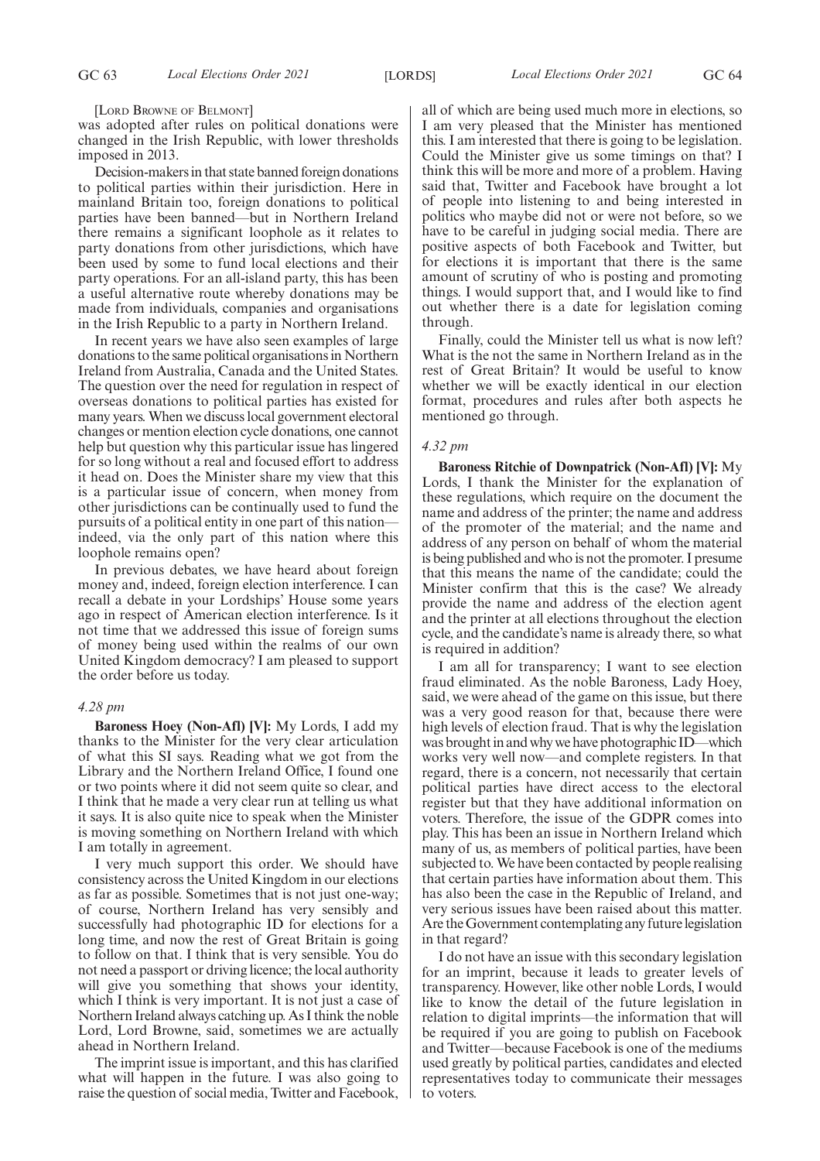[LORD BROWNE OF BELMONT]

was adopted after rules on political donations were changed in the Irish Republic, with lower thresholds imposed in 2013.

Decision-makers in that state banned foreign donations to political parties within their jurisdiction. Here in mainland Britain too, foreign donations to political parties have been banned—but in Northern Ireland there remains a significant loophole as it relates to party donations from other jurisdictions, which have been used by some to fund local elections and their party operations. For an all-island party, this has been a useful alternative route whereby donations may be made from individuals, companies and organisations in the Irish Republic to a party in Northern Ireland.

In recent years we have also seen examples of large donations to the same political organisations in Northern Ireland from Australia, Canada and the United States. The question over the need for regulation in respect of overseas donations to political parties has existed for many years. When we discuss local government electoral changes or mention election cycle donations, one cannot help but question why this particular issue has lingered for so long without a real and focused effort to address it head on. Does the Minister share my view that this is a particular issue of concern, when money from other jurisdictions can be continually used to fund the pursuits of a political entity in one part of this nation indeed, via the only part of this nation where this loophole remains open?

In previous debates, we have heard about foreign money and, indeed, foreign election interference. I can recall a debate in your Lordships' House some years ago in respect of American election interference. Is it not time that we addressed this issue of foreign sums of money being used within the realms of our own United Kingdom democracy? I am pleased to support the order before us today.

# *4.28 pm*

**Baroness Hoey (Non-Afl) [V]:** My Lords, I add my thanks to the Minister for the very clear articulation of what this SI says. Reading what we got from the Library and the Northern Ireland Office, I found one or two points where it did not seem quite so clear, and I think that he made a very clear run at telling us what it says. It is also quite nice to speak when the Minister is moving something on Northern Ireland with which I am totally in agreement.

I very much support this order. We should have consistency across the United Kingdom in our elections as far as possible. Sometimes that is not just one-way; of course, Northern Ireland has very sensibly and successfully had photographic ID for elections for a long time, and now the rest of Great Britain is going to follow on that. I think that is very sensible. You do not need a passport or driving licence; the local authority will give you something that shows your identity, which I think is very important. It is not just a case of Northern Ireland always catching up. As I think the noble Lord, Lord Browne, said, sometimes we are actually ahead in Northern Ireland.

The imprint issue is important, and this has clarified what will happen in the future. I was also going to raise the question of social media, Twitter and Facebook, all of which are being used much more in elections, so I am very pleased that the Minister has mentioned this. I am interested that there is going to be legislation. Could the Minister give us some timings on that? I think this will be more and more of a problem. Having said that, Twitter and Facebook have brought a lot of people into listening to and being interested in politics who maybe did not or were not before, so we have to be careful in judging social media. There are positive aspects of both Facebook and Twitter, but for elections it is important that there is the same amount of scrutiny of who is posting and promoting things. I would support that, and I would like to find out whether there is a date for legislation coming through.

Finally, could the Minister tell us what is now left? What is the not the same in Northern Ireland as in the rest of Great Britain? It would be useful to know whether we will be exactly identical in our election format, procedures and rules after both aspects he mentioned go through.

# *4.32 pm*

**Baroness Ritchie of Downpatrick (Non-Afl) [V]:** My Lords, I thank the Minister for the explanation of these regulations, which require on the document the name and address of the printer; the name and address of the promoter of the material; and the name and address of any person on behalf of whom the material is being published and who is not the promoter. I presume that this means the name of the candidate; could the Minister confirm that this is the case? We already provide the name and address of the election agent and the printer at all elections throughout the election cycle, and the candidate's name is already there, so what is required in addition?

I am all for transparency; I want to see election fraud eliminated. As the noble Baroness, Lady Hoey, said, we were ahead of the game on this issue, but there was a very good reason for that, because there were high levels of election fraud. That is why the legislation was brought in and why we have photographic ID—which works very well now—and complete registers. In that regard, there is a concern, not necessarily that certain political parties have direct access to the electoral register but that they have additional information on voters. Therefore, the issue of the GDPR comes into play. This has been an issue in Northern Ireland which many of us, as members of political parties, have been subjected to. We have been contacted by people realising that certain parties have information about them. This has also been the case in the Republic of Ireland, and very serious issues have been raised about this matter. Are the Government contemplating any future legislation in that regard?

I do not have an issue with this secondary legislation for an imprint, because it leads to greater levels of transparency. However, like other noble Lords, I would like to know the detail of the future legislation in relation to digital imprints—the information that will be required if you are going to publish on Facebook and Twitter—because Facebook is one of the mediums used greatly by political parties, candidates and elected representatives today to communicate their messages to voters.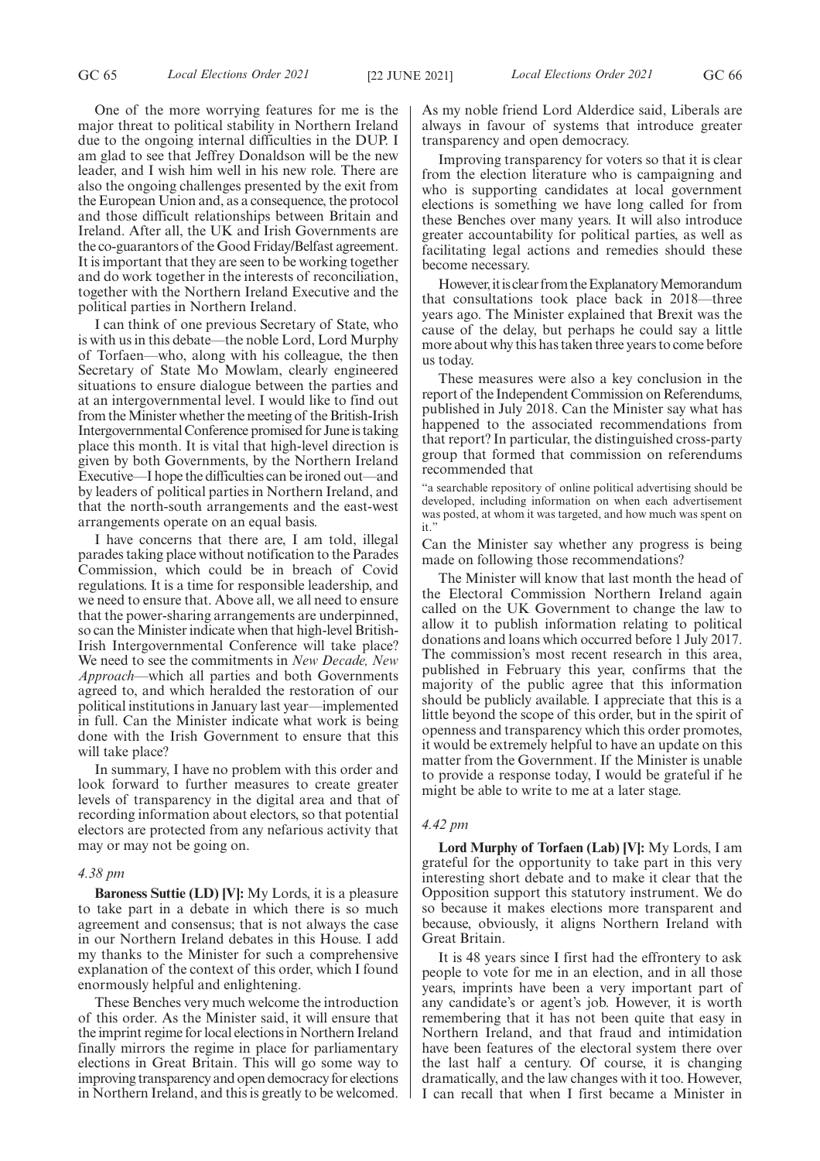One of the more worrying features for me is the major threat to political stability in Northern Ireland due to the ongoing internal difficulties in the DUP. I am glad to see that Jeffrey Donaldson will be the new leader, and I wish him well in his new role. There are also the ongoing challenges presented by the exit from the European Union and, as a consequence, the protocol and those difficult relationships between Britain and Ireland. After all, the UK and Irish Governments are the co-guarantors of the Good Friday/Belfast agreement. It is important that they are seen to be working together and do work together in the interests of reconciliation, together with the Northern Ireland Executive and the political parties in Northern Ireland.

I can think of one previous Secretary of State, who is with us in this debate—the noble Lord, Lord Murphy of Torfaen—who, along with his colleague, the then Secretary of State Mo Mowlam, clearly engineered situations to ensure dialogue between the parties and at an intergovernmental level. I would like to find out from the Minister whether the meeting of the British-Irish Intergovernmental Conference promised for June is taking place this month. It is vital that high-level direction is given by both Governments, by the Northern Ireland Executive—I hope the difficulties can be ironed out—and by leaders of political parties in Northern Ireland, and that the north-south arrangements and the east-west arrangements operate on an equal basis.

I have concerns that there are, I am told, illegal parades taking place without notification to the Parades Commission, which could be in breach of Covid regulations. It is a time for responsible leadership, and we need to ensure that. Above all, we all need to ensure that the power-sharing arrangements are underpinned, so can the Minister indicate when that high-level British-Irish Intergovernmental Conference will take place? We need to see the commitments in *New Decade, New Approach*—which all parties and both Governments agreed to, and which heralded the restoration of our political institutions in January last year—implemented in full. Can the Minister indicate what work is being done with the Irish Government to ensure that this will take place?

In summary, I have no problem with this order and look forward to further measures to create greater levels of transparency in the digital area and that of recording information about electors, so that potential electors are protected from any nefarious activity that may or may not be going on.

#### *4.38 pm*

**Baroness Suttie (LD) [V]:** My Lords, it is a pleasure to take part in a debate in which there is so much agreement and consensus; that is not always the case in our Northern Ireland debates in this House. I add my thanks to the Minister for such a comprehensive explanation of the context of this order, which I found enormously helpful and enlightening.

These Benches very much welcome the introduction of this order. As the Minister said, it will ensure that the imprint regime for local elections in Northern Ireland finally mirrors the regime in place for parliamentary elections in Great Britain. This will go some way to improving transparency and open democracy for elections in Northern Ireland, and this is greatly to be welcomed. As my noble friend Lord Alderdice said, Liberals are always in favour of systems that introduce greater transparency and open democracy.

Improving transparency for voters so that it is clear from the election literature who is campaigning and who is supporting candidates at local government elections is something we have long called for from these Benches over many years. It will also introduce greater accountability for political parties, as well as facilitating legal actions and remedies should these become necessary.

However, it is clear from the Explanatory Memorandum that consultations took place back in 2018—three years ago. The Minister explained that Brexit was the cause of the delay, but perhaps he could say a little more about why this has taken three years to come before us today.

These measures were also a key conclusion in the report of the Independent Commission on Referendums, published in July 2018. Can the Minister say what has happened to the associated recommendations from that report? In particular, the distinguished cross-party group that formed that commission on referendums recommended that

"a searchable repository of online political advertising should be developed, including information on when each advertisement was posted, at whom it was targeted, and how much was spent on it."

Can the Minister say whether any progress is being made on following those recommendations?

The Minister will know that last month the head of the Electoral Commission Northern Ireland again called on the UK Government to change the law to allow it to publish information relating to political donations and loans which occurred before 1 July 2017. The commission's most recent research in this area, published in February this year, confirms that the majority of the public agree that this information should be publicly available. I appreciate that this is a little beyond the scope of this order, but in the spirit of openness and transparency which this order promotes, it would be extremely helpful to have an update on this matter from the Government. If the Minister is unable to provide a response today, I would be grateful if he might be able to write to me at a later stage.

#### *4.42 pm*

**Lord Murphy of Torfaen (Lab) [V]:** My Lords, I am grateful for the opportunity to take part in this very interesting short debate and to make it clear that the Opposition support this statutory instrument. We do so because it makes elections more transparent and because, obviously, it aligns Northern Ireland with Great Britain.

It is 48 years since I first had the effrontery to ask people to vote for me in an election, and in all those years, imprints have been a very important part of any candidate's or agent's job. However, it is worth remembering that it has not been quite that easy in Northern Ireland, and that fraud and intimidation have been features of the electoral system there over the last half a century. Of course, it is changing dramatically, and the law changes with it too. However, I can recall that when I first became a Minister in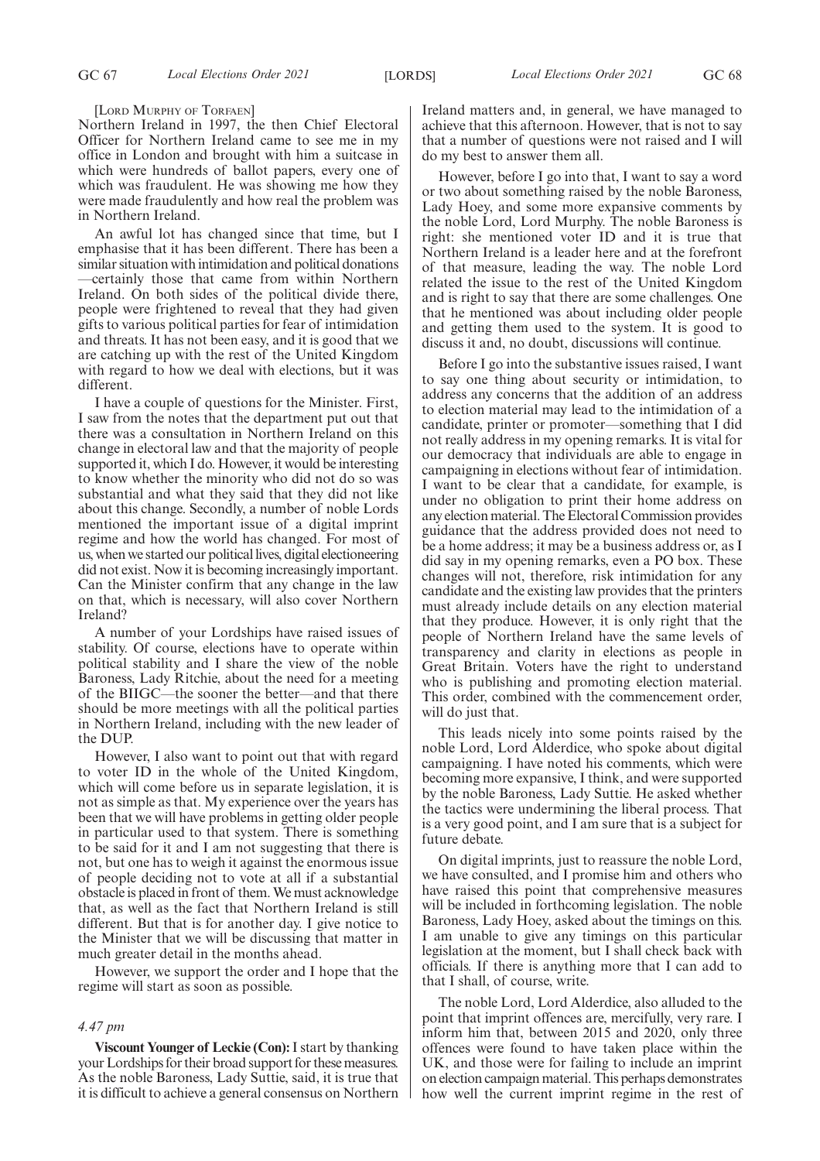[LORD MURPHY OF TORFAEN]

Northern Ireland in 1997, the then Chief Electoral Officer for Northern Ireland came to see me in my office in London and brought with him a suitcase in which were hundreds of ballot papers, every one of which was fraudulent. He was showing me how they were made fraudulently and how real the problem was in Northern Ireland.

An awful lot has changed since that time, but I emphasise that it has been different. There has been a similar situation with intimidation and political donations —certainly those that came from within Northern Ireland. On both sides of the political divide there, people were frightened to reveal that they had given gifts to various political parties for fear of intimidation and threats. It has not been easy, and it is good that we are catching up with the rest of the United Kingdom with regard to how we deal with elections, but it was different.

I have a couple of questions for the Minister. First, I saw from the notes that the department put out that there was a consultation in Northern Ireland on this change in electoral law and that the majority of people supported it, which I do. However, it would be interesting to know whether the minority who did not do so was substantial and what they said that they did not like about this change. Secondly, a number of noble Lords mentioned the important issue of a digital imprint regime and how the world has changed. For most of us, when we started our political lives, digital electioneering did not exist. Now it is becoming increasingly important. Can the Minister confirm that any change in the law on that, which is necessary, will also cover Northern Ireland?

A number of your Lordships have raised issues of stability. Of course, elections have to operate within political stability and I share the view of the noble Baroness, Lady Ritchie, about the need for a meeting of the BIIGC—the sooner the better—and that there should be more meetings with all the political parties in Northern Ireland, including with the new leader of the DUP.

However, I also want to point out that with regard to voter ID in the whole of the United Kingdom, which will come before us in separate legislation, it is not as simple as that. My experience over the years has been that we will have problems in getting older people in particular used to that system. There is something to be said for it and I am not suggesting that there is not, but one has to weigh it against the enormous issue of people deciding not to vote at all if a substantial obstacle is placed in front of them. We must acknowledge that, as well as the fact that Northern Ireland is still different. But that is for another day. I give notice to the Minister that we will be discussing that matter in much greater detail in the months ahead.

However, we support the order and I hope that the regime will start as soon as possible.

#### *4.47 pm*

**Viscount Younger of Leckie (Con):**I start by thanking your Lordships for their broad support for these measures. As the noble Baroness, Lady Suttie, said, it is true that it is difficult to achieve a general consensus on Northern Ireland matters and, in general, we have managed to achieve that this afternoon. However, that is not to say that a number of questions were not raised and I will do my best to answer them all.

However, before I go into that, I want to say a word or two about something raised by the noble Baroness, Lady Hoey, and some more expansive comments by the noble Lord, Lord Murphy. The noble Baroness is right: she mentioned voter ID and it is true that Northern Ireland is a leader here and at the forefront of that measure, leading the way. The noble Lord related the issue to the rest of the United Kingdom and is right to say that there are some challenges. One that he mentioned was about including older people and getting them used to the system. It is good to discuss it and, no doubt, discussions will continue.

Before I go into the substantive issues raised, I want to say one thing about security or intimidation, to address any concerns that the addition of an address to election material may lead to the intimidation of a candidate, printer or promoter—something that I did not really address in my opening remarks. It is vital for our democracy that individuals are able to engage in campaigning in elections without fear of intimidation. I want to be clear that a candidate, for example, is under no obligation to print their home address on any election material. The Electoral Commission provides guidance that the address provided does not need to be a home address; it may be a business address or, as I did say in my opening remarks, even a PO box. These changes will not, therefore, risk intimidation for any candidate and the existing law provides that the printers must already include details on any election material that they produce. However, it is only right that the people of Northern Ireland have the same levels of transparency and clarity in elections as people in Great Britain. Voters have the right to understand who is publishing and promoting election material. This order, combined with the commencement order, will do just that.

This leads nicely into some points raised by the noble Lord, Lord Alderdice, who spoke about digital campaigning. I have noted his comments, which were becoming more expansive, I think, and were supported by the noble Baroness, Lady Suttie. He asked whether the tactics were undermining the liberal process. That is a very good point, and I am sure that is a subject for future debate.

On digital imprints, just to reassure the noble Lord, we have consulted, and I promise him and others who have raised this point that comprehensive measures will be included in forthcoming legislation. The noble Baroness, Lady Hoey, asked about the timings on this. I am unable to give any timings on this particular legislation at the moment, but I shall check back with officials. If there is anything more that I can add to that I shall, of course, write.

The noble Lord, Lord Alderdice, also alluded to the point that imprint offences are, mercifully, very rare. I inform him that, between 2015 and 2020, only three offences were found to have taken place within the UK, and those were for failing to include an imprint on election campaign material. This perhaps demonstrates how well the current imprint regime in the rest of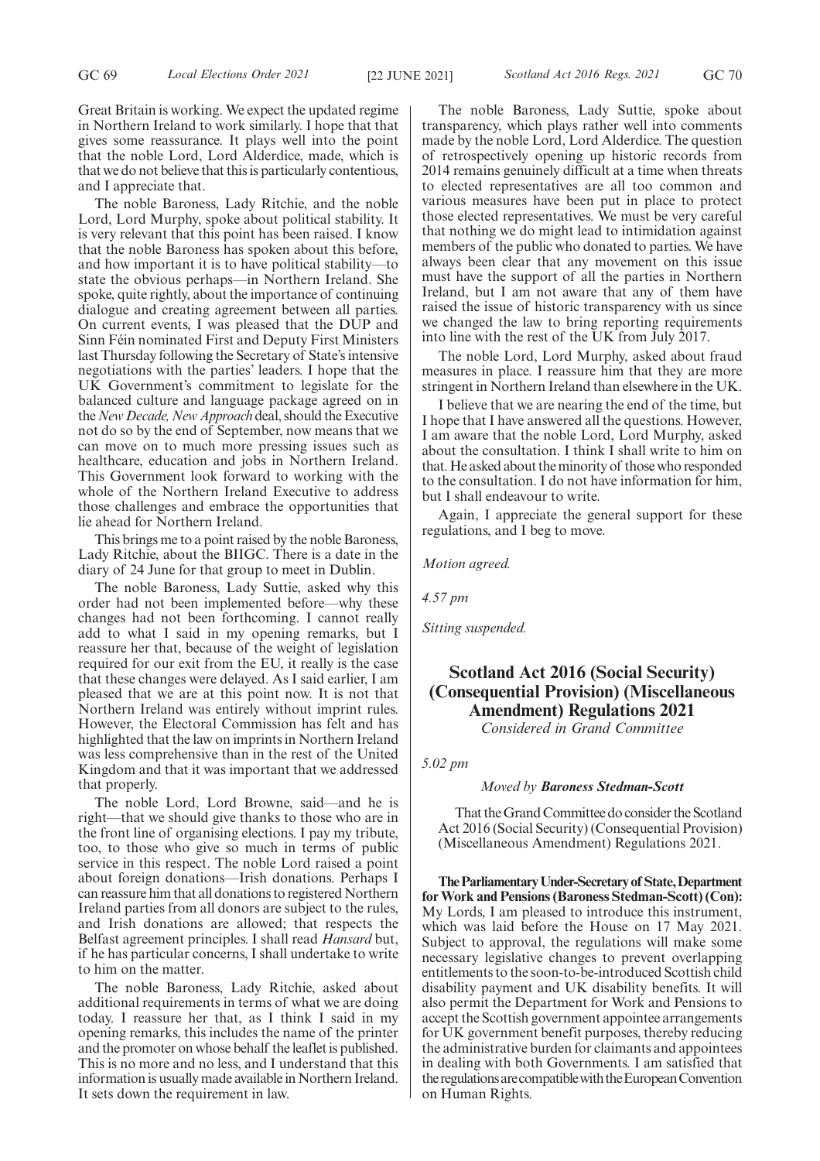Great Britain is working. We expect the updated regime in Northern Ireland to work similarly. I hope that that gives some reassurance. It plays well into the point that the noble Lord, Lord Alderdice, made, which is that we do not believe that this is particularly contentious, and I appreciate that.

The noble Baroness, Lady Ritchie, and the noble Lord, Lord Murphy, spoke about political stability. It is very relevant that this point has been raised. I know that the noble Baroness has spoken about this before, and how important it is to have political stability—to state the obvious perhaps—in Northern Ireland. She spoke, quite rightly, about the importance of continuing dialogue and creating agreement between all parties. On current events, I was pleased that the DUP and Sinn Féin nominated First and Deputy First Ministers last Thursday following the Secretary of State's intensive negotiations with the parties' leaders. I hope that the UK Government's commitment to legislate for the balanced culture and language package agreed on in the*New Decade, New Approach* deal, should the Executive not do so by the end of September, now means that we can move on to much more pressing issues such as healthcare, education and jobs in Northern Ireland. This Government look forward to working with the whole of the Northern Ireland Executive to address those challenges and embrace the opportunities that lie ahead for Northern Ireland.

This brings me to a point raised by the noble Baroness, Lady Ritchie, about the BIIGC. There is a date in the diary of 24 June for that group to meet in Dublin.

The noble Baroness, Lady Suttie, asked why this order had not been implemented before—why these changes had not been forthcoming. I cannot really add to what I said in my opening remarks, but I reassure her that, because of the weight of legislation required for our exit from the EU, it really is the case that these changes were delayed. As I said earlier, I am pleased that we are at this point now. It is not that Northern Ireland was entirely without imprint rules. However, the Electoral Commission has felt and has highlighted that the law on imprints in Northern Ireland was less comprehensive than in the rest of the United Kingdom and that it was important that we addressed that properly.

The noble Lord, Lord Browne, said—and he is right—that we should give thanks to those who are in the front line of organising elections. I pay my tribute, too, to those who give so much in terms of public service in this respect. The noble Lord raised a point about foreign donations—Irish donations. Perhaps I can reassure him that all donations to registered Northern Ireland parties from all donors are subject to the rules, and Irish donations are allowed; that respects the Belfast agreement principles. I shall read *Hansard* but, if he has particular concerns, I shall undertake to write to him on the matter.

The noble Baroness, Lady Ritchie, asked about additional requirements in terms of what we are doing today. I reassure her that, as I think I said in my opening remarks, this includes the name of the printer and the promoter on whose behalf the leaflet is published. This is no more and no less, and I understand that this information is usually made available in Northern Ireland. It sets down the requirement in law.

The noble Baroness, Lady Suttie, spoke about transparency, which plays rather well into comments made by the noble Lord, Lord Alderdice. The question of retrospectively opening up historic records from 2014 remains genuinely difficult at a time when threats to elected representatives are all too common and various measures have been put in place to protect those elected representatives. We must be very careful that nothing we do might lead to intimidation against members of the public who donated to parties. We have always been clear that any movement on this issue must have the support of all the parties in Northern Ireland, but I am not aware that any of them have raised the issue of historic transparency with us since we changed the law to bring reporting requirements into line with the rest of the UK from July 2017.

The noble Lord, Lord Murphy, asked about fraud measures in place. I reassure him that they are more stringent in Northern Ireland than elsewhere in the UK.

I believe that we are nearing the end of the time, but I hope that I have answered all the questions. However, I am aware that the noble Lord, Lord Murphy, asked about the consultation. I think I shall write to him on that. He asked about the minority of those who responded to the consultation. I do not have information for him, but I shall endeavour to write.

Again, I appreciate the general support for these regulations, and I beg to move.

*Motion agreed.*

*4.57 pm*

*Sitting suspended.*

# **Scotland Act 2016 (Social Security) (Consequential Provision) (Miscellaneous Amendment) Regulations 2021** *Considered in Grand Committee*

*5.02 pm*

### *Moved by Baroness Stedman-Scott*

That the Grand Committee do consider the Scotland Act 2016 (Social Security) (Consequential Provision) (Miscellaneous Amendment) Regulations 2021.

**TheParliamentaryUnder-Secretaryof State,Department for Work and Pensions (Baroness Stedman-Scott) (Con):** My Lords, I am pleased to introduce this instrument, which was laid before the House on 17 May 2021. Subject to approval, the regulations will make some necessary legislative changes to prevent overlapping entitlements to the soon-to-be-introduced Scottish child disability payment and UK disability benefits. It will also permit the Department for Work and Pensions to accept the Scottish government appointee arrangements for UK government benefit purposes, thereby reducing the administrative burden for claimants and appointees in dealing with both Governments. I am satisfied that the regulations are compatible with the European Convention on Human Rights.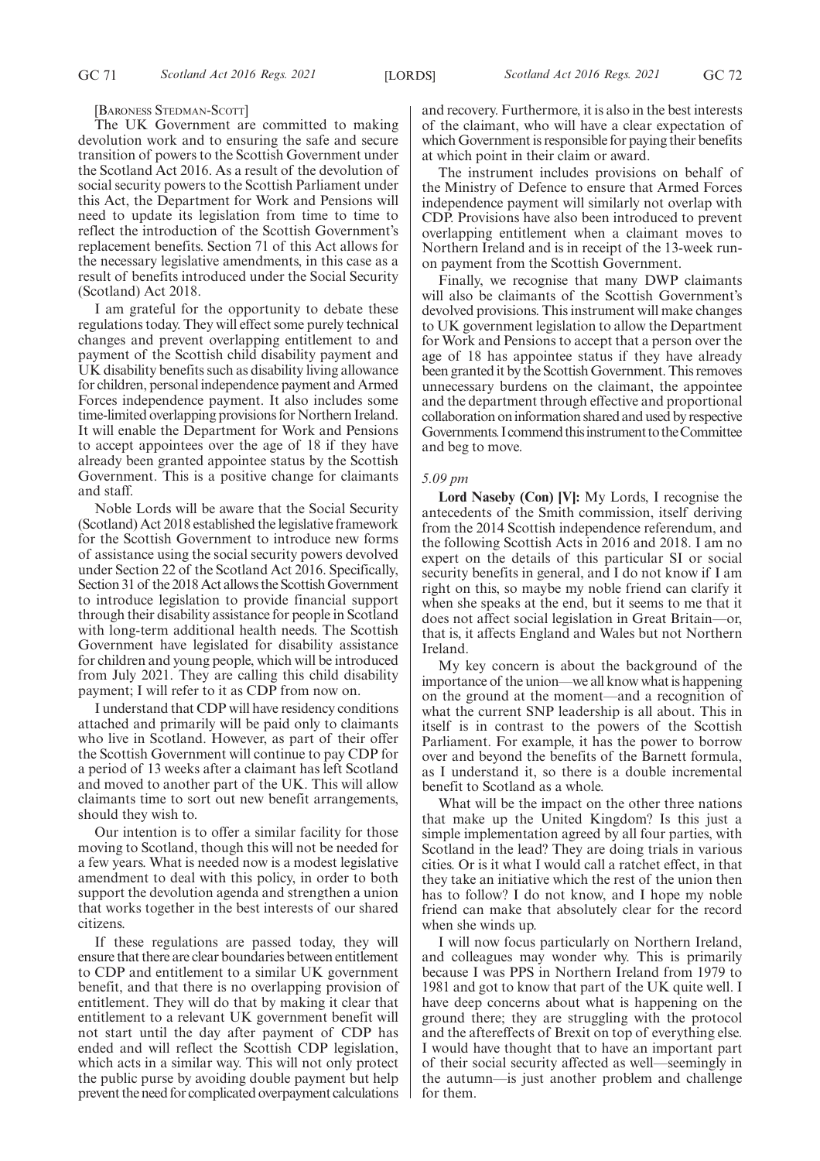[BARONESS STEDMAN-SCOTT]

The UK Government are committed to making devolution work and to ensuring the safe and secure transition of powers to the Scottish Government under the Scotland Act 2016. As a result of the devolution of social security powers to the Scottish Parliament under this Act, the Department for Work and Pensions will need to update its legislation from time to time to reflect the introduction of the Scottish Government's replacement benefits. Section 71 of this Act allows for the necessary legislative amendments, in this case as a result of benefits introduced under the Social Security (Scotland) Act 2018.

I am grateful for the opportunity to debate these regulations today. They will effect some purely technical changes and prevent overlapping entitlement to and payment of the Scottish child disability payment and UK disability benefits such as disability living allowance for children, personal independence payment and Armed Forces independence payment. It also includes some time-limited overlapping provisions for Northern Ireland. It will enable the Department for Work and Pensions to accept appointees over the age of 18 if they have already been granted appointee status by the Scottish Government. This is a positive change for claimants and staff.

Noble Lords will be aware that the Social Security (Scotland) Act 2018 established the legislative framework for the Scottish Government to introduce new forms of assistance using the social security powers devolved under Section 22 of the Scotland Act 2016. Specifically, Section 31 of the 2018 Act allows the Scottish Government to introduce legislation to provide financial support through their disability assistance for people in Scotland with long-term additional health needs. The Scottish Government have legislated for disability assistance for children and young people, which will be introduced from July 2021. They are calling this child disability payment; I will refer to it as CDP from now on.

I understand that CDP will have residency conditions attached and primarily will be paid only to claimants who live in Scotland. However, as part of their offer the Scottish Government will continue to pay CDP for a period of 13 weeks after a claimant has left Scotland and moved to another part of the UK. This will allow claimants time to sort out new benefit arrangements, should they wish to.

Our intention is to offer a similar facility for those moving to Scotland, though this will not be needed for a few years. What is needed now is a modest legislative amendment to deal with this policy, in order to both support the devolution agenda and strengthen a union that works together in the best interests of our shared citizens.

If these regulations are passed today, they will ensure that there are clear boundaries between entitlement to CDP and entitlement to a similar UK government benefit, and that there is no overlapping provision of entitlement. They will do that by making it clear that entitlement to a relevant UK government benefit will not start until the day after payment of CDP has ended and will reflect the Scottish CDP legislation, which acts in a similar way. This will not only protect the public purse by avoiding double payment but help prevent the need for complicated overpayment calculations and recovery. Furthermore, it is also in the best interests of the claimant, who will have a clear expectation of which Government is responsible for paying their benefits at which point in their claim or award.

The instrument includes provisions on behalf of the Ministry of Defence to ensure that Armed Forces independence payment will similarly not overlap with CDP. Provisions have also been introduced to prevent overlapping entitlement when a claimant moves to Northern Ireland and is in receipt of the 13-week runon payment from the Scottish Government.

Finally, we recognise that many DWP claimants will also be claimants of the Scottish Government's devolved provisions. This instrument will make changes to UK government legislation to allow the Department for Work and Pensions to accept that a person over the age of 18 has appointee status if they have already been granted it by the Scottish Government. This removes unnecessary burdens on the claimant, the appointee and the department through effective and proportional collaboration on information shared and used by respective Governments. I commend this instrument to the Committee and beg to move.

# *5.09 pm*

**Lord Naseby (Con) [V]:** My Lords, I recognise the antecedents of the Smith commission, itself deriving from the 2014 Scottish independence referendum, and the following Scottish Acts in 2016 and 2018. I am no expert on the details of this particular SI or social security benefits in general, and I do not know if I am right on this, so maybe my noble friend can clarify it when she speaks at the end, but it seems to me that it does not affect social legislation in Great Britain—or, that is, it affects England and Wales but not Northern Ireland.

My key concern is about the background of the importance of the union—we all know what is happening on the ground at the moment—and a recognition of what the current SNP leadership is all about. This in itself is in contrast to the powers of the Scottish Parliament. For example, it has the power to borrow over and beyond the benefits of the Barnett formula, as I understand it, so there is a double incremental benefit to Scotland as a whole.

What will be the impact on the other three nations that make up the United Kingdom? Is this just a simple implementation agreed by all four parties, with Scotland in the lead? They are doing trials in various cities. Or is it what I would call a ratchet effect, in that they take an initiative which the rest of the union then has to follow? I do not know, and I hope my noble friend can make that absolutely clear for the record when she winds up.

I will now focus particularly on Northern Ireland, and colleagues may wonder why. This is primarily because I was PPS in Northern Ireland from 1979 to 1981 and got to know that part of the UK quite well. I have deep concerns about what is happening on the ground there; they are struggling with the protocol and the aftereffects of Brexit on top of everything else. I would have thought that to have an important part of their social security affected as well—seemingly in the autumn—is just another problem and challenge for them.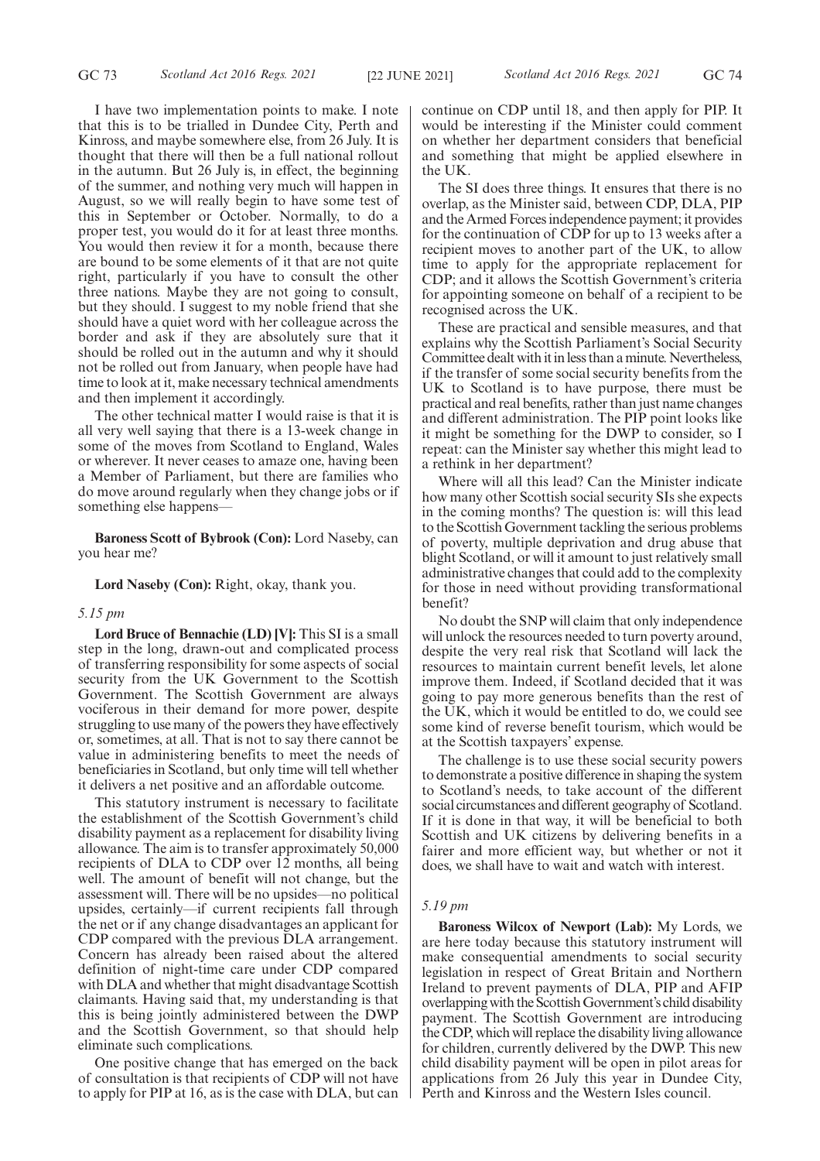I have two implementation points to make. I note that this is to be trialled in Dundee City, Perth and Kinross, and maybe somewhere else, from 26 July. It is thought that there will then be a full national rollout in the autumn. But 26 July is, in effect, the beginning of the summer, and nothing very much will happen in August, so we will really begin to have some test of this in September or October. Normally, to do a proper test, you would do it for at least three months. You would then review it for a month, because there are bound to be some elements of it that are not quite right, particularly if you have to consult the other three nations. Maybe they are not going to consult, but they should. I suggest to my noble friend that she should have a quiet word with her colleague across the border and ask if they are absolutely sure that it should be rolled out in the autumn and why it should not be rolled out from January, when people have had time to look at it, make necessary technical amendments and then implement it accordingly.

The other technical matter I would raise is that it is all very well saying that there is a 13-week change in some of the moves from Scotland to England, Wales or wherever. It never ceases to amaze one, having been a Member of Parliament, but there are families who do move around regularly when they change jobs or if something else happens—

**Baroness Scott of Bybrook (Con):** Lord Naseby, can you hear me?

**Lord Naseby (Con):** Right, okay, thank you.

#### *5.15 pm*

**Lord Bruce of Bennachie (LD) [V]:** This SI is a small step in the long, drawn-out and complicated process of transferring responsibility for some aspects of social security from the UK Government to the Scottish Government. The Scottish Government are always vociferous in their demand for more power, despite struggling to use many of the powers they have effectively or, sometimes, at all. That is not to say there cannot be value in administering benefits to meet the needs of beneficiaries in Scotland, but only time will tell whether it delivers a net positive and an affordable outcome.

This statutory instrument is necessary to facilitate the establishment of the Scottish Government's child disability payment as a replacement for disability living allowance. The aim is to transfer approximately 50,000 recipients of DLA to CDP over 12 months, all being well. The amount of benefit will not change, but the assessment will. There will be no upsides—no political upsides, certainly—if current recipients fall through the net or if any change disadvantages an applicant for CDP compared with the previous DLA arrangement. Concern has already been raised about the altered definition of night-time care under CDP compared with DLA and whether that might disadvantage Scottish claimants. Having said that, my understanding is that this is being jointly administered between the DWP and the Scottish Government, so that should help eliminate such complications.

One positive change that has emerged on the back of consultation is that recipients of CDP will not have to apply for PIP at 16, as is the case with DLA, but can continue on CDP until 18, and then apply for PIP. It would be interesting if the Minister could comment on whether her department considers that beneficial and something that might be applied elsewhere in the UK.

The SI does three things. It ensures that there is no overlap, as the Minister said, between CDP, DLA, PIP and the Armed Forces independence payment; it provides for the continuation of CDP for up to 13 weeks after a recipient moves to another part of the UK, to allow time to apply for the appropriate replacement for CDP; and it allows the Scottish Government's criteria for appointing someone on behalf of a recipient to be recognised across the UK.

These are practical and sensible measures, and that explains why the Scottish Parliament's Social Security Committee dealt with it in less than a minute. Nevertheless, if the transfer of some social security benefits from the UK to Scotland is to have purpose, there must be practical and real benefits, rather than just name changes and different administration. The PIP point looks like it might be something for the DWP to consider, so I repeat: can the Minister say whether this might lead to a rethink in her department?

Where will all this lead? Can the Minister indicate how many other Scottish social security SIs she expects in the coming months? The question is: will this lead to the Scottish Government tackling the serious problems of poverty, multiple deprivation and drug abuse that blight Scotland, or will it amount to just relatively small administrative changes that could add to the complexity for those in need without providing transformational benefit?

No doubt the SNP will claim that only independence will unlock the resources needed to turn poverty around, despite the very real risk that Scotland will lack the resources to maintain current benefit levels, let alone improve them. Indeed, if Scotland decided that it was going to pay more generous benefits than the rest of the UK, which it would be entitled to do, we could see some kind of reverse benefit tourism, which would be at the Scottish taxpayers' expense.

The challenge is to use these social security powers to demonstrate a positive difference in shaping the system to Scotland's needs, to take account of the different social circumstances and different geography of Scotland. If it is done in that way, it will be beneficial to both Scottish and UK citizens by delivering benefits in a fairer and more efficient way, but whether or not it does, we shall have to wait and watch with interest.

# *5.19 pm*

**Baroness Wilcox of Newport (Lab):** My Lords, we are here today because this statutory instrument will make consequential amendments to social security legislation in respect of Great Britain and Northern Ireland to prevent payments of DLA, PIP and AFIP overlapping with the Scottish Government's child disability payment. The Scottish Government are introducing the CDP, which will replace the disability living allowance for children, currently delivered by the DWP. This new child disability payment will be open in pilot areas for applications from 26 July this year in Dundee City, Perth and Kinross and the Western Isles council.